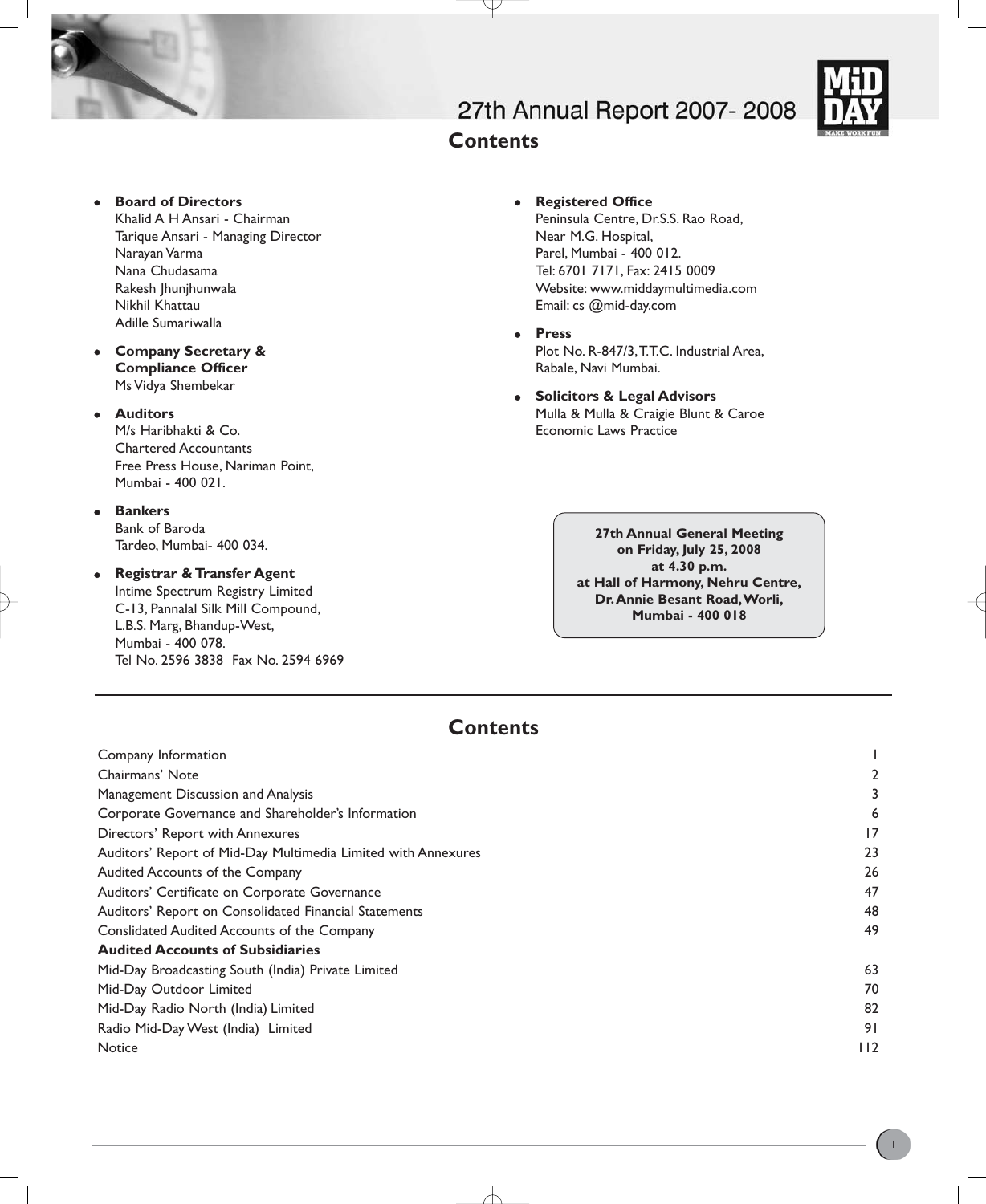

- **Board of Directors** Khalid A H Ansari - Chairman Tarique Ansari - Managing Director Narayan Varma Nana Chudasama Rakesh Jhunjhunwala Nikhil Khattau Adille Sumariwalla
- <sup>z</sup> **Company Secretary & Compliance Officer** Ms Vidya Shembekar

## **•** Auditors

M/s Haribhakti & Co. Chartered Accountants Free Press House, Nariman Point, Mumbai - 400 021.

- **•** Bankers Bank of Baroda Tardeo, Mumbai- 400 034.
- **Registrar & Transfer Agent** Intime Spectrum Registry Limited C-13, Pannalal Silk Mill Compound, L.B.S. Marg, Bhandup-West,

Mumbai - 400 078. Tel No. 2596 3838 Fax No. 2594 6969

# 27th Annual Report 2007-2008



- **•** Registered Office Peninsula Centre, Dr.S.S. Rao Road, Near M.G. Hospital, Parel, Mumbai - 400 012. Tel: 6701 7171, Fax: 2415 0009 Website: www.middaymultimedia.com Email: cs @mid-day.com
- <sup>z</sup> **Press** Plot No. R-847/3, T.T.C. Industrial Area, Rabale, Navi Mumbai.
- **Solicitors & Legal Advisors** Mulla & Mulla & Craigie Blunt & Caroe Economic Laws Practice

**27th Annual General Meeting on Friday, July 25, 2008 at 4.30 p.m. at Hall of Harmony, Nehru Centre, Dr.Annie Besant Road,Worli, Mumbai - 400 018**

# **Contents**

**Contents**

| Company Information                                           |       |
|---------------------------------------------------------------|-------|
| Chairmans' Note                                               | 2     |
| Management Discussion and Analysis                            |       |
| Corporate Governance and Shareholder's Information            | 6     |
| Directors' Report with Annexures                              | 17    |
| Auditors' Report of Mid-Day Multimedia Limited with Annexures | 23    |
| Audited Accounts of the Company                               | 26    |
| Auditors' Certificate on Corporate Governance                 | 47    |
| Auditors' Report on Consolidated Financial Statements         | 48    |
| Conslidated Audited Accounts of the Company                   | 49    |
| <b>Audited Accounts of Subsidiaries</b>                       |       |
| Mid-Day Broadcasting South (India) Private Limited            | 63    |
| Mid-Day Outdoor Limited                                       | 70    |
| Mid-Day Radio North (India) Limited                           | 82    |
| Radio Mid-Day West (India) Limited                            | 91    |
| Notice                                                        | I I 2 |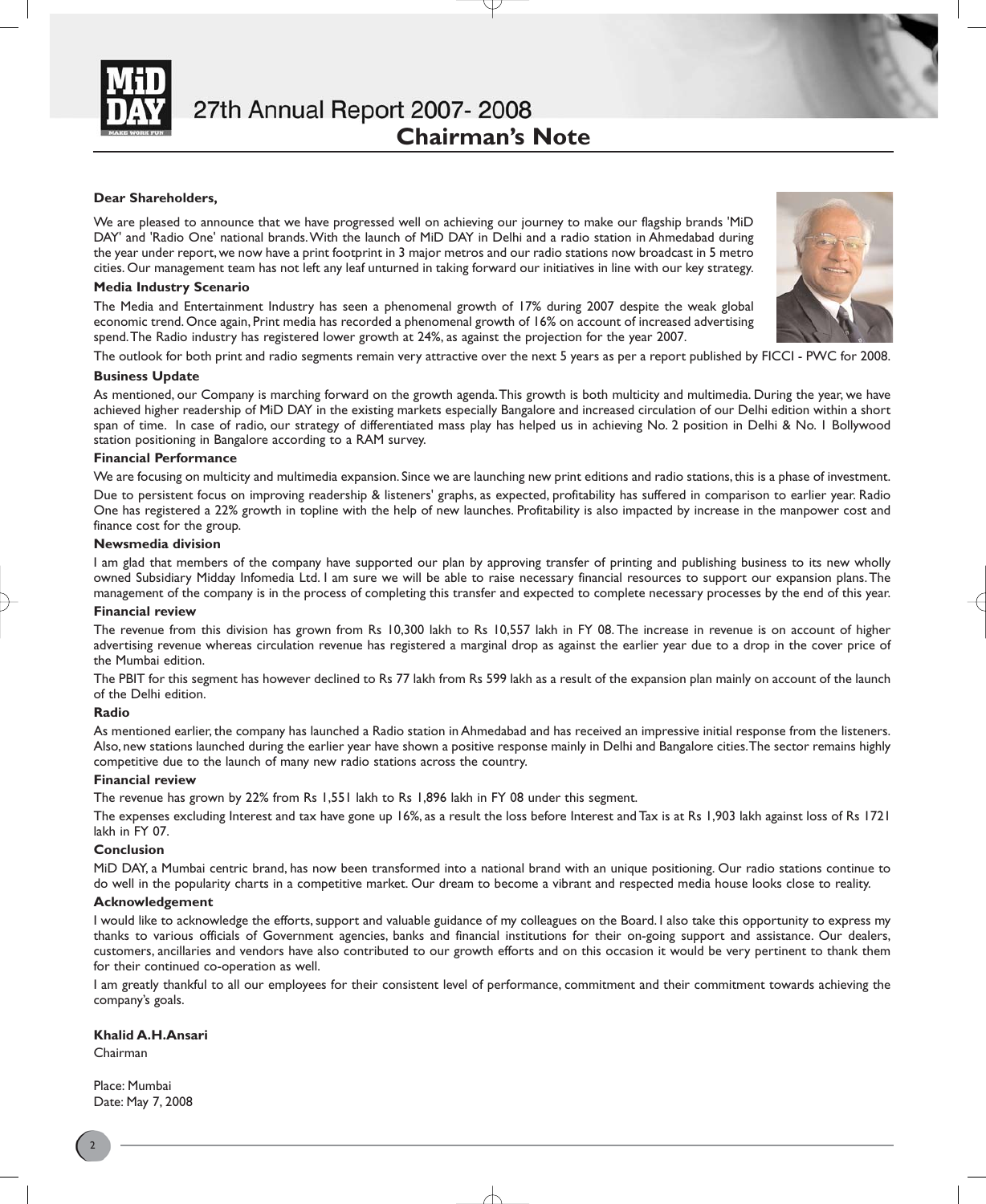

#### **Dear Shareholders,**

We are pleased to announce that we have progressed well on achieving our journey to make our flagship brands 'MiD DAY' and 'Radio One' national brands.With the launch of MiD DAY in Delhi and a radio station in Ahmedabad during the year under report, we now have a print footprint in 3 major metros and our radio stations now broadcast in 5 metro cities. Our management team has not left any leaf unturned in taking forward our initiatives in line with our key strategy.

#### **Media Industry Scenario**

The Media and Entertainment Industry has seen a phenomenal growth of 17% during 2007 despite the weak global economic trend. Once again, Print media has recorded a phenomenal growth of 16% on account of increased advertising spend.The Radio industry has registered lower growth at 24%, as against the projection for the year 2007.

The outlook for both print and radio segments remain very attractive over the next 5 years as per a report published by FICCI - PWC for 2008.

#### **Business Update**

As mentioned, our Company is marching forward on the growth agenda. This growth is both multicity and multimedia. During the year, we have achieved higher readership of MiD DAY in the existing markets especially Bangalore and increased circulation of our Delhi edition within a short span of time. In case of radio, our strategy of differentiated mass play has helped us in achieving No. 2 position in Delhi & No. 1 Bollywood station positioning in Bangalore according to a RAM survey.

#### **Financial Performance**

We are focusing on multicity and multimedia expansion. Since we are launching new print editions and radio stations, this is a phase of investment. Due to persistent focus on improving readership & listeners' graphs, as expected, profitability has suffered in comparison to earlier year. Radio One has registered a 22% growth in topline with the help of new launches. Profitability is also impacted by increase in the manpower cost and finance cost for the group.

#### **Newsmedia division**

I am glad that members of the company have supported our plan by approving transfer of printing and publishing business to its new wholly owned Subsidiary Midday Infomedia Ltd. I am sure we will be able to raise necessary financial resources to support our expansion plans.The management of the company is in the process of completing this transfer and expected to complete necessary processes by the end of this year.

#### **Financial review**

The revenue from this division has grown from Rs 10,300 lakh to Rs 10,557 lakh in FY 08. The increase in revenue is on account of higher advertising revenue whereas circulation revenue has registered a marginal drop as against the earlier year due to a drop in the cover price of the Mumbai edition.

The PBIT for this segment has however declined to Rs 77 lakh from Rs 599 lakh as a result of the expansion plan mainly on account of the launch of the Delhi edition.

#### **Radio**

As mentioned earlier, the company has launched a Radio station in Ahmedabad and has received an impressive initial response from the listeners. Also, new stations launched during the earlier year have shown a positive response mainly in Delhi and Bangalore cities.The sector remains highly competitive due to the launch of many new radio stations across the country.

#### **Financial review**

The revenue has grown by 22% from Rs 1,551 lakh to Rs 1,896 lakh in FY 08 under this segment.

The expenses excluding Interest and tax have gone up 16%, as a result the loss before Interest and Tax is at Rs 1,903 lakh against loss of Rs 1721 lakh in FY 07.

#### **Conclusion**

MiD DAY, a Mumbai centric brand, has now been transformed into a national brand with an unique positioning. Our radio stations continue to do well in the popularity charts in a competitive market. Our dream to become a vibrant and respected media house looks close to reality.

#### **Acknowledgement**

I would like to acknowledge the efforts, support and valuable guidance of my colleagues on the Board. I also take this opportunity to express my thanks to various officials of Government agencies, banks and financial institutions for their on-going support and assistance. Our dealers, customers, ancillaries and vendors have also contributed to our growth efforts and on this occasion it would be very pertinent to thank them for their continued co-operation as well.

I am greatly thankful to all our employees for their consistent level of performance, commitment and their commitment towards achieving the company's goals.

#### **Khalid A.H.Ansari**

Chairman

Place: Mumbai Date: May 7, 2008

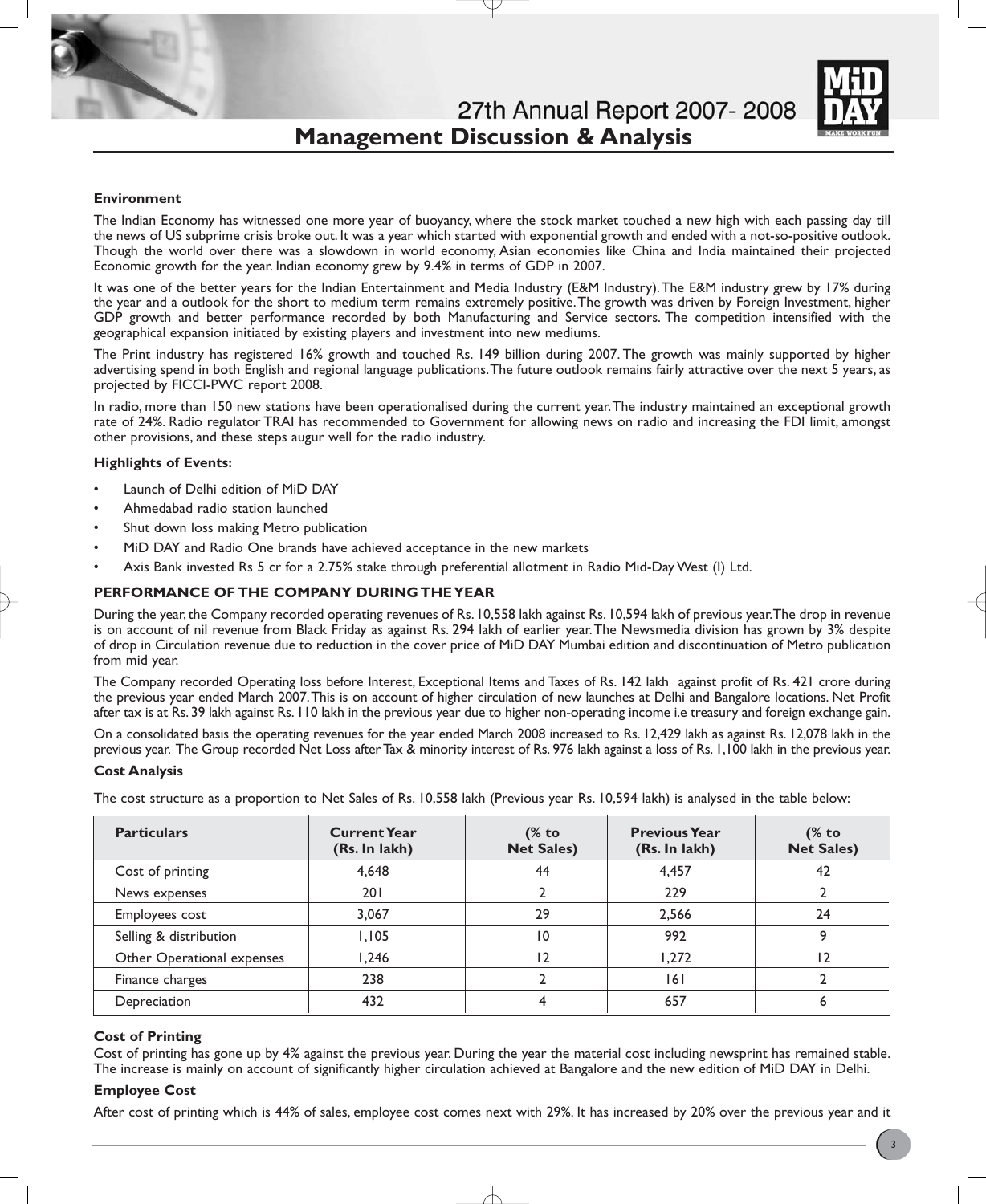# 27th Annual Report 2007-2008 **Management Discussion & Analysis**



#### **Environment**

The Indian Economy has witnessed one more year of buoyancy, where the stock market touched a new high with each passing day till the news of US subprime crisis broke out. It was a year which started with exponential growth and ended with a not-so-positive outlook. Though the world over there was a slowdown in world economy, Asian economies like China and India maintained their projected Economic growth for the year. Indian economy grew by 9.4% in terms of GDP in 2007.

It was one of the better years for the Indian Entertainment and Media Industry (E&M Industry).The E&M industry grew by 17% during the year and a outlook for the short to medium term remains extremely positive.The growth was driven by Foreign Investment, higher GDP growth and better performance recorded by both Manufacturing and Service sectors. The competition intensified with the geographical expansion initiated by existing players and investment into new mediums.

The Print industry has registered 16% growth and touched Rs. 149 billion during 2007. The growth was mainly supported by higher advertising spend in both English and regional language publications.The future outlook remains fairly attractive over the next 5 years, as projected by FICCI-PWC report 2008.

In radio, more than 150 new stations have been operationalised during the current year.The industry maintained an exceptional growth rate of 24%. Radio regulator TRAI has recommended to Government for allowing news on radio and increasing the FDI limit, amongst other provisions, and these steps augur well for the radio industry.

#### **Highlights of Events:**

- Launch of Delhi edition of MiD DAY
- Ahmedabad radio station launched
- Shut down loss making Metro publication
- MiD DAY and Radio One brands have achieved acceptance in the new markets
- Axis Bank invested Rs 5 cr for a 2.75% stake through preferential allotment in Radio Mid-Day West (I) Ltd.

#### **PERFORMANCE OF THE COMPANY DURING THE YEAR**

During the year, the Company recorded operating revenues of Rs. 10,558 lakh against Rs. 10,594 lakh of previous year.The drop in revenue is on account of nil revenue from Black Friday as against Rs. 294 lakh of earlier year.The Newsmedia division has grown by 3% despite of drop in Circulation revenue due to reduction in the cover price of MiD DAY Mumbai edition and discontinuation of Metro publication from mid year.

The Company recorded Operating loss before Interest, Exceptional Items and Taxes of Rs. 142 lakh against profit of Rs. 421 crore during the previous year ended March 2007.This is on account of higher circulation of new launches at Delhi and Bangalore locations. Net Profit after tax is at Rs. 39 lakh against Rs. 110 lakh in the previous year due to higher non-operating income i.e treasury and foreign exchange gain.

On a consolidated basis the operating revenues for the year ended March 2008 increased to Rs. 12,429 lakh as against Rs. 12,078 lakh in the previous year. The Group recorded Net Loss after Tax & minority interest of Rs. 976 lakh against a loss of Rs. 1,100 lakh in the previous year.

#### **Cost Analysis**

The cost structure as a proportion to Net Sales of Rs. 10,558 lakh (Previous year Rs. 10,594 lakh) is analysed in the table below:

| <b>Particulars</b>         | <b>Current Year</b><br>(Rs. In lakh) | (% to<br><b>Net Sales)</b> | <b>Previous Year</b><br>(Rs. In lakh) | $%$ to<br><b>Net Sales)</b> |
|----------------------------|--------------------------------------|----------------------------|---------------------------------------|-----------------------------|
| Cost of printing           | 4,648                                | 44                         | 4,457                                 | 42                          |
| News expenses              | 201                                  |                            | 229                                   |                             |
| Employees cost             | 3,067                                | 29                         | 2,566                                 | 24                          |
| Selling & distribution     | 1.105                                | $\overline{0}$             | 992                                   |                             |
| Other Operational expenses | 1.246                                | 12                         | 1.272                                 | 12                          |
| Finance charges            | 238                                  |                            | 6                                     |                             |
| Depreciation               | 432                                  |                            | 657                                   | ь                           |

### **Cost of Printing**

Cost of printing has gone up by 4% against the previous year. During the year the material cost including newsprint has remained stable. The increase is mainly on account of significantly higher circulation achieved at Bangalore and the new edition of MiD DAY in Delhi.

#### **Employee Cost**

After cost of printing which is 44% of sales, employee cost comes next with 29%. It has increased by 20% over the previous year and it

3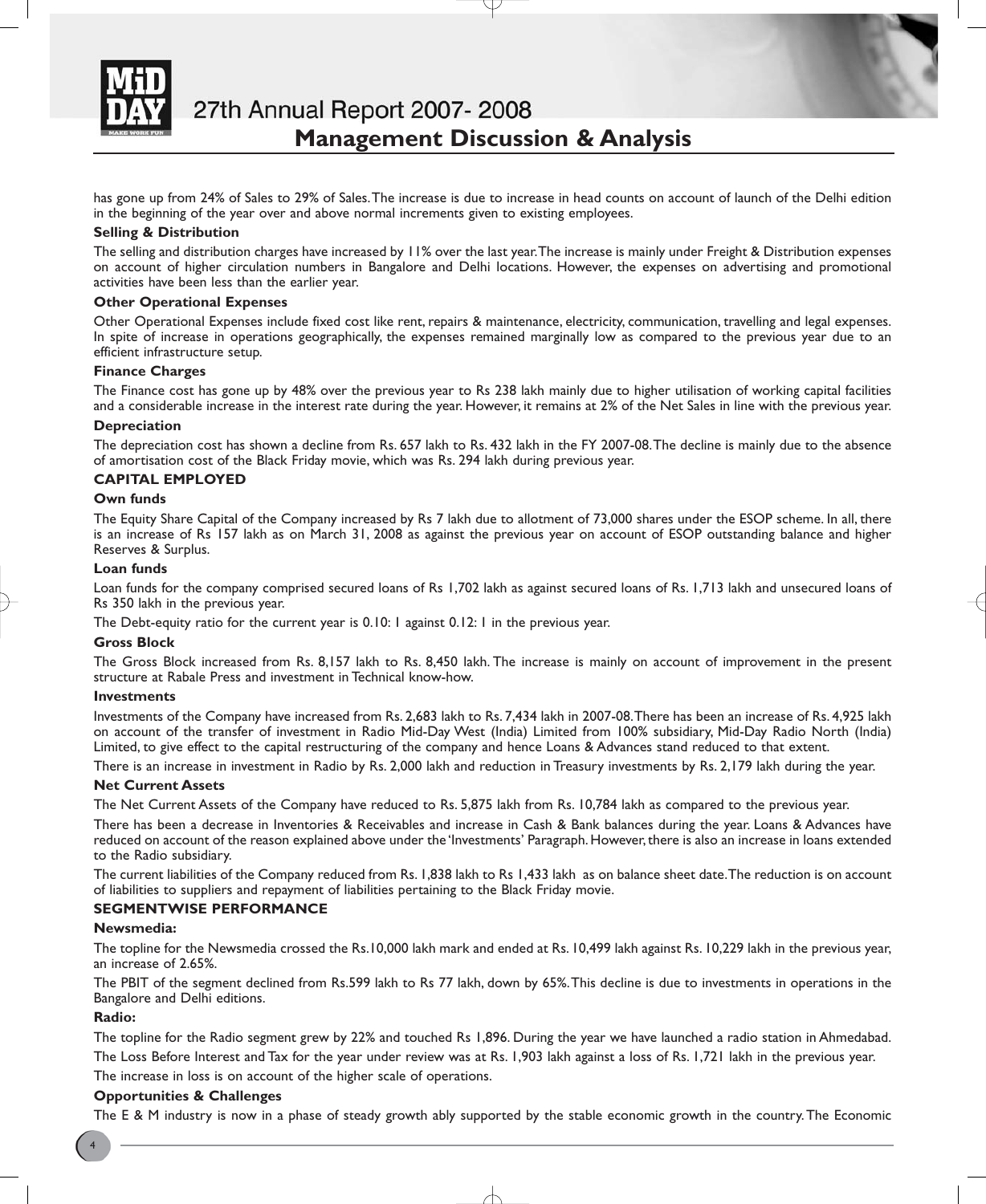

27th Annual Report 2007-2008 **Management Discussion & Analysis**

has gone up from 24% of Sales to 29% of Sales.The increase is due to increase in head counts on account of launch of the Delhi edition in the beginning of the year over and above normal increments given to existing employees.

### **Selling & Distribution**

The selling and distribution charges have increased by 11% over the last year.The increase is mainly under Freight & Distribution expenses on account of higher circulation numbers in Bangalore and Delhi locations. However, the expenses on advertising and promotional activities have been less than the earlier year.

## **Other Operational Expenses**

Other Operational Expenses include fixed cost like rent, repairs & maintenance, electricity, communication, travelling and legal expenses. In spite of increase in operations geographically, the expenses remained marginally low as compared to the previous year due to an efficient infrastructure setup.

### **Finance Charges**

The Finance cost has gone up by 48% over the previous year to Rs 238 lakh mainly due to higher utilisation of working capital facilities and a considerable increase in the interest rate during the year. However, it remains at 2% of the Net Sales in line with the previous year.

### **Depreciation**

The depreciation cost has shown a decline from Rs. 657 lakh to Rs. 432 lakh in the FY 2007-08.The decline is mainly due to the absence of amortisation cost of the Black Friday movie, which was Rs. 294 lakh during previous year.

### **CAPITAL EMPLOYED**

### **Own funds**

The Equity Share Capital of the Company increased by Rs 7 lakh due to allotment of 73,000 shares under the ESOP scheme. In all, there is an increase of Rs 157 lakh as on March 31, 2008 as against the previous year on account of ESOP outstanding balance and higher Reserves & Surplus.

#### **Loan funds**

Loan funds for the company comprised secured loans of Rs 1,702 lakh as against secured loans of Rs. 1,713 lakh and unsecured loans of Rs 350 lakh in the previous year.

The Debt-equity ratio for the current year is 0.10: 1 against 0.12: 1 in the previous year.

#### **Gross Block**

The Gross Block increased from Rs. 8,157 lakh to Rs. 8,450 lakh. The increase is mainly on account of improvement in the present structure at Rabale Press and investment in Technical know-how.

#### **Investments**

Investments of the Company have increased from Rs. 2,683 lakh to Rs. 7,434 lakh in 2007-08.There has been an increase of Rs. 4,925 lakh on account of the transfer of investment in Radio Mid-Day West (India) Limited from 100% subsidiary, Mid-Day Radio North (India) Limited, to give effect to the capital restructuring of the company and hence Loans & Advances stand reduced to that extent.

There is an increase in investment in Radio by Rs. 2,000 lakh and reduction in Treasury investments by Rs. 2,179 lakh during the year.

#### **Net Current Assets**

The Net Current Assets of the Company have reduced to Rs. 5,875 lakh from Rs. 10,784 lakh as compared to the previous year.

There has been a decrease in Inventories & Receivables and increase in Cash & Bank balances during the year. Loans & Advances have reduced on account of the reason explained above under the 'Investments' Paragraph. However, there is also an increase in loans extended to the Radio subsidiary.

The current liabilities of the Company reduced from Rs. 1,838 lakh to Rs 1,433 lakh as on balance sheet date.The reduction is on account of liabilities to suppliers and repayment of liabilities pertaining to the Black Friday movie.

## **SEGMENTWISE PERFORMANCE**

#### **Newsmedia:**

The topline for the Newsmedia crossed the Rs.10,000 lakh mark and ended at Rs. 10,499 lakh against Rs. 10,229 lakh in the previous year, an increase of 2.65%.

The PBIT of the segment declined from Rs.599 lakh to Rs 77 lakh, down by 65%.This decline is due to investments in operations in the Bangalore and Delhi editions.

#### **Radio:**

The topline for the Radio segment grew by 22% and touched Rs 1,896. During the year we have launched a radio station in Ahmedabad. The Loss Before Interest and Tax for the year under review was at Rs. 1,903 lakh against a loss of Rs. 1,721 lakh in the previous year.

The increase in loss is on account of the higher scale of operations.

#### **Opportunities & Challenges**

The E & M industry is now in a phase of steady growth ably supported by the stable economic growth in the country.The Economic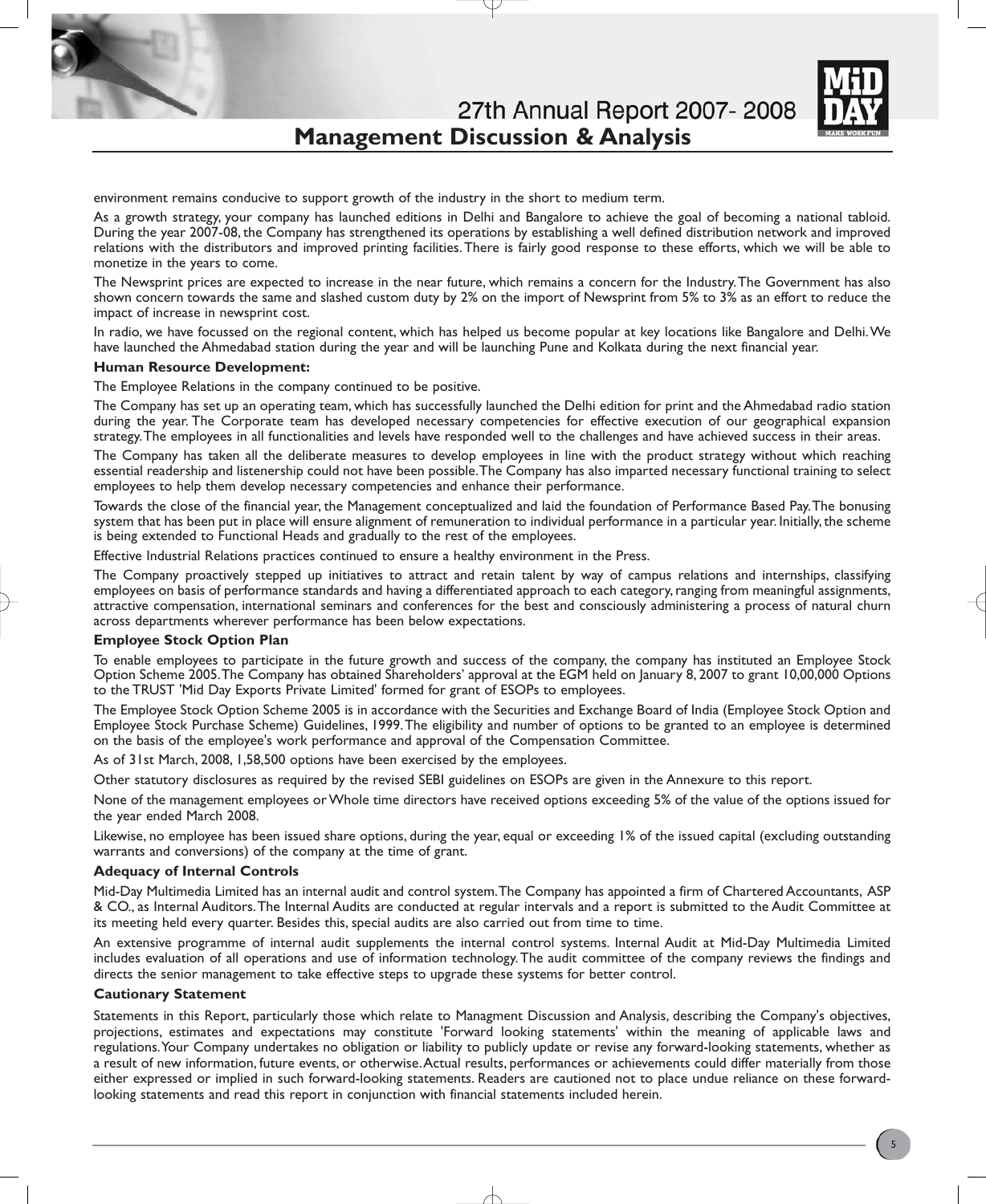27th Annual Report 2007-2008 **Management Discussion & Analysis**



environment remains conducive to support growth of the industry in the short to medium term.

As a growth strategy, your company has launched editions in Delhi and Bangalore to achieve the goal of becoming a national tabloid. During the year 2007-08, the Company has strengthened its operations by establishing a well defined distribution network and improved relations with the distributors and improved printing facilities.There is fairly good response to these efforts, which we will be able to monetize in the years to come.

The Newsprint prices are expected to increase in the near future, which remains a concern for the Industry.The Government has also shown concern towards the same and slashed custom duty by 2% on the import of Newsprint from 5% to 3% as an effort to reduce the impact of increase in newsprint cost.

In radio, we have focussed on the regional content, which has helped us become popular at key locations like Bangalore and Delhi.We have launched the Ahmedabad station during the year and will be launching Pune and Kolkata during the next financial year.

#### **Human Resource Development:**

The Employee Relations in the company continued to be positive.

The Company has set up an operating team, which has successfully launched the Delhi edition for print and the Ahmedabad radio station during the year. The Corporate team has developed necessary competencies for effective execution of our geographical expansion strategy.The employees in all functionalities and levels have responded well to the challenges and have achieved success in their areas.

The Company has taken all the deliberate measures to develop employees in line with the product strategy without which reaching essential readership and listenership could not have been possible.The Company has also imparted necessary functional training to select employees to help them develop necessary competencies and enhance their performance.

Towards the close of the financial year, the Management conceptualized and laid the foundation of Performance Based Pay.The bonusing system that has been put in place will ensure alignment of remuneration to individual performance in a particular year. Initially, the scheme is being extended to Functional Heads and gradually to the rest of the employees.

Effective Industrial Relations practices continued to ensure a healthy environment in the Press.

The Company proactively stepped up initiatives to attract and retain talent by way of campus relations and internships, classifying employees on basis of performance standards and having a differentiated approach to each category, ranging from meaningful assignments, attractive compensation, international seminars and conferences for the best and consciously administering a process of natural churn across departments wherever performance has been below expectations.

#### **Employee Stock Option Plan**

To enable employees to participate in the future growth and success of the company, the company has instituted an Employee Stock Option Scheme 2005.The Company has obtained Shareholders' approval at the EGM held on January 8, 2007 to grant 10,00,000 Options to the TRUST 'Mid Day Exports Private Limited' formed for grant of ESOPs to employees.

The Employee Stock Option Scheme 2005 is in accordance with the Securities and Exchange Board of India (Employee Stock Option and Employee Stock Purchase Scheme) Guidelines, 1999.The eligibility and number of options to be granted to an employee is determined on the basis of the employee's work performance and approval of the Compensation Committee.

As of 31st March, 2008, 1,58,500 options have been exercised by the employees.

Other statutory disclosures as required by the revised SEBI guidelines on ESOPs are given in the Annexure to this report.

None of the management employees or Whole time directors have received options exceeding 5% of the value of the options issued for the year ended March 2008.

Likewise, no employee has been issued share options, during the year, equal or exceeding 1% of the issued capital (excluding outstanding warrants and conversions) of the company at the time of grant.

#### **Adequacy of Internal Controls**

Mid-Day Multimedia Limited has an internal audit and control system.The Company has appointed a firm of Chartered Accountants, ASP & CO., as Internal Auditors.The Internal Audits are conducted at regular intervals and a report is submitted to the Audit Committee at its meeting held every quarter. Besides this, special audits are also carried out from time to time.

An extensive programme of internal audit supplements the internal control systems. Internal Audit at Mid-Day Multimedia Limited includes evaluation of all operations and use of information technology.The audit committee of the company reviews the findings and directs the senior management to take effective steps to upgrade these systems for better control.

#### **Cautionary Statement**

Statements in this Report, particularly those which relate to Managment Discussion and Analysis, describing the Company's objectives, projections, estimates and expectations may constitute 'Forward looking statements' within the meaning of applicable laws and regulations.Your Company undertakes no obligation or liability to publicly update or revise any forward-looking statements, whether as a result of new information, future events, or otherwise.Actual results, performances or achievements could differ materially from those either expressed or implied in such forward-looking statements. Readers are cautioned not to place undue reliance on these forwardlooking statements and read this report in conjunction with financial statements included herein.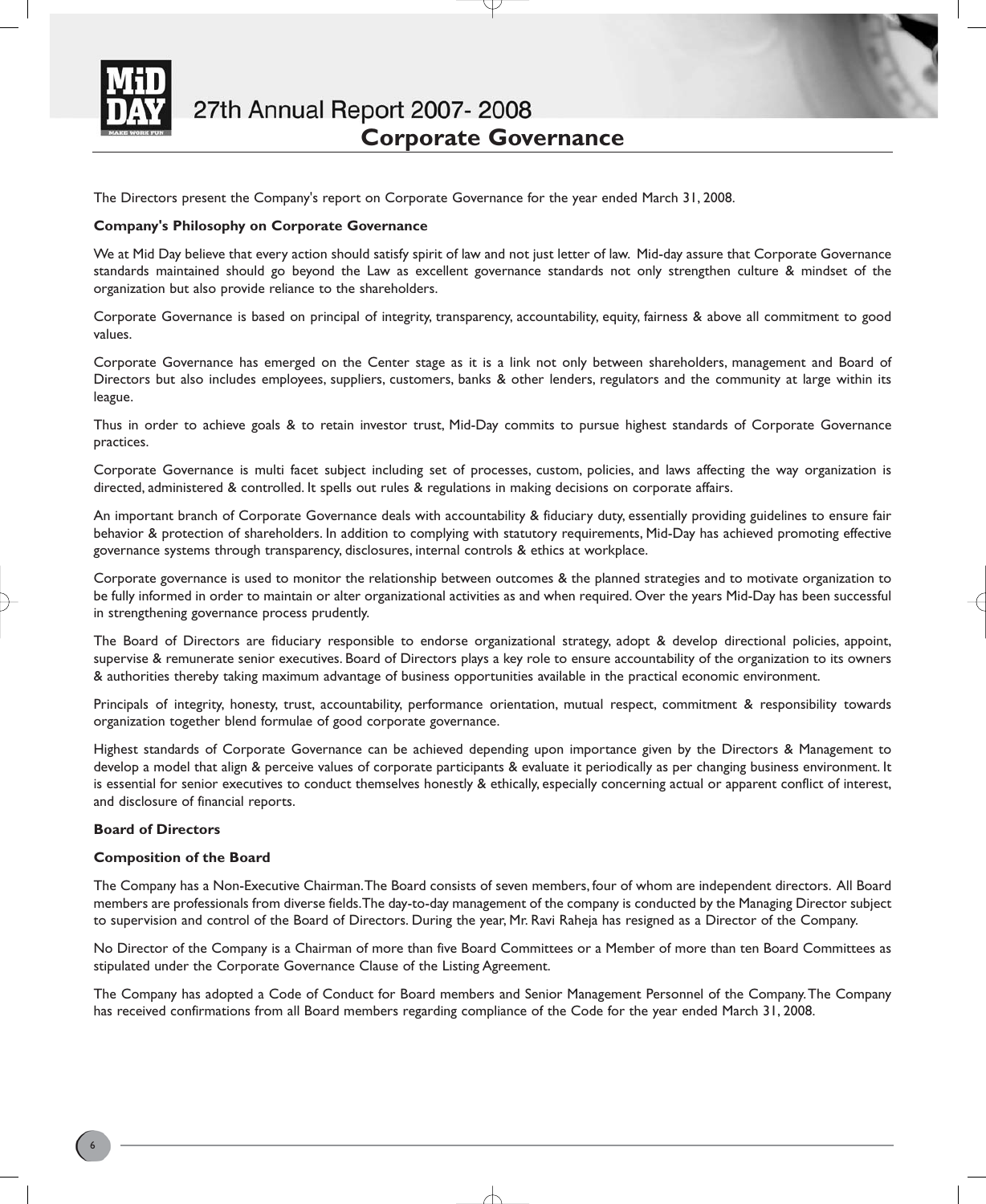

The Directors present the Company's report on Corporate Governance for the year ended March 31, 2008.

### **Company's Philosophy on Corporate Governance**

We at Mid Day believe that every action should satisfy spirit of law and not just letter of law. Mid-day assure that Corporate Governance standards maintained should go beyond the Law as excellent governance standards not only strengthen culture & mindset of the organization but also provide reliance to the shareholders.

Corporate Governance is based on principal of integrity, transparency, accountability, equity, fairness & above all commitment to good values.

Corporate Governance has emerged on the Center stage as it is a link not only between shareholders, management and Board of Directors but also includes employees, suppliers, customers, banks & other lenders, regulators and the community at large within its league.

Thus in order to achieve goals & to retain investor trust, Mid-Day commits to pursue highest standards of Corporate Governance practices.

Corporate Governance is multi facet subject including set of processes, custom, policies, and laws affecting the way organization is directed, administered & controlled. It spells out rules & regulations in making decisions on corporate affairs.

An important branch of Corporate Governance deals with accountability & fiduciary duty, essentially providing guidelines to ensure fair behavior & protection of shareholders. In addition to complying with statutory requirements, Mid-Day has achieved promoting effective governance systems through transparency, disclosures, internal controls & ethics at workplace.

Corporate governance is used to monitor the relationship between outcomes & the planned strategies and to motivate organization to be fully informed in order to maintain or alter organizational activities as and when required. Over the years Mid-Day has been successful in strengthening governance process prudently.

The Board of Directors are fiduciary responsible to endorse organizational strategy, adopt & develop directional policies, appoint, supervise & remunerate senior executives. Board of Directors plays a key role to ensure accountability of the organization to its owners & authorities thereby taking maximum advantage of business opportunities available in the practical economic environment.

Principals of integrity, honesty, trust, accountability, performance orientation, mutual respect, commitment & responsibility towards organization together blend formulae of good corporate governance.

Highest standards of Corporate Governance can be achieved depending upon importance given by the Directors & Management to develop a model that align & perceive values of corporate participants & evaluate it periodically as per changing business environment. It is essential for senior executives to conduct themselves honestly & ethically, especially concerning actual or apparent conflict of interest, and disclosure of financial reports.

#### **Board of Directors**

## **Composition of the Board**

The Company has a Non-Executive Chairman.The Board consists of seven members, four of whom are independent directors. All Board members are professionals from diverse fields.The day-to-day management of the company is conducted by the Managing Director subject to supervision and control of the Board of Directors. During the year, Mr. Ravi Raheja has resigned as a Director of the Company.

No Director of the Company is a Chairman of more than five Board Committees or a Member of more than ten Board Committees as stipulated under the Corporate Governance Clause of the Listing Agreement.

The Company has adopted a Code of Conduct for Board members and Senior Management Personnel of the Company.The Company has received confirmations from all Board members regarding compliance of the Code for the year ended March 31, 2008.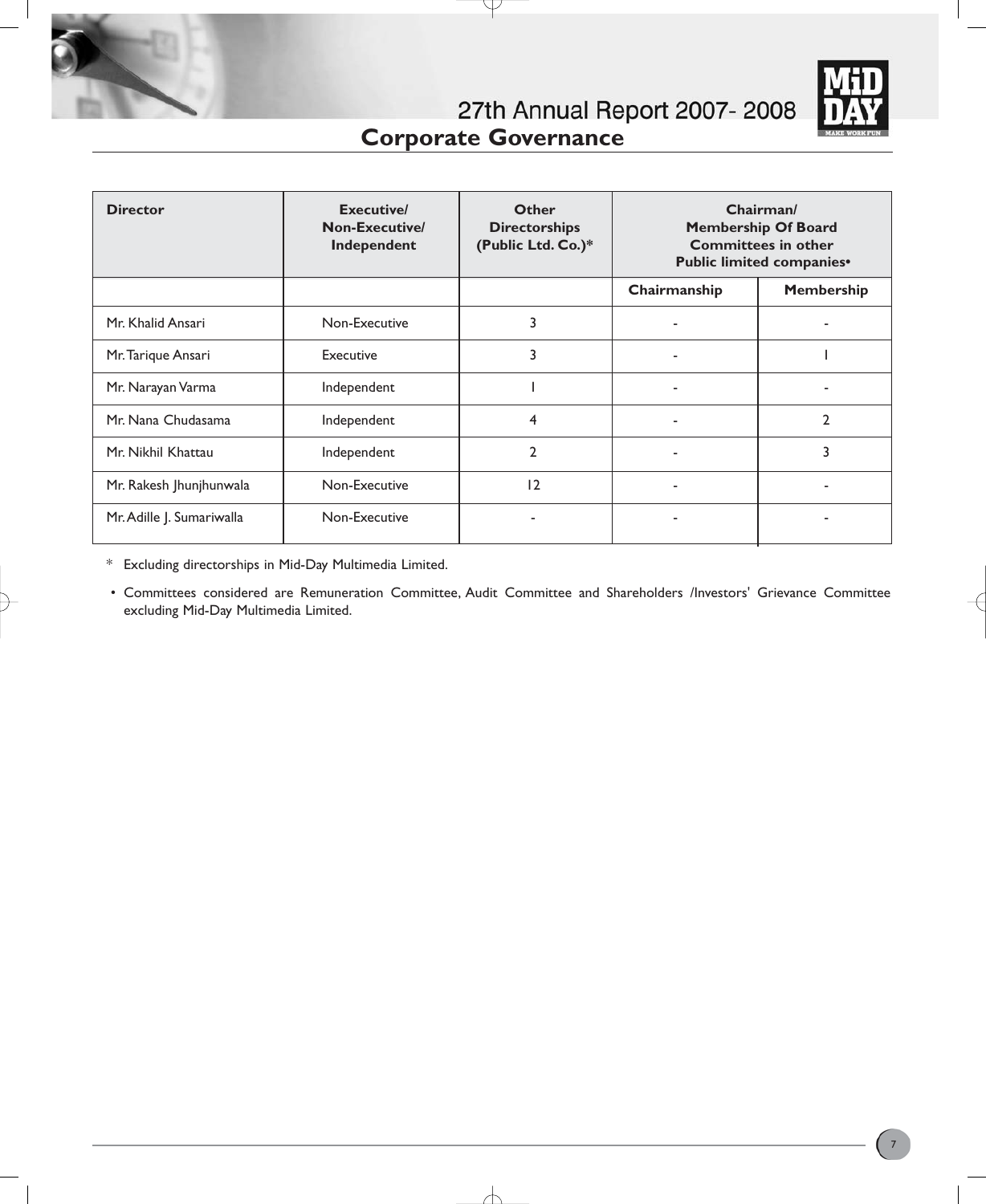

| <b>Director</b>           | <b>Executive/</b><br>Non-Executive/<br>Independent | <b>Other</b><br><b>Directorships</b><br>(Public Ltd. Co.)* |              | Chairman/<br><b>Membership Of Board</b><br><b>Committees in other</b><br>Public limited companies <sup>®</sup> |
|---------------------------|----------------------------------------------------|------------------------------------------------------------|--------------|----------------------------------------------------------------------------------------------------------------|
|                           |                                                    |                                                            | Chairmanship | <b>Membership</b>                                                                                              |
| Mr. Khalid Ansari         | Non-Executive                                      | 3                                                          |              |                                                                                                                |
| Mr. Tarique Ansari        | Executive                                          | 3                                                          | ۰            |                                                                                                                |
| Mr. Narayan Varma         | Independent                                        |                                                            |              |                                                                                                                |
| Mr. Nana Chudasama        | Independent                                        | $\overline{4}$                                             |              | $\mathfrak{p}$                                                                                                 |
| Mr. Nikhil Khattau        | Independent                                        | $\overline{2}$                                             |              | 3                                                                                                              |
| Mr. Rakesh Jhunjhunwala   | Non-Executive                                      | 12                                                         | ۰            |                                                                                                                |
| Mr. Adille J. Sumariwalla | Non-Executive                                      |                                                            |              |                                                                                                                |

₽

\* Excluding directorships in Mid-Day Multimedia Limited.

• Committees considered are Remuneration Committee, Audit Committee and Shareholders /Investors' Grievance Committee excluding Mid-Day Multimedia Limited.

╅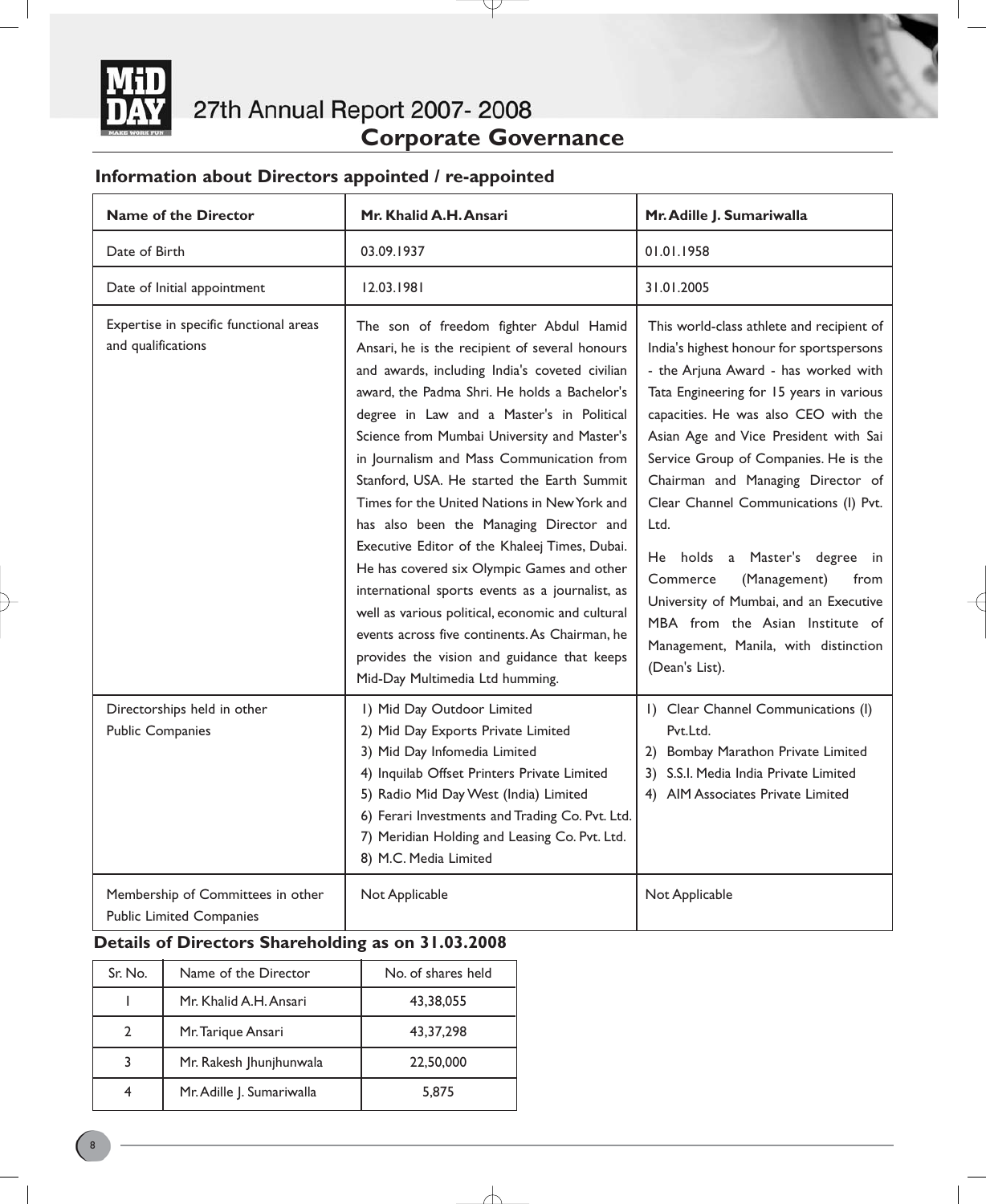

# **Information about Directors appointed / re-appointed**

| <b>Name of the Director</b>                                          | Mr. Khalid A.H. Ansari                                                                                                                                                                                                                                                                                                                                                                                                                                                                                                                                                                                                                                                                                                                                                                                                 | Mr. Adille J. Sumariwalla                                                                                                                                                                                                                                                                                                                                                                                                                                                                                                                                                                                |
|----------------------------------------------------------------------|------------------------------------------------------------------------------------------------------------------------------------------------------------------------------------------------------------------------------------------------------------------------------------------------------------------------------------------------------------------------------------------------------------------------------------------------------------------------------------------------------------------------------------------------------------------------------------------------------------------------------------------------------------------------------------------------------------------------------------------------------------------------------------------------------------------------|----------------------------------------------------------------------------------------------------------------------------------------------------------------------------------------------------------------------------------------------------------------------------------------------------------------------------------------------------------------------------------------------------------------------------------------------------------------------------------------------------------------------------------------------------------------------------------------------------------|
| Date of Birth                                                        | 03.09.1937                                                                                                                                                                                                                                                                                                                                                                                                                                                                                                                                                                                                                                                                                                                                                                                                             | 01.01.1958                                                                                                                                                                                                                                                                                                                                                                                                                                                                                                                                                                                               |
| Date of Initial appointment                                          | 12.03.1981                                                                                                                                                                                                                                                                                                                                                                                                                                                                                                                                                                                                                                                                                                                                                                                                             | 31.01.2005                                                                                                                                                                                                                                                                                                                                                                                                                                                                                                                                                                                               |
| Expertise in specific functional areas<br>and qualifications         | The son of freedom fighter Abdul Hamid<br>Ansari, he is the recipient of several honours<br>and awards, including India's coveted civilian<br>award, the Padma Shri. He holds a Bachelor's<br>degree in Law and a Master's in Political<br>Science from Mumbai University and Master's<br>in Journalism and Mass Communication from<br>Stanford, USA. He started the Earth Summit<br>Times for the United Nations in New York and<br>has also been the Managing Director and<br>Executive Editor of the Khaleej Times, Dubai.<br>He has covered six Olympic Games and other<br>international sports events as a journalist, as<br>well as various political, economic and cultural<br>events across five continents. As Chairman, he<br>provides the vision and guidance that keeps<br>Mid-Day Multimedia Ltd humming. | This world-class athlete and recipient of<br>India's highest honour for sportspersons<br>- the Arjuna Award - has worked with<br>Tata Engineering for 15 years in various<br>capacities. He was also CEO with the<br>Asian Age and Vice President with Sai<br>Service Group of Companies. He is the<br>Chairman and Managing Director of<br>Clear Channel Communications (I) Pvt.<br>Ltd.<br>He holds a Master's degree<br>in<br>Commerce<br>(Management)<br>from<br>University of Mumbai, and an Executive<br>MBA from the Asian Institute of<br>Management, Manila, with distinction<br>(Dean's List). |
| Directorships held in other<br><b>Public Companies</b>               | I) Mid Day Outdoor Limited<br>2) Mid Day Exports Private Limited<br>3) Mid Day Infomedia Limited<br>4) Inquilab Offset Printers Private Limited<br>5) Radio Mid Day West (India) Limited<br>6) Ferari Investments and Trading Co. Pvt. Ltd.<br>7) Meridian Holding and Leasing Co. Pvt. Ltd.<br>8) M.C. Media Limited                                                                                                                                                                                                                                                                                                                                                                                                                                                                                                  | I) Clear Channel Communications (I)<br>Pvt.Ltd.<br>2) Bombay Marathon Private Limited<br>3) S.S.I. Media India Private Limited<br>4) AIM Associates Private Limited                                                                                                                                                                                                                                                                                                                                                                                                                                      |
| Membership of Committees in other<br><b>Public Limited Companies</b> | Not Applicable                                                                                                                                                                                                                                                                                                                                                                                                                                                                                                                                                                                                                                                                                                                                                                                                         | Not Applicable                                                                                                                                                                                                                                                                                                                                                                                                                                                                                                                                                                                           |

Y

# **Details of Directors Shareholding as on 31.03.2008**

| Sr. No. | Name of the Director      | No. of shares held |
|---------|---------------------------|--------------------|
|         | Mr. Khalid A.H. Ansari    | 43,38,055          |
| 2       | Mr. Tarique Ansari        | 43, 37, 298        |
| 3       | Mr. Rakesh Jhunjhunwala   | 22,50,000          |
| 4       | Mr. Adille J. Sumariwalla | 5,875              |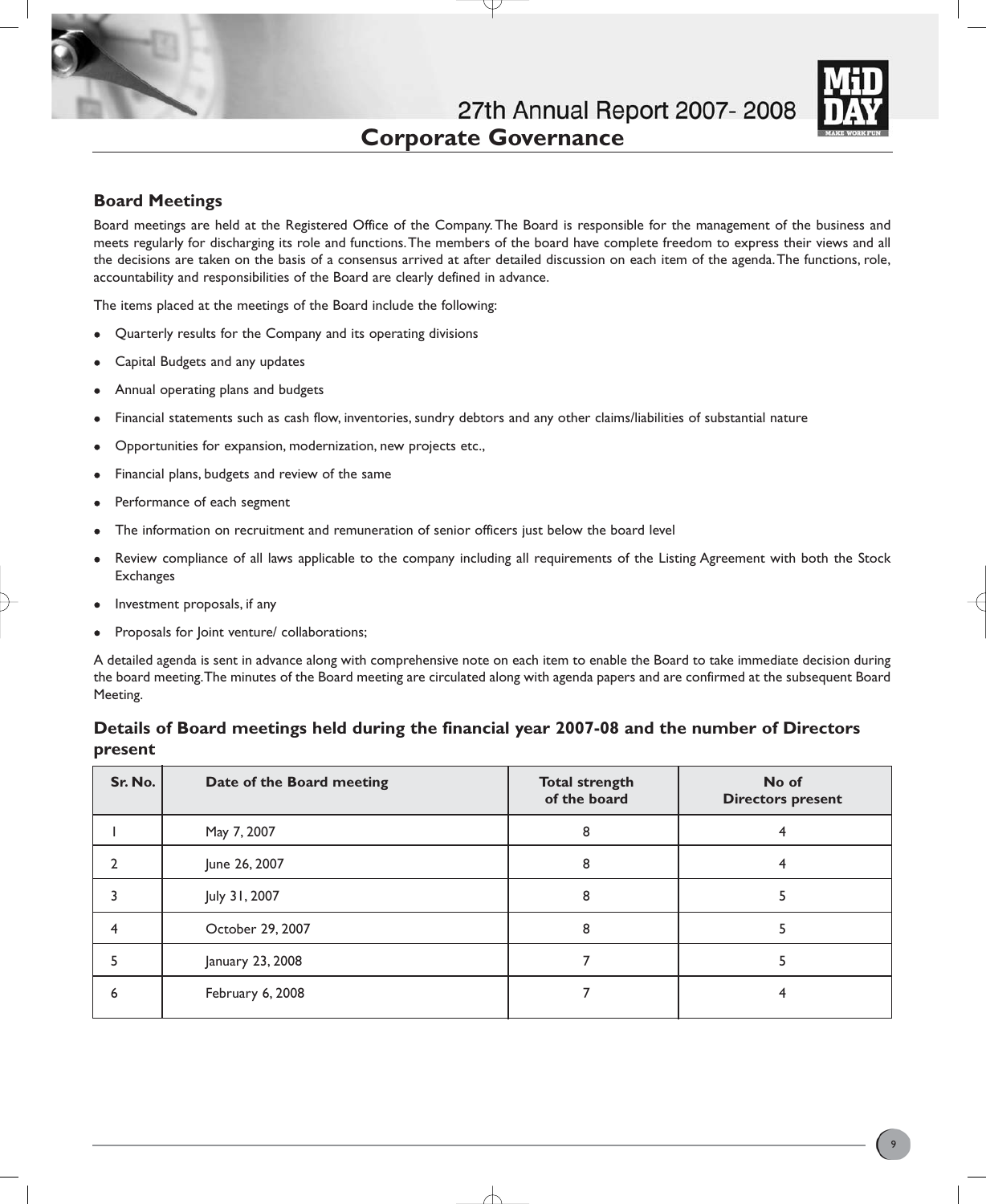

# **Board Meetings**

Board meetings are held at the Registered Office of the Company. The Board is responsible for the management of the business and meets regularly for discharging its role and functions.The members of the board have complete freedom to express their views and all the decisions are taken on the basis of a consensus arrived at after detailed discussion on each item of the agenda.The functions, role, accountability and responsibilities of the Board are clearly defined in advance.

The items placed at the meetings of the Board include the following:

- Quarterly results for the Company and its operating divisions
- Capital Budgets and any updates
- Annual operating plans and budgets
- Financial statements such as cash flow, inventories, sundry debtors and any other claims/liabilities of substantial nature
- Opportunities for expansion, modernization, new projects etc.,
- Financial plans, budgets and review of the same
- Performance of each segment
- The information on recruitment and remuneration of senior officers just below the board level
- Review compliance of all laws applicable to the company including all requirements of the Listing Agreement with both the Stock **Exchanges**
- Investment proposals, if any
- Proposals for Joint venture/ collaborations;

A detailed agenda is sent in advance along with comprehensive note on each item to enable the Board to take immediate decision during the board meeting.The minutes of the Board meeting are circulated along with agenda papers and are confirmed at the subsequent Board Meeting.

# **Details of Board meetings held during the financial year 2007-08 and the number of Directors present**

| Sr. No. | Date of the Board meeting | <b>Total strength</b><br>of the board | No of<br><b>Directors present</b> |
|---------|---------------------------|---------------------------------------|-----------------------------------|
|         | May 7, 2007               | 8                                     |                                   |
|         | June 26, 2007             | 8                                     |                                   |
|         | July 31, 2007             | 8                                     |                                   |
|         | October 29, 2007          |                                       |                                   |
|         | January 23, 2008          |                                       |                                   |
|         | February 6, 2008          |                                       |                                   |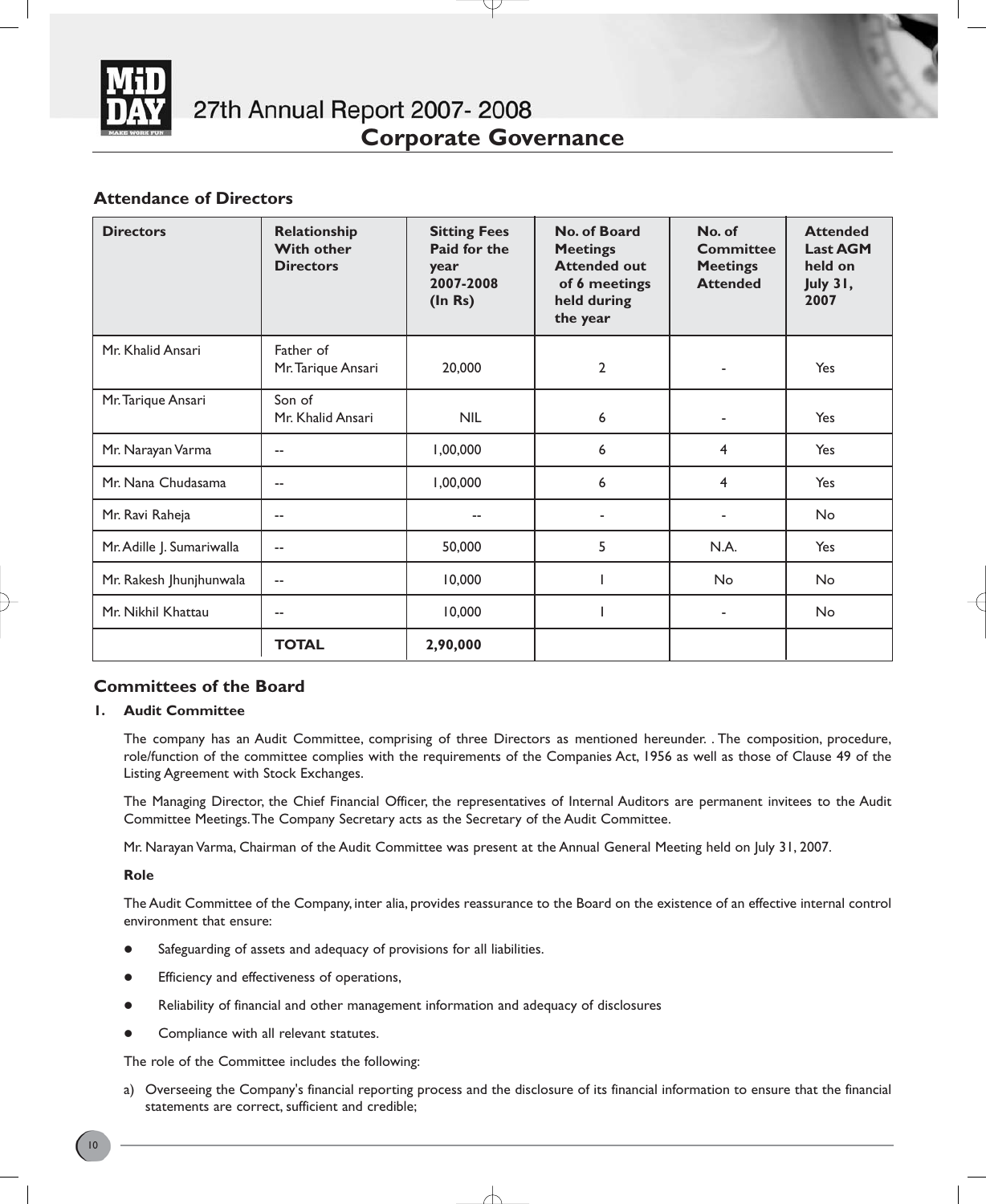

# **Attendance of Directors**

| <b>Directors</b>          | Relationship<br><b>With other</b><br><b>Directors</b> | <b>Sitting Fees</b><br>Paid for the<br>year<br>2007-2008<br>(ln Rs) | No. of Board<br><b>Meetings</b><br><b>Attended out</b><br>of 6 meetings<br>held during<br>the year | No. of<br><b>Committee</b><br><b>Meetings</b><br><b>Attended</b> | <b>Attended</b><br><b>Last AGM</b><br>held on<br>July 31,<br>2007 |
|---------------------------|-------------------------------------------------------|---------------------------------------------------------------------|----------------------------------------------------------------------------------------------------|------------------------------------------------------------------|-------------------------------------------------------------------|
| Mr. Khalid Ansari         | Father of<br>Mr. Tarique Ansari                       | 20,000                                                              | $\overline{2}$                                                                                     |                                                                  | Yes                                                               |
| Mr. Tarique Ansari        | Son of<br>Mr. Khalid Ansari                           | <b>NIL</b>                                                          | 6                                                                                                  | ٠                                                                | Yes                                                               |
| Mr. Narayan Varma         | --                                                    | 1,00,000                                                            | 6                                                                                                  | 4                                                                | Yes                                                               |
| Mr. Nana Chudasama        | $\sim$                                                | 1,00,000                                                            | 6                                                                                                  | 4                                                                | Yes                                                               |
| Mr. Ravi Raheja           | $\sim$                                                |                                                                     |                                                                                                    | ٠                                                                | No                                                                |
| Mr. Adille J. Sumariwalla | $\sim$ $\sim$                                         | 50,000                                                              | 5                                                                                                  | N.A.                                                             | Yes                                                               |
| Mr. Rakesh Jhunjhunwala   | --                                                    | 10,000                                                              |                                                                                                    | No                                                               | <b>No</b>                                                         |
| Mr. Nikhil Khattau        | $- -$                                                 | 10,000                                                              |                                                                                                    | ۰                                                                | No                                                                |
|                           | <b>TOTAL</b>                                          | 2,90,000                                                            |                                                                                                    |                                                                  |                                                                   |

# **Committees of the Board**

## **1. Audit Committee**

The company has an Audit Committee, comprising of three Directors as mentioned hereunder. . The composition, procedure, role/function of the committee complies with the requirements of the Companies Act, 1956 as well as those of Clause 49 of the Listing Agreement with Stock Exchanges.

The Managing Director, the Chief Financial Officer, the representatives of Internal Auditors are permanent invitees to the Audit Committee Meetings.The Company Secretary acts as the Secretary of the Audit Committee.

Mr. Narayan Varma, Chairman of the Audit Committee was present at the Annual General Meeting held on July 31, 2007.

**Role**

The Audit Committee of the Company, inter alia, provides reassurance to the Board on the existence of an effective internal control environment that ensure:

- Safeguarding of assets and adequacy of provisions for all liabilities.
- Efficiency and effectiveness of operations,
- Reliability of financial and other management information and adequacy of disclosures
- Compliance with all relevant statutes.

The role of the Committee includes the following:

a) Overseeing the Company's financial reporting process and the disclosure of its financial information to ensure that the financial statements are correct, sufficient and credible;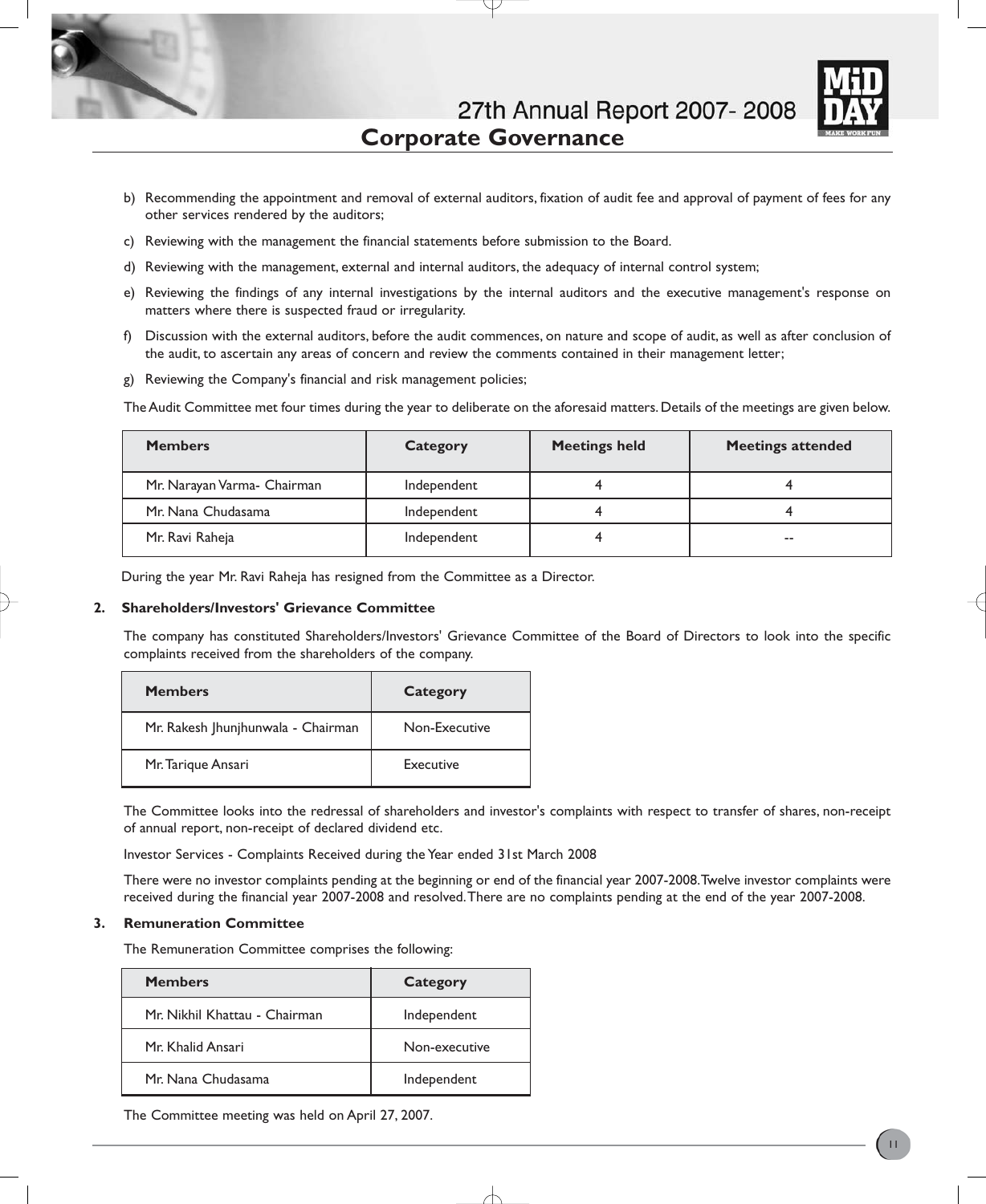

- b) Recommending the appointment and removal of external auditors, fixation of audit fee and approval of payment of fees for any other services rendered by the auditors;
- c) Reviewing with the management the financial statements before submission to the Board.
- d) Reviewing with the management, external and internal auditors, the adequacy of internal control system;
- e) Reviewing the findings of any internal investigations by the internal auditors and the executive management's response on matters where there is suspected fraud or irregularity.
- f) Discussion with the external auditors, before the audit commences, on nature and scope of audit, as well as after conclusion of the audit, to ascertain any areas of concern and review the comments contained in their management letter;
- g) Reviewing the Company's financial and risk management policies;

The Audit Committee met four times during the year to deliberate on the aforesaid matters. Details of the meetings are given below.

| <b>Members</b>              | Category    | <b>Meetings held</b> | <b>Meetings attended</b> |
|-----------------------------|-------------|----------------------|--------------------------|
| Mr. Narayan Varma- Chairman | Independent |                      |                          |
| Mr. Nana Chudasama          | Independent |                      |                          |
| Mr. Ravi Raheja             | Independent |                      | $-$                      |

During the year Mr. Ravi Raheja has resigned from the Committee as a Director.

### **2. Shareholders/Investors' Grievance Committee**

The company has constituted Shareholders/Investors' Grievance Committee of the Board of Directors to look into the specific complaints received from the shareholders of the company.

| <b>Members</b>                     | Category      |
|------------------------------------|---------------|
| Mr. Rakesh Jhunjhunwala - Chairman | Non-Executive |
| Mr. Tarique Ansari                 | Executive     |

The Committee looks into the redressal of shareholders and investor's complaints with respect to transfer of shares, non-receipt of annual report, non-receipt of declared dividend etc.

Investor Services - Complaints Received during the Year ended 31st March 2008

There were no investor complaints pending at the beginning or end of the financial year 2007-2008.Twelve investor complaints were received during the financial year 2007-2008 and resolved.There are no complaints pending at the end of the year 2007-2008.

## **3. Remuneration Committee**

The Remuneration Committee comprises the following:

| <b>Members</b>                | Category      |
|-------------------------------|---------------|
| Mr. Nikhil Khattau - Chairman | Independent   |
| Mr. Khalid Ansari             | Non-executive |
| Mr. Nana Chudasama            | Independent   |

The Committee meeting was held on April 27, 2007.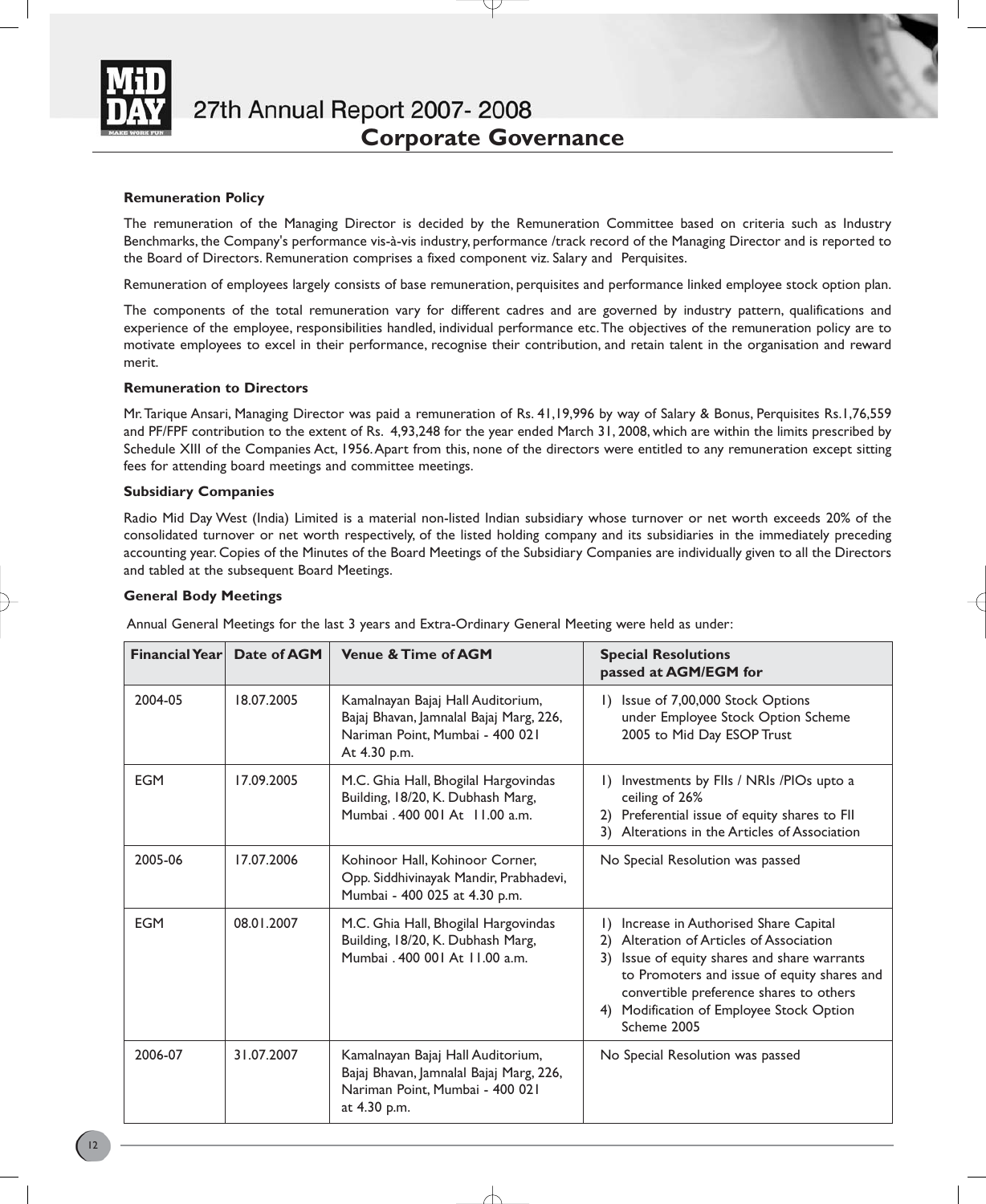

## **Remuneration Policy**

The remuneration of the Managing Director is decided by the Remuneration Committee based on criteria such as Industry Benchmarks, the Company's performance vis-à-vis industry, performance /track record of the Managing Director and is reported to the Board of Directors. Remuneration comprises a fixed component viz. Salary and Perquisites.

Remuneration of employees largely consists of base remuneration, perquisites and performance linked employee stock option plan.

The components of the total remuneration vary for different cadres and are governed by industry pattern, qualifications and experience of the employee, responsibilities handled, individual performance etc.The objectives of the remuneration policy are to motivate employees to excel in their performance, recognise their contribution, and retain talent in the organisation and reward merit.

### **Remuneration to Directors**

Mr.Tarique Ansari, Managing Director was paid a remuneration of Rs. 41,19,996 by way of Salary & Bonus, Perquisites Rs.1,76,559 and PF/FPF contribution to the extent of Rs. 4,93,248 for the year ended March 31, 2008, which are within the limits prescribed by Schedule XIII of the Companies Act, 1956.Apart from this, none of the directors were entitled to any remuneration except sitting fees for attending board meetings and committee meetings.

### **Subsidiary Companies**

Radio Mid Day West (India) Limited is a material non-listed Indian subsidiary whose turnover or net worth exceeds 20% of the consolidated turnover or net worth respectively, of the listed holding company and its subsidiaries in the immediately preceding accounting year. Copies of the Minutes of the Board Meetings of the Subsidiary Companies are individually given to all the Directors and tabled at the subsequent Board Meetings.

### **General Body Meetings**

Annual General Meetings for the last 3 years and Extra-Ordinary General Meeting were held as under:

| <b>Financial Year</b> | Date of AGM | <b>Venue &amp; Time of AGM</b>                                                                                                  | <b>Special Resolutions</b><br>passed at AGM/EGM for                                                                                                                                                                                                                                                      |
|-----------------------|-------------|---------------------------------------------------------------------------------------------------------------------------------|----------------------------------------------------------------------------------------------------------------------------------------------------------------------------------------------------------------------------------------------------------------------------------------------------------|
| 2004-05               | 18.07.2005  | Kamalnayan Bajaj Hall Auditorium,<br>Bajaj Bhavan, Jamnalal Bajaj Marg, 226,<br>Nariman Point, Mumbai - 400 021<br>At 4.30 p.m. | Issue of 7,00,000 Stock Options<br>$\Box$<br>under Employee Stock Option Scheme<br>2005 to Mid Day ESOP Trust                                                                                                                                                                                            |
| <b>EGM</b>            | 17.09.2005  | M.C. Ghia Hall, Bhogilal Hargovindas<br>Building, 18/20, K. Dubhash Marg,<br>Mumbai, 400,001 At 11.00 a.m.                      | Investments by FlIs / NRIs /PIOs upto a<br>$\Box$<br>ceiling of 26%<br>Preferential issue of equity shares to FII<br>2)<br>3) Alterations in the Articles of Association                                                                                                                                 |
| 2005-06               | 17.07.2006  | Kohinoor Hall, Kohinoor Corner,<br>Opp. Siddhivinayak Mandir, Prabhadevi,<br>Mumbai - 400 025 at 4.30 p.m.                      | No Special Resolution was passed                                                                                                                                                                                                                                                                         |
| <b>EGM</b>            | 08.01.2007  | M.C. Ghia Hall, Bhogilal Hargovindas<br>Building, 18/20, K. Dubhash Marg,<br>Mumbai, 400 001 At 11.00 a.m.                      | Increase in Authorised Share Capital<br>$\Box$<br>Alteration of Articles of Association<br>2)<br>Issue of equity shares and share warrants<br>3)<br>to Promoters and issue of equity shares and<br>convertible preference shares to others<br>Modification of Employee Stock Option<br>4)<br>Scheme 2005 |
| 2006-07               | 31.07.2007  | Kamalnayan Bajaj Hall Auditorium,<br>Bajaj Bhavan, Jamnalal Bajaj Marg, 226,<br>Nariman Point, Mumbai - 400 021<br>at 4.30 p.m. | No Special Resolution was passed                                                                                                                                                                                                                                                                         |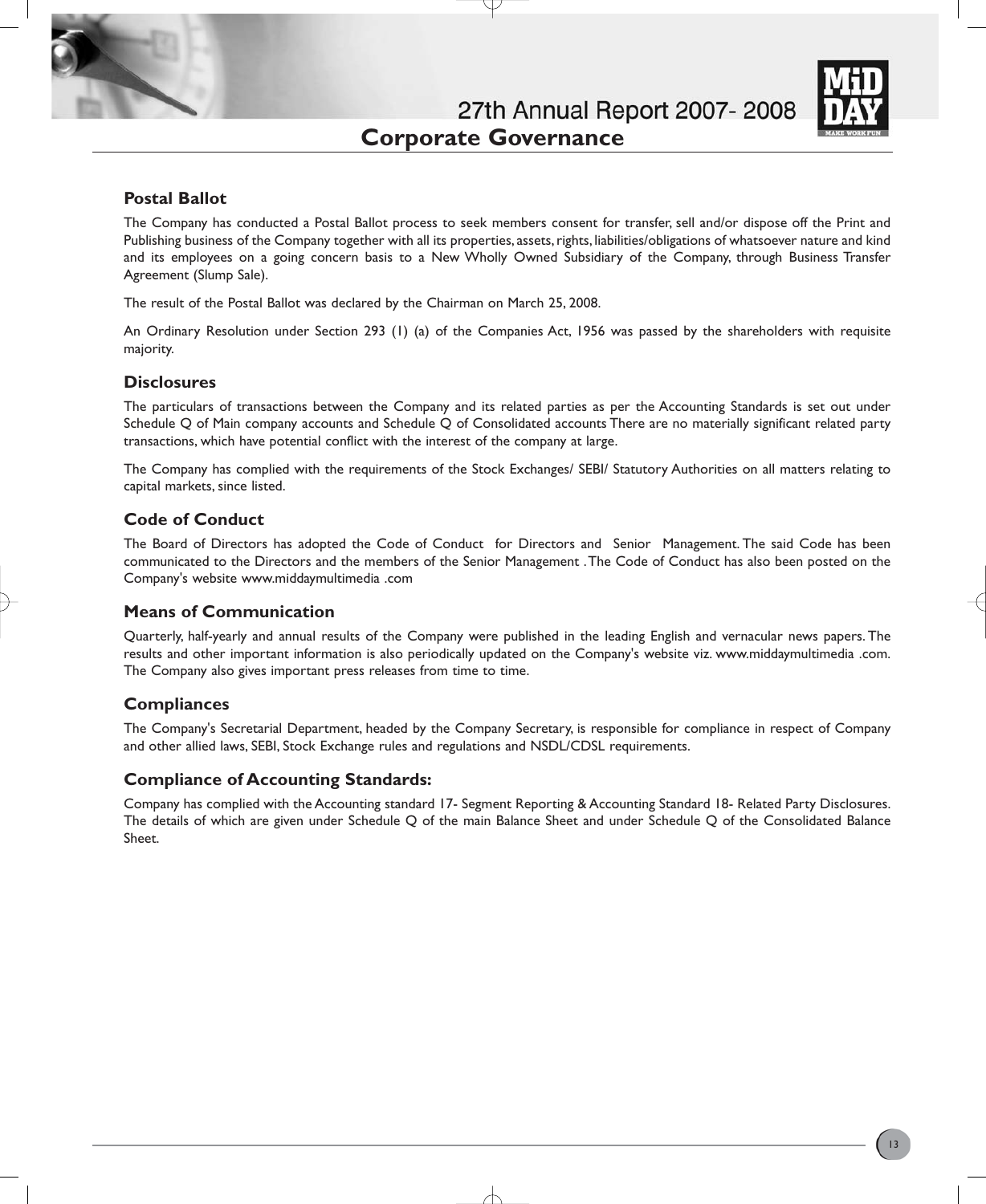

# **Postal Ballot**

The Company has conducted a Postal Ballot process to seek members consent for transfer, sell and/or dispose off the Print and Publishing business of the Company together with all its properties, assets, rights, liabilities/obligations of whatsoever nature and kind and its employees on a going concern basis to a New Wholly Owned Subsidiary of the Company, through Business Transfer Agreement (Slump Sale).

The result of the Postal Ballot was declared by the Chairman on March 25, 2008.

An Ordinary Resolution under Section 293 (1) (a) of the Companies Act, 1956 was passed by the shareholders with requisite majority.

## **Disclosures**

The particulars of transactions between the Company and its related parties as per the Accounting Standards is set out under Schedule Q of Main company accounts and Schedule Q of Consolidated accounts There are no materially significant related party transactions, which have potential conflict with the interest of the company at large.

The Company has complied with the requirements of the Stock Exchanges/ SEBI/ Statutory Authorities on all matters relating to capital markets, since listed.

## **Code of Conduct**

The Board of Directors has adopted the Code of Conduct for Directors and Senior Management. The said Code has been communicated to the Directors and the members of the Senior Management .The Code of Conduct has also been posted on the Company's website www.middaymultimedia .com

## **Means of Communication**

Quarterly, half-yearly and annual results of the Company were published in the leading English and vernacular news papers. The results and other important information is also periodically updated on the Company's website viz. www.middaymultimedia .com. The Company also gives important press releases from time to time.

## **Compliances**

The Company's Secretarial Department, headed by the Company Secretary, is responsible for compliance in respect of Company and other allied laws, SEBI, Stock Exchange rules and regulations and NSDL/CDSL requirements.

## **Compliance of Accounting Standards:**

Company has complied with the Accounting standard 17- Segment Reporting & Accounting Standard 18- Related Party Disclosures. The details of which are given under Schedule Q of the main Balance Sheet and under Schedule Q of the Consolidated Balance Sheet.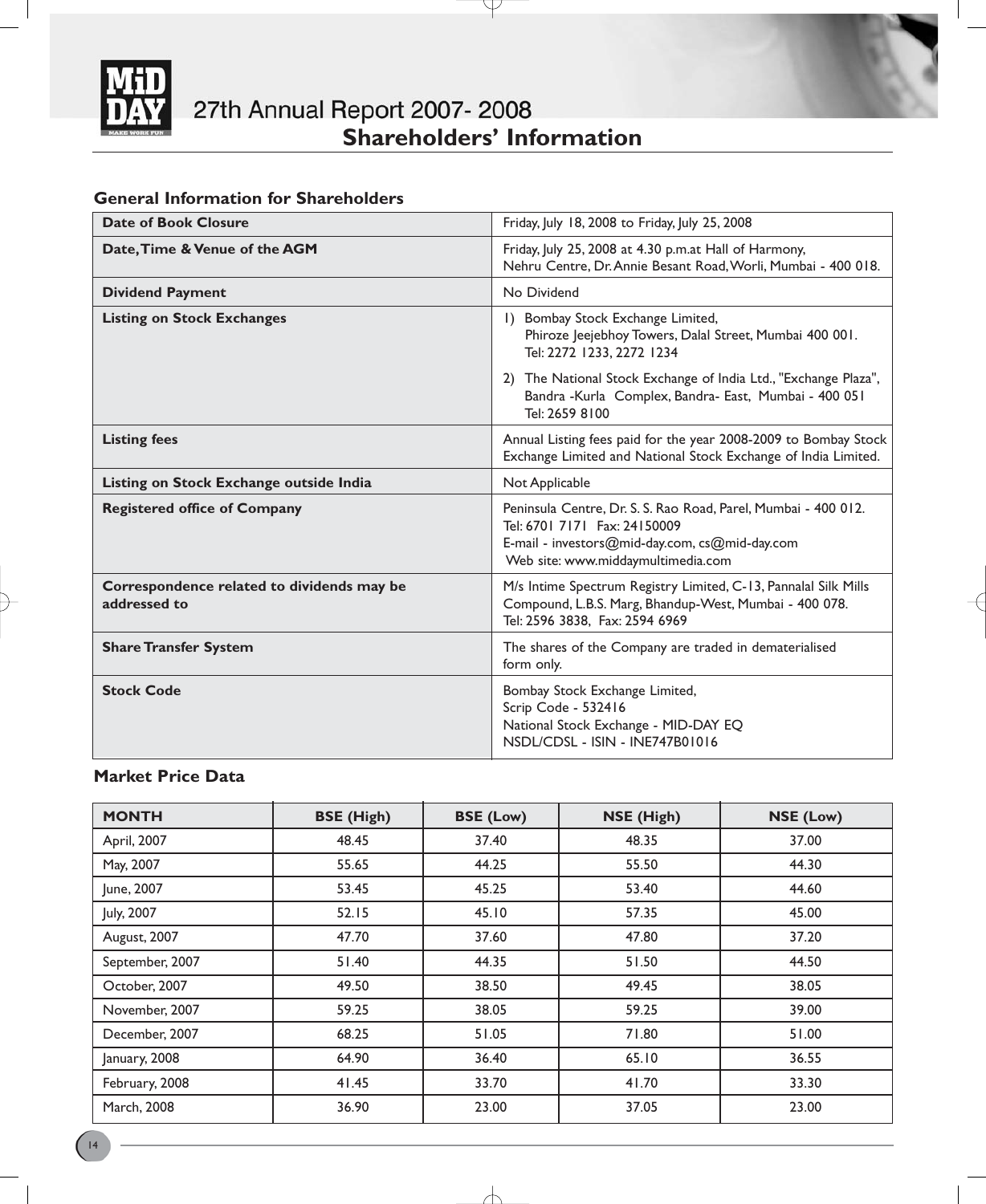

# **General Information for Shareholders**

| <b>Date of Book Closure</b>                                | Friday, July 18, 2008 to Friday, July 25, 2008                                                                                                                                         |
|------------------------------------------------------------|----------------------------------------------------------------------------------------------------------------------------------------------------------------------------------------|
| Date, Time & Venue of the AGM                              | Friday, July 25, 2008 at 4.30 p.m.at Hall of Harmony,<br>Nehru Centre, Dr. Annie Besant Road, Worli, Mumbai - 400 018.                                                                 |
| <b>Dividend Payment</b>                                    | No Dividend                                                                                                                                                                            |
| <b>Listing on Stock Exchanges</b>                          | 1) Bombay Stock Exchange Limited,<br>Phiroze Jeejebhoy Towers, Dalal Street, Mumbai 400 001.<br>Tel: 2272 1233, 2272 1234                                                              |
|                                                            | 2) The National Stock Exchange of India Ltd., "Exchange Plaza",<br>Bandra - Kurla Complex, Bandra- East, Mumbai - 400 051<br>Tel: 2659 8100                                            |
| <b>Listing fees</b>                                        | Annual Listing fees paid for the year 2008-2009 to Bombay Stock<br>Exchange Limited and National Stock Exchange of India Limited.                                                      |
| Listing on Stock Exchange outside India                    | Not Applicable                                                                                                                                                                         |
| <b>Registered office of Company</b>                        | Peninsula Centre, Dr. S. S. Rao Road, Parel, Mumbai - 400 012.<br>Tel: 6701 7171 Fax: 24150009<br>E-mail - investors@mid-day.com, cs@mid-day.com<br>Web site: www.middaymultimedia.com |
| Correspondence related to dividends may be<br>addressed to | M/s Intime Spectrum Registry Limited, C-13, Pannalal Silk Mills<br>Compound, L.B.S. Marg, Bhandup-West, Mumbai - 400 078.<br>Tel: 2596 3838, Fax: 2594 6969                            |
| <b>Share Transfer System</b>                               | The shares of the Company are traded in dematerialised<br>form only.                                                                                                                   |
| <b>Stock Code</b>                                          | Bombay Stock Exchange Limited,<br>Scrip Code - 532416<br>National Stock Exchange - MID-DAY EQ<br>NSDL/CDSL - ISIN - INE747B01016                                                       |

Y

# **Market Price Data**

| <b>MONTH</b>    | <b>BSE</b> (High) | <b>BSE (Low)</b> | NSE (High) | NSE (Low) |
|-----------------|-------------------|------------------|------------|-----------|
| April, 2007     | 48.45             | 37.40            | 48.35      | 37.00     |
| May, 2007       | 55.65             | 44.25            | 55.50      | 44.30     |
| June, 2007      | 53.45             | 45.25            | 53.40      | 44.60     |
| July, 2007      | 52.15             | 45.10            | 57.35      | 45.00     |
| August, 2007    | 47.70             | 37.60            | 47.80      | 37.20     |
| September, 2007 | 51.40             | 44.35            | 51.50      | 44.50     |
| October, 2007   | 49.50             | 38.50            | 49.45      | 38.05     |
| November, 2007  | 59.25             | 38.05            | 59.25      | 39.00     |
| December, 2007  | 68.25             | 51.05            | 71.80      | 51.00     |
| January, 2008   | 64.90             | 36.40            | 65.10      | 36.55     |
| February, 2008  | 41.45             | 33.70            | 41.70      | 33.30     |
| March, 2008     | 36.90             | 23.00            | 37.05      | 23.00     |

∕├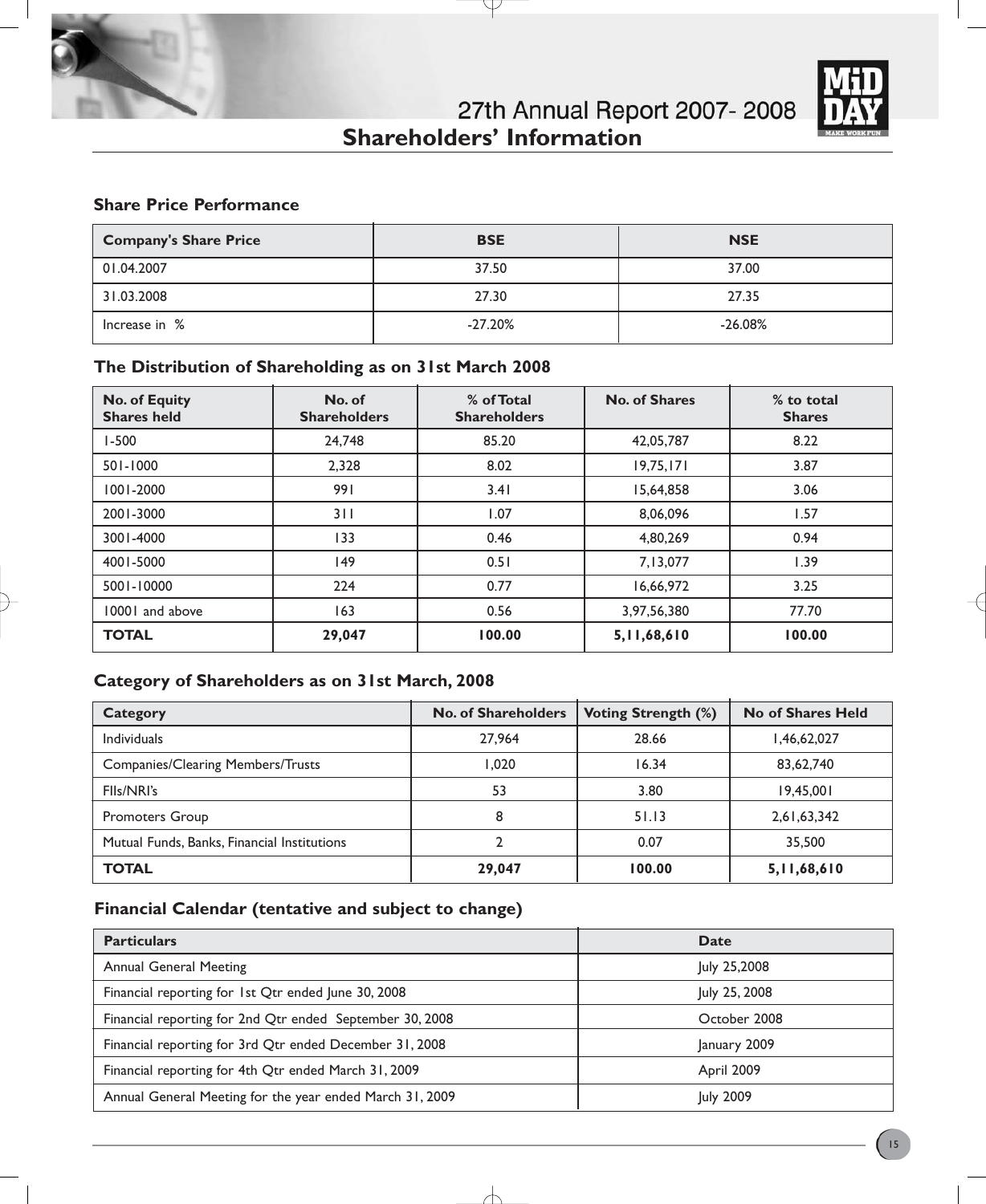

27th Annual Report 2007-2008 **Shareholders' Information** 

# **Share Price Performance**

| <b>Company's Share Price</b> | <b>BSE</b> | <b>NSE</b> |
|------------------------------|------------|------------|
| 01.04.2007                   | 37.50      | 37.00      |
| 31.03.2008                   | 27.30      | 27.35      |
| Increase in %                | $-27.20%$  | $-26.08%$  |

# **The Distribution of Shareholding as on 31st March 2008**

| <b>No. of Equity</b><br><b>Shares held</b> | No. of<br><b>Shareholders</b> | % of Total<br><b>Shareholders</b> | <b>No. of Shares</b> | % to total<br><b>Shares</b> |
|--------------------------------------------|-------------------------------|-----------------------------------|----------------------|-----------------------------|
| $1 - 500$                                  | 24,748                        | 85.20                             | 42,05,787            | 8.22                        |
| 501-1000                                   | 2.328                         | 8.02                              | 19,75,171            | 3.87                        |
| 1001-2000                                  | 991                           | 3.41                              | 15,64,858            | 3.06                        |
| 2001-3000                                  | 311                           | 1.07                              | 8,06,096             | 1.57                        |
| 3001-4000                                  | 133                           | 0.46                              | 4,80,269             | 0.94                        |
| 4001-5000                                  | 149                           | 0.51                              | 7,13,077             | 1.39                        |
| 5001-10000                                 | 224                           | 0.77                              | 16,66,972            | 3.25                        |
| 10001 and above                            | 163                           | 0.56                              | 3,97,56,380          | 77.70                       |
| <b>TOTAL</b>                               | 29,047                        | 100.00                            | 5,11,68,610          | 100.00                      |

# **Category of Shareholders as on 31st March, 2008**

| <b>Category</b>                             | <b>No. of Shareholders</b> | <b>Voting Strength (%)</b> | No of Shares Held |
|---------------------------------------------|----------------------------|----------------------------|-------------------|
| <b>Individuals</b>                          | 27,964                     | 28.66                      | 1,46,62,027       |
| <b>Companies/Clearing Members/Trusts</b>    | 1.020                      | 16.34                      | 83,62,740         |
| FIIs/NRI's                                  | 53                         | 3.80                       | 19,45,001         |
| Promoters Group                             | 8                          | 51.13                      | 2,61,63,342       |
| Mutual Funds, Banks, Financial Institutions |                            | 0.07                       | 35,500            |
| <b>TOTAL</b>                                | 29,047                     | 100.00                     | 5,11,68,610       |

# **Financial Calendar (tentative and subject to change)**

| <b>Particulars</b>                                       | Date          |
|----------------------------------------------------------|---------------|
| <b>Annual General Meeting</b>                            | July 25,2008  |
| Financial reporting for 1st Qtr ended June 30, 2008      | July 25, 2008 |
| Financial reporting for 2nd Qtr ended September 30, 2008 | October 2008  |
| Financial reporting for 3rd Qtr ended December 31, 2008  | January 2009  |
| Financial reporting for 4th Qtr ended March 31, 2009     | April 2009    |
| Annual General Meeting for the year ended March 31, 2009 | July 2009     |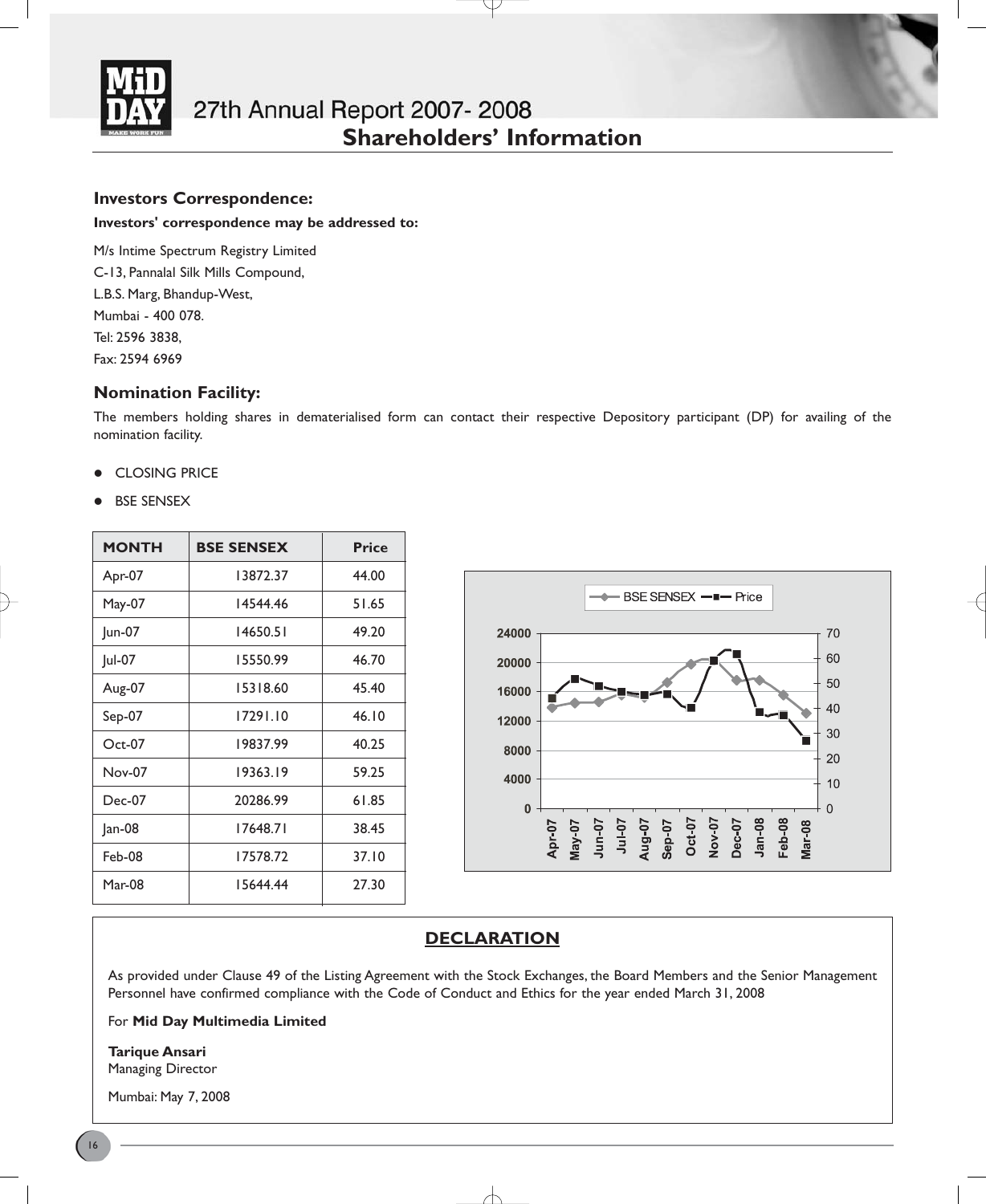

## **Investors Correspondence:**

### **Investors' correspondence may be addressed to:**

M/s Intime Spectrum Registry Limited C-13, Pannalal Silk Mills Compound, L.B.S. Marg, Bhandup-West, Mumbai - 400 078. Tel: 2596 3838, Fax: 2594 6969

## **Nomination Facility:**

The members holding shares in dematerialised form can contact their respective Depository participant (DP) for availing of the nomination facility.

## **• CLOSING PRICE**

**BSE SENSEX** 

| <b>MONTH</b>  | <b>BSE SENSEX</b> | <b>Price</b> |
|---------------|-------------------|--------------|
| Apr-07        | 13872.37          | 44.00        |
| May-07        | 14544.46          | 51.65        |
| Jun-07        | 14650.51          | 49.20        |
| Jul-07        | 15550.99          | 46.70        |
| Aug-07        | 15318.60          | 45.40        |
| Sep-07        | 17291.10          | 46.10        |
| $Oct-07$      | 19837.99          | 40.25        |
| <b>Nov-07</b> | 19363.19          | 59.25        |
| $Dec-07$      | 20286.99          | 61.85        |
| $ an-08$      | 17648.71          | 38.45        |
| Feb-08        | 17578.72          | 37.10        |
| $Mar-08$      | 15644.44          | 27.30        |



# **DECLARATION**

As provided under Clause 49 of the Listing Agreement with the Stock Exchanges, the Board Members and the Senior Management Personnel have confirmed compliance with the Code of Conduct and Ethics for the year ended March 31, 2008

For **Mid Day Multimedia Limited**

**Tarique Ansari** Managing Director

Mumbai: May 7, 2008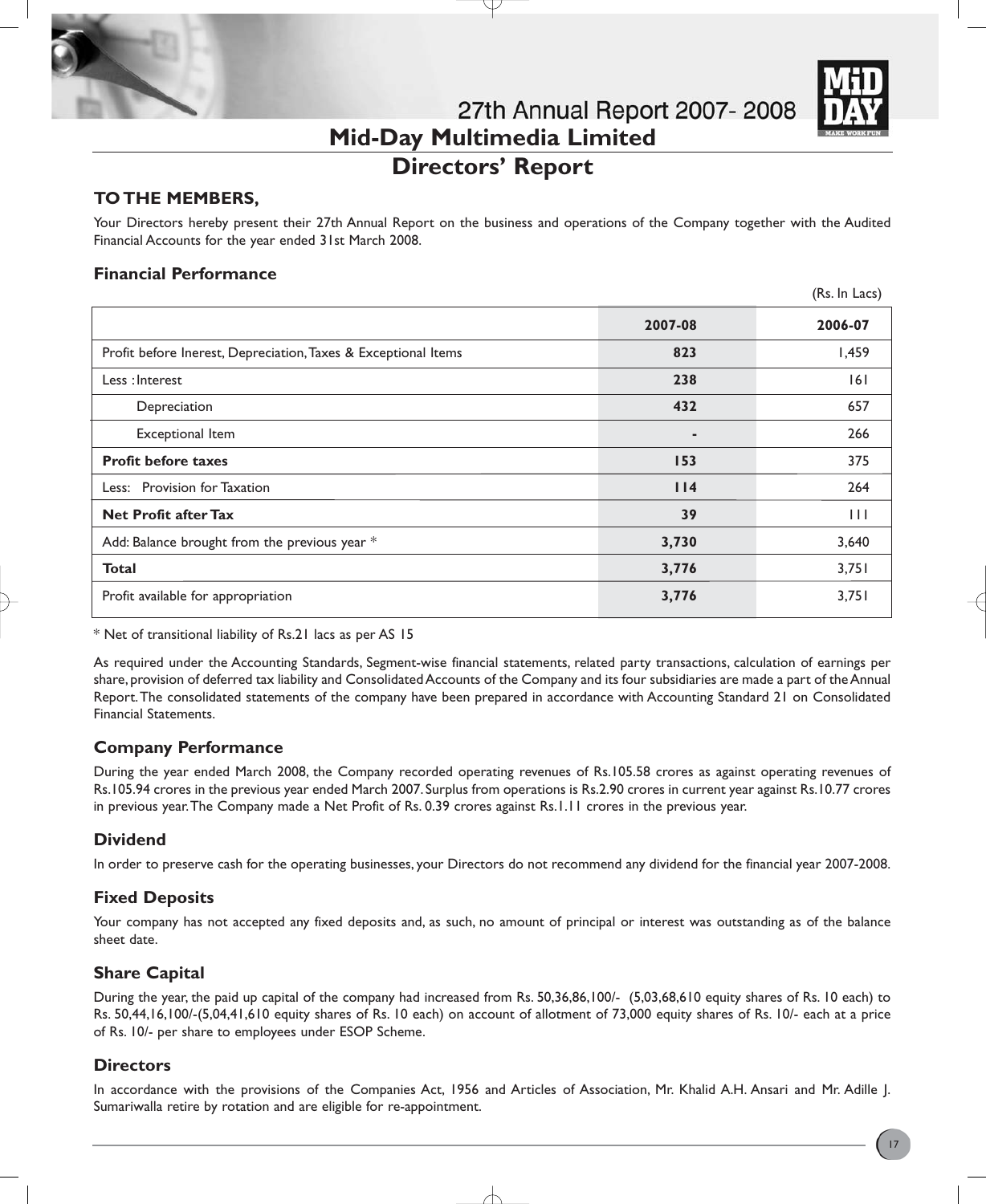

# **Directors' Report**

# **TO THE MEMBERS,**

Your Directors hereby present their 27th Annual Report on the business and operations of the Company together with the Audited Financial Accounts for the year ended 31st March 2008.

# **Financial Performance**

|                                                                |         | (Rs. In Lacs) |
|----------------------------------------------------------------|---------|---------------|
|                                                                | 2007-08 | 2006-07       |
| Profit before Inerest, Depreciation, Taxes & Exceptional Items | 823     | 1,459         |
| Less: Interest                                                 | 238     | 6             |
| Depreciation                                                   | 432     | 657           |
| Exceptional Item                                               | ٠       | 266           |
| <b>Profit before taxes</b>                                     | 153     | 375           |
| Less: Provision for Taxation                                   | 114     | 264           |
| <b>Net Profit after Tax</b>                                    | 39      | $\mathbf{H}$  |
| Add: Balance brought from the previous year *                  | 3,730   | 3,640         |
| <b>Total</b>                                                   | 3,776   | 3,751         |
| Profit available for appropriation                             | 3,776   | 3,751         |

\* Net of transitional liability of Rs.21 lacs as per AS 15

As required under the Accounting Standards, Segment-wise financial statements, related party transactions, calculation of earnings per share, provision of deferred tax liability and Consolidated Accounts of the Company and its four subsidiaries are made a part of the Annual Report.The consolidated statements of the company have been prepared in accordance with Accounting Standard 21 on Consolidated Financial Statements.

# **Company Performance**

During the year ended March 2008, the Company recorded operating revenues of Rs.105.58 crores as against operating revenues of Rs.105.94 crores in the previous year ended March 2007. Surplus from operations is Rs.2.90 crores in current year against Rs.10.77 crores in previous year.The Company made a Net Profit of Rs. 0.39 crores against Rs.1.11 crores in the previous year.

# **Dividend**

In order to preserve cash for the operating businesses, your Directors do not recommend any dividend for the financial year 2007-2008.

# **Fixed Deposits**

Your company has not accepted any fixed deposits and, as such, no amount of principal or interest was outstanding as of the balance sheet date.

# **Share Capital**

During the year, the paid up capital of the company had increased from Rs. 50,36,86,100/- (5,03,68,610 equity shares of Rs. 10 each) to Rs. 50,44,16,100/-(5,04,41,610 equity shares of Rs. 10 each) on account of allotment of 73,000 equity shares of Rs. 10/- each at a price of Rs. 10/- per share to employees under ESOP Scheme.

# **Directors**

In accordance with the provisions of the Companies Act, 1956 and Articles of Association, Mr. Khalid A.H. Ansari and Mr. Adille J. Sumariwalla retire by rotation and are eligible for re-appointment.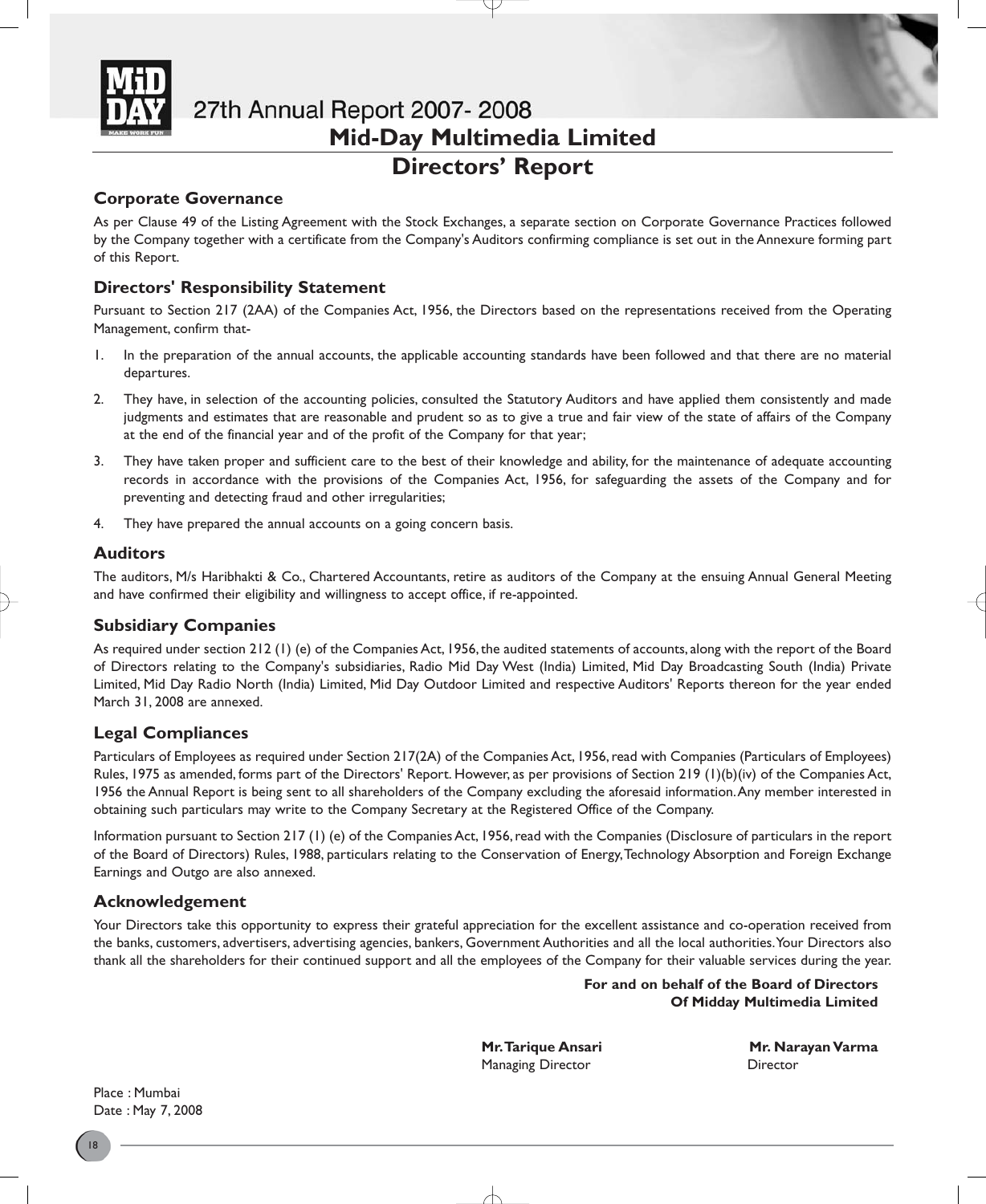

# **Directors' Report**

# **Corporate Governance**

As per Clause 49 of the Listing Agreement with the Stock Exchanges, a separate section on Corporate Governance Practices followed by the Company together with a certificate from the Company's Auditors confirming compliance is set out in the Annexure forming part of this Report.

# **Directors' Responsibility Statement**

Pursuant to Section 217 (2AA) of the Companies Act, 1956, the Directors based on the representations received from the Operating Management, confirm that-

- 1. In the preparation of the annual accounts, the applicable accounting standards have been followed and that there are no material departures.
- 2. They have, in selection of the accounting policies, consulted the Statutory Auditors and have applied them consistently and made judgments and estimates that are reasonable and prudent so as to give a true and fair view of the state of affairs of the Company at the end of the financial year and of the profit of the Company for that year;
- 3. They have taken proper and sufficient care to the best of their knowledge and ability, for the maintenance of adequate accounting records in accordance with the provisions of the Companies Act, 1956, for safeguarding the assets of the Company and for preventing and detecting fraud and other irregularities;
- 4. They have prepared the annual accounts on a going concern basis.

## **Auditors**

The auditors, M/s Haribhakti & Co., Chartered Accountants, retire as auditors of the Company at the ensuing Annual General Meeting and have confirmed their eligibility and willingness to accept office, if re-appointed.

# **Subsidiary Companies**

As required under section 212 (1) (e) of the Companies Act, 1956, the audited statements of accounts, along with the report of the Board of Directors relating to the Company's subsidiaries, Radio Mid Day West (India) Limited, Mid Day Broadcasting South (India) Private Limited, Mid Day Radio North (India) Limited, Mid Day Outdoor Limited and respective Auditors' Reports thereon for the year ended March 31, 2008 are annexed.

# **Legal Compliances**

Particulars of Employees as required under Section 217(2A) of the Companies Act, 1956, read with Companies (Particulars of Employees) Rules, 1975 as amended, forms part of the Directors' Report. However, as per provisions of Section 219 (1)(b)(iv) of the Companies Act, 1956 the Annual Report is being sent to all shareholders of the Company excluding the aforesaid information.Any member interested in obtaining such particulars may write to the Company Secretary at the Registered Office of the Company.

Information pursuant to Section 217 (1) (e) of the Companies Act, 1956, read with the Companies (Disclosure of particulars in the report of the Board of Directors) Rules, 1988, particulars relating to the Conservation of Energy,Technology Absorption and Foreign Exchange Earnings and Outgo are also annexed.

# **Acknowledgement**

Your Directors take this opportunity to express their grateful appreciation for the excellent assistance and co-operation received from the banks, customers, advertisers, advertising agencies, bankers, Government Authorities and all the local authorities.Your Directors also thank all the shareholders for their continued support and all the employees of the Company for their valuable services during the year.

> **For and on behalf of the Board of Directors Of Midday Multimedia Limited**

Managing Director **Director** Director

**Mr. Tarique Ansari China China di Mr. Narayan Varma** 

Place : Mumbai Date : May 7, 2008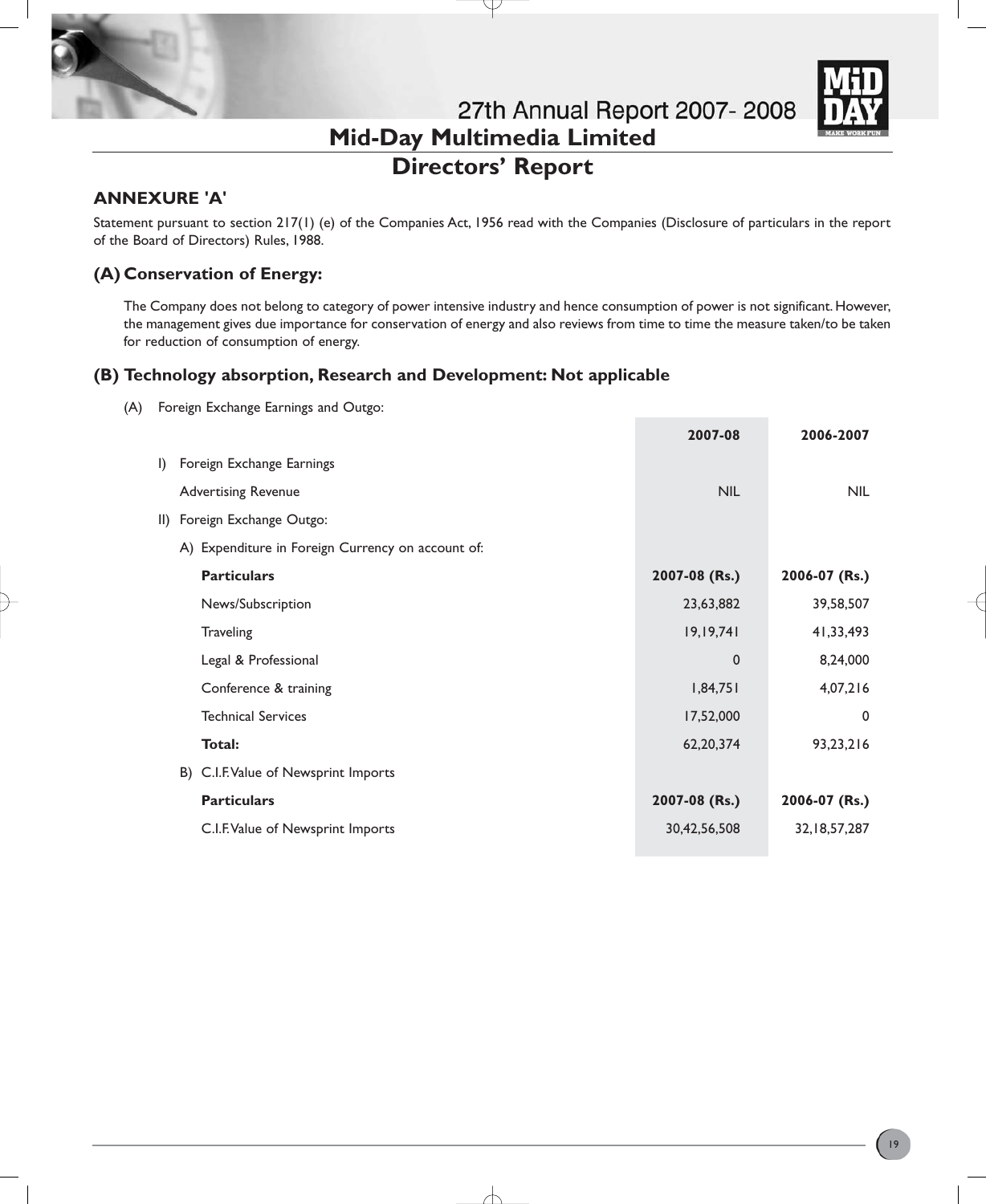

# **Directors' Report**

# **ANNEXURE 'A'**

Statement pursuant to section 217(1) (e) of the Companies Act, 1956 read with the Companies (Disclosure of particulars in the report of the Board of Directors) Rules, 1988.

# **(A) Conservation of Energy:**

The Company does not belong to category of power intensive industry and hence consumption of power is not significant. However, the management gives due importance for conservation of energy and also reviews from time to time the measure taken/to be taken for reduction of consumption of energy.

# **(B) Technology absorption, Research and Development: Not applicable**

(A) Foreign Exchange Earnings and Outgo:

|                                                   | 2007-08       | 2006-2007       |
|---------------------------------------------------|---------------|-----------------|
| I) Foreign Exchange Earnings                      |               |                 |
| <b>Advertising Revenue</b>                        | <b>NIL</b>    | <b>NIL</b>      |
| II) Foreign Exchange Outgo:                       |               |                 |
| A) Expenditure in Foreign Currency on account of: |               |                 |
| <b>Particulars</b>                                | 2007-08 (Rs.) | 2006-07 (Rs.)   |
| News/Subscription                                 | 23,63,882     | 39,58,507       |
| <b>Traveling</b>                                  | 19, 19, 741   | 41,33,493       |
| Legal & Professional                              | $\mathbf 0$   | 8,24,000        |
| Conference & training                             | 1,84,751      | 4,07,216        |
| <b>Technical Services</b>                         | 17,52,000     | $\Omega$        |
| Total:                                            | 62,20,374     | 93,23,216       |
| B) C.I.F. Value of Newsprint Imports              |               |                 |
| <b>Particulars</b>                                | 2007-08 (Rs.) | 2006-07 (Rs.)   |
| C.I.F. Value of Newsprint Imports                 | 30,42,56,508  | 32, 18, 57, 287 |
|                                                   |               |                 |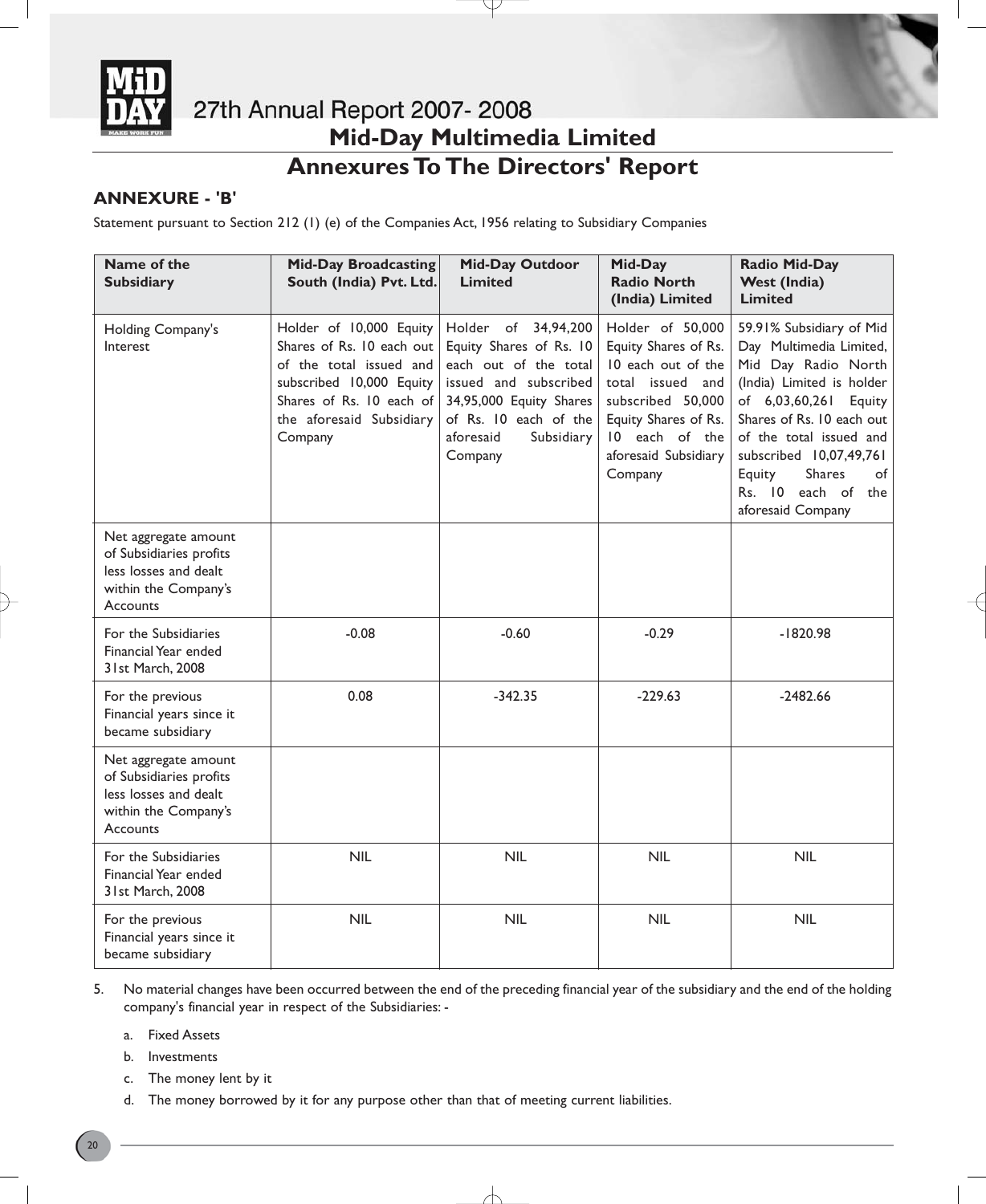

# **Annexures To The Directors' Report**

# **ANNEXURE - 'B'**

Statement pursuant to Section 212 (1) (e) of the Companies Act, 1956 relating to Subsidiary Companies

| Name of the<br><b>Subsidiary</b>                                                                             | <b>Mid-Day Broadcasting</b><br>South (India) Pvt. Ltd.                                                                                                                         | <b>Mid-Day Outdoor</b><br><b>Limited</b>                                                                                                                                                   | Mid-Day<br><b>Radio North</b><br>(India) Limited                                                                                                                                     | <b>Radio Mid-Day</b><br><b>West (India)</b><br><b>Limited</b>                                                                                                                                                                                                                                   |
|--------------------------------------------------------------------------------------------------------------|--------------------------------------------------------------------------------------------------------------------------------------------------------------------------------|--------------------------------------------------------------------------------------------------------------------------------------------------------------------------------------------|--------------------------------------------------------------------------------------------------------------------------------------------------------------------------------------|-------------------------------------------------------------------------------------------------------------------------------------------------------------------------------------------------------------------------------------------------------------------------------------------------|
| Holding Company's<br>Interest                                                                                | Holder of 10,000 Equity<br>Shares of Rs. 10 each out<br>of the total issued and<br>subscribed 10,000 Equity<br>Shares of Rs. 10 each of<br>the aforesaid Subsidiary<br>Company | Holder of 34,94,200<br>Equity Shares of Rs. 10<br>each out of the total<br>issued and subscribed<br>34,95,000 Equity Shares<br>of Rs. 10 each of the<br>aforesaid<br>Subsidiary<br>Company | Holder of 50,000<br>Equity Shares of Rs.<br>10 each out of the<br>total issued and<br>subscribed 50,000<br>Equity Shares of Rs.<br>10 each of the<br>aforesaid Subsidiary<br>Company | 59.91% Subsidiary of Mid<br>Day Multimedia Limited,<br>Mid Day Radio North<br>(India) Limited is holder<br>of 6,03,60,261 Equity<br>Shares of Rs. 10 each out<br>of the total issued and<br>subscribed 10,07,49,761<br>Equity<br><b>Shares</b><br>of<br>Rs. 10 each of the<br>aforesaid Company |
| Net aggregate amount<br>of Subsidiaries profits<br>less losses and dealt<br>within the Company's<br>Accounts |                                                                                                                                                                                |                                                                                                                                                                                            |                                                                                                                                                                                      |                                                                                                                                                                                                                                                                                                 |
| For the Subsidiaries<br>Financial Year ended<br>31st March, 2008                                             | $-0.08$                                                                                                                                                                        | $-0.60$                                                                                                                                                                                    | $-0.29$                                                                                                                                                                              | $-1820.98$                                                                                                                                                                                                                                                                                      |
| For the previous<br>Financial years since it<br>became subsidiary                                            | 0.08                                                                                                                                                                           | $-342.35$                                                                                                                                                                                  | $-229.63$                                                                                                                                                                            | $-2482.66$                                                                                                                                                                                                                                                                                      |
| Net aggregate amount<br>of Subsidiaries profits<br>less losses and dealt<br>within the Company's<br>Accounts |                                                                                                                                                                                |                                                                                                                                                                                            |                                                                                                                                                                                      |                                                                                                                                                                                                                                                                                                 |
| For the Subsidiaries<br>Financial Year ended<br>31st March, 2008                                             | <b>NIL</b>                                                                                                                                                                     | <b>NIL</b>                                                                                                                                                                                 | <b>NIL</b>                                                                                                                                                                           | <b>NIL</b>                                                                                                                                                                                                                                                                                      |
| For the previous<br>Financial years since it<br>became subsidiary                                            | <b>NIL</b>                                                                                                                                                                     | <b>NIL</b>                                                                                                                                                                                 | <b>NIL</b>                                                                                                                                                                           | <b>NIL</b>                                                                                                                                                                                                                                                                                      |

5. No material changes have been occurred between the end of the preceding financial year of the subsidiary and the end of the holding company's financial year in respect of the Subsidiaries: -

a. Fixed Assets

b. Investments

- c. The money lent by it
- d. The money borrowed by it for any purpose other than that of meeting current liabilities.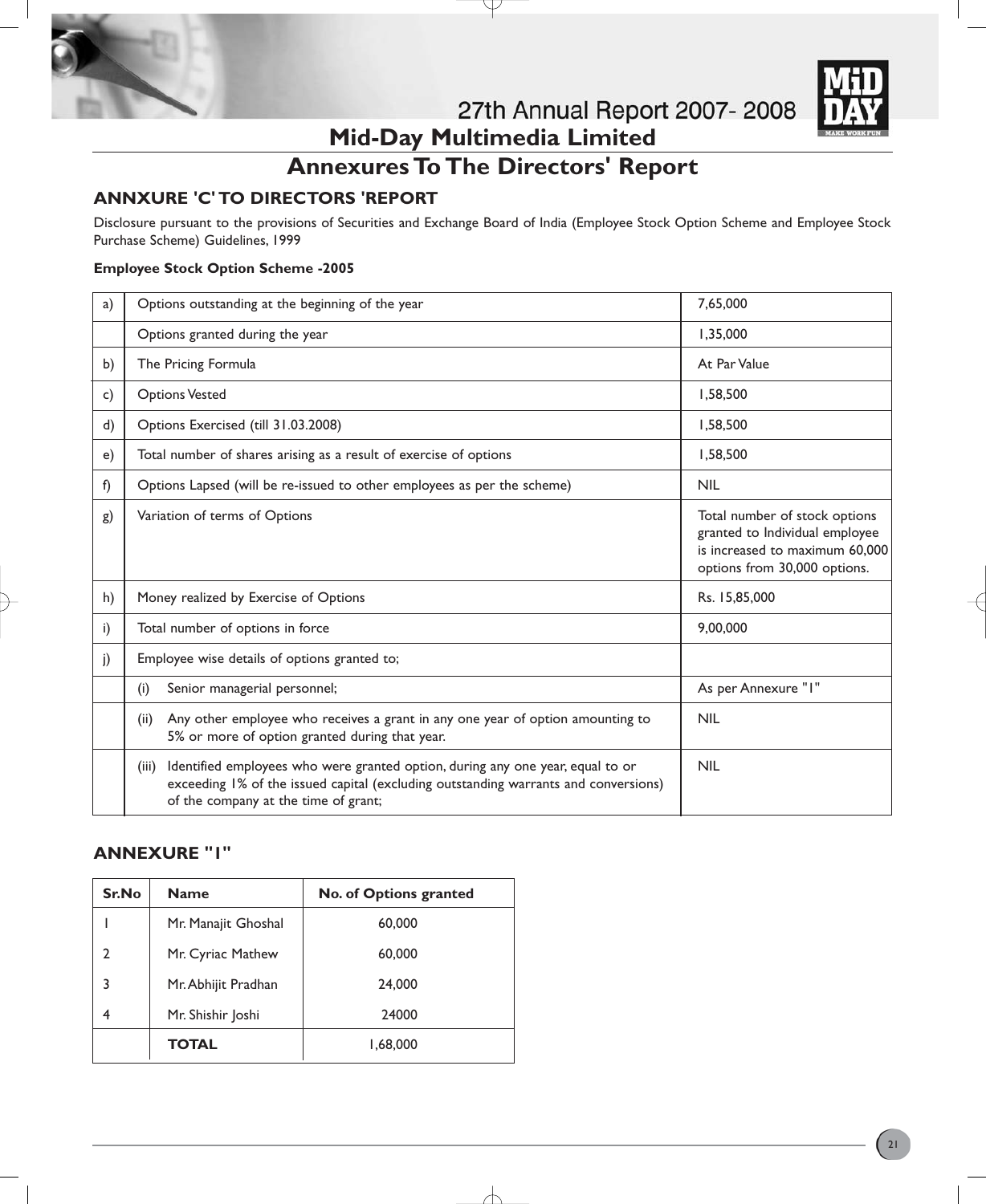



# **Annexures To The Directors' Report**

# **ANNXURE 'C' TO DIRECTORS 'REPORT**

Disclosure pursuant to the provisions of Securities and Exchange Board of India (Employee Stock Option Scheme and Employee Stock Purchase Scheme) Guidelines, 1999

## **Employee Stock Option Scheme -2005**

| a) | Options outstanding at the beginning of the year                                                                                                                                                                       | 7,65,000                                                                                                                          |
|----|------------------------------------------------------------------------------------------------------------------------------------------------------------------------------------------------------------------------|-----------------------------------------------------------------------------------------------------------------------------------|
|    | Options granted during the year                                                                                                                                                                                        | 1,35,000                                                                                                                          |
| b) | The Pricing Formula                                                                                                                                                                                                    | At Par Value                                                                                                                      |
| c) | <b>Options Vested</b>                                                                                                                                                                                                  | 1,58,500                                                                                                                          |
| d) | Options Exercised (till 31.03.2008)                                                                                                                                                                                    | 1,58,500                                                                                                                          |
| e) | Total number of shares arising as a result of exercise of options                                                                                                                                                      | 1,58,500                                                                                                                          |
| f) | Options Lapsed (will be re-issued to other employees as per the scheme)                                                                                                                                                | <b>NIL</b>                                                                                                                        |
| g) | Variation of terms of Options                                                                                                                                                                                          | Total number of stock options<br>granted to Individual employee<br>is increased to maximum 60,000<br>options from 30,000 options. |
| h) | Money realized by Exercise of Options                                                                                                                                                                                  | Rs. 15,85,000                                                                                                                     |
| i) | Total number of options in force                                                                                                                                                                                       | 9,00,000                                                                                                                          |
| j) | Employee wise details of options granted to;                                                                                                                                                                           |                                                                                                                                   |
|    | Senior managerial personnel;<br>(i)                                                                                                                                                                                    | As per Annexure "I"                                                                                                               |
|    | Any other employee who receives a grant in any one year of option amounting to<br>(ii)<br>5% or more of option granted during that year.                                                                               | <b>NIL</b>                                                                                                                        |
|    | Identified employees who were granted option, during any one year, equal to or<br>(iii)<br>exceeding 1% of the issued capital (excluding outstanding warrants and conversions)<br>of the company at the time of grant; | <b>NIL</b>                                                                                                                        |

# **ANNEXURE "1"**

| Sr.No | <b>Name</b>         | No. of Options granted |
|-------|---------------------|------------------------|
|       | Mr. Manajit Ghoshal | 60,000                 |
| C     | Mr. Cyriac Mathew   | 60,000                 |
| 3     | Mr. Abhijit Pradhan | 24,000                 |
| 4     | Mr. Shishir Joshi   | 24000                  |
|       | <b>TOTAL</b>        | 1,68,000               |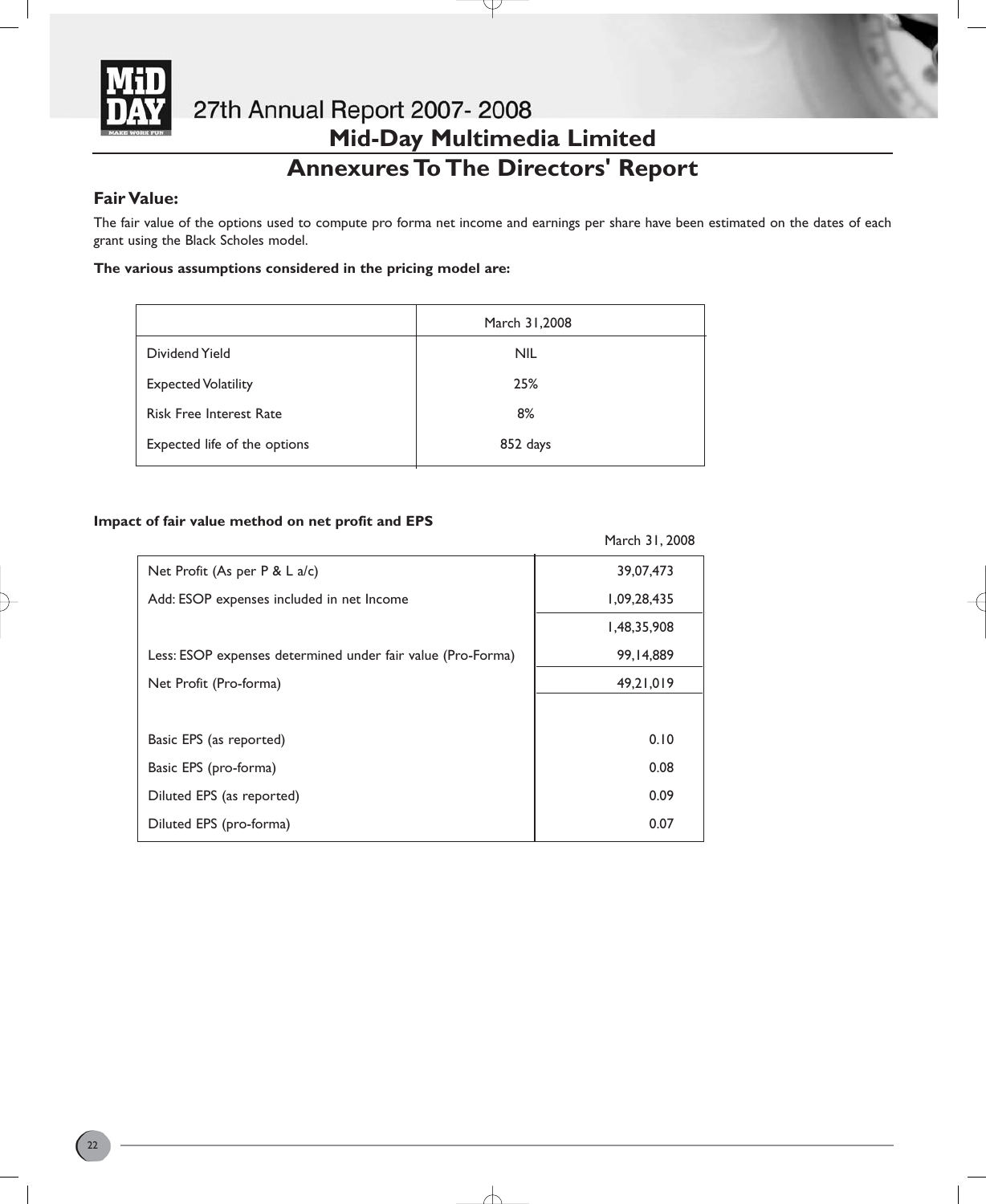

# 27th Annual Report 2007-2008 **Mid-Day Multimedia Limited Annexures To The Directors' Report**

# **Fair Value:**

The fair value of the options used to compute pro forma net income and earnings per share have been estimated on the dates of each grant using the Black Scholes model.

## **The various assumptions considered in the pricing model are:**

|                                | March 31,2008 |
|--------------------------------|---------------|
| Dividend Yield                 | <b>NIL</b>    |
| <b>Expected Volatility</b>     | 25%           |
| <b>Risk Free Interest Rate</b> | 8%            |
| Expected life of the options   | 852 days      |

## **Impact of fair value method on net profit and EPS**

|                                                             | March 31, 2008 |
|-------------------------------------------------------------|----------------|
| Net Profit (As per $P < L$ a/c)                             | 39,07,473      |
| Add: ESOP expenses included in net Income                   | 1,09,28,435    |
|                                                             | 1,48,35,908    |
| Less: ESOP expenses determined under fair value (Pro-Forma) | 99,14,889      |
| Net Profit (Pro-forma)                                      | 49,21,019      |
|                                                             |                |
| Basic EPS (as reported)                                     | 0.10           |
| Basic EPS (pro-forma)                                       | 0.08           |
| Diluted EPS (as reported)                                   | 0.09           |
| Diluted EPS (pro-forma)                                     | 0.07           |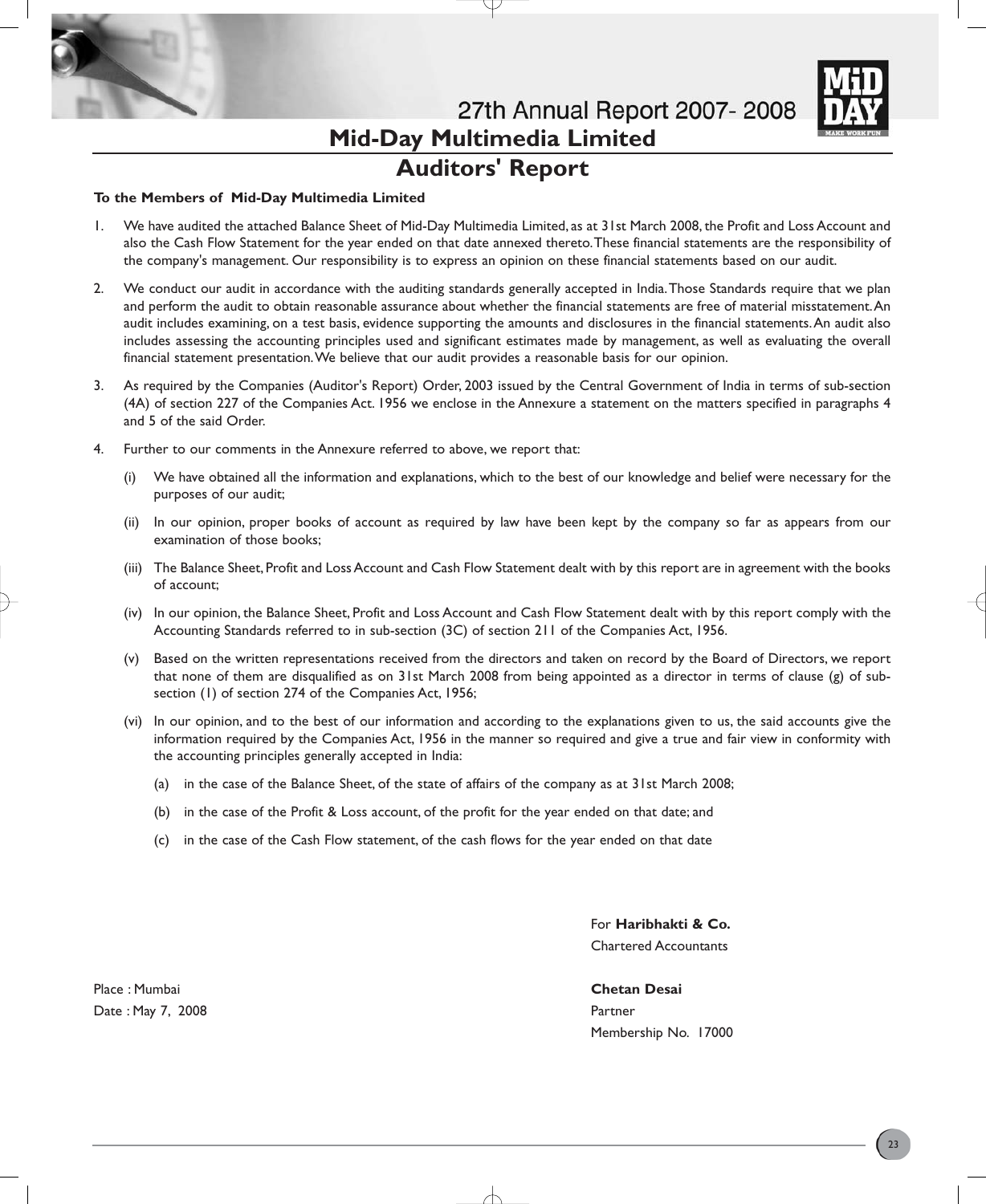

27th Annual Report 2007-2008 **Mid-Day Multimedia Limited Auditors' Report**

#### **To the Members of Mid-Day Multimedia Limited**

- 1. We have audited the attached Balance Sheet of Mid-Day Multimedia Limited, as at 31st March 2008, the Profit and Loss Account and also the Cash Flow Statement for the year ended on that date annexed thereto.These financial statements are the responsibility of the company's management. Our responsibility is to express an opinion on these financial statements based on our audit.
- 2. We conduct our audit in accordance with the auditing standards generally accepted in India.Those Standards require that we plan and perform the audit to obtain reasonable assurance about whether the financial statements are free of material misstatement.An audit includes examining, on a test basis, evidence supporting the amounts and disclosures in the financial statements.An audit also includes assessing the accounting principles used and significant estimates made by management, as well as evaluating the overall financial statement presentation.We believe that our audit provides a reasonable basis for our opinion.
- 3. As required by the Companies (Auditor's Report) Order, 2003 issued by the Central Government of India in terms of sub-section (4A) of section 227 of the Companies Act. 1956 we enclose in the Annexure a statement on the matters specified in paragraphs 4 and 5 of the said Order.
- 4. Further to our comments in the Annexure referred to above, we report that:
	- (i) We have obtained all the information and explanations, which to the best of our knowledge and belief were necessary for the purposes of our audit;
	- (ii) In our opinion, proper books of account as required by law have been kept by the company so far as appears from our examination of those books;
	- (iii) The Balance Sheet, Profit and Loss Account and Cash Flow Statement dealt with by this report are in agreement with the books of account;
	- (iv) In our opinion, the Balance Sheet, Profit and Loss Account and Cash Flow Statement dealt with by this report comply with the Accounting Standards referred to in sub-section (3C) of section 211 of the Companies Act, 1956.
	- (v) Based on the written representations received from the directors and taken on record by the Board of Directors, we report that none of them are disqualified as on 31st March 2008 from being appointed as a director in terms of clause (g) of subsection (1) of section 274 of the Companies Act, 1956;
	- (vi) In our opinion, and to the best of our information and according to the explanations given to us, the said accounts give the information required by the Companies Act, 1956 in the manner so required and give a true and fair view in conformity with the accounting principles generally accepted in India:
		- (a) in the case of the Balance Sheet, of the state of affairs of the company as at 31st March 2008;
		- (b) in the case of the Profit & Loss account, of the profit for the year ended on that date; and
		- (c) in the case of the Cash Flow statement, of the cash flows for the year ended on that date

For **Haribhakti & Co.** Chartered Accountants

Place : Mumbai **Chetan Desai** Date : May 7, 2008 **Partner** Partner **Partner** Partner **Partner** 

Membership No. 17000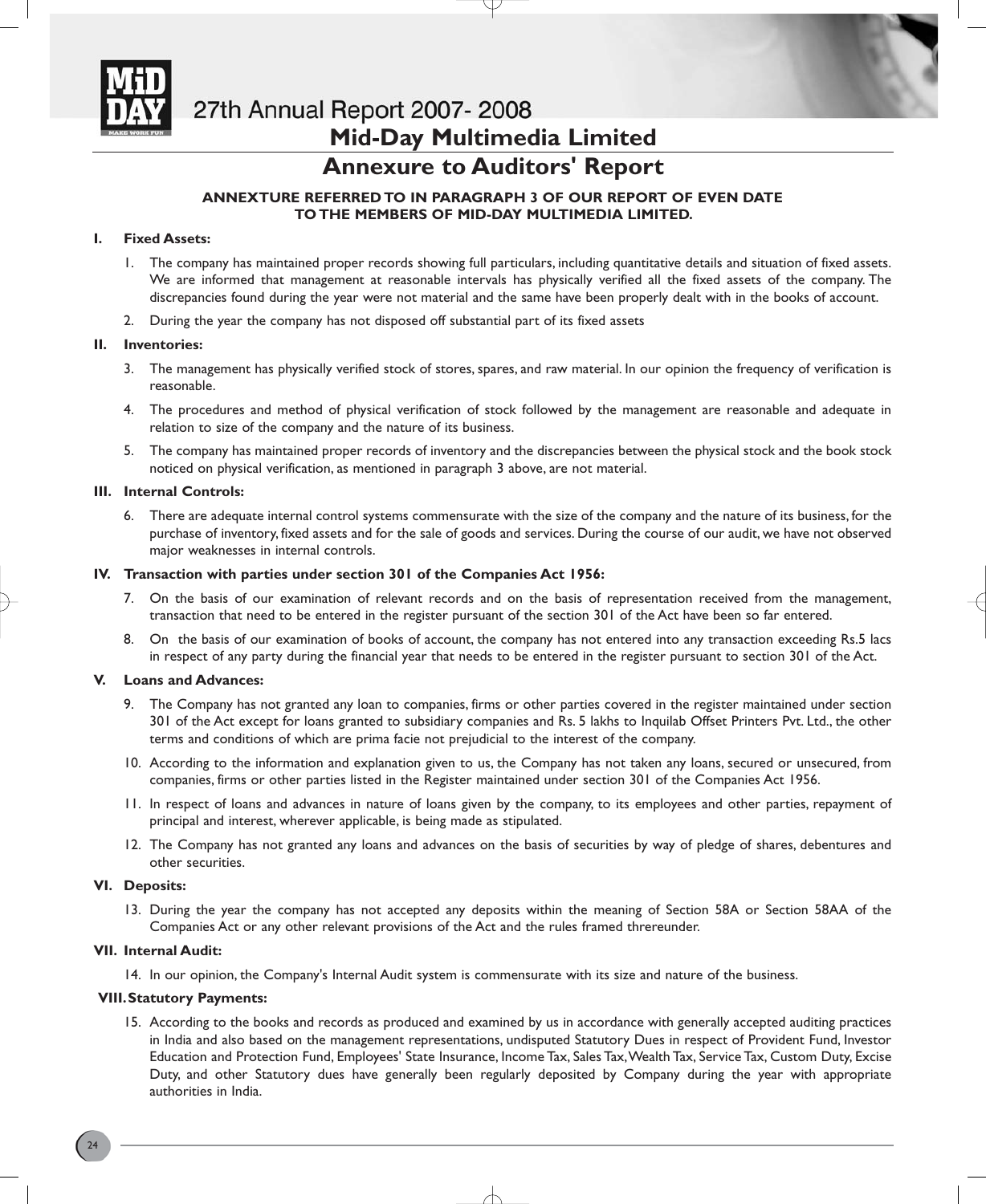

# **Mid-Day Multimedia Limited**

# **Annexure to Auditors' Report**

## **ANNEXTURE REFERRED TO IN PARAGRAPH 3 OF OUR REPORT OF EVEN DATE TO THE MEMBERS OF MID-DAY MULTIMEDIA LIMITED.**

## **I. Fixed Assets:**

- 1. The company has maintained proper records showing full particulars, including quantitative details and situation of fixed assets. We are informed that management at reasonable intervals has physically verified all the fixed assets of the company. The discrepancies found during the year were not material and the same have been properly dealt with in the books of account.
- 2. During the year the company has not disposed off substantial part of its fixed assets

### **II. Inventories:**

- 3. The management has physically verified stock of stores, spares, and raw material. In our opinion the frequency of verification is reasonable.
- 4. The procedures and method of physical verification of stock followed by the management are reasonable and adequate in relation to size of the company and the nature of its business.
- 5. The company has maintained proper records of inventory and the discrepancies between the physical stock and the book stock noticed on physical verification, as mentioned in paragraph 3 above, are not material.

### **III. Internal Controls:**

6. There are adequate internal control systems commensurate with the size of the company and the nature of its business, for the purchase of inventory, fixed assets and for the sale of goods and services. During the course of our audit, we have not observed major weaknesses in internal controls.

### **IV. Transaction with parties under section 301 of the Companies Act 1956:**

- 7. On the basis of our examination of relevant records and on the basis of representation received from the management, transaction that need to be entered in the register pursuant of the section 301 of the Act have been so far entered.
- 8. On the basis of our examination of books of account, the company has not entered into any transaction exceeding Rs.5 lacs in respect of any party during the financial year that needs to be entered in the register pursuant to section 301 of the Act.

## **V. Loans and Advances:**

- 9. The Company has not granted any loan to companies, firms or other parties covered in the register maintained under section 301 of the Act except for loans granted to subsidiary companies and Rs. 5 lakhs to Inquilab Offset Printers Pvt. Ltd., the other terms and conditions of which are prima facie not prejudicial to the interest of the company.
- 10. According to the information and explanation given to us, the Company has not taken any loans, secured or unsecured, from companies, firms or other parties listed in the Register maintained under section 301 of the Companies Act 1956.
- 11. In respect of loans and advances in nature of loans given by the company, to its employees and other parties, repayment of principal and interest, wherever applicable, is being made as stipulated.
- 12. The Company has not granted any loans and advances on the basis of securities by way of pledge of shares, debentures and other securities.

#### **VI. Deposits:**

13. During the year the company has not accepted any deposits within the meaning of Section 58A or Section 58AA of the Companies Act or any other relevant provisions of the Act and the rules framed threreunder.

### **VII. Internal Audit:**

14. In our opinion, the Company's Internal Audit system is commensurate with its size and nature of the business.

#### **VIII.Statutory Payments:**

15. According to the books and records as produced and examined by us in accordance with generally accepted auditing practices in India and also based on the management representations, undisputed Statutory Dues in respect of Provident Fund, Investor Education and Protection Fund, Employees' State Insurance, Income Tax, Sales Tax,Wealth Tax, Service Tax, Custom Duty, Excise Duty, and other Statutory dues have generally been regularly deposited by Company during the year with appropriate authorities in India.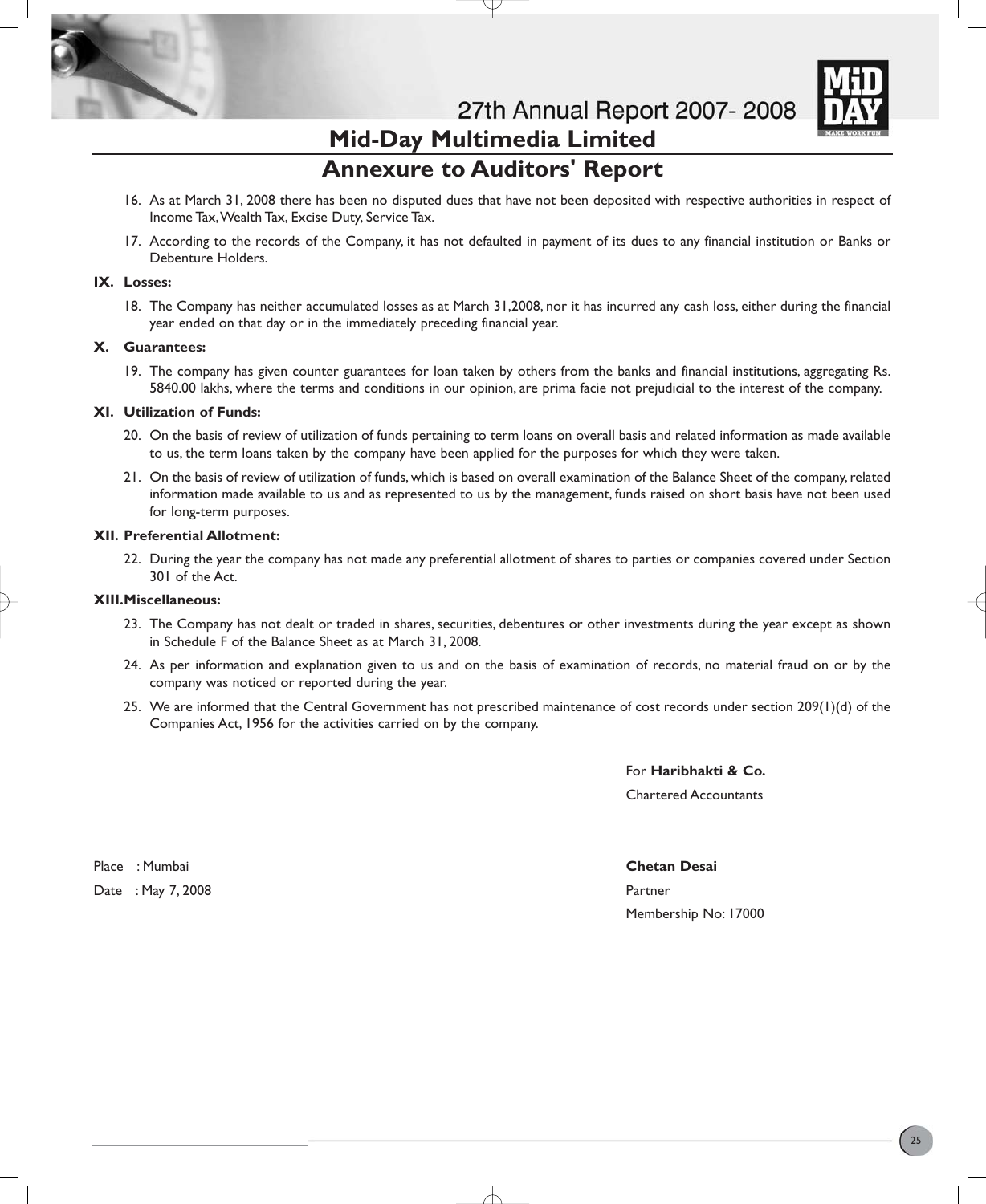

# **Mid-Day Multimedia Limited Annexure to Auditors' Report**

- 16. As at March 31, 2008 there has been no disputed dues that have not been deposited with respective authorities in respect of Income Tax,Wealth Tax, Excise Duty, Service Tax.
- 17. According to the records of the Company, it has not defaulted in payment of its dues to any financial institution or Banks or Debenture Holders.

## **IX. Losses:**

18. The Company has neither accumulated losses as at March 31,2008, nor it has incurred any cash loss, either during the financial year ended on that day or in the immediately preceding financial year.

### **X. Guarantees:**

19. The company has given counter guarantees for loan taken by others from the banks and financial institutions, aggregating Rs. 5840.00 lakhs, where the terms and conditions in our opinion, are prima facie not prejudicial to the interest of the company.

### **XI. Utilization of Funds:**

- 20. On the basis of review of utilization of funds pertaining to term loans on overall basis and related information as made available to us, the term loans taken by the company have been applied for the purposes for which they were taken.
- 21. On the basis of review of utilization of funds, which is based on overall examination of the Balance Sheet of the company, related information made available to us and as represented to us by the management, funds raised on short basis have not been used for long-term purposes.

### **XII. Preferential Allotment:**

22. During the year the company has not made any preferential allotment of shares to parties or companies covered under Section 301 of the Act.

### **XIII.Miscellaneous:**

- 23. The Company has not dealt or traded in shares, securities, debentures or other investments during the year except as shown in Schedule F of the Balance Sheet as at March 31, 2008.
- 24. As per information and explanation given to us and on the basis of examination of records, no material fraud on or by the company was noticed or reported during the year.
- 25. We are informed that the Central Government has not prescribed maintenance of cost records under section 209(1)(d) of the Companies Act, 1956 for the activities carried on by the company.

For **Haribhakti & Co.** Chartered Accountants

Place : Mumbai **Chetan Desai** Date : May 7, 2008 **Partner** 

Membership No: 17000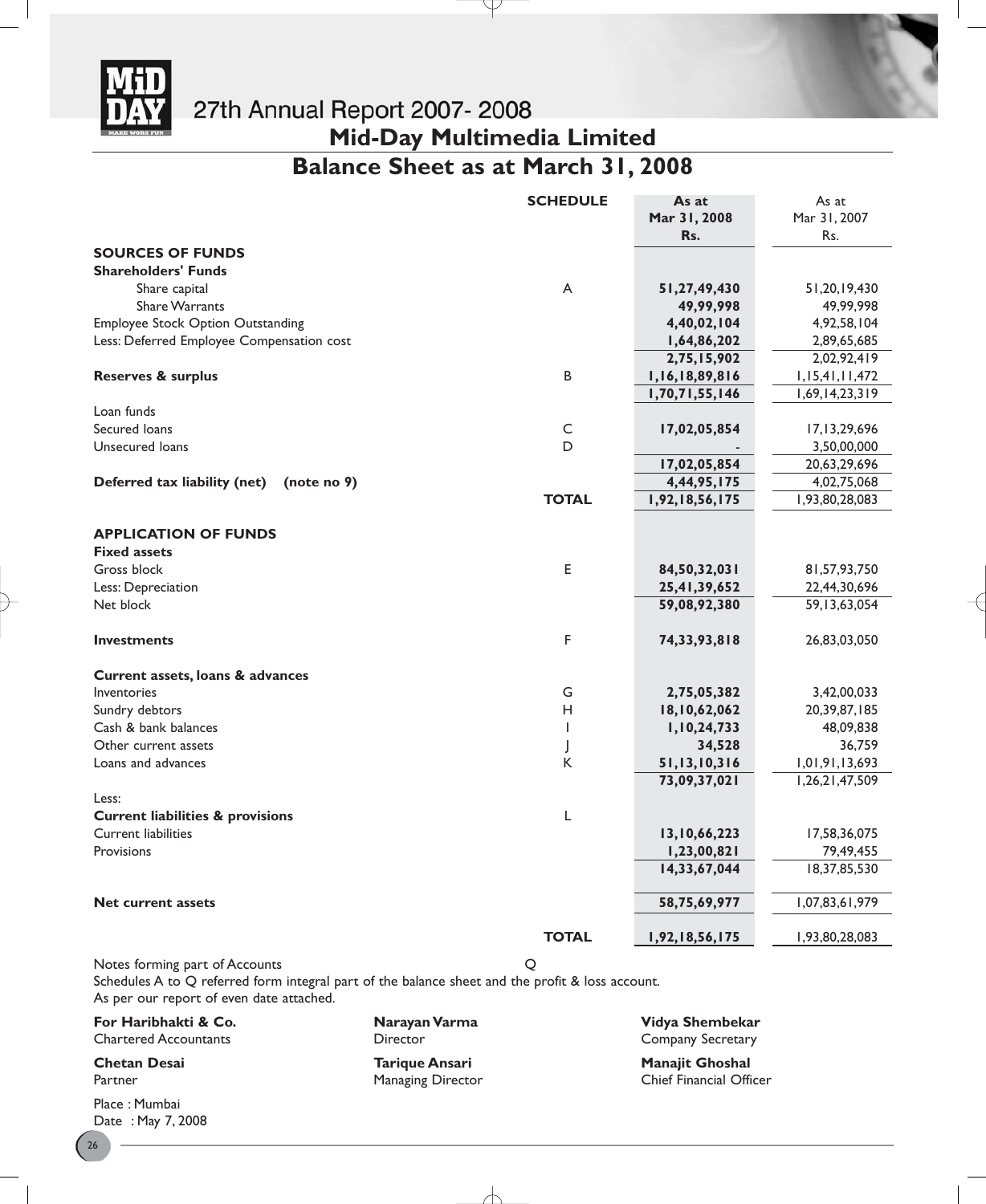

**Mid-Day Multimedia Limited**

# **Balance Sheet as at March 31, 2008**

J

|                                             | <b>SCHEDULE</b> | As at          | As at              |
|---------------------------------------------|-----------------|----------------|--------------------|
|                                             |                 | Mar 31, 2008   | Mar 31, 2007       |
|                                             |                 | Rs.            | Rs.                |
| <b>SOURCES OF FUNDS</b>                     |                 |                |                    |
| <b>Shareholders' Funds</b>                  |                 |                |                    |
| Share capital                               | A               | 51,27,49,430   | 51,20,19,430       |
| <b>Share Warrants</b>                       |                 | 49,99,998      | 49,99,998          |
| <b>Employee Stock Option Outstanding</b>    |                 | 4,40,02,104    | 4,92,58,104        |
| Less: Deferred Employee Compensation cost   |                 | 1,64,86,202    | 2,89,65,685        |
|                                             |                 | 2,75,15,902    | 2,02,92,419        |
| <b>Reserves &amp; surplus</b>               | В               | 1,16,18,89,816 | 1, 15, 41, 11, 472 |
|                                             |                 | 1,70,71,55,146 | 1,69,14,23,319     |
| Loan funds                                  |                 |                |                    |
| Secured loans                               | $\mathsf{C}$    | 17,02,05,854   | 17,13,29,696       |
| Unsecured loans                             | D               |                | 3,50,00,000        |
|                                             |                 | 17,02,05,854   | 20,63,29,696       |
| Deferred tax liability (net)<br>(note no 9) |                 | 4,44,95,175    | 4,02,75,068        |
|                                             | <b>TOTAL</b>    | 1,92,18,56,175 | 1,93,80,28,083     |
|                                             |                 |                |                    |
| <b>APPLICATION OF FUNDS</b>                 |                 |                |                    |
| <b>Fixed assets</b>                         |                 |                |                    |
| Gross block                                 | E               | 84,50,32,031   | 81,57,93,750       |
| Less: Depreciation                          |                 | 25,41,39,652   | 22,44,30,696       |
| Net block                                   |                 | 59,08,92,380   | 59, 13, 63, 054    |
|                                             |                 |                |                    |
| <b>Investments</b>                          | F               | 74,33,93,818   | 26,83,03,050       |
| Current assets, loans & advances            |                 |                |                    |
| Inventories                                 | G               | 2,75,05,382    | 3,42,00,033        |
| Sundry debtors                              | н               | 18,10,62,062   | 20,39,87,185       |
| Cash & bank balances                        | T               | 1,10,24,733    | 48,09,838          |
| Other current assets                        | J               | 34,528         | 36,759             |
| Loans and advances                          | Κ               | 51,13,10,316   | 1,01,91,13,693     |
|                                             |                 | 73,09,37,021   | 1,26,21,47,509     |
| Less:                                       |                 |                |                    |
| <b>Current liabilities &amp; provisions</b> | L               |                |                    |
| <b>Current liabilities</b>                  |                 | 13,10,66,223   | 17,58,36,075       |
| Provisions                                  |                 | 1,23,00,821    | 79,49,455          |
|                                             |                 | 14,33,67,044   | 18,37,85,530       |
| <b>Net current assets</b>                   |                 | 58,75,69,977   | 1,07,83,61,979     |
|                                             | <b>TOTAL</b>    |                |                    |
|                                             |                 | 1,92,18,56,175 | 1,93,80,28,083     |
| Notes forming part of Accounts              | Q               |                |                    |

Schedules A to Q referred form integral part of the balance sheet and the profit & loss account. As per our report of even date attached.

**For Haribhakti & Co. Narayan Varma Narayan Varma Vidya Shembekar**<br>
Company Secretary **Company Secretary** 

Place : Mumbai Date : May 7, 2008

Managing Director

</u>

Director **Company Secretary** 

**Chetan Desai Tarique Ansari Manajit Ghoshal**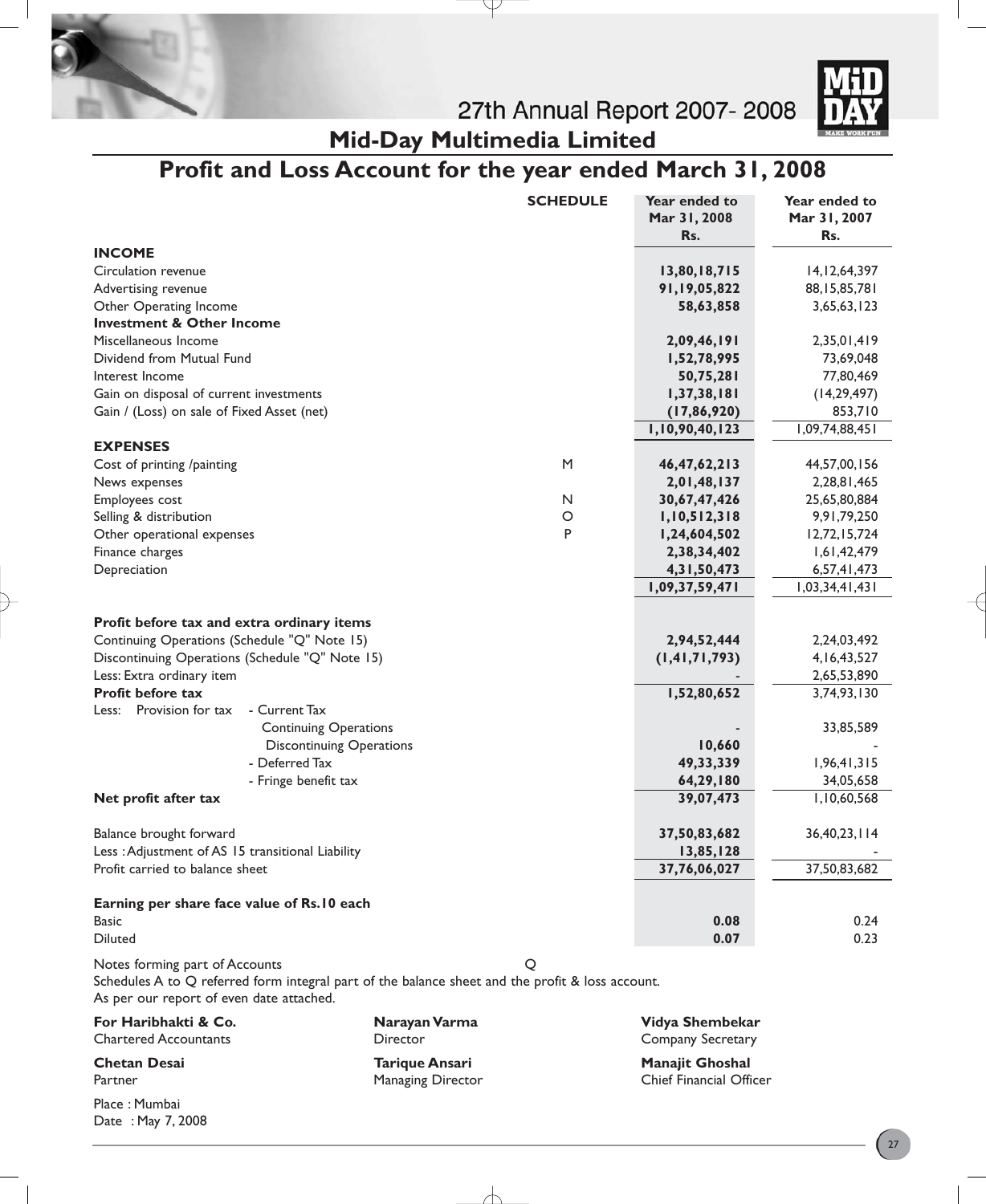



**Mid-Day Multimedia Limited**

# **Profit and Loss Account for the year ended March 31, 2008**

J

|                                                                                                                                    | <b>SCHEDULE</b> | Year ended to<br>Mar 31, 2008<br>Rs. | Year ended to<br>Mar 31, 2007<br>Rs. |
|------------------------------------------------------------------------------------------------------------------------------------|-----------------|--------------------------------------|--------------------------------------|
| <b>INCOME</b>                                                                                                                      |                 |                                      |                                      |
| Circulation revenue                                                                                                                |                 | 13,80,18,715                         | 14, 12, 64, 397                      |
| Advertising revenue                                                                                                                |                 | 91,19,05,822                         | 88, 15, 85, 781                      |
| Other Operating Income                                                                                                             |                 | 58,63,858                            | 3,65,63,123                          |
| <b>Investment &amp; Other Income</b>                                                                                               |                 |                                      |                                      |
| Miscellaneous Income                                                                                                               |                 | 2,09,46,191                          | 2,35,01,419                          |
| Dividend from Mutual Fund                                                                                                          |                 | 1,52,78,995                          | 73,69,048                            |
| Interest Income                                                                                                                    |                 | 50,75,281                            | 77,80,469                            |
| Gain on disposal of current investments                                                                                            |                 | 1, 37, 38, 181                       | (14, 29, 497)                        |
| Gain / (Loss) on sale of Fixed Asset (net)                                                                                         |                 | (17, 86, 920)                        | 853,710                              |
|                                                                                                                                    |                 | 1,10,90,40,123                       | 1,09,74,88,451                       |
| <b>EXPENSES</b>                                                                                                                    |                 |                                      |                                      |
| Cost of printing /painting                                                                                                         | M               | 46,47,62,213                         | 44,57,00,156                         |
| News expenses                                                                                                                      |                 | 2,01,48,137                          | 2,28,81,465                          |
| Employees cost                                                                                                                     | N               | 30,67,47,426                         | 25,65,80,884                         |
| Selling & distribution                                                                                                             | O               | 1,10,512,318                         | 9,91,79,250                          |
| Other operational expenses                                                                                                         | P               | 1,24,604,502                         | 12,72,15,724                         |
| Finance charges                                                                                                                    |                 | 2,38,34,402                          | 1,61,42,479                          |
| Depreciation                                                                                                                       |                 | 4,31,50,473                          | 6,57,41,473                          |
|                                                                                                                                    |                 | 1,09,37,59,471                       | 1,03,34,41,431                       |
|                                                                                                                                    |                 |                                      |                                      |
| Profit before tax and extra ordinary items                                                                                         |                 |                                      |                                      |
| Continuing Operations (Schedule "Q" Note 15)                                                                                       |                 | 2,94,52,444                          | 2,24,03,492                          |
| Discontinuing Operations (Schedule "Q" Note 15)                                                                                    |                 | (1, 41, 71, 793)                     | 4, 16, 43, 527                       |
| Less: Extra ordinary item                                                                                                          |                 |                                      | 2,65,53,890                          |
| <b>Profit before tax</b>                                                                                                           |                 | 1,52,80,652                          | 3,74,93,130                          |
| Less: Provision for tax<br>- Current Tax                                                                                           |                 |                                      |                                      |
| <b>Continuing Operations</b>                                                                                                       |                 |                                      | 33,85,589                            |
| <b>Discontinuing Operations</b>                                                                                                    |                 | 10,660                               |                                      |
| - Deferred Tax                                                                                                                     |                 | 49, 33, 339                          | 1,96,41,315                          |
| - Fringe benefit tax                                                                                                               |                 | 64,29,180                            | 34,05,658                            |
| Net profit after tax                                                                                                               |                 | 39,07,473                            | 1,10,60,568                          |
| Balance brought forward                                                                                                            |                 | 37,50,83,682                         | 36,40,23,114                         |
| Less : Adjustment of AS 15 transitional Liability                                                                                  |                 | 13,85,128                            |                                      |
| Profit carried to balance sheet                                                                                                    |                 | 37,76,06,027                         | 37,50,83,682                         |
| Earning per share face value of Rs.10 each                                                                                         |                 |                                      |                                      |
| <b>Basic</b>                                                                                                                       |                 | 0.08                                 | 0.24                                 |
| <b>Diluted</b>                                                                                                                     |                 | 0.07                                 | 0.23                                 |
|                                                                                                                                    |                 |                                      |                                      |
| Notes forming part of Accounts<br>Schedules A to O referred form integral part of the balance sheet and the profit & loss account. | Q               |                                      |                                      |

Schedules A to Q referred form integral part of the balance sheet and the profit & loss account. As per our report of even date attached.

**For Haribhakti & Co. Narayan Varma Vidya Shembekar**

Place : Mumbai Date : May 7, 2008 Managing Director

Director **Company Secretary** 

**Chetan Desai Tarique Ansari Manajit Ghoshal**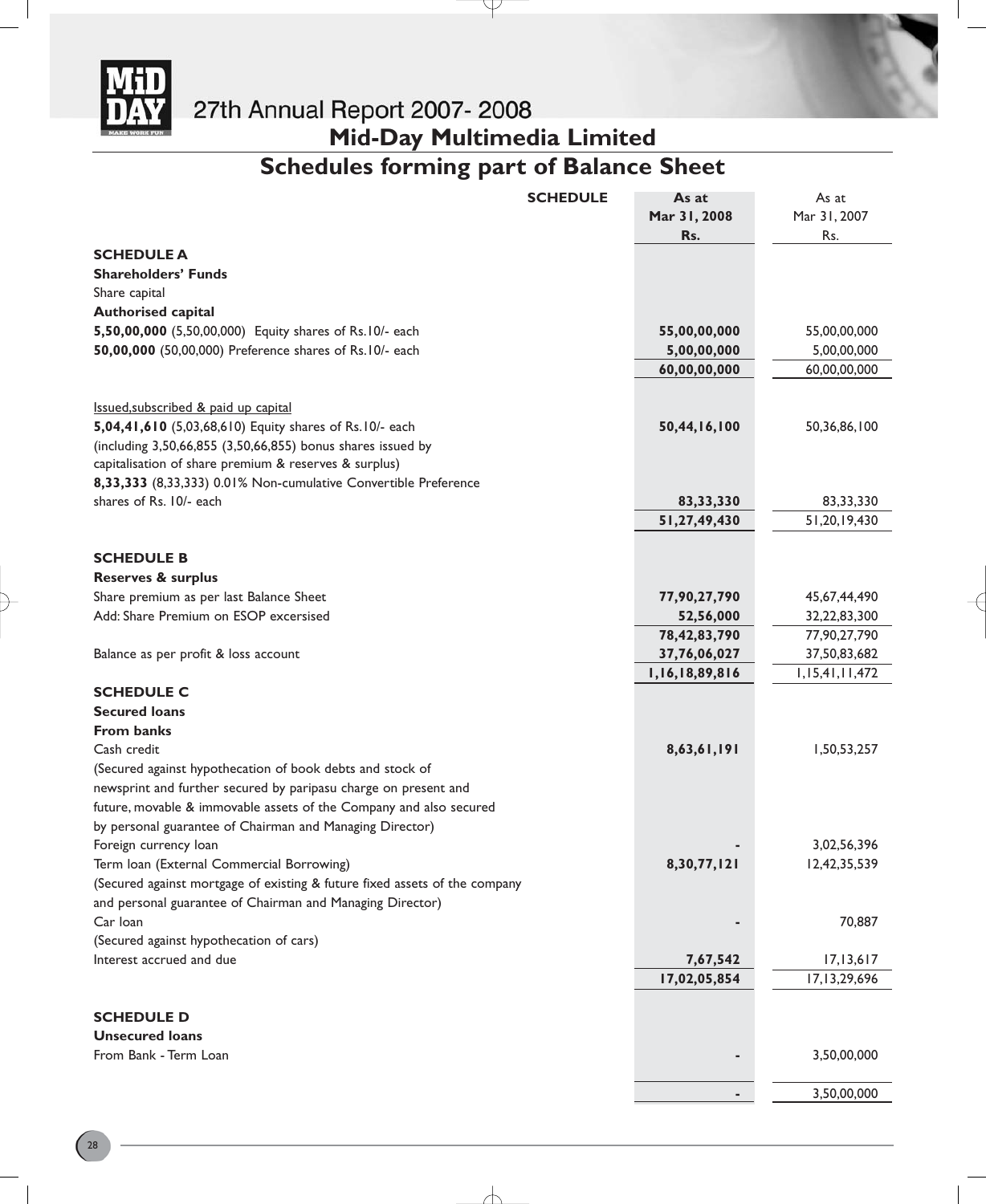

# **Mid-Day Multimedia Limited**

# **Schedules forming part of Balance Sheet**

Y

|                                                                            | <b>SCHEDULE</b> | As at          | As at              |
|----------------------------------------------------------------------------|-----------------|----------------|--------------------|
|                                                                            |                 | Mar 31, 2008   | Mar 31, 2007       |
|                                                                            |                 | Rs.            | Rs.                |
| <b>SCHEDULE A</b>                                                          |                 |                |                    |
| <b>Shareholders' Funds</b>                                                 |                 |                |                    |
| Share capital                                                              |                 |                |                    |
| <b>Authorised capital</b>                                                  |                 |                |                    |
| 5,50,00,000 (5,50,00,000) Equity shares of Rs.10/- each                    |                 | 55,00,00,000   | 55,00,00,000       |
| 50,00,000 (50,00,000) Preference shares of Rs. 10/- each                   |                 | 5,00,00,000    | 5,00,00,000        |
|                                                                            |                 | 60,00,00,000   | 60,00,00,000       |
|                                                                            |                 |                |                    |
| Issued, subscribed & paid up capital                                       |                 |                |                    |
| 5,04,41,610 (5,03,68,610) Equity shares of Rs.10/- each                    |                 | 50,44,16,100   | 50,36,86,100       |
| (including 3,50,66,855 (3,50,66,855) bonus shares issued by                |                 |                |                    |
| capitalisation of share premium & reserves & surplus)                      |                 |                |                    |
| 8,33,333 (8,33,333) 0.01% Non-cumulative Convertible Preference            |                 |                |                    |
| shares of Rs. 10/- each                                                    |                 | 83, 33, 330    | 83,33,330          |
|                                                                            |                 | 51,27,49,430   | 51,20,19,430       |
|                                                                            |                 |                |                    |
| <b>SCHEDULE B</b>                                                          |                 |                |                    |
| <b>Reserves &amp; surplus</b>                                              |                 |                |                    |
| Share premium as per last Balance Sheet                                    |                 | 77,90,27,790   | 45,67,44,490       |
| Add: Share Premium on ESOP excersised                                      |                 | 52,56,000      | 32,22,83,300       |
|                                                                            |                 | 78,42,83,790   | 77,90,27,790       |
| Balance as per profit & loss account                                       |                 | 37,76,06,027   | 37,50,83,682       |
|                                                                            |                 | 1,16,18,89,816 | 1, 15, 41, 11, 472 |
| <b>SCHEDULE C</b>                                                          |                 |                |                    |
| <b>Secured loans</b>                                                       |                 |                |                    |
| <b>From banks</b>                                                          |                 |                |                    |
| Cash credit                                                                |                 | 8,63,61,191    | 1,50,53,257        |
|                                                                            |                 |                |                    |
| (Secured against hypothecation of book debts and stock of                  |                 |                |                    |
| newsprint and further secured by paripasu charge on present and            |                 |                |                    |
| future, movable & immovable assets of the Company and also secured         |                 |                |                    |
| by personal guarantee of Chairman and Managing Director)                   |                 |                |                    |
| Foreign currency loan                                                      |                 |                | 3,02,56,396        |
| Term Ioan (External Commercial Borrowing)                                  |                 | 8,30,77,121    | 12,42,35,539       |
| (Secured against mortgage of existing & future fixed assets of the company |                 |                |                    |
| and personal guarantee of Chairman and Managing Director)                  |                 |                |                    |
| Car Ioan                                                                   |                 |                | 70,887             |
| (Secured against hypothecation of cars)                                    |                 |                |                    |
| Interest accrued and due                                                   |                 | 7,67,542       | 17, 13, 617        |
|                                                                            |                 | 17,02,05,854   | 17,13,29,696       |
| <b>SCHEDULE D</b>                                                          |                 |                |                    |
| <b>Unsecured loans</b>                                                     |                 |                |                    |
| From Bank - Term Loan                                                      |                 |                | 3,50,00,000        |
|                                                                            |                 |                |                    |
|                                                                            |                 |                | 3,50,00,000        |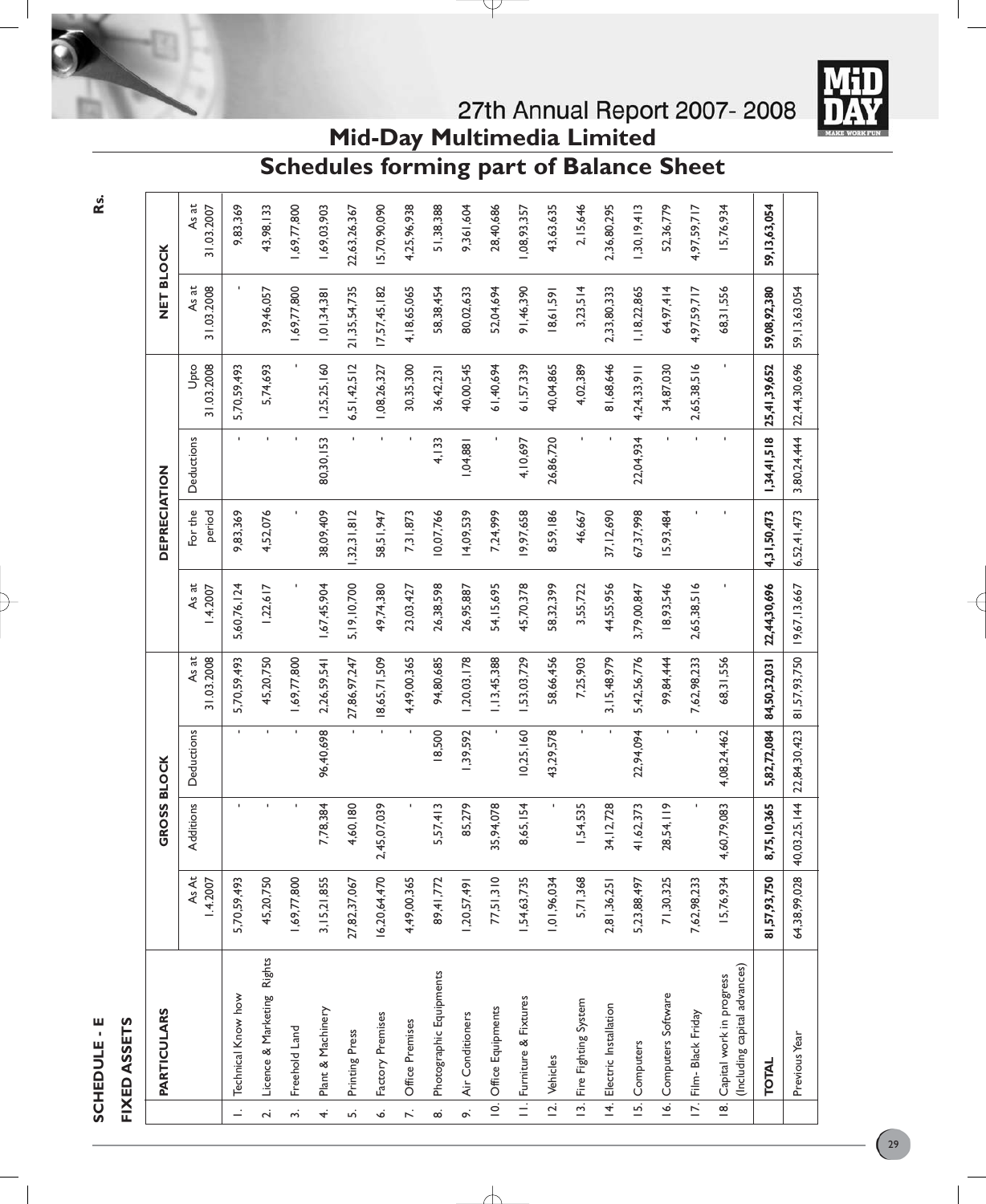

# FIXED ASSETS **FIXED ASSETS**

|                | <b>PARTICULARS</b>                                           |                          | <b>GROSS BLOCK</b> |              |                     |                   | DEPRECIATION      |              |                          | NET BLOCK           |                     |
|----------------|--------------------------------------------------------------|--------------------------|--------------------|--------------|---------------------|-------------------|-------------------|--------------|--------------------------|---------------------|---------------------|
|                |                                                              | <b>As At</b><br>1.4.2007 | Additions          | Deductions   | 31.03.2008<br>As at | As at<br>1.4.2007 | For the<br>period | Deductions   | 31.03.2008<br>Upto       | 31.03.2008<br>As at | As at<br>31.03.2007 |
|                | 1. Technical Know how                                        | 5,70,59,493              |                    |              | 5,70,59,493         | 5,60,76,124       | 9,83,369          |              | 5,70,59,493              |                     | 9,83,369            |
|                | 2. Licence & Marketing Rights                                | 45,20,750                |                    |              | 45,20,750           | 1,22,617          | 4,52,076          |              | 5,74,693                 | 39,46,057           | 43,98,133           |
| $\ddot{ }$     | Freehold Land                                                | 1,69,77,800              |                    |              | 1,69,77,800         |                   |                   |              |                          | 1,69,77,800         | 1,69,77,800         |
| $\vec{r}$      | Plant & Machinery                                            | 3, 15, 21, 855           | 7,78,384           | 96,40,698    | 2,26,59,541         | 1,67,45,904       | 38,09,409         | 80,30,153    | 1,25,25,160              | 1,01,34,38          | 1,69,03,903         |
| $\ddot{ }$     | Printing Press                                               | 27,82,37,067             | 4,60,180           |              | 27,86,97,247        | 5, 19, 10, 700    | 32,31,812         |              | 6,51,42,512              | 21, 35, 54, 735     | 22,63,26,367        |
| è,             | Factory Premises                                             | 16,20,64,470             | 2,45,07,039        |              | 18,65,71,509        | 49,74,380         | 58,51,947         |              | 1,08,26,327              | 17,57,45,182        | 5,70,90,090         |
|                | 7. <b>Office Premises</b>                                    | 4,49,00,365              |                    |              | 4,49,00,365         | 23,03,427         | 7,31,873          |              | 30,35,300                | 4, 18, 65, 065      | 4,25,96,938         |
| $\infty$       | Photographic Equipments                                      | 89,41,772                | 5,57,413           | 18,500       | 94,80,685           | 26,38,598         | 10,07,766         | 4,133        | 36,42,23                 | 58,38,454           | 51,38,388           |
| $\ddot{\circ}$ | Air Conditioners                                             | 1,20,57,491              | 85,279             | 1,39,592     | ,20,03,178          | 26,95,887         | 14,09,539         | 1,04,881     | 40,00,545                | 80,02,633           | 9,361,604           |
|                | 10. Office Equipments                                        | 77,51,310                | 35,94,078          |              | 1,13,45,388         | 54, 15, 695       | 7,24,999          |              | 61,40,694                | 52,04,694           | 28,40,686           |
|                | II. Furniture & Fixtures                                     | 1,54,63,735              | 8,65,154           | 10,25,160    | ,53,03,729          | 45,70,378         | 9,97,658          | 4,10,697     | 61,57,339                | 91, 46, 390         | 1,08,93,357         |
|                | 12. Vehicles                                                 | 1,01,96,034              |                    | 43,29,578    | 58,66,456           | 58,32,399         | 8,59,186          | 26,86,720    | 40,04,865                | 18,61,591           | 43,63,635           |
|                | 13. Fire Fighting System                                     | 5,71,368                 | 1,54,535           | J.           | 7,25,903            | 3,55,722          | 46,667            | $\mathbf{I}$ | 4,02,389                 | 3,23,514            | 2,15,646            |
|                | 14. Electric Installation                                    | 2,81,36,25               | 34, 12, 728        |              | 3, 15, 48, 979      | 44,55,956         | 37, 12, 690       |              | 81,68,646                | 2,33,80,333         | 2,36,80,295         |
|                | 15. Computers                                                | 5,23,88,497              | 41,62,373          | 22,94,094    | 5,42,56,776         | 3,79,00,847       | 67,37,998         | 22,04,934    | 4,24,33,911              | 1, 18, 22, 865      | 1,30,19,413         |
|                | 16. Computers Software                                       | 71,30,325                | 28,54,119          |              | 99,84,444           | 18,93,546         | 15,93,484         |              | 34,87,030                | 64,97,414           | 52,36,779           |
|                | 17. Film- Black Friday                                       | 7,62,98,233              |                    | ٠            | 7,62,98,233         | 2,65,38,516       |                   |              | 2,65,38,516              | 4,97,59,717         | 4,97,59,717         |
|                | (Including capital advances)<br>18. Capital work in progress | 15,76,934                | 4,60,79,083        | 4,08,24,462  | 68,31,556           |                   |                   |              |                          | 68,31,556           | 15,76,934           |
|                | <b>TOTAL</b>                                                 | 81,57,93,750             | 8,75,10,365        | 5,82,72,084  | 84,50,32,031        | 22,44,30,696      | 4,31,50,473       | 1,34,41,518  | 25,41,39,652             | 59,08,92,380        | 59, 13, 63, 054     |
|                | Previous Year                                                | 64,38,99,028             | 40,03,25,144       | 22,84,30,423 | 81,57,93,750        | 19,67,13,667      | 6,52,41,473       |              | 3,80,24,444 22,44,30,696 | 59, 13, 63, 054     |                     |
|                |                                                              |                          |                    |              |                     |                   |                   |              |                          |                     |                     |

**Mid-Day Multimedia Limited Schedules forming part of Balance Sheet**

**Rs.**

 $\Big(29\Big)$ 

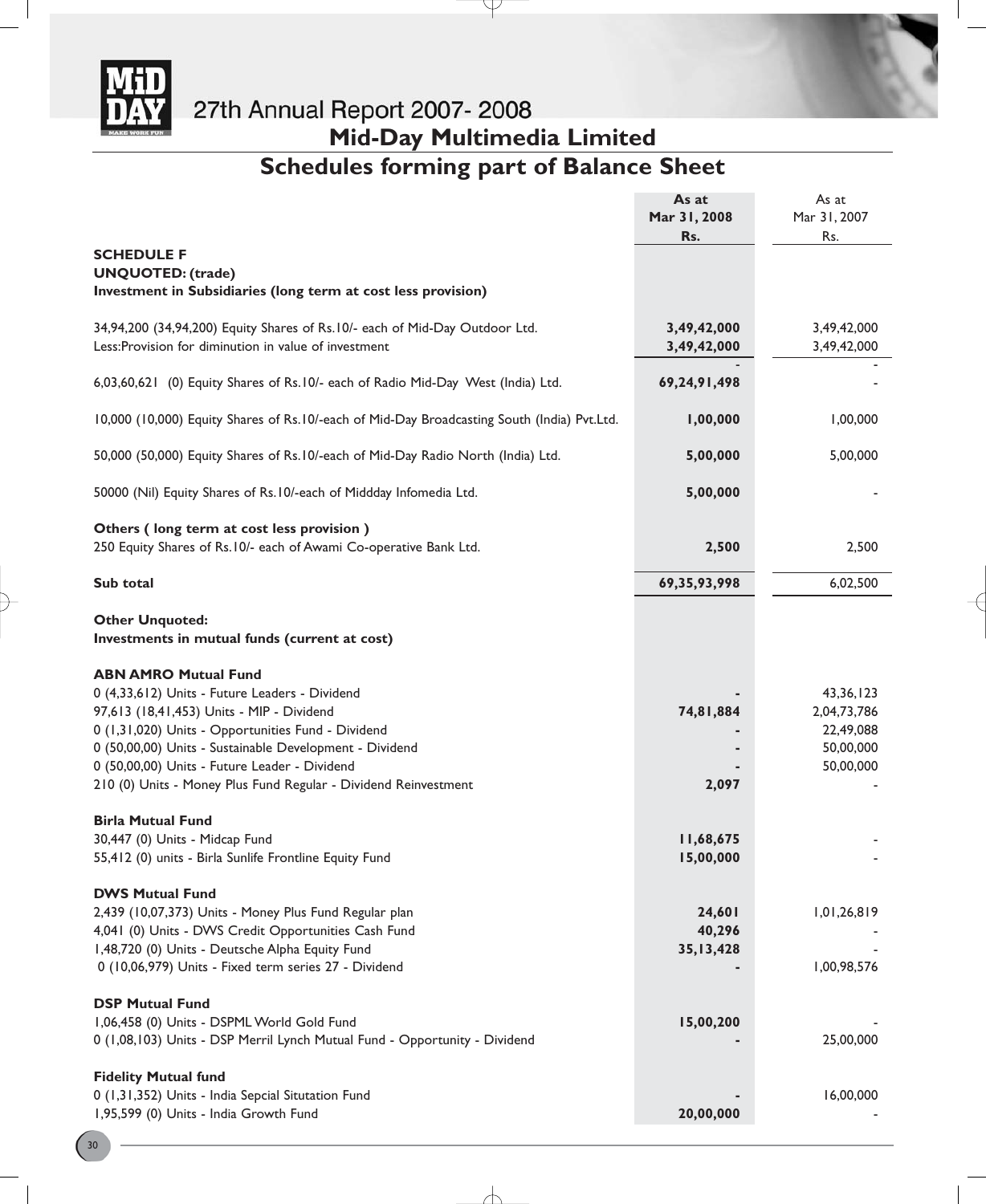

# **Mid-Day Multimedia Limited**

# **Schedules forming part of Balance Sheet**

Y

|                                                                                                                                                                                                                                                                                                                                                                              | As at<br>Mar 31, 2008                                     | As at<br>Mar 31, 2007                                             |
|------------------------------------------------------------------------------------------------------------------------------------------------------------------------------------------------------------------------------------------------------------------------------------------------------------------------------------------------------------------------------|-----------------------------------------------------------|-------------------------------------------------------------------|
|                                                                                                                                                                                                                                                                                                                                                                              | Rs.                                                       | Rs.                                                               |
| <b>SCHEDULE F</b><br><b>UNQUOTED: (trade)</b><br>Investment in Subsidiaries (long term at cost less provision)                                                                                                                                                                                                                                                               |                                                           |                                                                   |
| 34,94,200 (34,94,200) Equity Shares of Rs.10/- each of Mid-Day Outdoor Ltd.<br>Less: Provision for diminution in value of investment                                                                                                                                                                                                                                         | 3,49,42,000<br>3,49,42,000                                | 3,49,42,000<br>3,49,42,000                                        |
| 6,03,60,621 (0) Equity Shares of Rs.10/- each of Radio Mid-Day West (India) Ltd.                                                                                                                                                                                                                                                                                             | 69, 24, 91, 498                                           |                                                                   |
| 10,000 (10,000) Equity Shares of Rs.10/-each of Mid-Day Broadcasting South (India) Pvt.Ltd.                                                                                                                                                                                                                                                                                  | 1,00,000                                                  | 1,00,000                                                          |
| 50,000 (50,000) Equity Shares of Rs.10/-each of Mid-Day Radio North (India) Ltd.                                                                                                                                                                                                                                                                                             | 5,00,000                                                  | 5,00,000                                                          |
| 50000 (Nil) Equity Shares of Rs. 10/-each of Middday Infomedia Ltd.                                                                                                                                                                                                                                                                                                          | 5,00,000                                                  |                                                                   |
| Others (long term at cost less provision)<br>250 Equity Shares of Rs.10/- each of Awami Co-operative Bank Ltd.                                                                                                                                                                                                                                                               | 2,500                                                     | 2,500                                                             |
| Sub total                                                                                                                                                                                                                                                                                                                                                                    | 69, 35, 93, 998                                           | 6,02,500                                                          |
| <b>Other Unquoted:</b><br>Investments in mutual funds (current at cost)                                                                                                                                                                                                                                                                                                      |                                                           |                                                                   |
| <b>ABN AMRO Mutual Fund</b><br>0 (4,33,612) Units - Future Leaders - Dividend<br>97,613 (18,41,453) Units - MIP - Dividend<br>0 (1,31,020) Units - Opportunities Fund - Dividend<br>0 (50,00,00) Units - Sustainable Development - Dividend<br>0 (50,00,00) Units - Future Leader - Dividend<br>210 (0) Units - Money Plus Fund Regular - Dividend Reinvestment              | 74,81,884<br>2,097                                        | 43, 36, 123<br>2,04,73,786<br>22,49,088<br>50,00,000<br>50,00,000 |
| <b>Birla Mutual Fund</b><br>30,447 (0) Units - Midcap Fund<br>55,412 (0) units - Birla Sunlife Frontline Equity Fund<br><b>DWS Mutual Fund</b><br>2,439 (10,07,373) Units - Money Plus Fund Regular plan<br>4,041 (0) Units - DWS Credit Opportunities Cash Fund<br>1,48,720 (0) Units - Deutsche Alpha Equity Fund<br>0 (10,06,979) Units - Fixed term series 27 - Dividend | 11,68,675<br>15,00,000<br>24,601<br>40,296<br>35, 13, 428 | 1,01,26,819<br>1,00,98,576                                        |
| <b>DSP Mutual Fund</b><br>1,06,458 (0) Units - DSPML World Gold Fund<br>0 (1,08,103) Units - DSP Merril Lynch Mutual Fund - Opportunity - Dividend<br><b>Fidelity Mutual fund</b>                                                                                                                                                                                            | 15,00,200                                                 | 25,00,000                                                         |
| 0 (1,31,352) Units - India Sepcial Situtation Fund<br>1,95,599 (0) Units - India Growth Fund                                                                                                                                                                                                                                                                                 | 20,00,000                                                 | 16,00,000                                                         |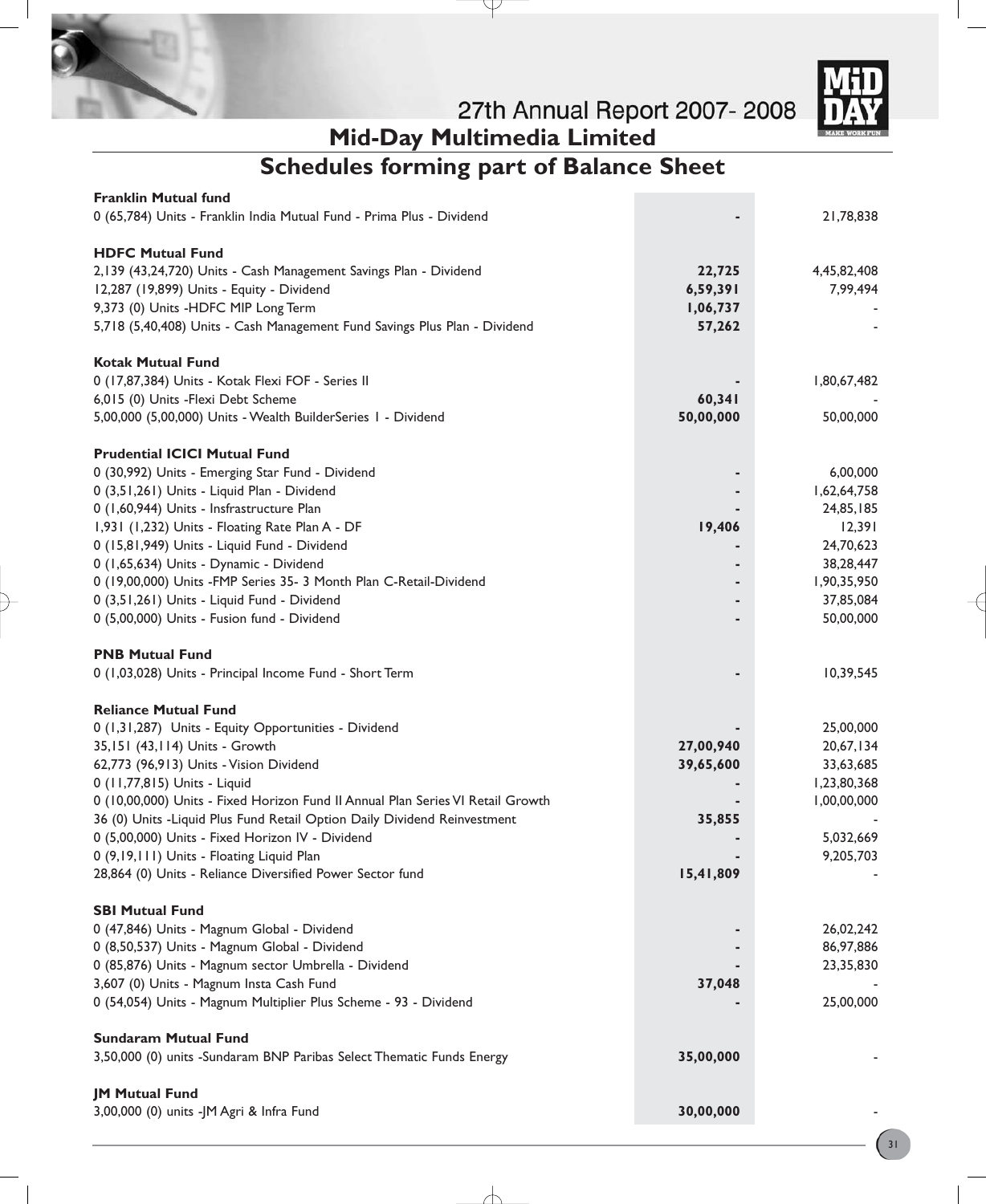

# **Mid-Day Multimedia Limited Schedules forming part of Balance Sheet**

P

| <b>Franklin Mutual fund</b>                                                     |           |             |
|---------------------------------------------------------------------------------|-----------|-------------|
| 0 (65,784) Units - Franklin India Mutual Fund - Prima Plus - Dividend           |           | 21,78,838   |
| <b>HDFC Mutual Fund</b>                                                         |           |             |
|                                                                                 |           |             |
| 2,139 (43,24,720) Units - Cash Management Savings Plan - Dividend               | 22,725    | 4,45,82,408 |
| 12,287 (19,899) Units - Equity - Dividend                                       | 6,59,391  | 7,99,494    |
| 9,373 (0) Units -HDFC MIP Long Term                                             | 1,06,737  |             |
| 5,718 (5,40,408) Units - Cash Management Fund Savings Plus Plan - Dividend      | 57,262    |             |
| <b>Kotak Mutual Fund</b>                                                        |           |             |
| 0 (17,87,384) Units - Kotak Flexi FOF - Series II                               |           | 1,80,67,482 |
| 6,015 (0) Units - Flexi Debt Scheme                                             | 60,341    |             |
| 5,00,000 (5,00,000) Units - Wealth BuilderSeries I - Dividend                   | 50,00,000 | 50,00,000   |
|                                                                                 |           |             |
| <b>Prudential ICICI Mutual Fund</b>                                             |           |             |
| 0 (30,992) Units - Emerging Star Fund - Dividend                                |           | 6,00,000    |
| 0 (3,51,261) Units - Liquid Plan - Dividend                                     |           | 1,62,64,758 |
| 0 (1,60,944) Units - Insfrastructure Plan                                       |           | 24,85,185   |
| 1,931 (1,232) Units - Floating Rate Plan A - DF                                 | 19,406    | 12,391      |
| 0 (15,81,949) Units - Liquid Fund - Dividend                                    |           | 24,70,623   |
| 0 (1,65,634) Units - Dynamic - Dividend                                         |           | 38,28,447   |
| 0 (19,00,000) Units -FMP Series 35- 3 Month Plan C-Retail-Dividend              |           | 1,90,35,950 |
| 0 (3,51,261) Units - Liquid Fund - Dividend                                     |           | 37,85,084   |
| 0 (5,00,000) Units - Fusion fund - Dividend                                     |           | 50,00,000   |
| <b>PNB Mutual Fund</b>                                                          |           |             |
| 0 (1,03,028) Units - Principal Income Fund - Short Term                         |           | 10,39,545   |
|                                                                                 |           |             |
| <b>Reliance Mutual Fund</b>                                                     |           |             |
| 0 (1,31,287) Units - Equity Opportunities - Dividend                            |           | 25,00,000   |
| 35,151 (43,114) Units - Growth                                                  | 27,00,940 | 20,67,134   |
| 62,773 (96,913) Units - Vision Dividend                                         | 39,65,600 | 33,63,685   |
| 0 (11,77,815) Units - Liquid                                                    |           | 1,23,80,368 |
| 0 (10,00,000) Units - Fixed Horizon Fund II Annual Plan Series VI Retail Growth |           | 1,00,00,000 |
| 36 (0) Units - Liquid Plus Fund Retail Option Daily Dividend Reinvestment       | 35,855    |             |
| 0 (5,00,000) Units - Fixed Horizon IV - Dividend                                |           | 5,032,669   |
| 0 (9,19,111) Units - Floating Liquid Plan                                       |           | 9,205,703   |
| 28,864 (0) Units - Reliance Diversified Power Sector fund                       | 15,41,809 |             |
|                                                                                 |           |             |
| <b>SBI Mutual Fund</b>                                                          |           |             |
| 0 (47,846) Units - Magnum Global - Dividend                                     |           | 26,02,242   |
| 0 (8,50,537) Units - Magnum Global - Dividend                                   |           | 86,97,886   |
| 0 (85,876) Units - Magnum sector Umbrella - Dividend                            |           | 23,35,830   |
| 3,607 (0) Units - Magnum Insta Cash Fund                                        | 37,048    |             |
| 0 (54,054) Units - Magnum Multiplier Plus Scheme - 93 - Dividend                |           | 25,00,000   |
| <b>Sundaram Mutual Fund</b>                                                     |           |             |
| 3,50,000 (0) units -Sundaram BNP Paribas Select Thematic Funds Energy           | 35,00,000 |             |
|                                                                                 |           |             |
| <b>JM Mutual Fund</b>                                                           |           |             |
| 3,00,000 (0) units -JM Agri & Infra Fund                                        | 30,00,000 |             |
|                                                                                 |           |             |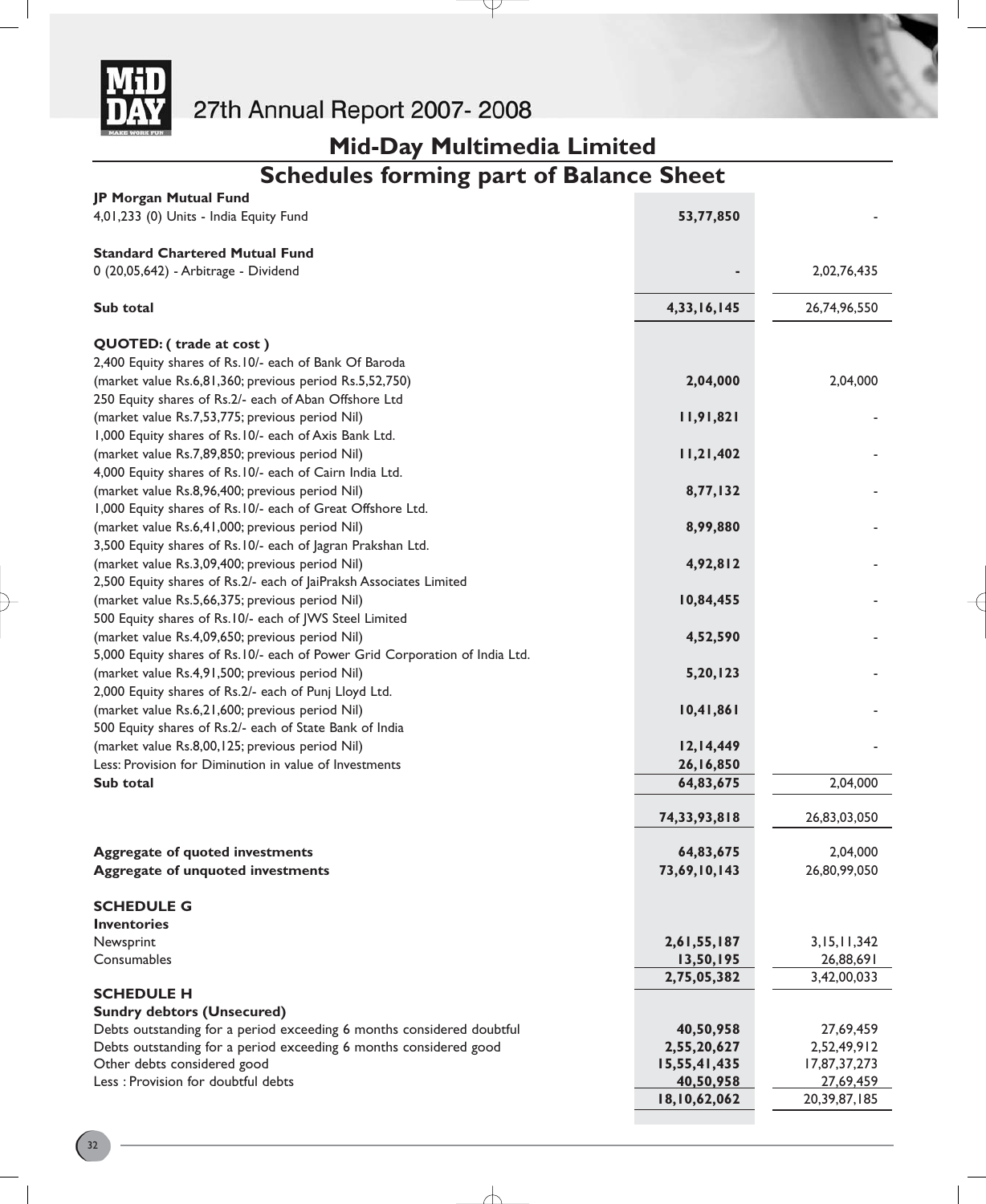

# **Mid-Day Multimedia Limited**

# **Schedules forming part of Balance Sheet**

Y

| JP Morgan Mutual Fund                                                                                      |                           |                           |
|------------------------------------------------------------------------------------------------------------|---------------------------|---------------------------|
| 4,01,233 (0) Units - India Equity Fund                                                                     | 53,77,850                 |                           |
|                                                                                                            |                           |                           |
| <b>Standard Chartered Mutual Fund</b>                                                                      |                           |                           |
| 0 (20,05,642) - Arbitrage - Dividend                                                                       |                           | 2,02,76,435               |
| Sub total                                                                                                  | 4,33,16,145               | 26,74,96,550              |
|                                                                                                            |                           |                           |
| QUOTED: (trade at cost)                                                                                    |                           |                           |
| 2,400 Equity shares of Rs.10/- each of Bank Of Baroda                                                      |                           |                           |
| (market value Rs.6,81,360; previous period Rs.5,52,750)                                                    | 2,04,000                  | 2,04,000                  |
| 250 Equity shares of Rs.2/- each of Aban Offshore Ltd                                                      |                           |                           |
| (market value Rs.7,53,775; previous period Nil)                                                            | 11,91,821                 |                           |
| 1,000 Equity shares of Rs.10/- each of Axis Bank Ltd.                                                      |                           |                           |
| (market value Rs.7,89,850; previous period Nil)                                                            | 11,21,402                 |                           |
| 4,000 Equity shares of Rs.10/- each of Cairn India Ltd.                                                    |                           |                           |
| (market value Rs.8,96,400; previous period Nil)                                                            | 8,77,132                  |                           |
| 1,000 Equity shares of Rs.10/- each of Great Offshore Ltd.                                                 |                           |                           |
| (market value Rs.6,41,000; previous period Nil)                                                            | 8,99,880                  |                           |
| 3,500 Equity shares of Rs.10/- each of Jagran Prakshan Ltd.                                                |                           |                           |
| (market value Rs.3,09,400; previous period Nil)                                                            | 4,92,812                  |                           |
| 2,500 Equity shares of Rs.2/- each of JaiPraksh Associates Limited                                         |                           |                           |
| (market value Rs.5,66,375; previous period Nil)                                                            | 10,84,455                 |                           |
| 500 Equity shares of Rs.10/- each of JWS Steel Limited                                                     |                           |                           |
| (market value Rs.4,09,650; previous period Nil)                                                            | 4,52,590                  |                           |
| 5,000 Equity shares of Rs.10/- each of Power Grid Corporation of India Ltd.                                |                           |                           |
| (market value Rs.4,91,500; previous period Nil)                                                            | 5,20,123                  |                           |
| 2,000 Equity shares of Rs.2/- each of Punj Lloyd Ltd.                                                      |                           |                           |
| (market value Rs.6,21,600; previous period Nil)                                                            | 10,41,861                 |                           |
| 500 Equity shares of Rs.2/- each of State Bank of India<br>(market value Rs.8,00,125; previous period Nil) | 12,14,449                 |                           |
| Less: Provision for Diminution in value of Investments                                                     | 26,16,850                 |                           |
| Sub total                                                                                                  | 64,83,675                 | 2,04,000                  |
|                                                                                                            |                           |                           |
|                                                                                                            | 74, 33, 93, 818           | 26,83,03,050              |
|                                                                                                            |                           |                           |
| <b>Aggregate of quoted investments</b>                                                                     | 64,83,675                 | 2,04,000                  |
| Aggregate of unquoted investments                                                                          | 73,69,10,143              | 26,80,99,050              |
| <b>SCHEDULE G</b>                                                                                          |                           |                           |
| <b>Inventories</b>                                                                                         |                           |                           |
| Newsprint                                                                                                  | 2,61,55,187               | 3,15,11,342               |
| Consumables                                                                                                | 13,50,195                 | 26,88,691                 |
|                                                                                                            | 2,75,05,382               | 3,42,00,033               |
| <b>SCHEDULE H</b>                                                                                          |                           |                           |
| <b>Sundry debtors (Unsecured)</b>                                                                          |                           |                           |
| Debts outstanding for a period exceeding 6 months considered doubtful                                      | 40,50,958                 | 27,69,459                 |
| Debts outstanding for a period exceeding 6 months considered good                                          | 2,55,20,627               | 2,52,49,912               |
| Other debts considered good<br>Less : Provision for doubtful debts                                         | 15,55,41,435<br>40,50,958 | 17,87,37,273<br>27,69,459 |
|                                                                                                            | 18,10,62,062              | 20,39,87,185              |
|                                                                                                            |                           |                           |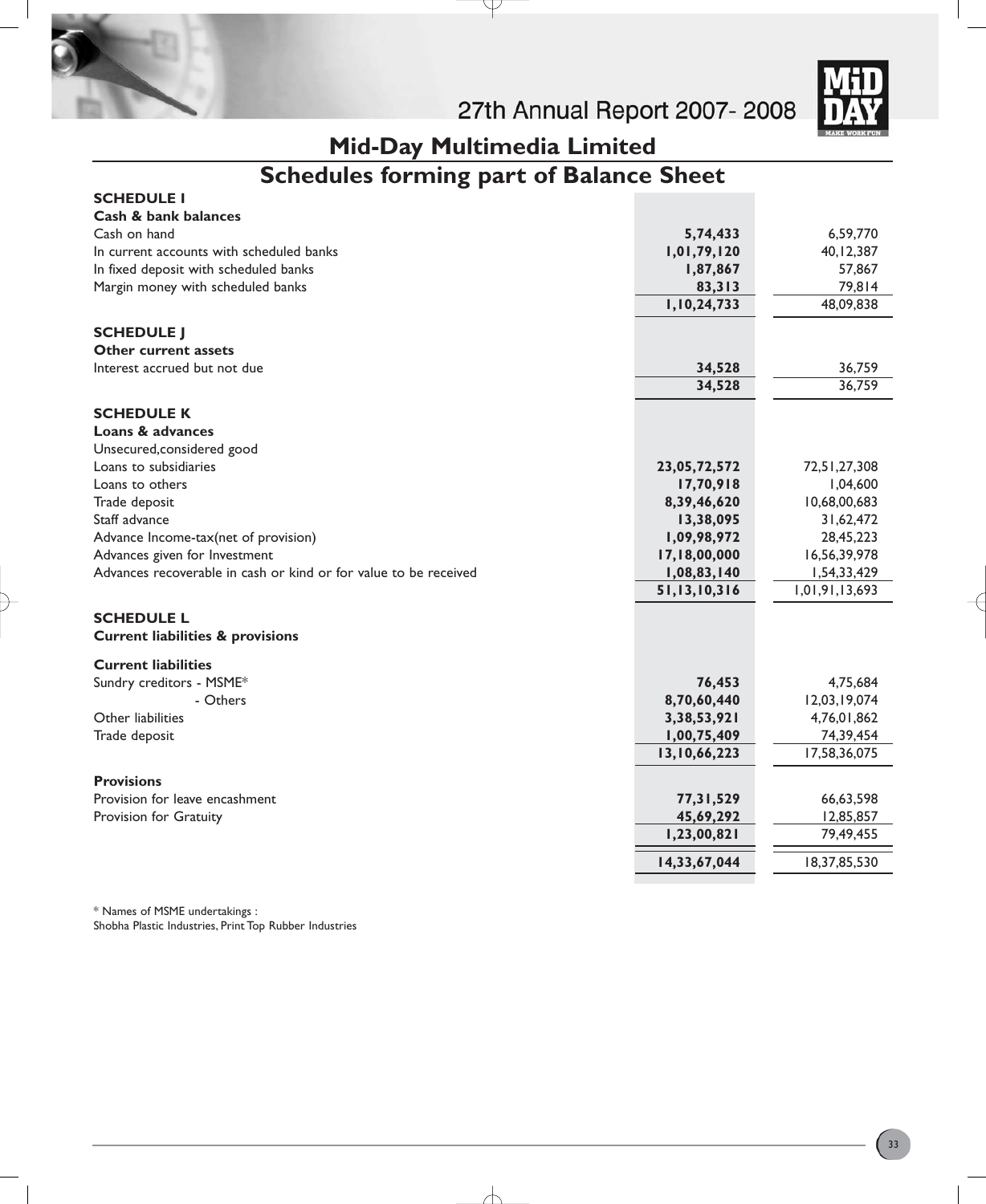

# **Mid-Day Multimedia Limited**

Y

# **Schedules forming part of Balance Sheet**

| <b>SCHEDULE I</b>                                                |                          |                          |
|------------------------------------------------------------------|--------------------------|--------------------------|
| Cash & bank balances                                             |                          |                          |
| Cash on hand                                                     | 5,74,433                 | 6,59,770                 |
| In current accounts with scheduled banks                         | 1,01,79,120              | 40, 12, 387              |
| In fixed deposit with scheduled banks                            | 1,87,867                 | 57,867                   |
| Margin money with scheduled banks                                | 83,313                   | 79,814                   |
|                                                                  | 1,10,24,733              | 48,09,838                |
| <b>SCHEDULE J</b>                                                |                          |                          |
| <b>Other current assets</b>                                      |                          |                          |
| Interest accrued but not due                                     | 34,528                   | 36,759                   |
|                                                                  | 34,528                   | 36,759                   |
|                                                                  |                          |                          |
| <b>SCHEDULE K</b><br>Loans & advances                            |                          |                          |
|                                                                  |                          |                          |
| Unsecured, considered good<br>Loans to subsidiaries              | 23,05,72,572             | 72,51,27,308             |
| Loans to others                                                  |                          |                          |
| Trade deposit                                                    | 17,70,918<br>8,39,46,620 | 1,04,600<br>10,68,00,683 |
| Staff advance                                                    | 13,38,095                | 31,62,472                |
| Advance Income-tax(net of provision)                             | 1,09,98,972              | 28,45,223                |
| Advances given for Investment                                    | 17,18,00,000             | 16,56,39,978             |
| Advances recoverable in cash or kind or for value to be received | 1,08,83,140              | 1,54,33,429              |
|                                                                  | 51,13,10,316             | 1,01,91,13,693           |
|                                                                  |                          |                          |
| <b>SCHEDULE L</b>                                                |                          |                          |
| <b>Current liabilities &amp; provisions</b>                      |                          |                          |
| <b>Current liabilities</b>                                       |                          |                          |
| Sundry creditors - MSME*                                         | 76,453                   | 4,75,684                 |
| - Others                                                         | 8,70,60,440              | 12,03,19,074             |
| Other liabilities                                                | 3,38,53,921              | 4,76,01,862              |
| Trade deposit                                                    | 1,00,75,409              | 74,39,454                |
|                                                                  | 13,10,66,223             | 17,58,36,075             |
| <b>Provisions</b>                                                |                          |                          |
| Provision for leave encashment                                   | 77,31,529                | 66,63,598                |
| Provision for Gratuity                                           | 45,69,292                | 12,85,857                |
|                                                                  | 1,23,00,821              | 79,49,455                |
|                                                                  | 14,33,67,044             | 18,37,85,530             |
|                                                                  |                          |                          |

╅

\* Names of MSME undertakings : Shobha Plastic Industries, Print Top Rubber Industries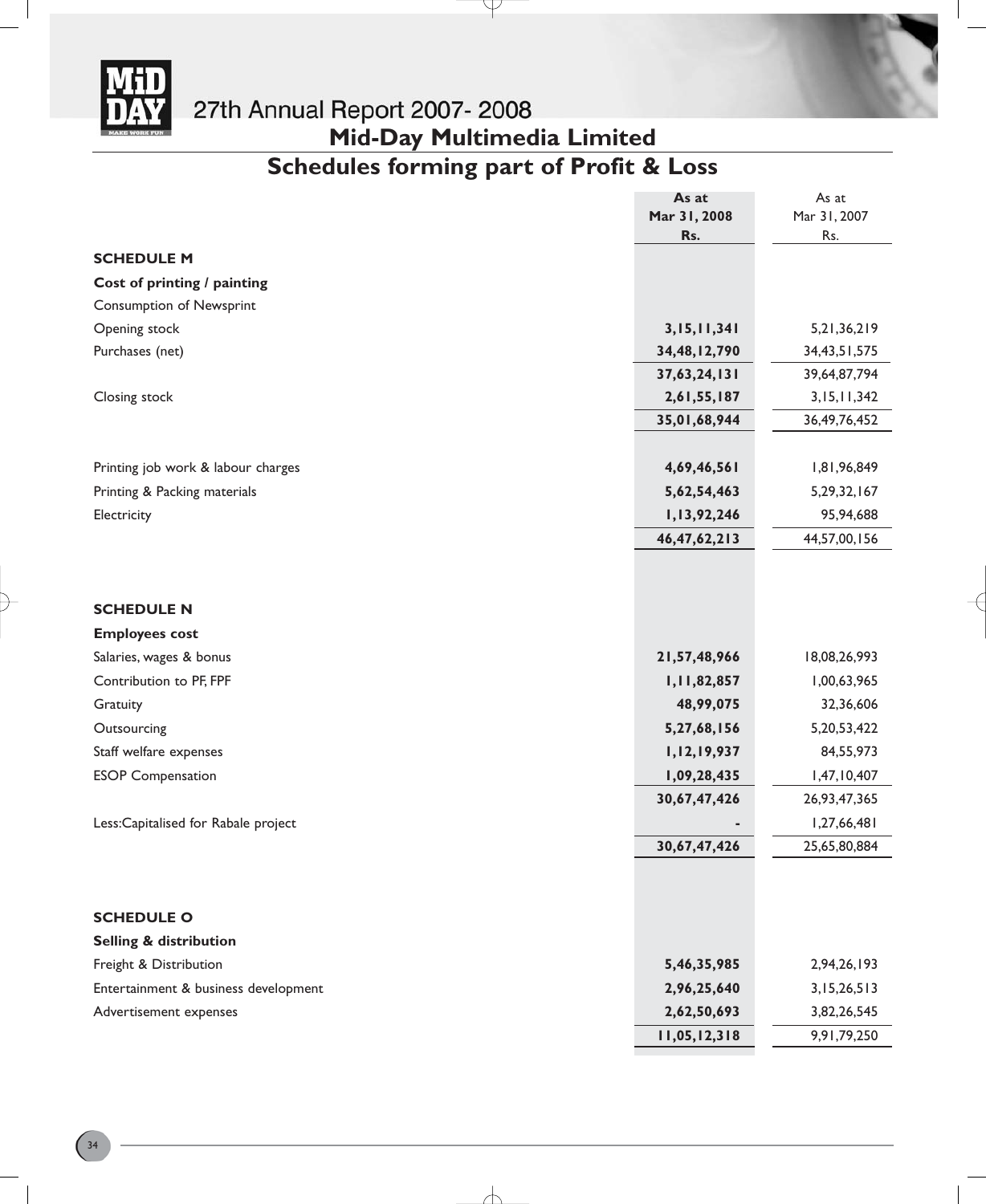

# **Mid-Day Multimedia Limited**

# **Schedules forming part of Profit & Loss**

Ψ

|                                      | As at           | As at           |
|--------------------------------------|-----------------|-----------------|
|                                      | Mar 31, 2008    | Mar 31, 2007    |
|                                      | Rs.             | Rs.             |
| <b>SCHEDULE M</b>                    |                 |                 |
| Cost of printing / painting          |                 |                 |
| <b>Consumption of Newsprint</b>      |                 |                 |
| Opening stock                        | 3,15,11,341     | 5, 21, 36, 219  |
| Purchases (net)                      | 34,48,12,790    | 34, 43, 51, 575 |
|                                      | 37,63,24,131    | 39,64,87,794    |
| Closing stock                        | 2,61,55,187     | 3,15,11,342     |
|                                      | 35,01,68,944    | 36, 49, 76, 452 |
|                                      |                 |                 |
| Printing job work & labour charges   | 4,69,46,561     | 1,81,96,849     |
| Printing & Packing materials         | 5,62,54,463     | 5,29,32,167     |
| Electricity                          | 1,13,92,246     | 95,94,688       |
|                                      | 46, 47, 62, 213 | 44,57,00,156    |
|                                      |                 |                 |
|                                      |                 |                 |
| <b>SCHEDULE N</b>                    |                 |                 |
| <b>Employees cost</b>                |                 |                 |
| Salaries, wages & bonus              | 21,57,48,966    | 18,08,26,993    |
| Contribution to PF, FPF              | 1,11,82,857     | 1,00,63,965     |
| Gratuity                             | 48,99,075       | 32,36,606       |
| Outsourcing                          | 5,27,68,156     | 5, 20, 53, 422  |
| Staff welfare expenses               | 1,12,19,937     | 84,55,973       |
| <b>ESOP Compensation</b>             | 1,09,28,435     | 1,47,10,407     |
|                                      | 30,67,47,426    | 26,93,47,365    |
| Less:Capitalised for Rabale project  |                 | 1,27,66,481     |
|                                      | 30,67,47,426    | 25,65,80,884    |
|                                      |                 |                 |
|                                      |                 |                 |
| <b>SCHEDULE O</b>                    |                 |                 |
| Selling & distribution               |                 |                 |
| Freight & Distribution               | 5,46,35,985     | 2,94,26,193     |
| Entertainment & business development | 2,96,25,640     | 3,15,26,513     |
| Advertisement expenses               | 2,62,50,693     | 3,82,26,545     |
|                                      | 11,05,12,318    | 9,91,79,250     |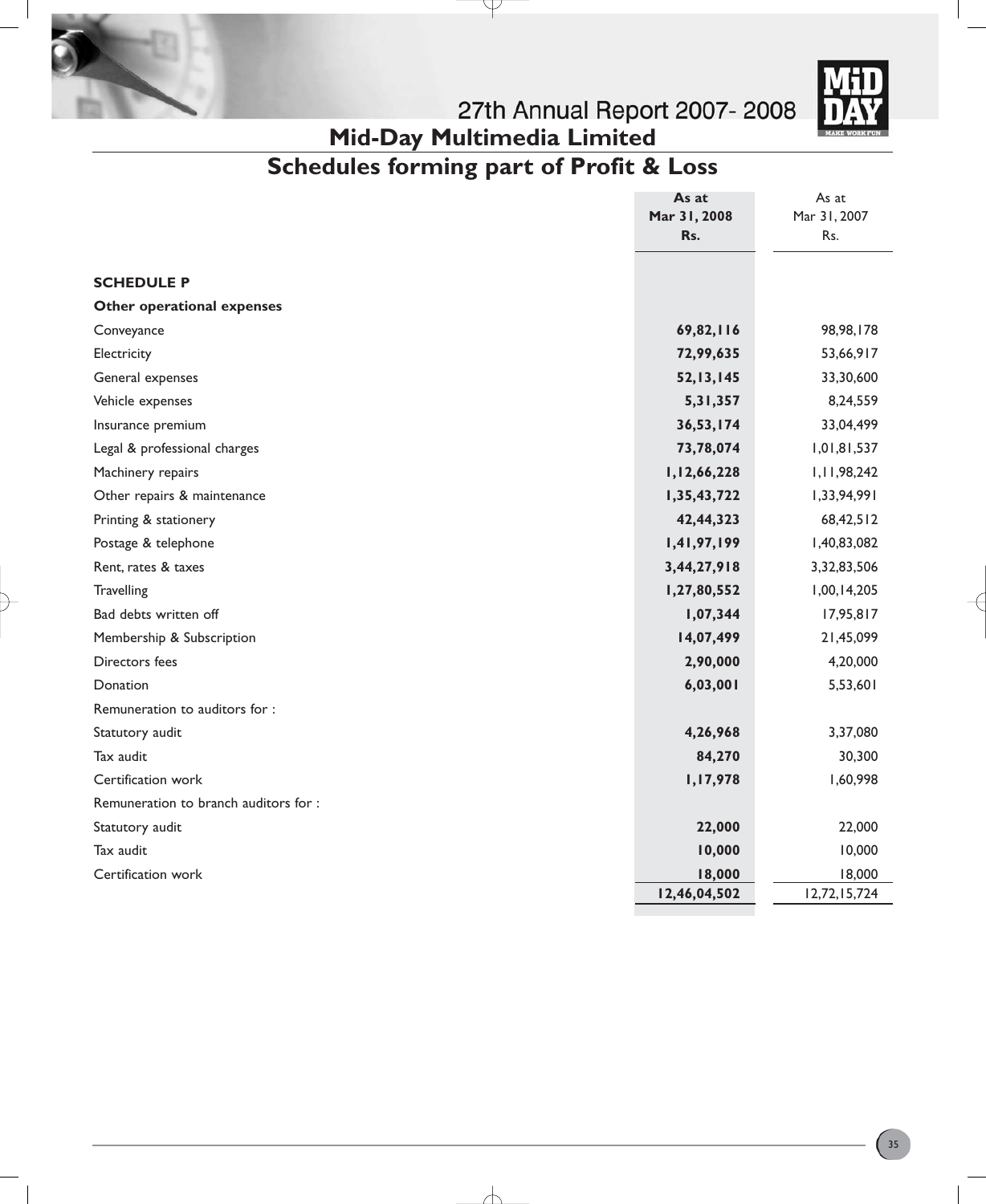



# **Mid-Day Multimedia Limited**

# **Schedules forming part of Profit & Loss**

 $\overline{\nu}$ 

|                                      | As at        | As at        |
|--------------------------------------|--------------|--------------|
|                                      | Mar 31, 2008 | Mar 31, 2007 |
|                                      | Rs.          | Rs.          |
|                                      |              |              |
| <b>SCHEDULE P</b>                    |              |              |
| Other operational expenses           |              |              |
| Conveyance                           | 69,82,116    | 98,98,178    |
| Electricity                          | 72,99,635    | 53,66,917    |
| General expenses                     | 52, 13, 145  | 33,30,600    |
| Vehicle expenses                     | 5, 31, 357   | 8,24,559     |
| Insurance premium                    | 36,53,174    | 33,04,499    |
| Legal & professional charges         | 73,78,074    | 1,01,81,537  |
| Machinery repairs                    | 1,12,66,228  | 1,11,98,242  |
| Other repairs & maintenance          | 1,35,43,722  | 1,33,94,991  |
| Printing & stationery                | 42,44,323    | 68,42,512    |
| Postage & telephone                  | 1,41,97,199  | 1,40,83,082  |
| Rent, rates & taxes                  | 3,44,27,918  | 3,32,83,506  |
| Travelling                           | 1,27,80,552  | 1,00,14,205  |
| Bad debts written off                | 1,07,344     | 17,95,817    |
| Membership & Subscription            | 14,07,499    | 21,45,099    |
| Directors fees                       | 2,90,000     | 4,20,000     |
| Donation                             | 6,03,001     | 5,53,601     |
| Remuneration to auditors for:        |              |              |
| Statutory audit                      | 4,26,968     | 3,37,080     |
| Tax audit                            | 84,270       | 30,300       |
| Certification work                   | 1,17,978     | 1,60,998     |
| Remuneration to branch auditors for: |              |              |
| Statutory audit                      | 22,000       | 22,000       |
| Tax audit                            | 10,000       | 10,000       |
| Certification work                   | 18,000       | 18,000       |
|                                      | 12,46,04,502 | 12,72,15,724 |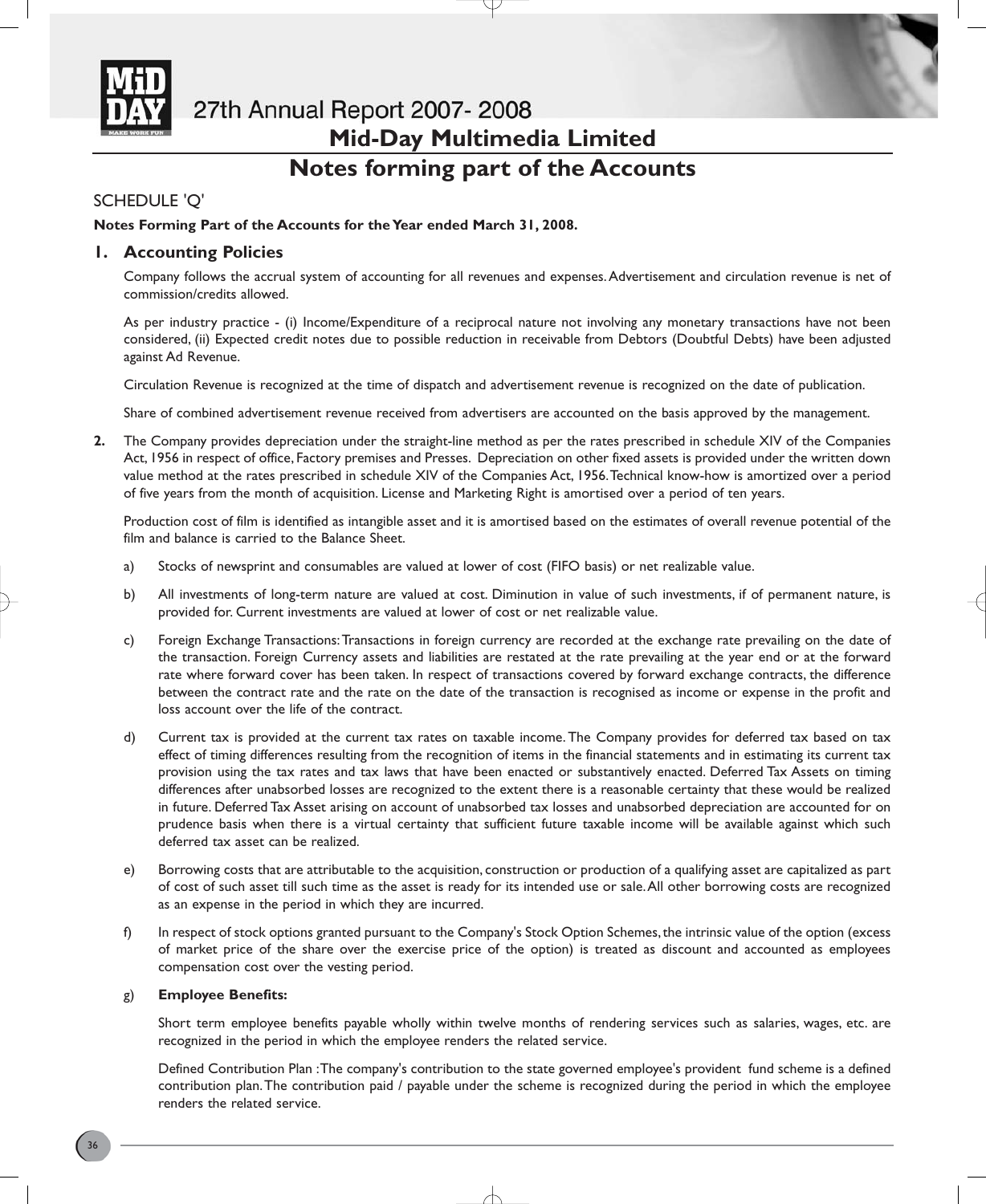

# 27th Annual Report 2007-2008 **Mid-Day Multimedia Limited Notes forming part of the Accounts**

# SCHEDULE 'Q'

## **Notes Forming Part of the Accounts for the Year ended March 31, 2008.**

## **1. Accounting Policies**

Company follows the accrual system of accounting for all revenues and expenses.Advertisement and circulation revenue is net of commission/credits allowed.

As per industry practice - (i) Income/Expenditure of a reciprocal nature not involving any monetary transactions have not been considered, (ii) Expected credit notes due to possible reduction in receivable from Debtors (Doubtful Debts) have been adjusted against Ad Revenue.

Circulation Revenue is recognized at the time of dispatch and advertisement revenue is recognized on the date of publication.

Share of combined advertisement revenue received from advertisers are accounted on the basis approved by the management.

**2.** The Company provides depreciation under the straight-line method as per the rates prescribed in schedule XIV of the Companies Act, 1956 in respect of office, Factory premises and Presses. Depreciation on other fixed assets is provided under the written down value method at the rates prescribed in schedule XIV of the Companies Act, 1956.Technical know-how is amortized over a period of five years from the month of acquisition. License and Marketing Right is amortised over a period of ten years.

Production cost of film is identified as intangible asset and it is amortised based on the estimates of overall revenue potential of the film and balance is carried to the Balance Sheet.

- a) Stocks of newsprint and consumables are valued at lower of cost (FIFO basis) or net realizable value.
- b) All investments of long-term nature are valued at cost. Diminution in value of such investments, if of permanent nature, is provided for. Current investments are valued at lower of cost or net realizable value.
- c) Foreign Exchange Transactions:Transactions in foreign currency are recorded at the exchange rate prevailing on the date of the transaction. Foreign Currency assets and liabilities are restated at the rate prevailing at the year end or at the forward rate where forward cover has been taken. In respect of transactions covered by forward exchange contracts, the difference between the contract rate and the rate on the date of the transaction is recognised as income or expense in the profit and loss account over the life of the contract.
- d) Current tax is provided at the current tax rates on taxable income. The Company provides for deferred tax based on tax effect of timing differences resulting from the recognition of items in the financial statements and in estimating its current tax provision using the tax rates and tax laws that have been enacted or substantively enacted. Deferred Tax Assets on timing differences after unabsorbed losses are recognized to the extent there is a reasonable certainty that these would be realized in future. Deferred Tax Asset arising on account of unabsorbed tax losses and unabsorbed depreciation are accounted for on prudence basis when there is a virtual certainty that sufficient future taxable income will be available against which such deferred tax asset can be realized.
- e) Borrowing costs that are attributable to the acquisition, construction or production of a qualifying asset are capitalized as part of cost of such asset till such time as the asset is ready for its intended use or sale.All other borrowing costs are recognized as an expense in the period in which they are incurred.
- f) In respect of stock options granted pursuant to the Company's Stock Option Schemes,the intrinsic value of the option (excess of market price of the share over the exercise price of the option) is treated as discount and accounted as employees compensation cost over the vesting period.

## g) **Employee Benefits:**

Short term employee benefits payable wholly within twelve months of rendering services such as salaries, wages, etc. are recognized in the period in which the employee renders the related service.

Defined Contribution Plan :The company's contribution to the state governed employee's provident fund scheme is a defined contribution plan.The contribution paid / payable under the scheme is recognized during the period in which the employee renders the related service.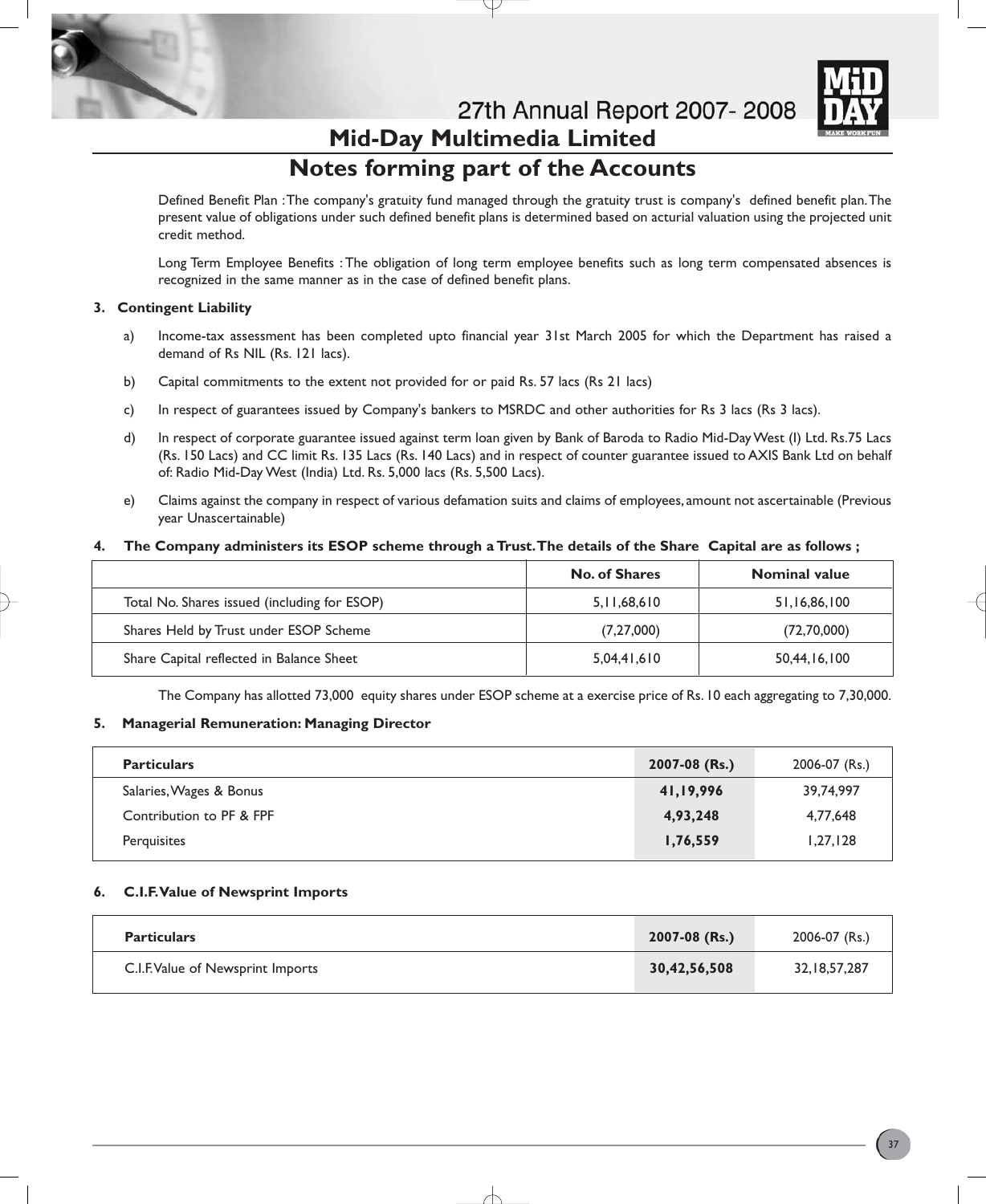

27th Annual Report 2007-2008

### **Mid-Day Multimedia Limited Notes forming part of the Accounts**

Defined Benefit Plan :The company's gratuity fund managed through the gratuity trust is company's defined benefit plan.The present value of obligations under such defined benefit plans is determined based on acturial valuation using the projected unit credit method.

Long Term Employee Benefits : The obligation of long term employee benefits such as long term compensated absences is recognized in the same manner as in the case of defined benefit plans.

#### **3. Contingent Liability**

- a) Income-tax assessment has been completed upto financial year 31st March 2005 for which the Department has raised a demand of Rs NIL (Rs. 121 lacs).
- b) Capital commitments to the extent not provided for or paid Rs. 57 lacs (Rs 21 lacs)
- c) In respect of guarantees issued by Company's bankers to MSRDC and other authorities for Rs 3 lacs (Rs 3 lacs).
- d) In respect of corporate guarantee issued against term loan given by Bank of Baroda to Radio Mid-Day West (I) Ltd. Rs.75 Lacs (Rs. 150 Lacs) and CC limit Rs. 135 Lacs (Rs. 140 Lacs) and in respect of counter guarantee issued to AXIS Bank Ltd on behalf of: Radio Mid-Day West (India) Ltd. Rs. 5,000 lacs (Rs. 5,500 Lacs).
- e) Claims against the company in respect of various defamation suits and claims of employees, amount not ascertainable (Previous year Unascertainable)

#### **4. The Company administers its ESOP scheme through a Trust.The details of the Share Capital are as follows ;**

|                                              | <b>No. of Shares</b> | <b>Nominal value</b> |
|----------------------------------------------|----------------------|----------------------|
| Total No. Shares issued (including for ESOP) | 5, 11, 68, 610       | 51,16,86,100         |
| Shares Held by Trust under ESOP Scheme       | (7,27,000)           | (72,70,000)          |
| Share Capital reflected in Balance Sheet     | 5.04.41.610          | 50,44,16,100         |

The Company has allotted 73,000 equity shares under ESOP scheme at a exercise price of Rs. 10 each aggregating to 7,30,000.

#### **5. Managerial Remuneration: Managing Director**

| <b>Particulars</b>       | 2007-08 (Rs.) | 2006-07 (Rs.) |
|--------------------------|---------------|---------------|
| Salaries, Wages & Bonus  | 41,19,996     | 39.74.997     |
| Contribution to PF & FPF | 4,93,248      | 4.77.648      |
| Perquisites              | 1,76,559      | 1,27,128      |

#### **6. C.I.F.Value of Newsprint Imports**

| <b>Particulars</b>                | $2007 - 08$ (Rs.) | 2006-07 (Rs.)   |
|-----------------------------------|-------------------|-----------------|
| C.I.F. Value of Newsprint Imports | 30,42,56,508      | 32, 18, 57, 287 |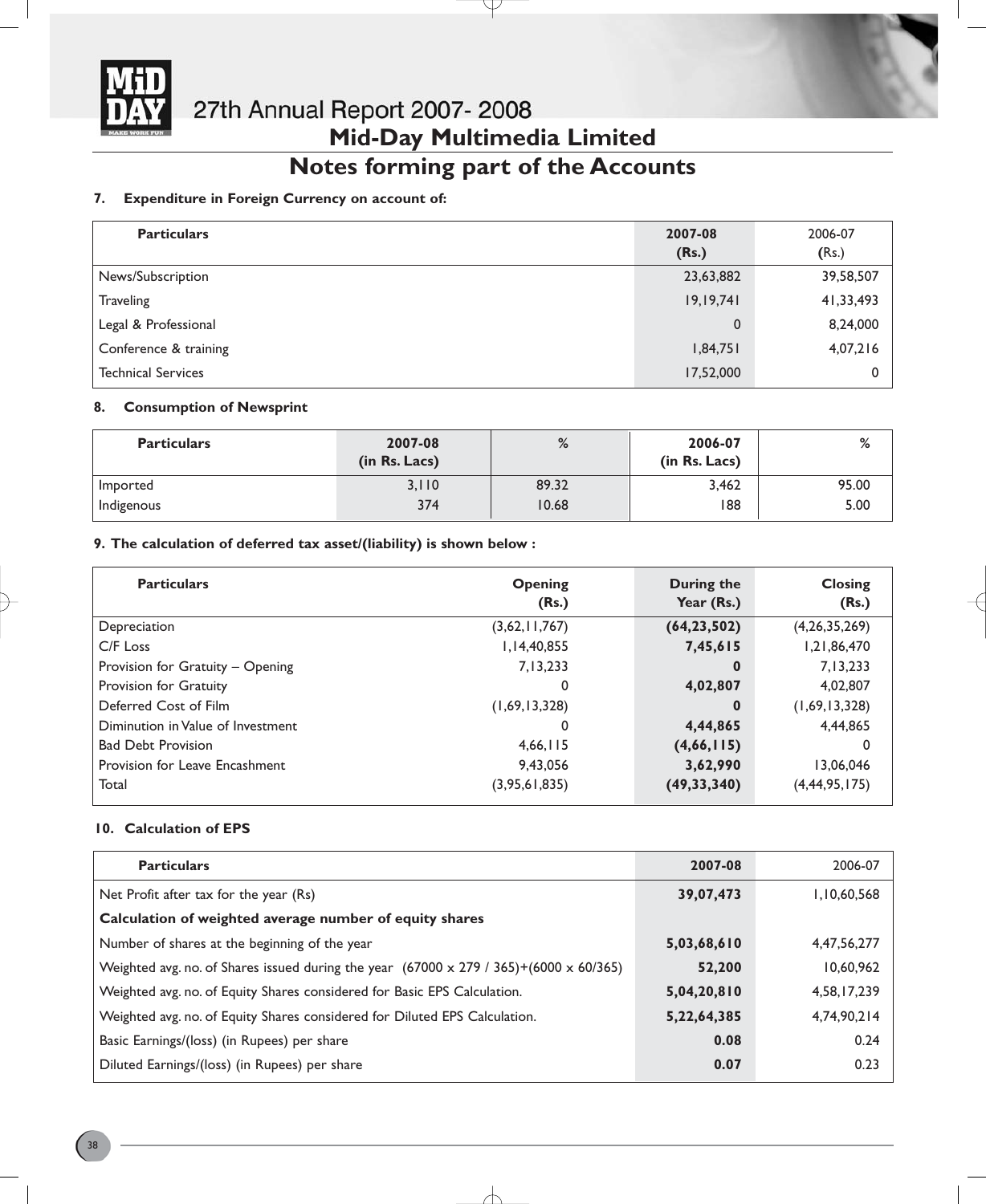

# **Notes forming part of the Accounts**

#### **7. Expenditure in Foreign Currency on account of:**

| <b>Particulars</b>        | 2007-08<br>(Rs.) | 2006-07<br>(Rs.) |
|---------------------------|------------------|------------------|
| News/Subscription         | 23,63,882        | 39,58,507        |
| <b>Traveling</b>          | 19, 19, 741      | 41,33,493        |
| Legal & Professional      | $\mathbf 0$      | 8,24,000         |
| Conference & training     | 1,84,751         | 4,07,216         |
| <b>Technical Services</b> | 17,52,000        |                  |

#### **8. Consumption of Newsprint**

| <b>Particulars</b> | 2007-08<br>(in Rs. Lacs) | %     | 2006-07<br>(in Rs. Lacs) | %     |
|--------------------|--------------------------|-------|--------------------------|-------|
| Imported           | 3,110                    | 89.32 | 3,462                    | 95.00 |
| Indigenous         | 374                      | 10.68 | 188                      | 5.00  |

#### **9. The calculation of deferred tax asset/(liability) is shown below :**

| <b>Particulars</b>                | <b>Opening</b><br>(Rs.) | During the<br>Year (Rs.) | <b>Closing</b><br>(Rs.) |
|-----------------------------------|-------------------------|--------------------------|-------------------------|
| Depreciation                      | (3,62,11,767)           | (64, 23, 502)            | (4,26,35,269)           |
| C/F Loss                          | 1,14,40,855             | 7,45,615                 | 1,21,86,470             |
| Provision for Gratuity - Opening  | 7,13,233                | 0                        | 7,13,233                |
| Provision for Gratuity            | 0                       | 4,02,807                 | 4,02,807                |
| Deferred Cost of Film             | (1,69,13,328)           | 0                        | (1,69,13,328)           |
| Diminution in Value of Investment | 0                       | 4,44,865                 | 4,44,865                |
| <b>Bad Debt Provision</b>         | 4,66,115                | (4,66,115)               | 0                       |
| Provision for Leave Encashment    | 9,43,056                | 3,62,990                 | 13,06,046               |
| Total                             | (3,95,61,835)           | (49, 33, 340)            | (4, 44, 95, 175)        |

#### **10. Calculation of EPS**

| <b>Particulars</b>                                                                                     | 2007-08     | 2006-07     |
|--------------------------------------------------------------------------------------------------------|-------------|-------------|
| Net Profit after tax for the year (Rs)                                                                 | 39,07,473   | 1,10,60,568 |
| Calculation of weighted average number of equity shares                                                |             |             |
| Number of shares at the beginning of the year                                                          | 5,03,68,610 | 4,47,56,277 |
| Weighted avg. no. of Shares issued during the year $(67000 \times 279 / 365)$ + $(6000 \times 60/365)$ | 52,200      | 10.60.962   |
| Weighted avg. no. of Equity Shares considered for Basic EPS Calculation.                               | 5,04,20,810 | 4,58,17,239 |
| Weighted avg. no. of Equity Shares considered for Diluted EPS Calculation.                             | 5,22,64,385 | 4.74.90.214 |
| Basic Earnings/(loss) (in Rupees) per share                                                            | 0.08        | 0.24        |
| Diluted Earnings/(loss) (in Rupees) per share                                                          | 0.07        | 0.23        |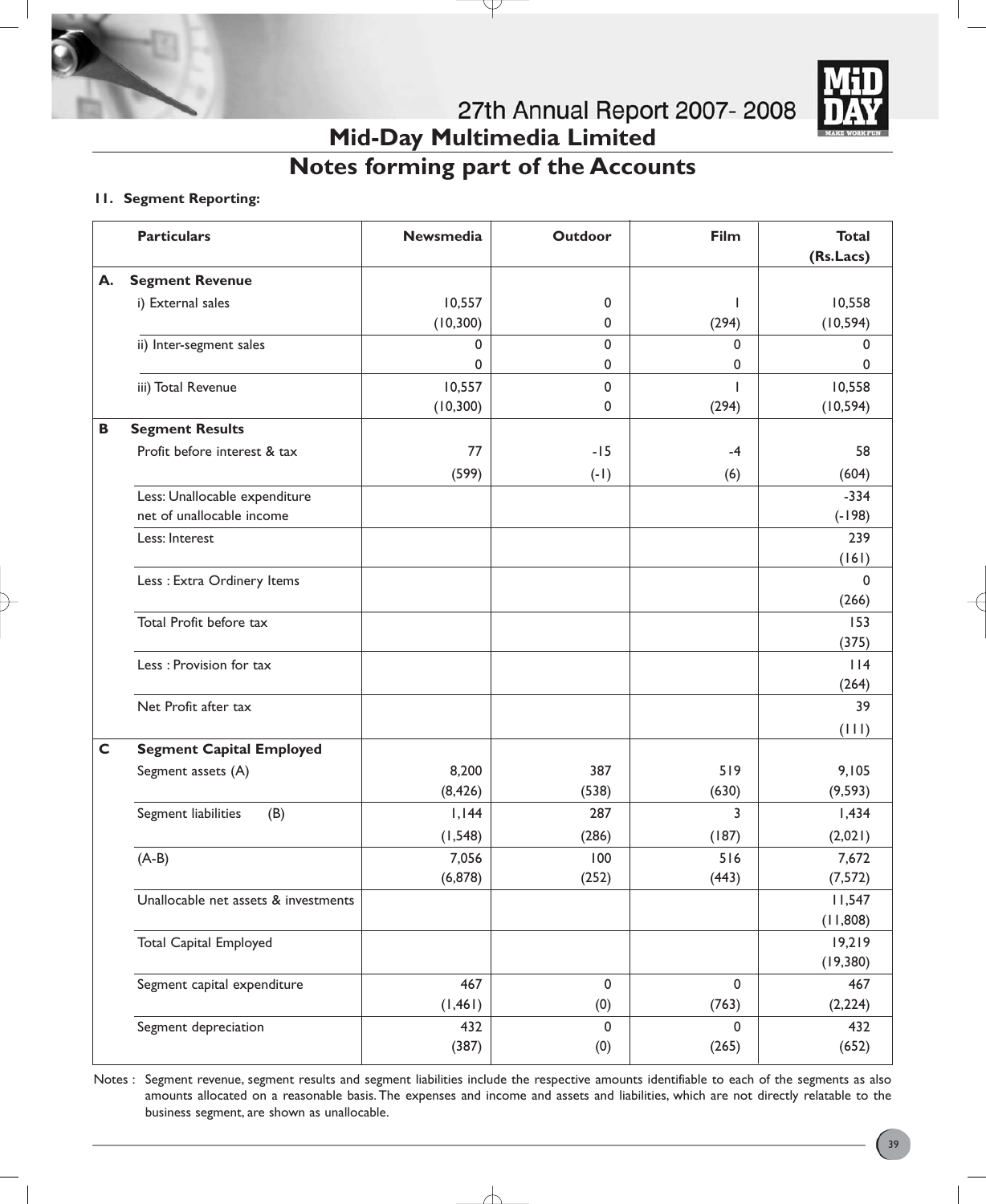

# **Notes forming part of the Accounts**

#### **11. Segment Reporting:**

|              | <b>Particulars</b>                                         | <b>Newsmedia</b> | Outdoor     | Film      | <b>Total</b><br>(Rs.Lacs) |
|--------------|------------------------------------------------------------|------------------|-------------|-----------|---------------------------|
| А.           | <b>Segment Revenue</b>                                     |                  |             |           |                           |
|              | i) External sales                                          | 10,557           | $\mathbf 0$ | T         | 10,558                    |
|              |                                                            | (10, 300)        | 0           | (294)     | (10, 594)                 |
|              | ii) Inter-segment sales                                    | $\mathbf 0$      | 0           | 0         | 0                         |
|              |                                                            | 0                | 0           | 0         | 0                         |
|              | iii) Total Revenue                                         | 10,557           | 0           | ı         | 10,558                    |
|              |                                                            | (10, 300)        | 0           | (294)     | (10, 594)                 |
| В            | <b>Segment Results</b>                                     |                  |             |           |                           |
|              | Profit before interest & tax                               | 77               | $-15$       | $-4$      | 58                        |
|              |                                                            | (599)            | $(-1)$      | (6)       | (604)                     |
|              | Less: Unallocable expenditure<br>net of unallocable income |                  |             |           | $-334$<br>$(-198)$        |
|              | Less: Interest                                             |                  |             |           | 239                       |
|              |                                                            |                  |             |           | (161)                     |
|              | Less : Extra Ordinery Items                                |                  |             |           | $\mathbf 0$               |
|              |                                                            |                  |             |           | (266)                     |
|              | Total Profit before tax                                    |                  |             |           | 153                       |
|              |                                                            |                  |             |           | (375)                     |
|              | Less : Provision for tax                                   |                  |             |           | $ $   4                   |
|              |                                                            |                  |             |           | (264)                     |
|              | Net Profit after tax                                       |                  |             |           | 39                        |
|              |                                                            |                  |             |           | (111)                     |
| $\mathsf{C}$ | <b>Segment Capital Employed</b>                            |                  |             |           |                           |
|              | Segment assets (A)                                         | 8,200            | 387         | 519       | 9,105                     |
|              |                                                            | (8, 426)         | (538)       | (630)     | (9, 593)                  |
|              | Segment liabilities<br>(B)                                 | 1,144            | 287         | 3         | 1,434                     |
|              |                                                            | (1, 548)         | (286)       | (187)     | (2,021)                   |
|              | $(A-B)$                                                    | 7,056            | 100         | 516       | 7,672                     |
|              |                                                            | (6, 878)         | (252)       | (443)     | (7, 572)                  |
|              | Unallocable net assets & investments                       |                  |             |           | 11,547<br>(11,808)        |
|              | <b>Total Capital Employed</b>                              |                  |             |           | 19,219                    |
|              |                                                            |                  |             |           | (19, 380)                 |
|              | Segment capital expenditure                                | 467              | $\pmb{0}$   | $\pmb{0}$ | 467                       |
|              |                                                            | (1, 461)         | (0)         | (763)     | (2, 224)                  |
|              | Segment depreciation                                       | 432              | 0           | 0         | 432                       |
|              |                                                            | (387)            | (0)         | (265)     | (652)                     |

Notes : Segment revenue, segment results and segment liabilities include the respective amounts identifiable to each of the segments as also amounts allocated on a reasonable basis. The expenses and income and assets and liabilities, which are not directly relatable to the business segment, are shown as unallocable.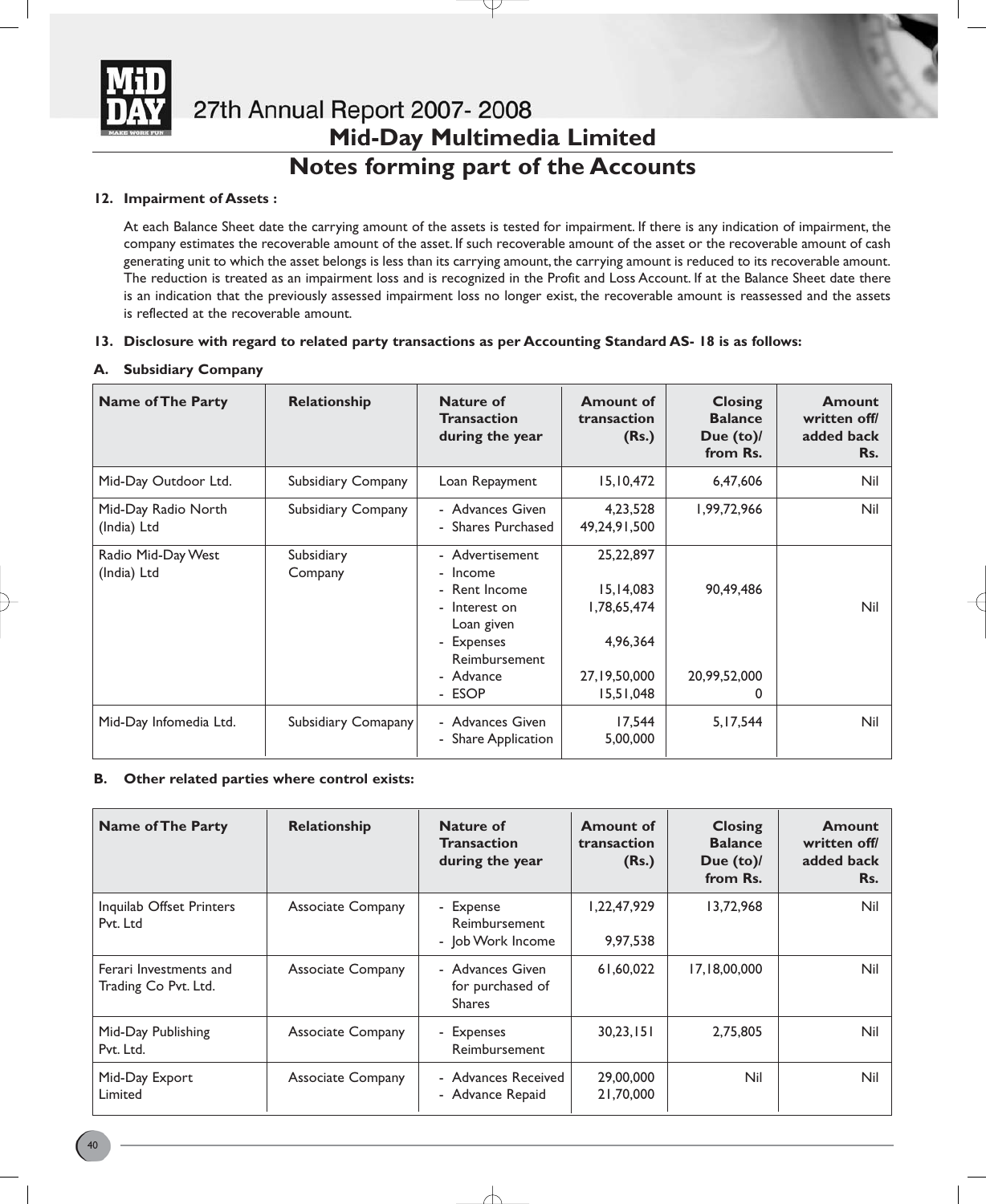

### **Notes forming part of the Accounts**

#### **12. Impairment of Assets :**

At each Balance Sheet date the carrying amount of the assets is tested for impairment. If there is any indication of impairment, the company estimates the recoverable amount of the asset. If such recoverable amount of the asset or the recoverable amount of cash generating unit to which the asset belongs is less than its carrying amount, the carrying amount is reduced to its recoverable amount. The reduction is treated as an impairment loss and is recognized in the Profit and Loss Account. If at the Balance Sheet date there is an indication that the previously assessed impairment loss no longer exist, the recoverable amount is reassessed and the assets is reflected at the recoverable amount.

#### **13. Disclosure with regard to related party transactions as per Accounting Standard AS- 18 is as follows:**

#### **A. Subsidiary Company**

| <b>Name of The Party</b>           | Relationship          | <b>Nature of</b><br><b>Transaction</b><br>during the year                                                                         | <b>Amount of</b><br>transaction<br>(Rs.)                                           | <b>Closing</b><br><b>Balance</b><br>Due $(to)$<br>from Rs. | <b>Amount</b><br>written off/<br>added back<br>Rs. |
|------------------------------------|-----------------------|-----------------------------------------------------------------------------------------------------------------------------------|------------------------------------------------------------------------------------|------------------------------------------------------------|----------------------------------------------------|
| Mid-Day Outdoor Ltd.               | Subsidiary Company    | Loan Repayment                                                                                                                    | 15,10,472                                                                          | 6,47,606                                                   | Nil                                                |
| Mid-Day Radio North<br>(India) Ltd | Subsidiary Company    | - Advances Given<br>- Shares Purchased                                                                                            | 4,23,528<br>49,24,91,500                                                           | 1,99,72,966                                                | Nil                                                |
| Radio Mid-Day West<br>(India) Ltd  | Subsidiary<br>Company | - Advertisement<br>- Income<br>- Rent Income<br>- Interest on<br>Loan given<br>- Expenses<br>Reimbursement<br>- Advance<br>- ESOP | 25, 22, 897<br>15, 14, 083<br>1,78,65,474<br>4,96,364<br>27,19,50,000<br>15,51,048 | 90,49,486<br>20,99,52,000<br>0                             | Nil                                                |
| Mid-Day Infomedia Ltd.             | Subsidiary Comapany   | - Advances Given<br>- Share Application                                                                                           | 17,544<br>5,00,000                                                                 | 5,17,544                                                   | <b>Nil</b>                                         |

#### **B. Other related parties where control exists:**

| <b>Name of The Party</b>                       | Relationship             | Nature of<br><b>Transaction</b><br>during the year    | <b>Amount of</b><br>transaction<br>(Rs.) | <b>Closing</b><br><b>Balance</b><br>Due $(to)$<br>from Rs. | <b>Amount</b><br>written off/<br>added back<br>Rs. |
|------------------------------------------------|--------------------------|-------------------------------------------------------|------------------------------------------|------------------------------------------------------------|----------------------------------------------------|
| Inquilab Offset Printers<br>Pvt. Ltd           | <b>Associate Company</b> | - Expense<br>Reimbursement<br>- Job Work Income       | 1,22,47,929<br>9,97,538                  | 13,72,968                                                  | Nil                                                |
| Ferari Investments and<br>Trading Co Pvt. Ltd. | <b>Associate Company</b> | - Advances Given<br>for purchased of<br><b>Shares</b> | 61,60,022                                | 17,18,00,000                                               | Nil                                                |
| Mid-Day Publishing<br>Pvt. Ltd.                | <b>Associate Company</b> | - Expenses<br>Reimbursement                           | 30,23,151                                | 2,75,805                                                   | Nil                                                |
| Mid-Day Export<br>Limited                      | <b>Associate Company</b> | - Advances Received<br>- Advance Repaid               | 29,00,000<br>21,70,000                   | Nil                                                        | Nil                                                |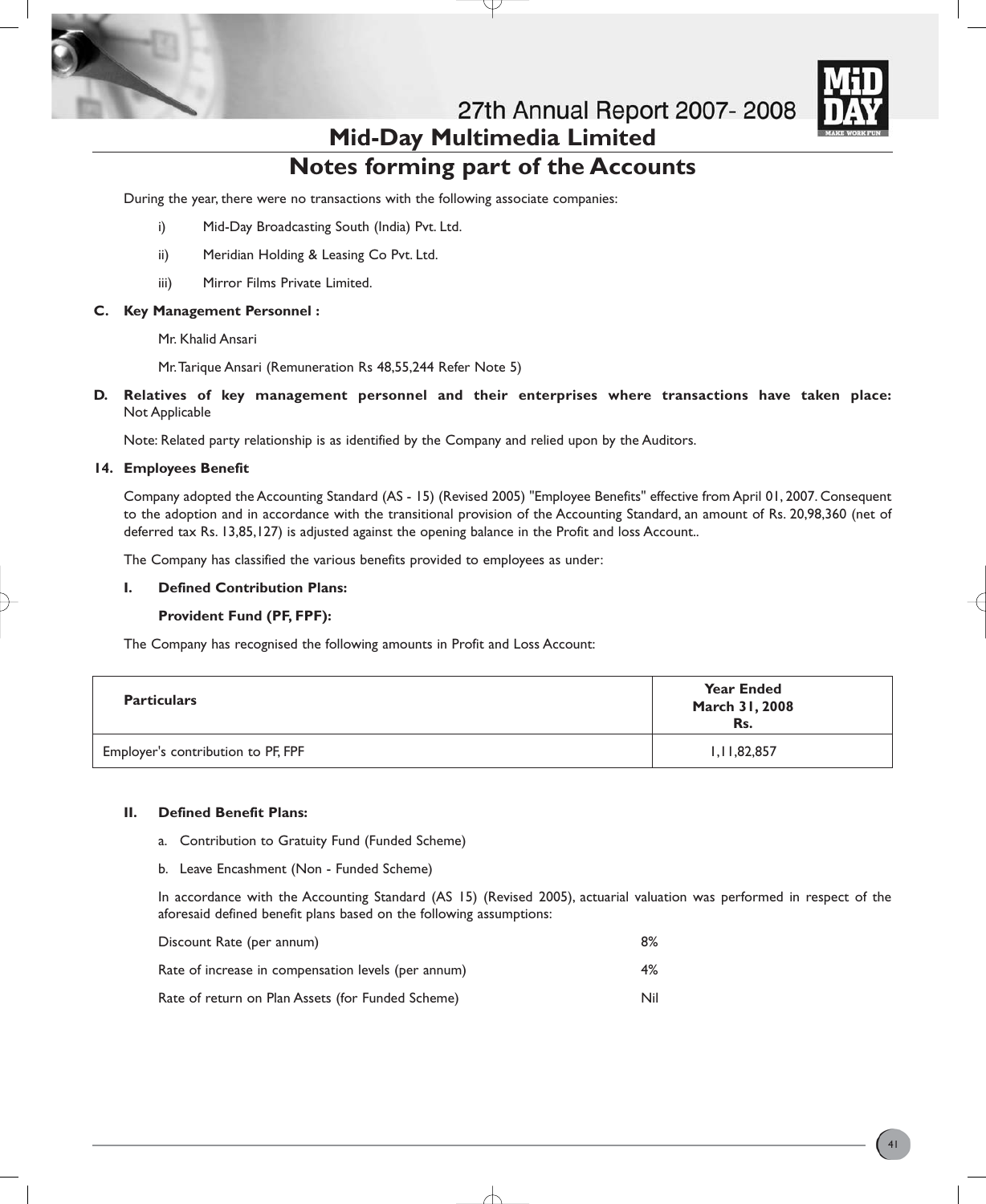

### **Notes forming part of the Accounts**

During the year, there were no transactions with the following associate companies:

- i) Mid-Day Broadcasting South (India) Pvt. Ltd.
- ii) Meridian Holding & Leasing Co Pvt. Ltd.
- iii) Mirror Films Private Limited.

#### **C. Key Management Personnel :**

Mr. Khalid Ansari

Mr.Tarique Ansari (Remuneration Rs 48,55,244 Refer Note 5)

**D. Relatives of key management personnel and their enterprises where transactions have taken place:** Not Applicable

Note: Related party relationship is as identified by the Company and relied upon by the Auditors.

#### **14. Employees Benefit**

Company adopted the Accounting Standard (AS - 15) (Revised 2005) "Employee Benefits" effective from April 01, 2007. Consequent to the adoption and in accordance with the transitional provision of the Accounting Standard, an amount of Rs. 20,98,360 (net of deferred tax Rs. 13,85,127) is adjusted against the opening balance in the Profit and loss Account..

The Company has classified the various benefits provided to employees as under:

#### **I. Defined Contribution Plans:**

#### **Provident Fund (PF, FPF):**

The Company has recognised the following amounts in Profit and Loss Account:

| <b>Particulars</b>                 | <b>Year Ended</b><br>March 31, 2008<br>Rs. |
|------------------------------------|--------------------------------------------|
| Employer's contribution to PF, FPF | 1,11,82,857                                |

#### **II. Defined Benefit Plans:**

- a. Contribution to Gratuity Fund (Funded Scheme)
- b. Leave Encashment (Non Funded Scheme)

In accordance with the Accounting Standard (AS 15) (Revised 2005), actuarial valuation was performed in respect of the aforesaid defined benefit plans based on the following assumptions:

| Discount Rate (per annum)                           | 8%  |
|-----------------------------------------------------|-----|
| Rate of increase in compensation levels (per annum) | 4%  |
| Rate of return on Plan Assets (for Funded Scheme)   | Nil |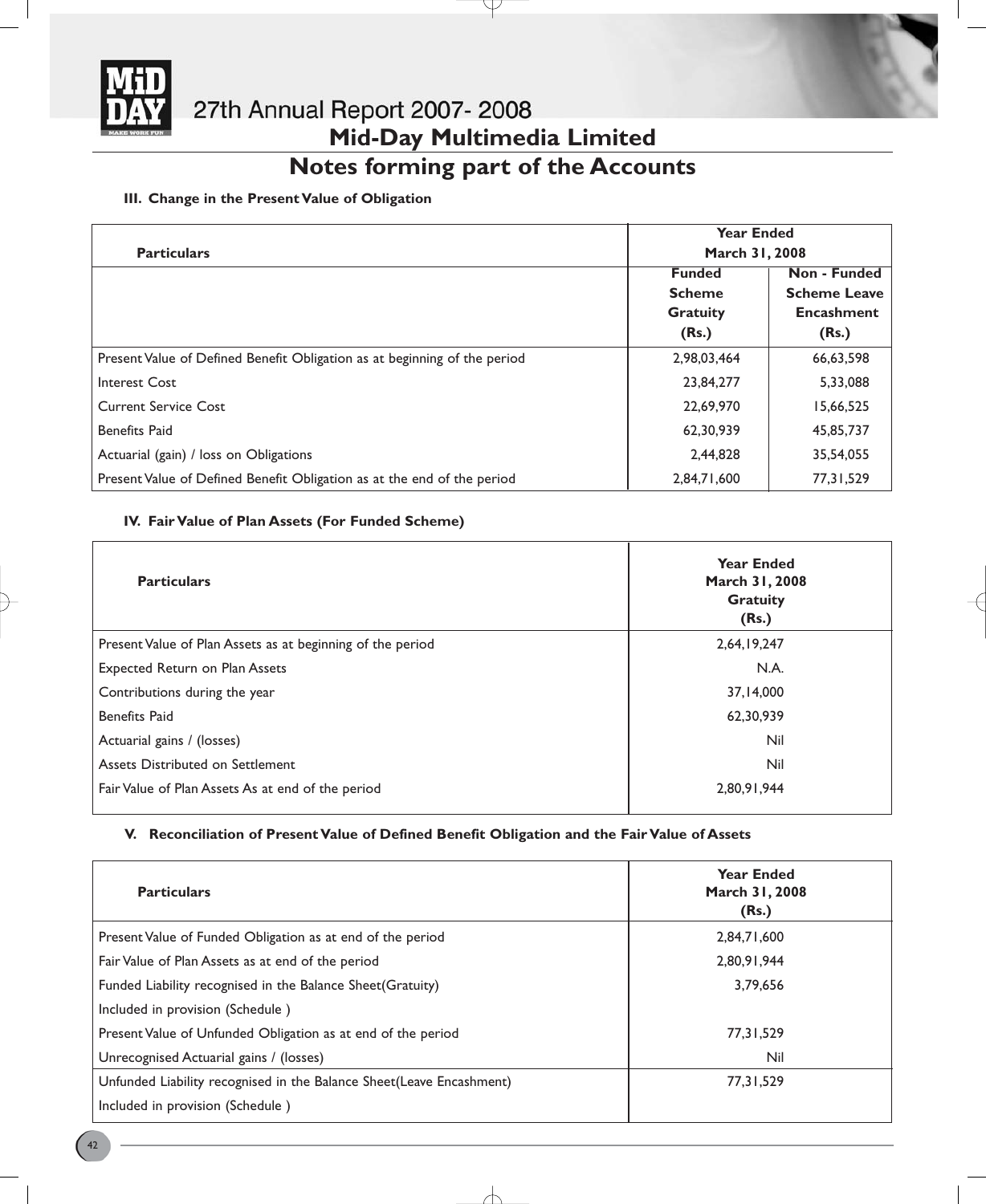

# **Notes forming part of the Accounts**

#### **III. Change in the Present Value of Obligation**

|                                                                           | <b>Year Ended</b><br>March 31, 2008 |                     |
|---------------------------------------------------------------------------|-------------------------------------|---------------------|
| <b>Particulars</b>                                                        |                                     |                     |
|                                                                           | <b>Funded</b>                       | Non - Funded        |
|                                                                           | <b>Scheme</b>                       | <b>Scheme Leave</b> |
|                                                                           | <b>Gratuity</b>                     | <b>Encashment</b>   |
|                                                                           | (Rs.)                               | (Rs.)               |
| Present Value of Defined Benefit Obligation as at beginning of the period | 2,98,03,464                         | 66,63,598           |
| <b>Interest Cost</b>                                                      | 23,84,277                           | 5,33,088            |
| <b>Current Service Cost</b>                                               | 22,69,970                           | 15,66,525           |
| <b>Benefits Paid</b>                                                      | 62,30,939                           | 45,85,737           |
| Actuarial (gain) / loss on Obligations                                    | 2,44,828                            | 35,54,055           |
| Present Value of Defined Benefit Obligation as at the end of the period   | 2,84,71,600                         | 77, 31, 529         |

#### **IV. Fair Value of Plan Assets (For Funded Scheme)**

| <b>Particulars</b>                                         | <b>Year Ended</b><br>March 31, 2008<br><b>Gratuity</b><br>(Rs.) |
|------------------------------------------------------------|-----------------------------------------------------------------|
| Present Value of Plan Assets as at beginning of the period | 2,64,19,247                                                     |
| <b>Expected Return on Plan Assets</b>                      | N.A.                                                            |
| Contributions during the year                              | 37,14,000                                                       |
| <b>Benefits Paid</b>                                       | 62,30,939                                                       |
| Actuarial gains / (losses)                                 | Nil                                                             |
| Assets Distributed on Settlement                           | Nil                                                             |
| Fair Value of Plan Assets As at end of the period          | 2,80,91,944                                                     |

#### **V. Reconciliation of Present Value of Defined Benefit Obligation and the Fair Value of Assets**

| <b>Particulars</b>                                                   | <b>Year Ended</b><br>March 31, 2008<br>(Rs.) |
|----------------------------------------------------------------------|----------------------------------------------|
| Present Value of Funded Obligation as at end of the period           | 2,84,71,600                                  |
| Fair Value of Plan Assets as at end of the period                    | 2,80,91,944                                  |
| Funded Liability recognised in the Balance Sheet (Gratuity)          | 3,79,656                                     |
| Included in provision (Schedule)                                     |                                              |
| Present Value of Unfunded Obligation as at end of the period         | 77, 31, 529                                  |
| Unrecognised Actuarial gains / (losses)                              | Nil                                          |
| Unfunded Liability recognised in the Balance Sheet(Leave Encashment) | 77,31,529                                    |
| Included in provision (Schedule)                                     |                                              |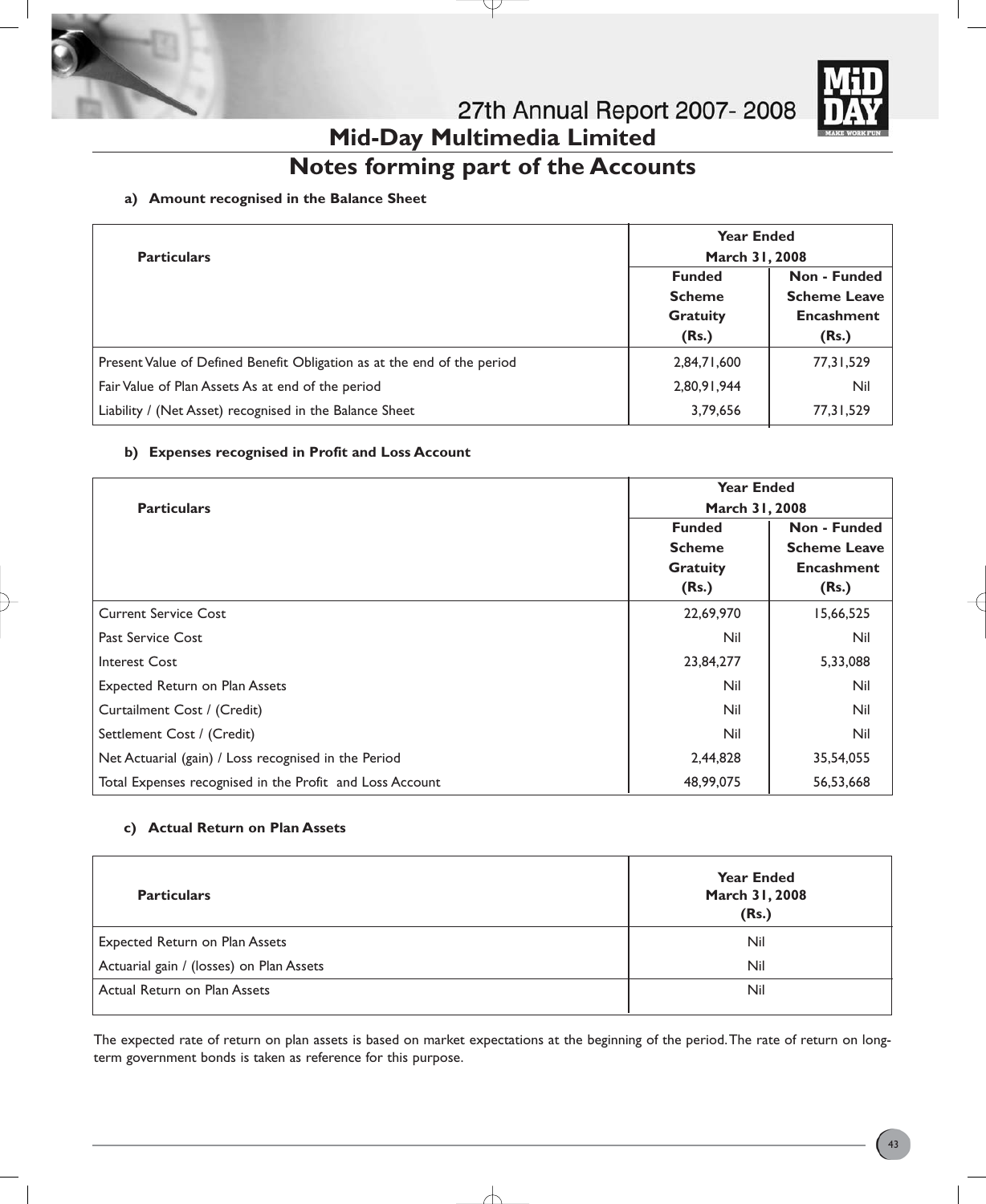



# **Notes forming part of the Accounts**

#### **a) Amount recognised in the Balance Sheet**

| <b>Particulars</b>                                                      | <b>Year Ended</b><br>March 31, 2008                        |                                                                   |
|-------------------------------------------------------------------------|------------------------------------------------------------|-------------------------------------------------------------------|
|                                                                         | <b>Funded</b><br><b>Scheme</b><br><b>Gratuity</b><br>(Rs.) | Non - Funded<br><b>Scheme Leave</b><br><b>Encashment</b><br>(Rs.) |
| Present Value of Defined Benefit Obligation as at the end of the period | 2,84,71,600                                                | 77, 31, 529                                                       |
| Fair Value of Plan Assets As at end of the period                       | 2,80,91,944                                                | Nil                                                               |
| Liability / (Net Asset) recognised in the Balance Sheet                 | 3,79,656                                                   | 77, 31, 529                                                       |

#### **b) Expenses recognised in Profit and Loss Account**

|                                                          | <b>Year Ended</b><br>March 31, 2008 |                     |
|----------------------------------------------------------|-------------------------------------|---------------------|
| <b>Particulars</b>                                       |                                     |                     |
|                                                          | <b>Funded</b>                       | Non - Funded        |
|                                                          | <b>Scheme</b>                       | <b>Scheme Leave</b> |
|                                                          | <b>Gratuity</b>                     | <b>Encashment</b>   |
|                                                          | (Rs.)                               | (Rs.)               |
| <b>Current Service Cost</b>                              | 22,69,970                           | 15,66,525           |
| Past Service Cost                                        | Nil                                 | Nil                 |
| Interest Cost                                            | 23,84,277                           | 5,33,088            |
| <b>Expected Return on Plan Assets</b>                    | Nil                                 | Nil                 |
| Curtailment Cost / (Credit)                              | Nil                                 | Nil                 |
| Settlement Cost / (Credit)                               | Nil                                 | Nil                 |
| Net Actuarial (gain) / Loss recognised in the Period     | 2,44,828                            | 35,54,055           |
| Total Expenses recognised in the Profit and Loss Account | 48,99,075                           | 56,53,668           |

#### **c) Actual Return on Plan Assets**

| <b>Particulars</b>                       | <b>Year Ended</b><br>March 31, 2008<br>(Rs.) |
|------------------------------------------|----------------------------------------------|
| Expected Return on Plan Assets           | Nil                                          |
| Actuarial gain / (losses) on Plan Assets | Nil                                          |
| Actual Return on Plan Assets             | Nil                                          |

The expected rate of return on plan assets is based on market expectations at the beginning of the period.The rate of return on longterm government bonds is taken as reference for this purpose.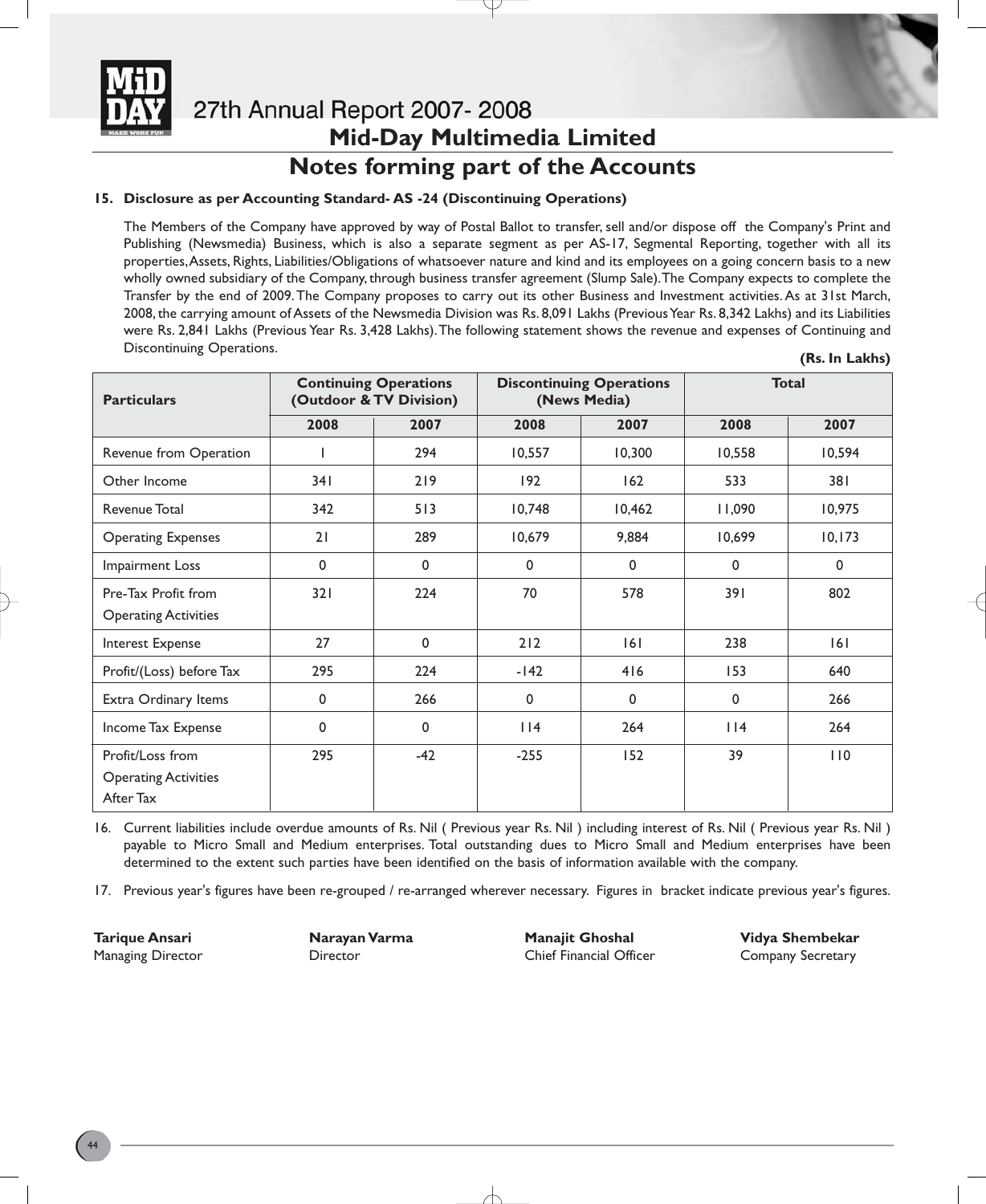

### **Notes forming part of the Accounts**

#### **15. Disclosure as per Accounting Standard- AS -24 (Discontinuing Operations)**

The Members of the Company have approved by way of Postal Ballot to transfer, sell and/or dispose off the Company's Print and Publishing (Newsmedia) Business, which is also a separate segment as per AS-17, Segmental Reporting, together with all its properties,Assets, Rights, Liabilities/Obligations of whatsoever nature and kind and its employees on a going concern basis to a new wholly owned subsidiary of the Company, through business transfer agreement (Slump Sale).The Company expects to complete the Transfer by the end of 2009.The Company proposes to carry out its other Business and Investment activities. As at 31st March, 2008, the carrying amount of Assets of the Newsmedia Division was Rs. 8,091 Lakhs (Previous Year Rs. 8,342 Lakhs) and its Liabilities were Rs. 2,841 Lakhs (Previous Year Rs. 3,428 Lakhs).The following statement shows the revenue and expenses of Continuing and Discontinuing Operations. **(Rs. In Lakhs)**

| <b>Particulars</b>                                           |             | <b>Continuing Operations</b><br>(Outdoor & TV Division) | <b>Discontinuing Operations</b><br>(News Media) |             |        | <b>Total</b> |
|--------------------------------------------------------------|-------------|---------------------------------------------------------|-------------------------------------------------|-------------|--------|--------------|
|                                                              | 2008        | 2007                                                    | 2008                                            | 2007        | 2008   | 2007         |
| Revenue from Operation                                       |             | 294                                                     | 10,557                                          | 10,300      | 10,558 | 10,594       |
| Other Income                                                 | 341         | 219                                                     | 192                                             | 162         | 533    | 381          |
| Revenue Total                                                | 342         | 513                                                     | 10,748                                          | 10,462      | 11,090 | 10,975       |
| <b>Operating Expenses</b>                                    | 21          | 289                                                     | 10,679                                          | 9,884       | 10,699 | 10, 173      |
| Impairment Loss                                              | 0           | $\mathbf 0$                                             | $\mathbf 0$                                     | $\mathbf 0$ | 0      | $\mathbf 0$  |
| Pre-Tax Profit from<br><b>Operating Activities</b>           | 321         | 224                                                     | 70                                              | 578         | 391    | 802          |
| Interest Expense                                             | 27          | $\Omega$                                                | 212                                             | 6           | 238    | 6            |
| Profit/(Loss) before Tax                                     | 295         | 224                                                     | $-142$                                          | 416         | 153    | 640          |
| Extra Ordinary Items                                         | 0           | 266                                                     | $\mathbf 0$                                     | $\mathbf 0$ | 0      | 266          |
| Income Tax Expense                                           | $\mathbf 0$ | $\mathbf 0$                                             | 114                                             | 264         | 114    | 264          |
| Profit/Loss from<br><b>Operating Activities</b><br>After Tax | 295         | $-42$                                                   | $-255$                                          | 152         | 39     | 110          |

16. Current liabilities include overdue amounts of Rs. Nil ( Previous year Rs. Nil ) including interest of Rs. Nil ( Previous year Rs. Nil ) payable to Micro Small and Medium enterprises. Total outstanding dues to Micro Small and Medium enterprises have been determined to the extent such parties have been identified on the basis of information available with the company.

17. Previous year's figures have been re-grouped / re-arranged wherever necessary. Figures in bracket indicate previous year's figures.

**Tarique Ansari Narayan Varma Manajit Ghoshal Vidya Shembekar** Managing Director Director Chief Financial Officer Company Secretary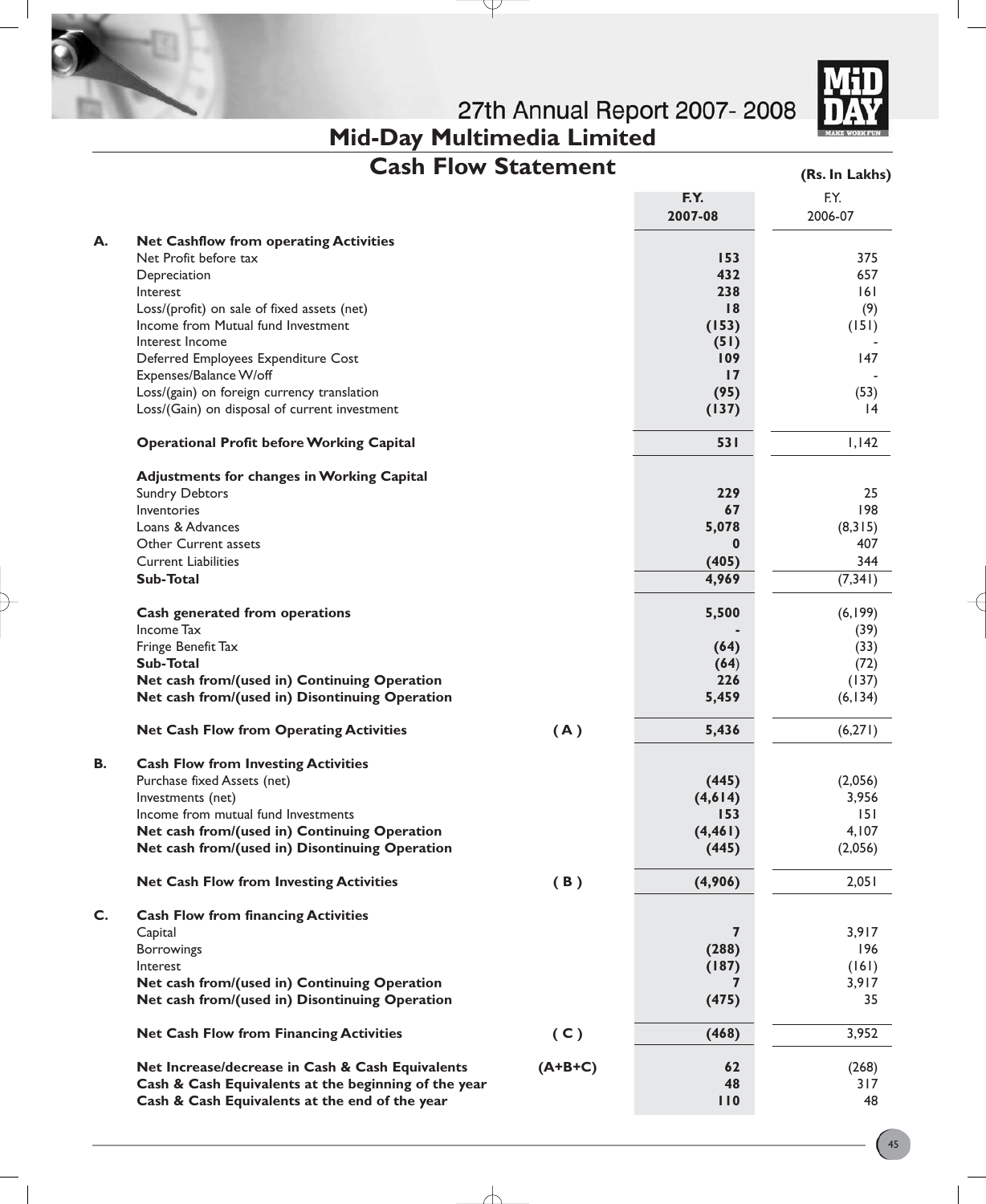**Mid-Day Multimedia Limited**



|  |  |  | <b>Cash Flow Statement</b> |
|--|--|--|----------------------------|
|--|--|--|----------------------------|

₽

**(Rs. In Lakhs)**

|    |                                                      |           | F.Y.<br>2007-08 | F.Y.<br>2006-07 |
|----|------------------------------------------------------|-----------|-----------------|-----------------|
| А. | <b>Net Cashflow from operating Activities</b>        |           |                 |                 |
|    | Net Profit before tax                                |           | 153             | 375             |
|    | Depreciation                                         |           | 432             | 657             |
|    | Interest                                             |           | 238             | 6               |
|    | Loss/(profit) on sale of fixed assets (net)          |           | 18              | (9)             |
|    | Income from Mutual fund Investment                   |           | (153)           | (151)           |
|    | Interest Income                                      |           | (51)            |                 |
|    | Deferred Employees Expenditure Cost                  |           | 109             | 147             |
|    | Expenses/Balance W/off                               |           | 17              |                 |
|    | Loss/(gain) on foreign currency translation          |           | (95)            | (53)            |
|    | Loss/(Gain) on disposal of current investment        |           | (137)           | $\overline{14}$ |
|    | <b>Operational Profit before Working Capital</b>     |           | 531             | 1,142           |
|    | <b>Adjustments for changes in Working Capital</b>    |           |                 |                 |
|    | <b>Sundry Debtors</b>                                |           | 229             | 25              |
|    | Inventories                                          |           | 67              | 198             |
|    | Loans & Advances                                     |           | 5,078           | (8, 315)        |
|    | <b>Other Current assets</b>                          |           | 0               | 407             |
|    | <b>Current Liabilities</b>                           |           | (405)           | 344             |
|    | Sub-Total                                            |           | 4,969           | (7, 341)        |
|    | Cash generated from operations                       |           | 5,500           | (6, 199)        |
|    | Income Tax                                           |           |                 | (39)            |
|    | Fringe Benefit Tax                                   |           | (64)            | (33)            |
|    | Sub-Total                                            |           | (64)            | (72)            |
|    | Net cash from/(used in) Continuing Operation         |           | 226             | (137)           |
|    | Net cash from/(used in) Disontinuing Operation       |           | 5,459           | (6, 134)        |
|    | <b>Net Cash Flow from Operating Activities</b>       | (A)       | 5,436           | (6,271)         |
| В. | <b>Cash Flow from Investing Activities</b>           |           |                 |                 |
|    | Purchase fixed Assets (net)                          |           | (445)           | (2,056)         |
|    | Investments (net)                                    |           | (4,614)         | 3,956           |
|    | Income from mutual fund Investments                  |           | 153             | 151             |
|    | Net cash from/(used in) Continuing Operation         |           | (4, 461)        | 4,107           |
|    | Net cash from/(used in) Disontinuing Operation       |           | (445)           | (2,056)         |
|    | <b>Net Cash Flow from Investing Activities</b>       | (B)       | (4,906)         | 2,051           |
| C. | <b>Cash Flow from financing Activities</b>           |           |                 |                 |
|    | Capital                                              |           | 7               | 3,917           |
|    | Borrowings                                           |           | (288)           | 196             |
|    | Interest                                             |           | (187)           | (161)           |
|    | Net cash from/(used in) Continuing Operation         |           | 7               | 3,917           |
|    | Net cash from/(used in) Disontinuing Operation       |           | (475)           | 35              |
|    | <b>Net Cash Flow from Financing Activities</b>       | (C)       | (468)           | 3,952           |
|    | Net Increase/decrease in Cash & Cash Equivalents     | $(A+B+C)$ | 62              | (268)           |
|    | Cash & Cash Equivalents at the beginning of the year |           | 48              | 317             |
|    | Cash & Cash Equivalents at the end of the year       |           | 110             | 48              |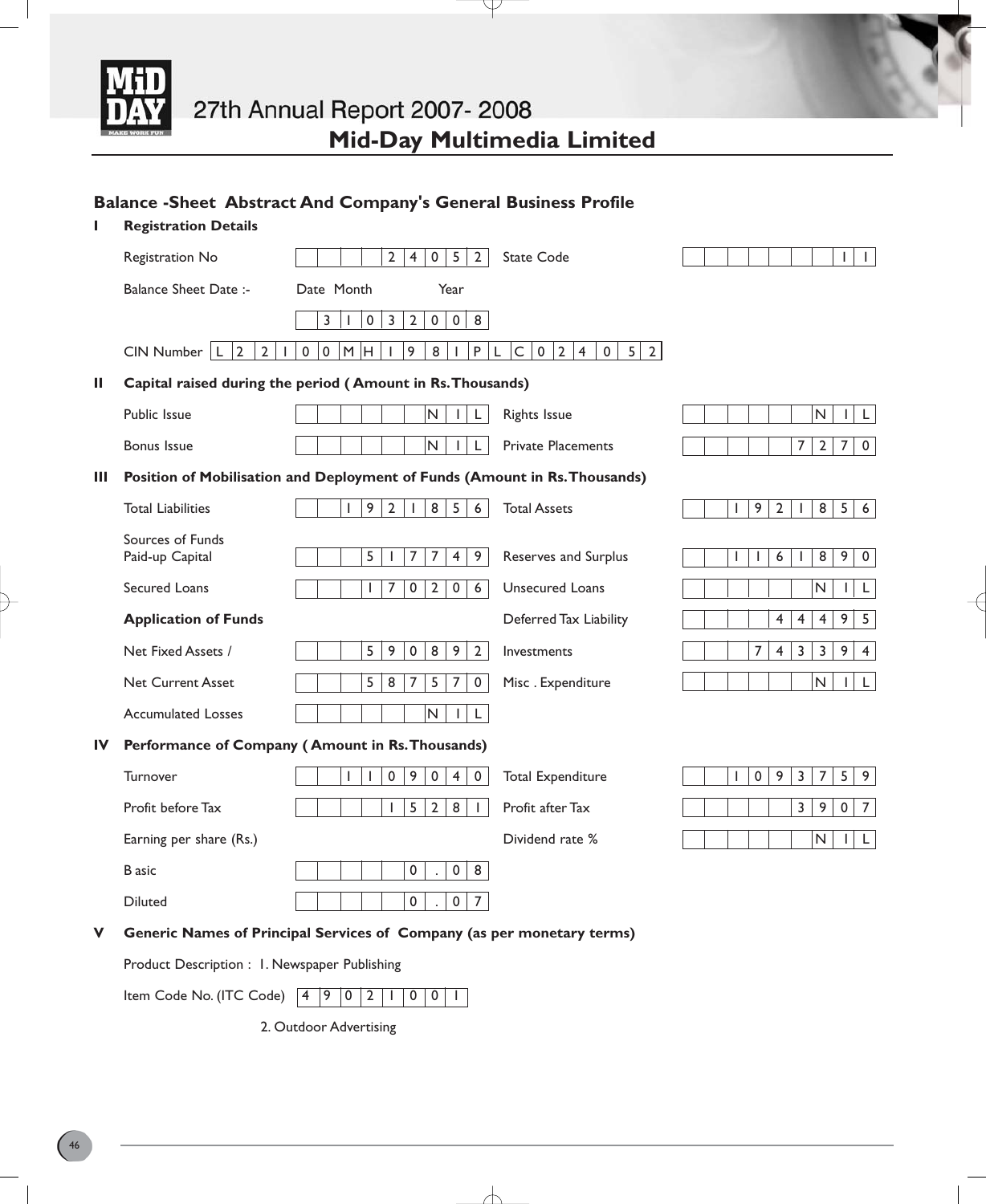

Y

### **Balance -Sheet Abstract And Company's General Business Profile**

| L  | <b>Registration Details</b>                   |                                                                                              |                                                                                 |                                                                                         |
|----|-----------------------------------------------|----------------------------------------------------------------------------------------------|---------------------------------------------------------------------------------|-----------------------------------------------------------------------------------------|
|    | Registration No                               | $\overline{2}$<br>$\mathbf{0}$<br>5<br>$2^{\circ}$<br>$\overline{4}$                         | State Code                                                                      | $\mathbf{I}$<br>T                                                                       |
|    | <b>Balance Sheet Date:-</b>                   | Date Month<br>Year                                                                           |                                                                                 |                                                                                         |
|    |                                               | $\overline{3}$<br>$\overline{2}$<br>3<br>$\mathbf 0$<br>$\mathbf 0$<br>$\mathbf 0$<br>8<br>т |                                                                                 |                                                                                         |
|    | $CIN$ Number $ L 2$<br>$\overline{2}$<br>J.   | M H<br>9<br>8<br>P<br>$\pmb{0}$<br>$\pmb{0}$<br>$\overline{\phantom{a}}$                     | $\mathsf{C}$<br>2<br>5 2 <br>$\mathbf{0}$<br>$\overline{4}$<br>$\mathbf 0$<br>L |                                                                                         |
| Ш  |                                               | Capital raised during the period (Amount in Rs. Thousands)                                   |                                                                                 |                                                                                         |
|    | Public Issue                                  | N<br>L<br>L                                                                                  | <b>Rights Issue</b>                                                             | N<br>$\mathbf{L}$<br>$\mathsf{L}$                                                       |
|    | <b>Bonus Issue</b>                            | N.<br>L<br>L                                                                                 | <b>Private Placements</b>                                                       | 7<br>2 <sup>1</sup><br>7 <sup>1</sup><br>$\mathbf 0$                                    |
| Ш  |                                               | Position of Mobilisation and Deployment of Funds (Amount in Rs. Thousands)                   |                                                                                 |                                                                                         |
|    | <b>Total Liabilities</b>                      | 9<br>$\overline{2}$<br>8<br>5 <br>6<br>$\mathbf{I}$                                          | <b>Total Assets</b>                                                             | 9<br>8 <sup>1</sup><br>5 <sub>1</sub><br>$\overline{2}$<br>6<br>L<br>$\mathbf{I}$       |
|    | Sources of Funds                              |                                                                                              |                                                                                 |                                                                                         |
|    | Paid-up Capital                               | 5<br>9<br>7<br>7<br>4                                                                        | Reserves and Surplus                                                            | $\overline{\bf 8}$<br>9 <sup>2</sup><br>6<br>$\mathsf{O}$<br>L<br>L<br>$\mathbf{I}$     |
|    | Secured Loans                                 | $\overline{7}$<br>$\mathbf 0$<br>$\overline{2}$<br>0<br>6<br>$\mathbf{I}$                    | Unsecured Loans                                                                 | N<br>L<br>$\mathbf{I}$                                                                  |
|    | <b>Application of Funds</b>                   |                                                                                              | Deferred Tax Liability                                                          | $\overline{4}$<br>9 <sub>1</sub><br>$\overline{4}$<br>$\overline{4}$<br>5               |
|    | Net Fixed Assets /                            | 5<br>9<br>$\bf 8$<br>9<br>$\overline{2}$<br>0                                                | Investments                                                                     | 7<br>$\overline{4}$<br>$\overline{3}$<br>$\overline{\mathbf{3}}$<br>9<br>$\overline{4}$ |
|    | <b>Net Current Asset</b>                      | 5<br>8<br>$\overline{7}$<br>5<br>$\overline{7}$<br>$\mathbf 0$                               | Misc. Expenditure                                                               | N<br>L.<br>$\mathbf{L}$                                                                 |
|    | <b>Accumulated Losses</b>                     | N<br>IL.                                                                                     |                                                                                 |                                                                                         |
| IV |                                               | Performance of Company (Amount in Rs. Thousands)                                             |                                                                                 |                                                                                         |
|    | Turnover                                      | 0<br>9<br>$\pmb{0}$<br>$\overline{4}$<br>$\mathbf 0$<br>$\mathbf{I}$<br>$\mathsf{l}$         | <b>Total Expenditure</b>                                                        | $\pmb{0}$<br>9<br>3<br>$\overline{7}$<br>5<br>9<br>I                                    |
|    | Profit before Tax                             | $\overline{5}$<br>$\overline{2}$<br>$\overline{\textbf{8}}$<br>$\mathbf{I}$<br>$\mathbf{I}$  | Profit after Tax                                                                | $\overline{3}$<br>$\overline{9}$<br>$\mathsf{O}\xspace$<br>$\overline{7}$               |
|    | Earning per share (Rs.)                       |                                                                                              | Dividend rate %                                                                 | N<br>$\mathsf L$<br>$\mathbf{L}$                                                        |
|    | <b>B</b> asic                                 | 0<br>$\pmb{0}$<br>8                                                                          |                                                                                 |                                                                                         |
|    | <b>Diluted</b>                                | $\mathbf{0}$<br>$\overline{0}$<br>$\overline{7}$                                             |                                                                                 |                                                                                         |
| v  |                                               | Generic Names of Principal Services of Company (as per monetary terms)                       |                                                                                 |                                                                                         |
|    | Product Description : I. Newspaper Publishing |                                                                                              |                                                                                 |                                                                                         |
|    | Item Code No. (ITC Code) 4 9 0 2 1            | $\mathsf{O}$<br>$\overline{0}$<br>$\mathbf{L}$                                               |                                                                                 |                                                                                         |

 $\overline{\wedge}$ 

2. Outdoor Advertising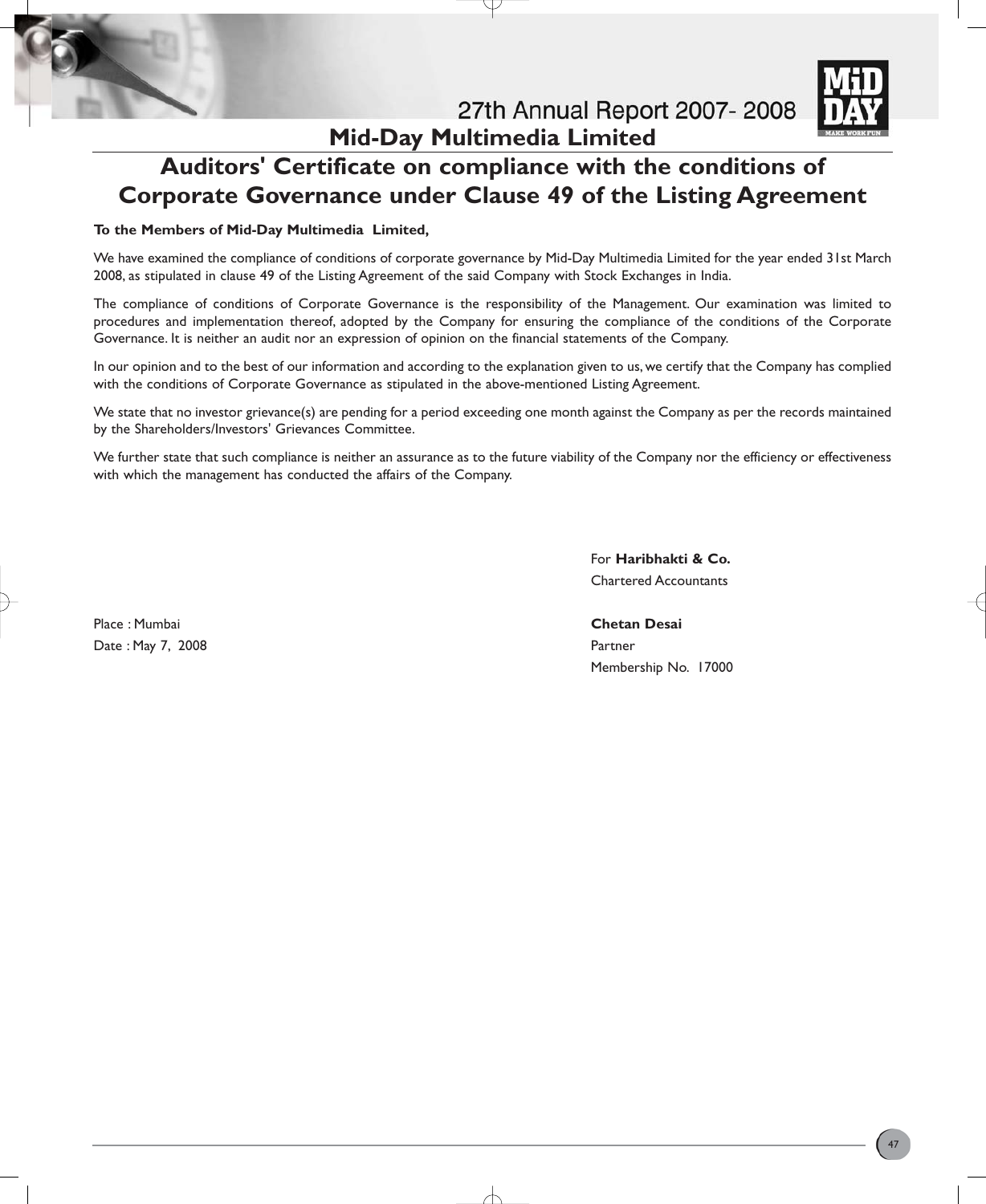



# **Auditors' Certificate on compliance with the conditions of Corporate Governance under Clause 49 of the Listing Agreement**

#### **To the Members of Mid-Day Multimedia Limited,**

We have examined the compliance of conditions of corporate governance by Mid-Day Multimedia Limited for the year ended 31st March 2008, as stipulated in clause 49 of the Listing Agreement of the said Company with Stock Exchanges in India.

The compliance of conditions of Corporate Governance is the responsibility of the Management. Our examination was limited to procedures and implementation thereof, adopted by the Company for ensuring the compliance of the conditions of the Corporate Governance. It is neither an audit nor an expression of opinion on the financial statements of the Company.

In our opinion and to the best of our information and according to the explanation given to us, we certify that the Company has complied with the conditions of Corporate Governance as stipulated in the above-mentioned Listing Agreement.

We state that no investor grievance(s) are pending for a period exceeding one month against the Company as per the records maintained by the Shareholders/Investors' Grievances Committee.

We further state that such compliance is neither an assurance as to the future viability of the Company nor the efficiency or effectiveness with which the management has conducted the affairs of the Company.

> For **Haribhakti & Co.** Chartered Accountants

Place : Mumbai **Chetan Desai** Date : May 7, 2008 **Partner** 

Membership No. 17000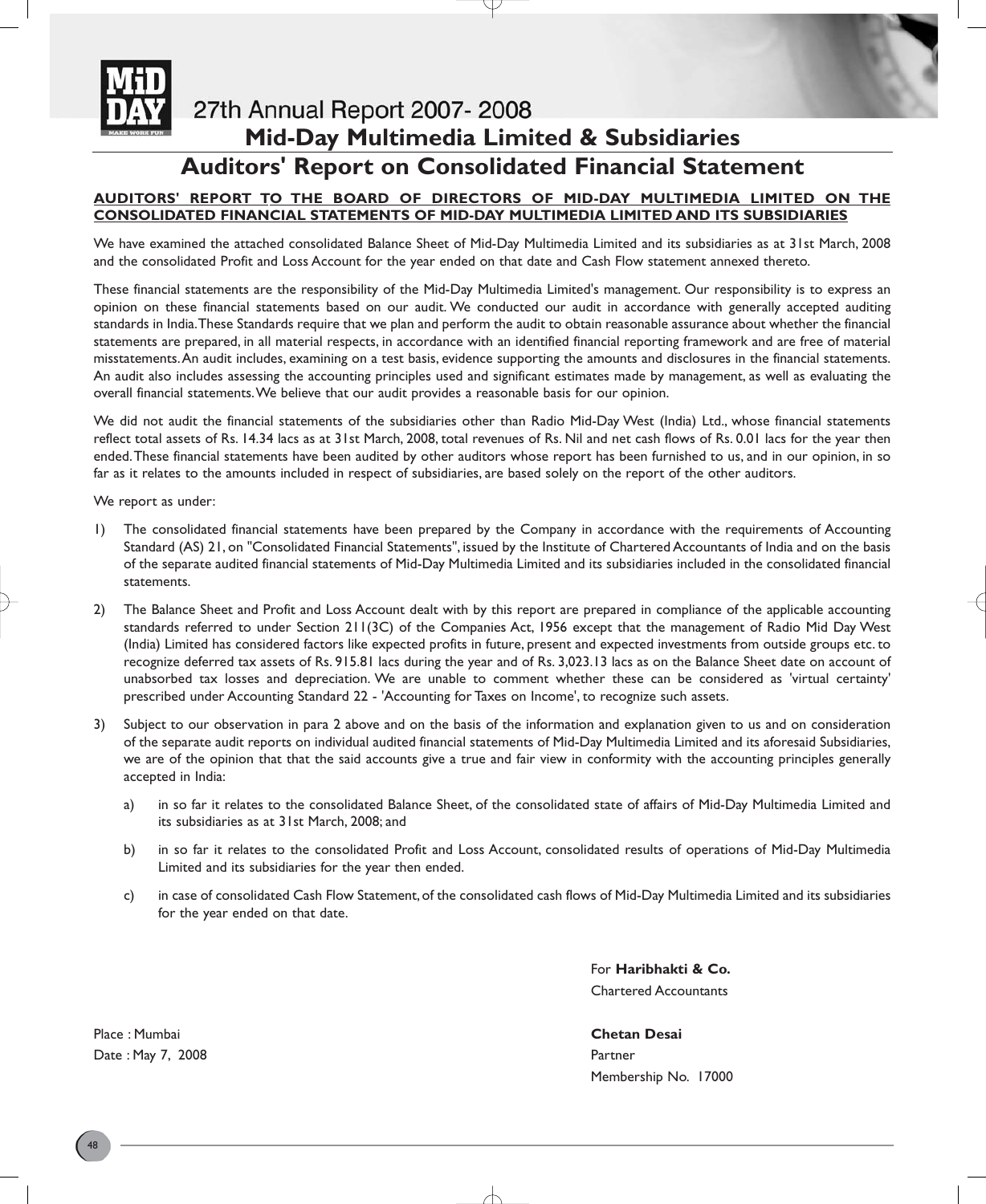

## 27th Annual Report 2007-2008

# **Mid-Day Multimedia Limited & Subsidiaries**

### **Auditors' Report on Consolidated Financial Statement**

#### **AUDITORS' REPORT TO THE BOARD OF DIRECTORS OF MID-DAY MULTIMEDIA LIMITED ON THE CONSOLIDATED FINANCIAL STATEMENTS OF MID-DAY MULTIMEDIA LIMITED AND ITS SUBSIDIARIES**

We have examined the attached consolidated Balance Sheet of Mid-Day Multimedia Limited and its subsidiaries as at 31st March, 2008 and the consolidated Profit and Loss Account for the year ended on that date and Cash Flow statement annexed thereto.

These financial statements are the responsibility of the Mid-Day Multimedia Limited's management. Our responsibility is to express an opinion on these financial statements based on our audit. We conducted our audit in accordance with generally accepted auditing standards in India.These Standards require that we plan and perform the audit to obtain reasonable assurance about whether the financial statements are prepared, in all material respects, in accordance with an identified financial reporting framework and are free of material misstatements.An audit includes, examining on a test basis, evidence supporting the amounts and disclosures in the financial statements. An audit also includes assessing the accounting principles used and significant estimates made by management, as well as evaluating the overall financial statements.We believe that our audit provides a reasonable basis for our opinion.

We did not audit the financial statements of the subsidiaries other than Radio Mid-Day West (India) Ltd., whose financial statements reflect total assets of Rs. 14.34 lacs as at 31st March, 2008, total revenues of Rs. Nil and net cash flows of Rs. 0.01 lacs for the year then ended.These financial statements have been audited by other auditors whose report has been furnished to us, and in our opinion, in so far as it relates to the amounts included in respect of subsidiaries, are based solely on the report of the other auditors.

We report as under:

- 1) The consolidated financial statements have been prepared by the Company in accordance with the requirements of Accounting Standard (AS) 21, on "Consolidated Financial Statements", issued by the Institute of Chartered Accountants of India and on the basis of the separate audited financial statements of Mid-Day Multimedia Limited and its subsidiaries included in the consolidated financial statements.
- 2) The Balance Sheet and Profit and Loss Account dealt with by this report are prepared in compliance of the applicable accounting standards referred to under Section 211(3C) of the Companies Act, 1956 except that the management of Radio Mid Day West (India) Limited has considered factors like expected profits in future, present and expected investments from outside groups etc. to recognize deferred tax assets of Rs. 915.81 lacs during the year and of Rs. 3,023.13 lacs as on the Balance Sheet date on account of unabsorbed tax losses and depreciation. We are unable to comment whether these can be considered as 'virtual certainty' prescribed under Accounting Standard 22 - 'Accounting for Taxes on Income', to recognize such assets.
- 3) Subject to our observation in para 2 above and on the basis of the information and explanation given to us and on consideration of the separate audit reports on individual audited financial statements of Mid-Day Multimedia Limited and its aforesaid Subsidiaries, we are of the opinion that that the said accounts give a true and fair view in conformity with the accounting principles generally accepted in India:
	- a) in so far it relates to the consolidated Balance Sheet, of the consolidated state of affairs of Mid-Day Multimedia Limited and its subsidiaries as at 31st March, 2008; and
	- b) in so far it relates to the consolidated Profit and Loss Account, consolidated results of operations of Mid-Day Multimedia Limited and its subsidiaries for the year then ended.
	- c) in case of consolidated Cash Flow Statement, of the consolidated cash flows of Mid-Day Multimedia Limited and its subsidiaries for the year ended on that date.

For **Haribhakti & Co.** Chartered Accountants

Membership No. 17000

Place : Mumbai **Chetan Desai** Date : May 7, 2008 **Partner** Partner **Partner** Partner **Partner**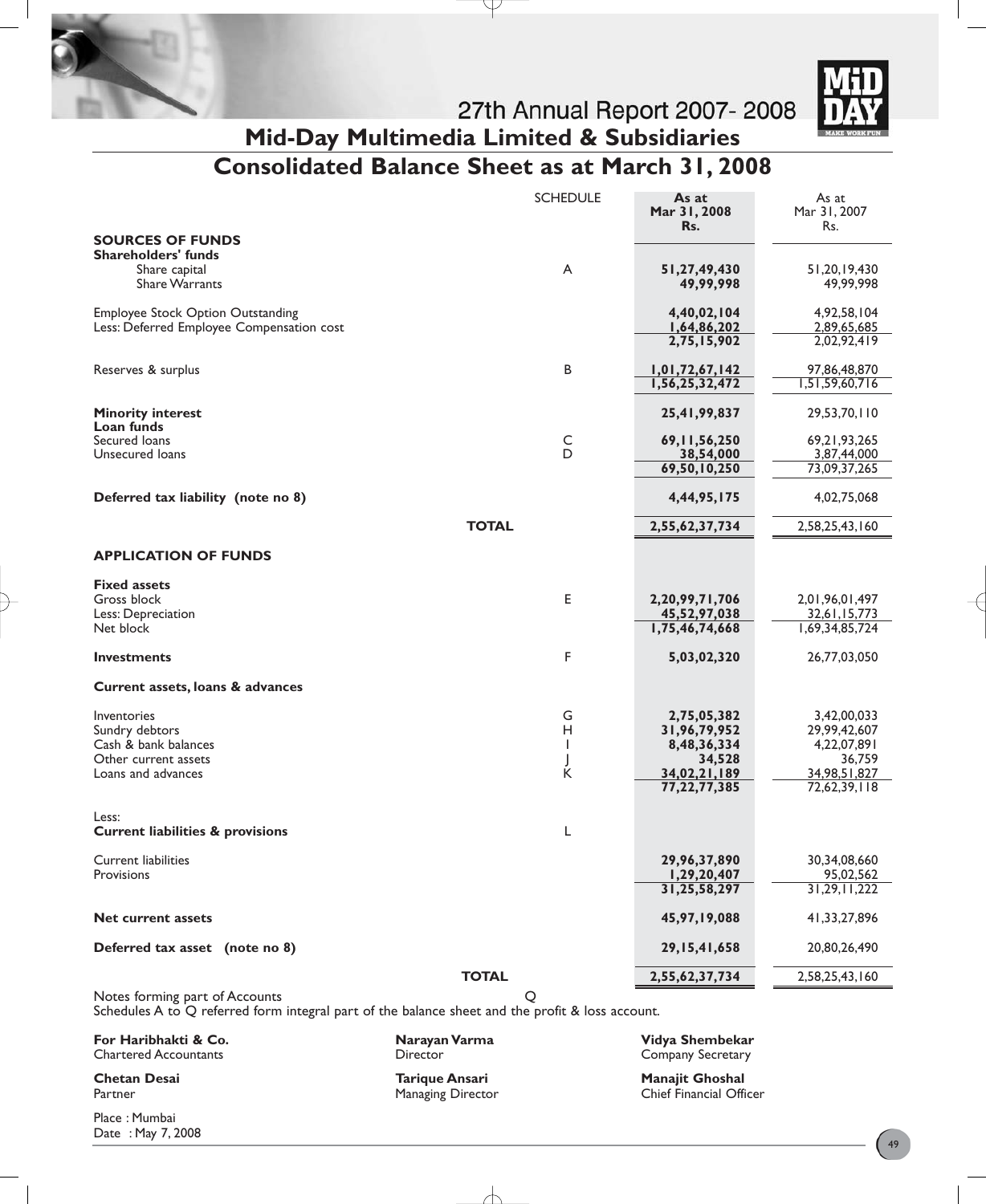

27th Annual Report 2007-2008 **Mid-Day Multimedia Limited & Subsidiaries**

# **Consolidated Balance Sheet as at March 31, 2008**

|                                             | <b>SCHEDULE</b> | As at<br>Mar 31, 2008<br>Rs. | As at<br>Mar 31, 2007<br>Rs. |
|---------------------------------------------|-----------------|------------------------------|------------------------------|
| <b>SOURCES OF FUNDS</b>                     |                 |                              |                              |
| <b>Shareholders' funds</b>                  |                 |                              |                              |
| Share capital                               | A               | 51,27,49,430                 | 51,20,19,430                 |
| <b>Share Warrants</b>                       |                 | 49,99,998                    | 49,99,998                    |
| <b>Employee Stock Option Outstanding</b>    |                 | 4,40,02,104                  | 4,92,58,104                  |
| Less: Deferred Employee Compensation cost   |                 | 1,64,86,202                  | 2,89,65,685                  |
|                                             |                 | 2,75,15,902                  | 2,02,92,419                  |
| Reserves & surplus                          | B               | 1,01,72,67,142               | 97,86,48,870                 |
|                                             |                 | 1,56,25,32,472               | 1,51,59,60,716               |
|                                             |                 |                              |                              |
| <b>Minority interest</b><br>Loan funds      |                 | 25,41,99,837                 | 29,53,70,110                 |
| Secured Ioans                               | $\overline{D}$  | 69, 11, 56, 250              | 69,21,93,265                 |
| Unsecured loans                             |                 | 38,54,000                    | 3,87,44,000                  |
|                                             |                 | 69,50,10,250                 | 73,09,37,265                 |
| Deferred tax liability (note no 8)          |                 | 4,44,95,175                  | 4,02,75,068                  |
| <b>TOTAL</b>                                |                 | 2,55,62,37,734               | 2,58,25,43,160               |
| <b>APPLICATION OF FUNDS</b>                 |                 |                              |                              |
|                                             |                 |                              |                              |
| <b>Fixed assets</b>                         |                 |                              |                              |
| Gross block                                 | Е               | 2,20,99,71,706               | 2,01,96,01,497               |
| Less: Depreciation                          |                 | 45,52,97,038                 | 32,61,15,773                 |
| Net block                                   |                 | 1,75,46,74,668               | 1,69,34,85,724               |
| <b>Investments</b>                          | F               | 5,03,02,320                  | 26,77,03,050                 |
| Current assets, loans & advances            |                 |                              |                              |
| Inventories                                 | G               | 2,75,05,382                  | 3,42,00,033                  |
| Sundry debtors                              | H               | 31,96,79,952                 | 29,99,42,607                 |
| Cash & bank balances                        | T               | 8,48,36,334                  | 4,22,07,891                  |
| Other current assets                        |                 | 34,528                       | 36,759                       |
| Loans and advances                          | J<br>K          | 34,02,21,189                 | 34,98,51,827                 |
|                                             |                 | 77, 22, 77, 385              | 72,62,39,118                 |
| Less:                                       |                 |                              |                              |
| <b>Current liabilities &amp; provisions</b> | L               |                              |                              |
| <b>Current liabilities</b>                  |                 | 29,96,37,890                 | 30,34,08,660                 |
| Provisions                                  |                 | 1,29,20,407                  | 95,02,562                    |
|                                             |                 | 31,25,58,297                 | 31,29,11,222                 |
| <b>Net current assets</b>                   |                 | 45,97,19,088                 | 41,33,27,896                 |
| Deferred tax asset (note no 8)              |                 | 29, 15, 41, 658              | 20,80,26,490                 |
| <b>TOTAL</b>                                |                 | 2,55,62,37,734               | 2,58,25,43,160               |
| Notes forming part of Accounts              | Q               |                              |                              |

Schedules A to Q referred form integral part of the balance sheet and the profit & loss account.

**For Haribhakti & Co. Narayan Varma Vidya Shembekar** Chartered Accountants **Company Secretary Company Secretary Company Secretary** 

Place : Mumbai Date : May 7, 2008

**Chetan Desai Tarique Ansari Manajit Ghoshal**

Chief Financial Officer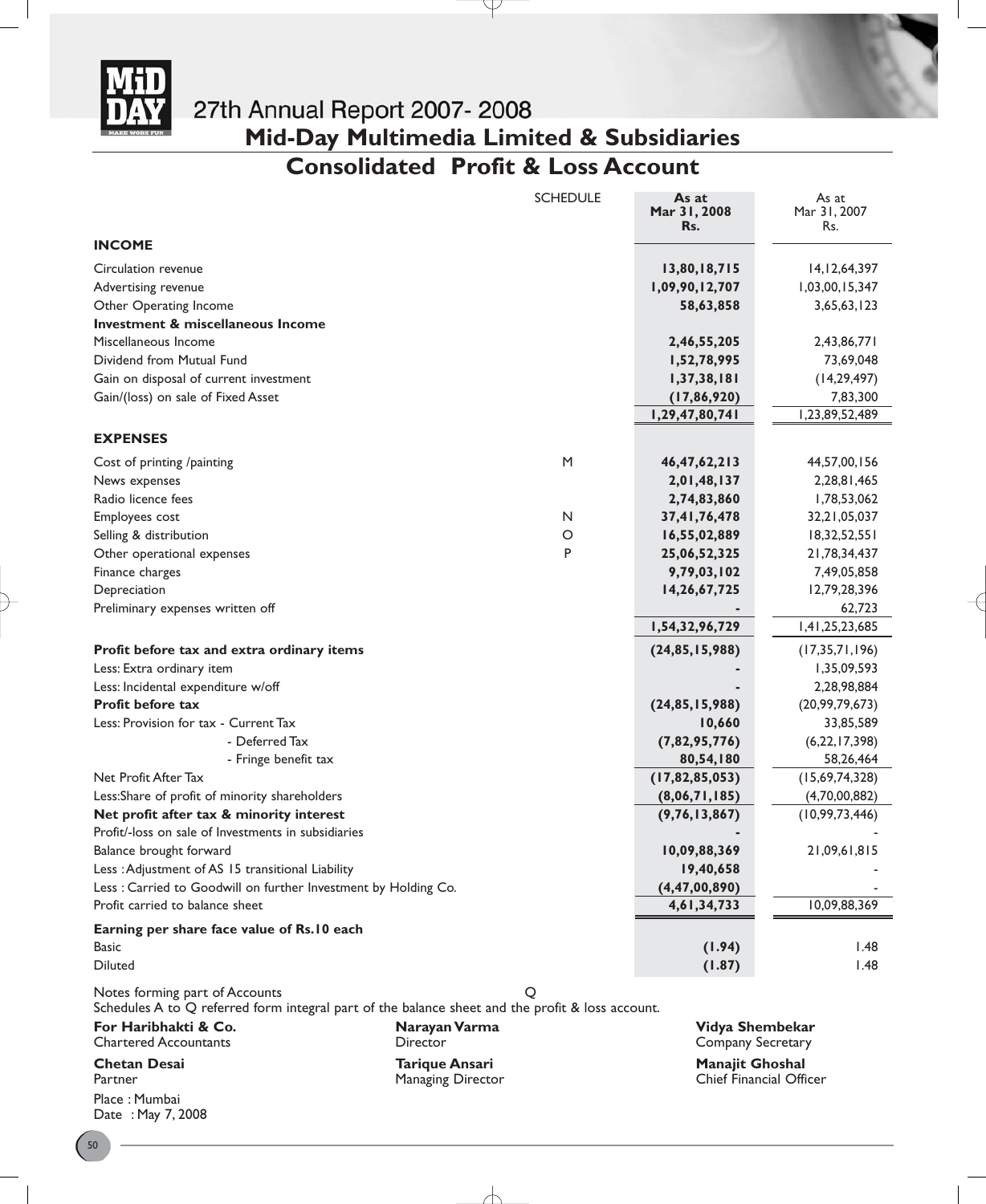

# **Mid-Day Multimedia Limited & Subsidiaries**

# **Consolidated Profit & Loss Account**

Y

|                                                                                                                                    |                                                   | <b>SCHEDULE</b> | As at<br>Mar 31, 2008<br>Rs.         | As at<br>Mar 31, 2007<br>Rs. |
|------------------------------------------------------------------------------------------------------------------------------------|---------------------------------------------------|-----------------|--------------------------------------|------------------------------|
| <b>INCOME</b>                                                                                                                      |                                                   |                 |                                      |                              |
| Circulation revenue                                                                                                                |                                                   |                 | 13,80,18,715                         | 14, 12, 64, 397              |
| Advertising revenue                                                                                                                |                                                   |                 | 1,09,90,12,707                       | 1,03,00,15,347               |
| Other Operating Income                                                                                                             |                                                   |                 | 58,63,858                            | 3,65,63,123                  |
| Investment & miscellaneous Income                                                                                                  |                                                   |                 |                                      |                              |
| Miscellaneous Income                                                                                                               |                                                   |                 | 2,46,55,205                          | 2,43,86,771                  |
| Dividend from Mutual Fund                                                                                                          |                                                   |                 | 1,52,78,995                          | 73,69,048                    |
| Gain on disposal of current investment                                                                                             |                                                   |                 | 1,37,38,181                          | (14, 29, 497)                |
| Gain/(loss) on sale of Fixed Asset                                                                                                 |                                                   |                 | (17, 86, 920)                        | 7,83,300                     |
|                                                                                                                                    |                                                   |                 | 1,29,47,80,741                       | 1,23,89,52,489               |
| <b>EXPENSES</b>                                                                                                                    |                                                   |                 |                                      |                              |
| Cost of printing /painting                                                                                                         |                                                   | M               | 46, 47, 62, 213                      | 44,57,00,156                 |
| News expenses                                                                                                                      |                                                   |                 | 2,01,48,137                          | 2,28,81,465                  |
| Radio licence fees                                                                                                                 |                                                   |                 | 2,74,83,860                          | 1,78,53,062                  |
| Employees cost                                                                                                                     |                                                   | N               | 37,41,76,478                         | 32, 21, 05, 037              |
| Selling & distribution                                                                                                             |                                                   | O               | 16,55,02,889                         | 18,32,52,551                 |
| Other operational expenses                                                                                                         |                                                   | P               | 25,06,52,325                         | 21,78,34,437                 |
| Finance charges                                                                                                                    |                                                   |                 | 9,79,03,102                          | 7,49,05,858                  |
| Depreciation                                                                                                                       |                                                   |                 | 14,26,67,725                         | 12,79,28,396                 |
| Preliminary expenses written off                                                                                                   |                                                   |                 |                                      | 62,723                       |
|                                                                                                                                    |                                                   |                 | 1,54,32,96,729                       | 1,41,25,23,685               |
| Profit before tax and extra ordinary items                                                                                         |                                                   |                 | (24, 85, 15, 988)                    | (17, 35, 71, 196)            |
| Less: Extra ordinary item                                                                                                          |                                                   |                 |                                      | 1,35,09,593                  |
| Less: Incidental expenditure w/off                                                                                                 |                                                   |                 |                                      | 2,28,98,884                  |
| <b>Profit before tax</b>                                                                                                           |                                                   |                 | (24, 85, 15, 988)                    | (20, 99, 79, 673)            |
| Less: Provision for tax - Current Tax                                                                                              |                                                   |                 | 10,660                               | 33,85,589                    |
| - Deferred Tax                                                                                                                     |                                                   |                 | (7,82,95,776)                        | (6,22,17,398)                |
| - Fringe benefit tax                                                                                                               |                                                   |                 | 80,54,180                            | 58,26,464                    |
| Net Profit After Tax                                                                                                               |                                                   |                 | (17, 82, 85, 053)                    | (15,69,74,328)               |
| Less:Share of profit of minority shareholders                                                                                      |                                                   |                 | (8,06,71,185)                        | (4,70,00,882)                |
| Net profit after tax & minority interest                                                                                           |                                                   |                 | (9, 76, 13, 867)                     | (10, 99, 73, 446)            |
| Profit/-loss on sale of Investments in subsidiaries                                                                                |                                                   |                 |                                      |                              |
| Balance brought forward                                                                                                            |                                                   |                 | 10,09,88,369                         | 21,09,61,815                 |
| Less : Adjustment of AS 15 transitional Liability                                                                                  |                                                   |                 | 19,40,658                            |                              |
| Less: Carried to Goodwill on further Investment by Holding Co.                                                                     |                                                   |                 | (4, 47, 00, 890)                     |                              |
| Profit carried to balance sheet                                                                                                    |                                                   |                 | 4,61,34,733                          | 10,09,88,369                 |
| Earning per share face value of Rs.10 each                                                                                         |                                                   |                 |                                      |                              |
| Basic                                                                                                                              |                                                   |                 | (1.94)                               | 1.48                         |
| <b>Diluted</b>                                                                                                                     |                                                   |                 | (1.87)                               | I.48                         |
| Notes forming part of Accounts<br>Schedules A to Q referred form integral part of the balance sheet and the profit & loss account. |                                                   | Q               |                                      |                              |
| For Haribhakti & Co.<br><b>Chartered Accountants</b>                                                                               | Narayan Varma<br>Director                         |                 | Vidya Shembekar<br>Company Secretary |                              |
| <b>Chetan Desai</b><br>Partner                                                                                                     | <b>Tarique Ansari</b><br><b>Managing Director</b> |                 | Manajit Ghoshal                      | Chief Financial Officer      |

Place : Mumbai Date : May 7, 2008

╅

Chief Financial Officer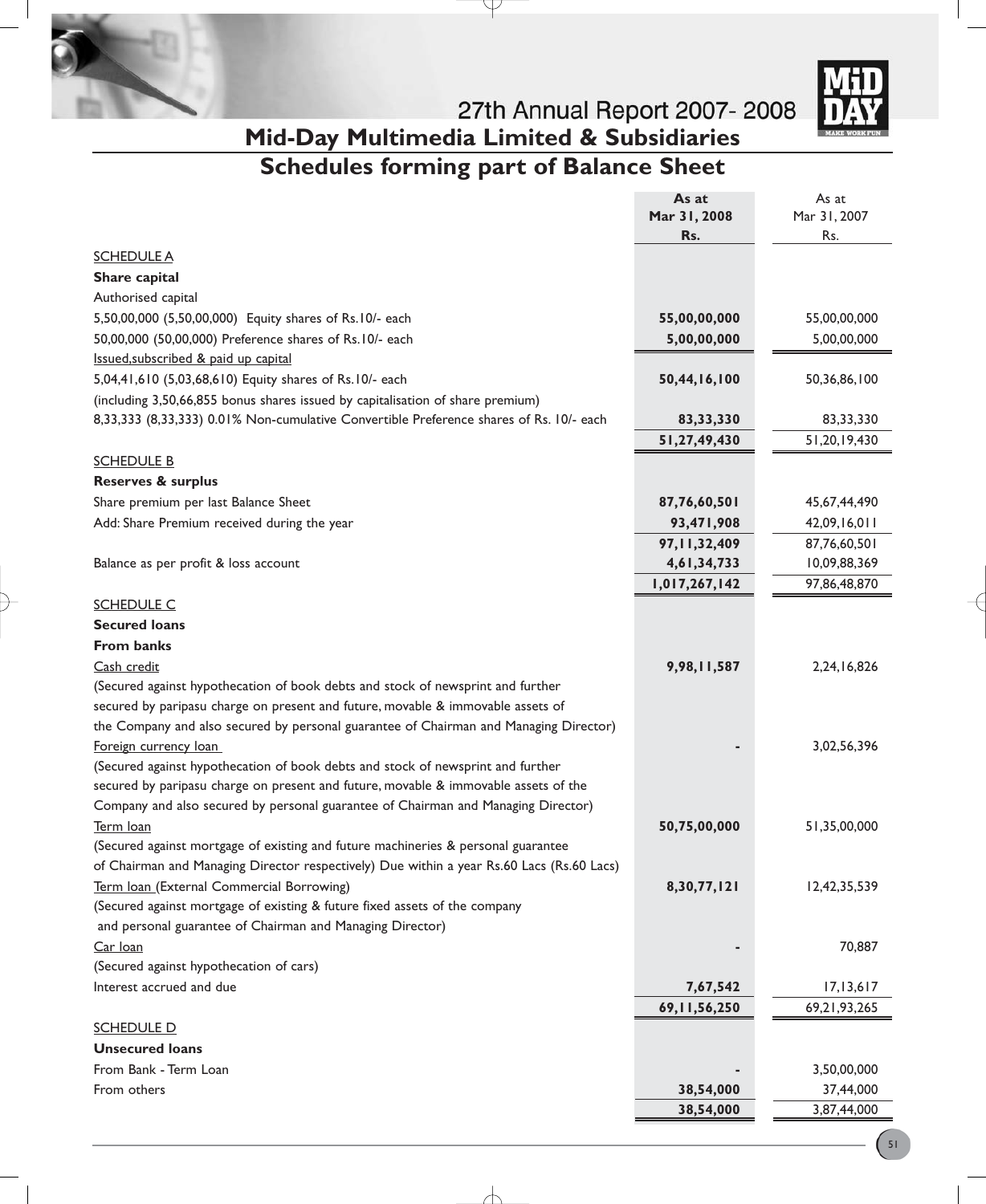



# 27th Annual Report 2007-2008 **Mid-Day Multimedia Limited & Subsidiaries**

# **Schedules forming part of Balance Sheet**

 $\downarrow$ 

|                                                                                           | As at           | As at           |
|-------------------------------------------------------------------------------------------|-----------------|-----------------|
|                                                                                           | Mar 31, 2008    | Mar 31, 2007    |
|                                                                                           | Rs.             | Rs.             |
| <b>SCHEDULE A</b>                                                                         |                 |                 |
| Share capital                                                                             |                 |                 |
| Authorised capital                                                                        |                 |                 |
| 5,50,00,000 (5,50,00,000) Equity shares of Rs.10/- each                                   | 55,00,00,000    | 55,00,00,000    |
| 50,00,000 (50,00,000) Preference shares of Rs.10/- each                                   | 5,00,00,000     | 5,00,00,000     |
| Issued, subscribed & paid up capital                                                      |                 |                 |
| 5,04,41,610 (5,03,68,610) Equity shares of Rs.10/- each                                   | 50,44,16,100    | 50,36,86,100    |
| (including 3,50,66,855 bonus shares issued by capitalisation of share premium)            |                 |                 |
| 8,33,333 (8,33,333) 0.01% Non-cumulative Convertible Preference shares of Rs. 10/- each   | 83, 33, 330     | 83,33,330       |
|                                                                                           | 51,27,49,430    | 51,20,19,430    |
| <b>SCHEDULE B</b>                                                                         |                 |                 |
| <b>Reserves &amp; surplus</b>                                                             |                 |                 |
| Share premium per last Balance Sheet                                                      | 87,76,60,501    | 45,67,44,490    |
| Add: Share Premium received during the year                                               | 93,471,908      | 42,09,16,011    |
|                                                                                           | 97, 11, 32, 409 | 87,76,60,501    |
| Balance as per profit & loss account                                                      | 4,61,34,733     | 10,09,88,369    |
|                                                                                           | 1,017,267,142   | 97,86,48,870    |
| <b>SCHEDULE C</b>                                                                         |                 |                 |
| <b>Secured loans</b>                                                                      |                 |                 |
| <b>From banks</b>                                                                         |                 |                 |
|                                                                                           |                 |                 |
| Cash credit                                                                               | 9,98,11,587     | 2,24,16,826     |
| (Secured against hypothecation of book debts and stock of newsprint and further           |                 |                 |
| secured by paripasu charge on present and future, movable & immovable assets of           |                 |                 |
| the Company and also secured by personal guarantee of Chairman and Managing Director)     |                 |                 |
| Foreign currency loan                                                                     |                 | 3,02,56,396     |
| (Secured against hypothecation of book debts and stock of newsprint and further           |                 |                 |
| secured by paripasu charge on present and future, movable & immovable assets of the       |                 |                 |
| Company and also secured by personal guarantee of Chairman and Managing Director)         |                 |                 |
| Term loan                                                                                 | 50,75,00,000    | 51,35,00,000    |
| (Secured against mortgage of existing and future machineries & personal guarantee         |                 |                 |
| of Chairman and Managing Director respectively) Due within a year Rs.60 Lacs (Rs.60 Lacs) |                 |                 |
| Term loan (External Commercial Borrowing)                                                 | 8,30,77,121     | 12,42,35,539    |
| (Secured against mortgage of existing & future fixed assets of the company                |                 |                 |
| and personal guarantee of Chairman and Managing Director)                                 |                 |                 |
| Car loan                                                                                  |                 | 70,887          |
| (Secured against hypothecation of cars)                                                   |                 |                 |
| Interest accrued and due                                                                  | 7,67,542        | 17, 13, 617     |
|                                                                                           | 69, 11, 56, 250 | 69, 21, 93, 265 |
| <b>SCHEDULE D</b>                                                                         |                 |                 |
| <b>Unsecured loans</b>                                                                    |                 |                 |
| From Bank - Term Loan                                                                     |                 | 3,50,00,000     |
| From others                                                                               | 38,54,000       | 37,44,000       |
|                                                                                           | 38,54,000       | 3,87,44,000     |
|                                                                                           |                 |                 |

╅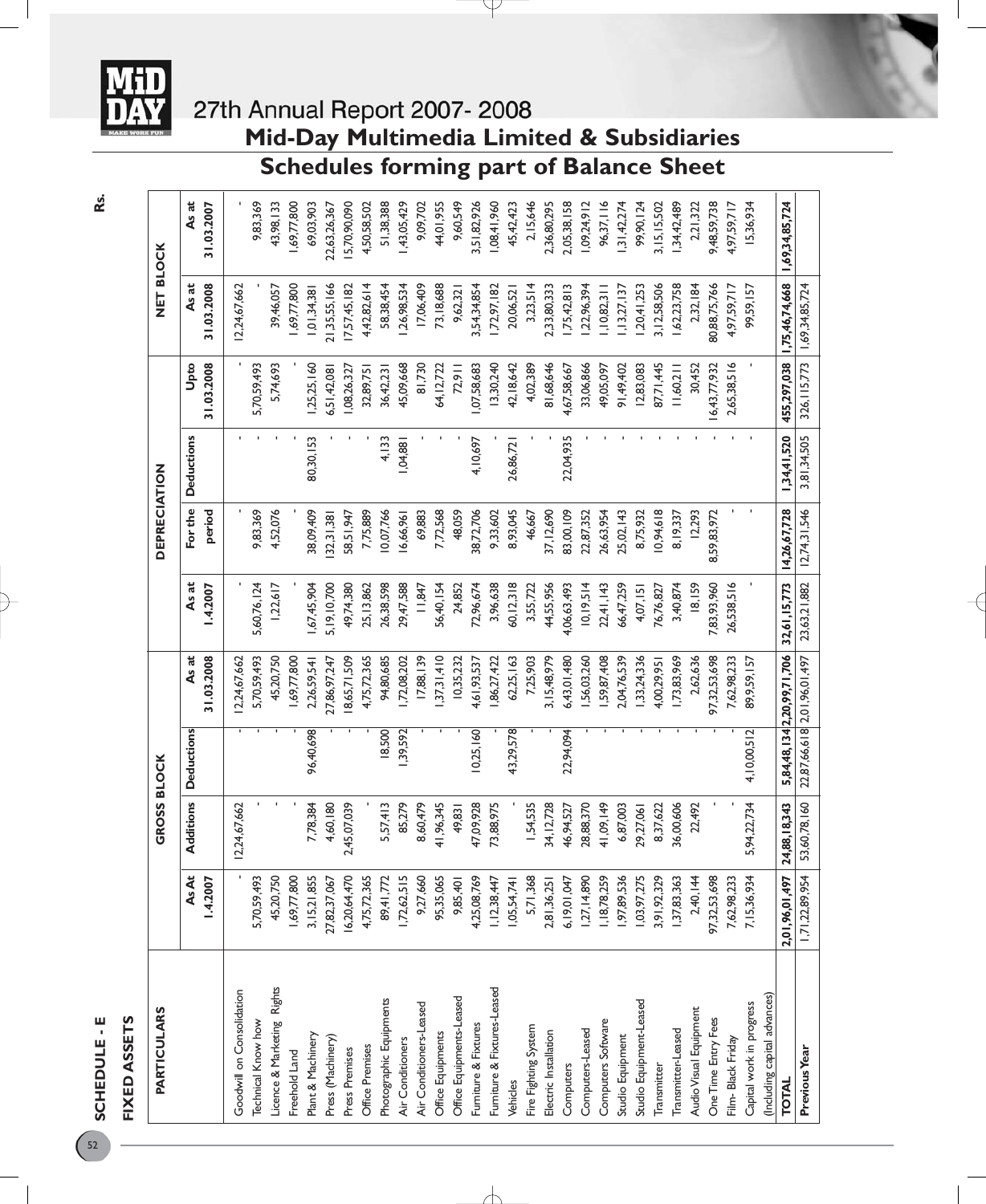

# **Mid-Day Multimedia Limited & Subsidiaries**

### **Schedules forming part of Balance Sheet**

P

| <b>PARTICULARS</b>           |                  | <b>GROSS BLOCK</b> |                   |                             |                   | <b>DEPRECIATION</b> |                   |                    | NET BLOCK           |                     |
|------------------------------|------------------|--------------------|-------------------|-----------------------------|-------------------|---------------------|-------------------|--------------------|---------------------|---------------------|
|                              | AsAt<br>1.4.2007 | Additions          | <b>Deductions</b> | 31.03.2008<br>As at         | As at<br>1.4.2007 | For the<br>period   | <b>Deductions</b> | 31.03.2008<br>Upto | 31.03.2008<br>As at | As at<br>31.03.2007 |
| Goodwill on Consolidation    |                  | 12,24,67,662       |                   | 12,24,67,662                |                   |                     |                   |                    | 12,24,67,662        |                     |
| <b>Technical Know how</b>    | 5,70,59,493      |                    |                   | 5,70,59,493                 | 5,60,76,124       | 9,83,369            |                   | 5,70,59,493        |                     | 9,83,369            |
| Licence & Marketing Rights   | 45,20,750        |                    |                   | 45,20,750                   | 1,22,617          | 4,52,076            |                   | 5,74,693           | 39,46,057           | 43,98,133           |
| Freehold Land                | 1,69,77,800      |                    |                   | ,69,77,800                  |                   |                     |                   |                    | 69,77,800           | 1,69,77,800         |
| Plant & Machinery            | 3, 15, 21, 855   | 7,78,384           | 96,40,698         | 2,26,59,541                 | 67,45,904         | 38,09,409           | 80,30,153         | ,25,25,160         | 0,01,34,38          | 69,03,903           |
| Press (Machinery)            | 27,82,37,067     | 4,60,180           |                   | 27,86,97,247                | 5, 19, 10, 700    | 32,31,38            |                   | 5,51,42,08         | 21,35,55,166        | 22,63,26,367        |
| Press Premises               | 16,20,64,470     | 2,45,07,039        |                   | 8,65,71,509                 | 49,74,380         | 58,51,947           |                   | ,08,26,327         | 7,57,45,182         | 5,70,90,090         |
| Office Premises              | 4,75,72,365      |                    |                   | 4,75,72,365                 | 25, 13, 862       | 7,75,889            |                   | 32,89,75           | 4,42,82,614         | 4,50,58,502         |
| Photographic Equipments      | 89,41,772        | 5,57,413           | 8,500             | 94,80,685                   | 26,38,598         | 0,07,766            | 4,133             | 36,42,231          | 58,38,454           | 51,38,388           |
| Air Conditioners             | 1,72,62,515      | 85,279             | ,39,592           | 72,08,202                   | 29,47,588         | 6,66,961            | 1,04,881          | 45,09,668          | ,26,98,534          | ,43,05,429          |
| Air Conditioners-Leased      | 9,27,660         | 8,60,479           |                   | 17,88,139                   | 11,847            | 69,883              |                   | 81,730             | 17,06,409           | 9,09,702            |
| Office Equipments            | 95,35,065        | 41,96,345          |                   | 37,31,410                   | 56,40,154         | 7,72,568            |                   | 64, 12, 722        | 73, 18, 688         | 44,01,955           |
| Office Equipments-Leased     | 9,85,401         | 49,831             |                   | 10,35,232                   | 24,852            | 48,059              |                   | 72,911             | 9,62,321            | 9,60,549            |
| Furniture & Fixtures         | 4,25,08,769      | 47,09,928          | 10,25,160         | 61,93,537                   | 72,96,674         | 38,72,706           | 4,10,697          | ,07,58,683         | 3,54,34,854         | 3,51,82,926         |
| Furniture & Fixtures-Leased  | 1,12,38,447      | 73,88,975          |                   | 86,27,422                   | 3,96,638          | 9,33,602            |                   | 3,30,240           | 7,72,97,182         | 1,08,41,960         |
| Vehicles                     | 1,05,54,741      |                    | 43,29,578         | 62,25,163                   | 60, 12, 318       | 8,93,045            | 26,86,72          | 42, 18, 642        | 20,06,521           | 45,42,423           |
| Fire Fighting System         | 5,71,368         | 1,54,535           |                   | 7,25,903                    | 3,55,722          | 46,667              |                   | 4,02,389           | 3,23,514            | 2,15,646            |
| Electric Installation        | 2,81,36,251      | 34, 12, 728        |                   | 3, 15, 48, 979              | 44,55,956         | 37, 12, 690         |                   | 81,68,646          | 2,33,80,333         | 2,36,80,295         |
| Computers                    | 6,19,01,047      | 16,94,527          | 22,94,094         | 6,43,01,480                 | 4,06,63,493       | 83,00,109           | 22,04,935         | 4,67,58,667        | 75,42,813           | 2,05,38,158         |
| Computers-Leased             | 1,27, 14,890     | 28,88,370          |                   | ,56,03,260                  | 10, 19, 514       | 22,87,352           |                   | 33,06,866          | ,22,96,394          | ,09,24,912          |
| Computers Software           | 1,18,78,259      | 41,09,149          |                   | ,59,87,408                  | 22,41,143         | 26,63,954           |                   | 49,05,097          | ,10,82,311          | 96,37,116           |
| Studio Equipment             | 1,97,89,536      | 6,87,003           |                   | 1,04,76,539                 | 66,47,259         | 25,02,143           |                   | 91,49,402          | , 13, 27, 137       | 31,42,274           |
| Studio Equipment-Leased      | 1,03,97,275      | 29,27,061          |                   | ,33,24,336                  | 4,07,151          | 8,75,932            |                   | 12,83,083          | 20,41,253           | 99,90,124           |
| Transmitter                  | 3,91,92,329      | 8,37,622           |                   | 4,00,29,95                  | 76,76,827         | 0,94,618            |                   | 87,71,445          | 3,12,58,506         | 3, 15, 15, 502      |
| Transmitter-Leased           | 1,37,83,363      | 36,00,606          |                   | ,73,83,969                  | 3,40,874          | 8, 19, 337          |                   | 1,60,211           | 62,23,758           | 34,42,489           |
| Audio Visual Equipment       | 2,40,144         | 22,492             |                   | 2,62,636                    | 18,159            | 12,293              |                   | 30,452             | 2,32,184            | 2,21,322            |
| One Time Entry Fees          | 97,32,53,698     |                    |                   | 97,32,53,698                | 7,83,93,960       | 59,83,972<br>ထ      |                   | 6,43,77,932        | 30,88,75,766        | 9,48,59,738         |
| Film- Black Friday           | 7,62,98,233      |                    |                   | 7,62,98,233                 | 26,538,516        |                     |                   | 2,65,38,516        | 4,97,59,717         | 4,97,59,717         |
| Capital work in progress     | 7,15,36,934      | 5,94,22,734        | 4,10,00,512       | 89,9,59,157                 |                   |                     |                   |                    | 99,59,157           | 15,36,934           |
| (Including capital advances) |                  |                    |                   |                             |                   |                     |                   |                    |                     |                     |
| <b>TOTAL</b>                 | 2,01,96,01,497   | 24,88,18,343       |                   | 5,84,48,134 2,20,99,71,706  | 32,61,15,773      | 14,26,67,728        | 1,34,41,520       | 455,297,038        | 1,75,46,74,668      | 1,69,34,85,724      |
| Previous Year                | 1,71,22,89,954   | 53,60,78,160       |                   | 22,87,66,618 2,01,96,01,497 | 23,63,21,882      | 12,74,31,546        | 3,81,34,505       | 326, 115, 773      | 1,69,34,85,724      |                     |

╁

**Rs.**

**SCHEDULE - E FIXED ASSETS**

SCHEDULE - E FIXED ASSETS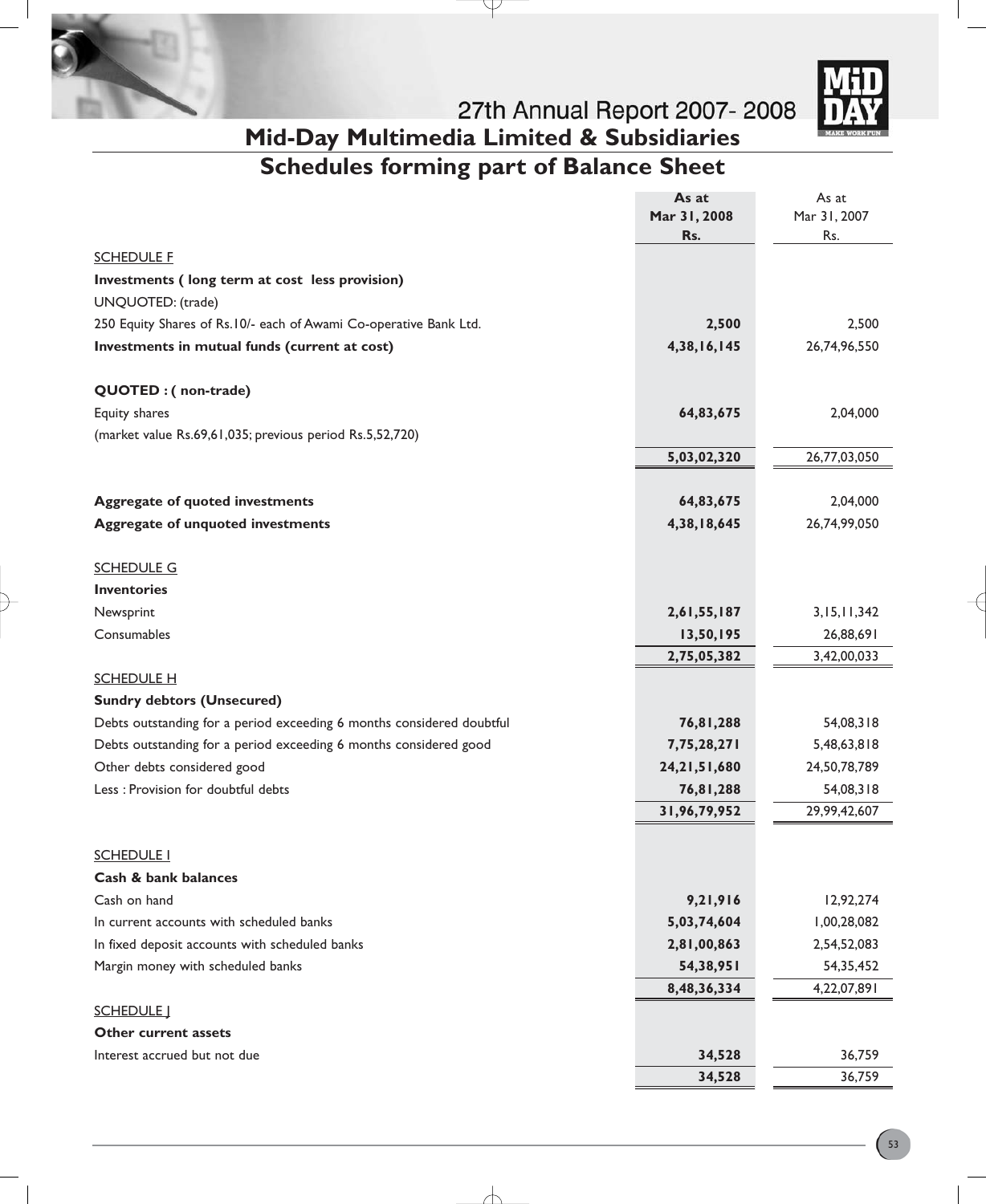



**Mid-Day Multimedia Limited & Subsidiaries**

# **Schedules forming part of Balance Sheet**

₽

|                                                                       | As at           | As at        |
|-----------------------------------------------------------------------|-----------------|--------------|
|                                                                       | Mar 31, 2008    | Mar 31, 2007 |
|                                                                       | Rs.             | Rs.          |
| <b>SCHEDULE F</b>                                                     |                 |              |
| Investments (long term at cost less provision)                        |                 |              |
| UNQUOTED: (trade)                                                     |                 |              |
| 250 Equity Shares of Rs.10/- each of Awami Co-operative Bank Ltd.     | 2,500           | 2,500        |
| Investments in mutual funds (current at cost)                         | 4,38,16,145     | 26,74,96,550 |
| QUOTED : (non-trade)                                                  |                 |              |
| Equity shares                                                         | 64,83,675       | 2,04,000     |
| (market value Rs.69,61,035; previous period Rs.5,52,720)              |                 |              |
|                                                                       | 5,03,02,320     | 26,77,03,050 |
|                                                                       |                 |              |
| <b>Aggregate of quoted investments</b>                                | 64,83,675       | 2,04,000     |
| <b>Aggregate of unquoted investments</b>                              | 4,38,18,645     | 26,74,99,050 |
|                                                                       |                 |              |
| <b>SCHEDULE G</b>                                                     |                 |              |
| <b>Inventories</b>                                                    |                 |              |
| Newsprint                                                             | 2,61,55,187     | 3,15,11,342  |
| Consumables                                                           | 13,50,195       | 26,88,691    |
|                                                                       | 2,75,05,382     | 3,42,00,033  |
| <b>SCHEDULE H</b>                                                     |                 |              |
| <b>Sundry debtors (Unsecured)</b>                                     |                 |              |
| Debts outstanding for a period exceeding 6 months considered doubtful | 76,81,288       | 54,08,318    |
| Debts outstanding for a period exceeding 6 months considered good     | 7,75,28,271     | 5,48,63,818  |
| Other debts considered good                                           | 24, 21, 51, 680 | 24,50,78,789 |
| Less : Provision for doubtful debts                                   | 76,81,288       | 54,08,318    |
|                                                                       | 31,96,79,952    | 29,99,42,607 |
|                                                                       |                 |              |
| <b>SCHEDULE I</b>                                                     |                 |              |
| Cash & bank balances<br>Cash on hand                                  | 9,21,916        | 12,92,274    |
| In current accounts with scheduled banks                              | 5,03,74,604     | 1,00,28,082  |
| In fixed deposit accounts with scheduled banks                        | 2,81,00,863     | 2,54,52,083  |
| Margin money with scheduled banks                                     | 54,38,951       | 54,35,452    |
|                                                                       | 8,48,36,334     | 4,22,07,891  |
| <b>SCHEDULE</b> J                                                     |                 |              |
| <b>Other current assets</b>                                           |                 |              |
| Interest accrued but not due                                          | 34,528          | 36,759       |
|                                                                       | 34,528          | 36,759       |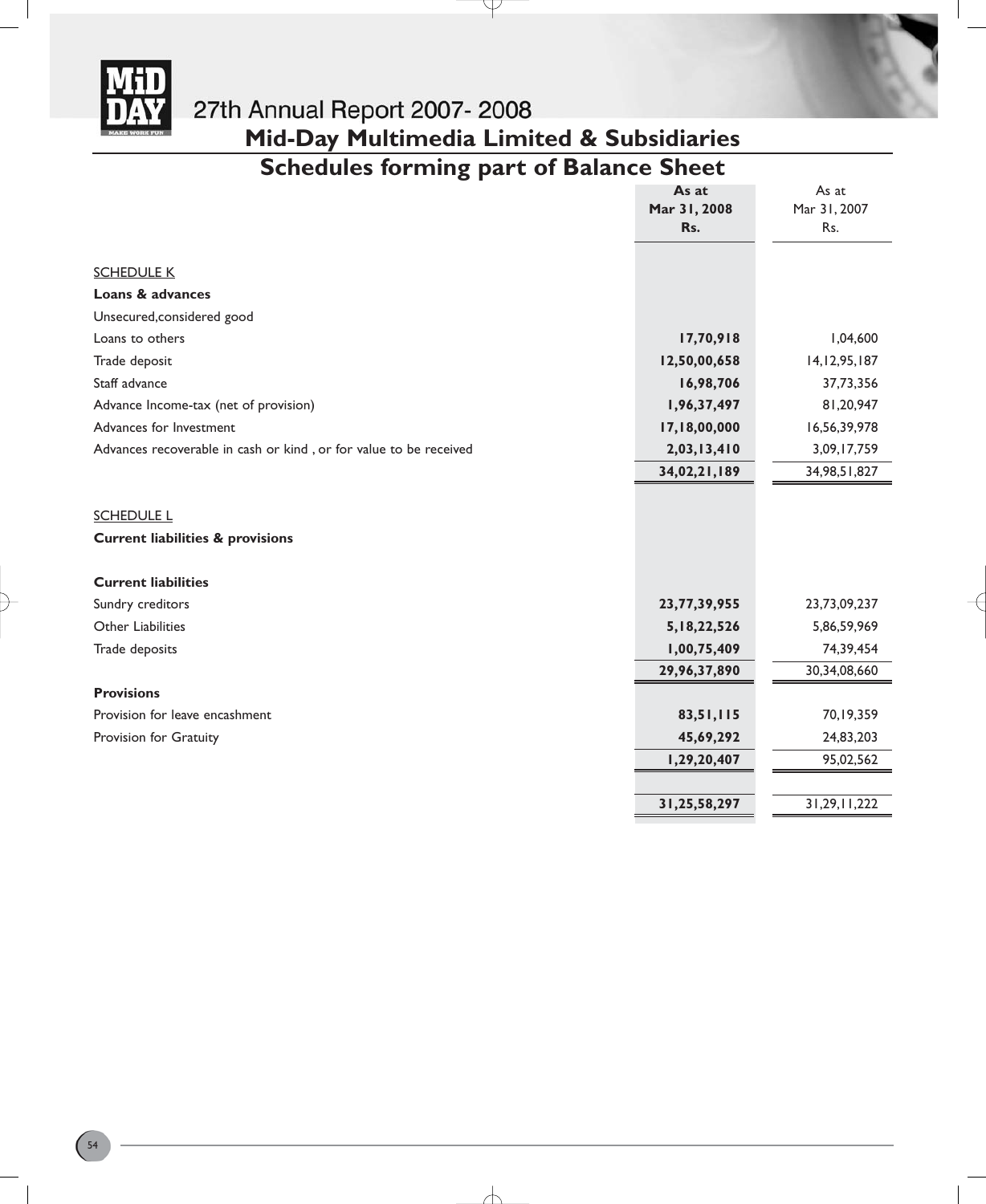

# 27th Annual Report 2007-2008 **Mid-Day Multimedia Limited & Subsidiaries**

### **Schedules forming part of Balance Sheet**

Ψ

|                                                                   | As at           | As at           |
|-------------------------------------------------------------------|-----------------|-----------------|
|                                                                   | Mar 31, 2008    | Mar 31, 2007    |
|                                                                   | Rs.             | Rs.             |
|                                                                   |                 |                 |
| <b>SCHEDULE K</b>                                                 |                 |                 |
| Loans & advances                                                  |                 |                 |
| Unsecured, considered good                                        |                 |                 |
| Loans to others                                                   | 17,70,918       | 1,04,600        |
| Trade deposit                                                     | 12,50,00,658    | 14, 12, 95, 187 |
| Staff advance                                                     | 16,98,706       | 37,73,356       |
| Advance Income-tax (net of provision)                             | 1,96,37,497     | 81,20,947       |
| Advances for Investment                                           | 17,18,00,000    | 16,56,39,978    |
| Advances recoverable in cash or kind, or for value to be received | 2,03,13,410     | 3,09,17,759     |
|                                                                   | 34,02,21,189    | 34, 98, 51, 827 |
|                                                                   |                 |                 |
| <b>SCHEDULE L</b>                                                 |                 |                 |
| <b>Current liabilities &amp; provisions</b>                       |                 |                 |
|                                                                   |                 |                 |
| <b>Current liabilities</b>                                        |                 |                 |
| Sundry creditors                                                  | 23, 77, 39, 955 | 23,73,09,237    |
| Other Liabilities                                                 | 5, 18, 22, 526  | 5,86,59,969     |
| Trade deposits                                                    | 1,00,75,409     | 74,39,454       |
|                                                                   | 29,96,37,890    | 30,34,08,660    |
| <b>Provisions</b>                                                 |                 |                 |
| Provision for leave encashment                                    | 83,51,115       | 70,19,359       |
| Provision for Gratuity                                            | 45,69,292       | 24,83,203       |
|                                                                   | 1,29,20,407     | 95,02,562       |
|                                                                   |                 |                 |
|                                                                   | 31,25,58,297    | 31, 29, 11, 222 |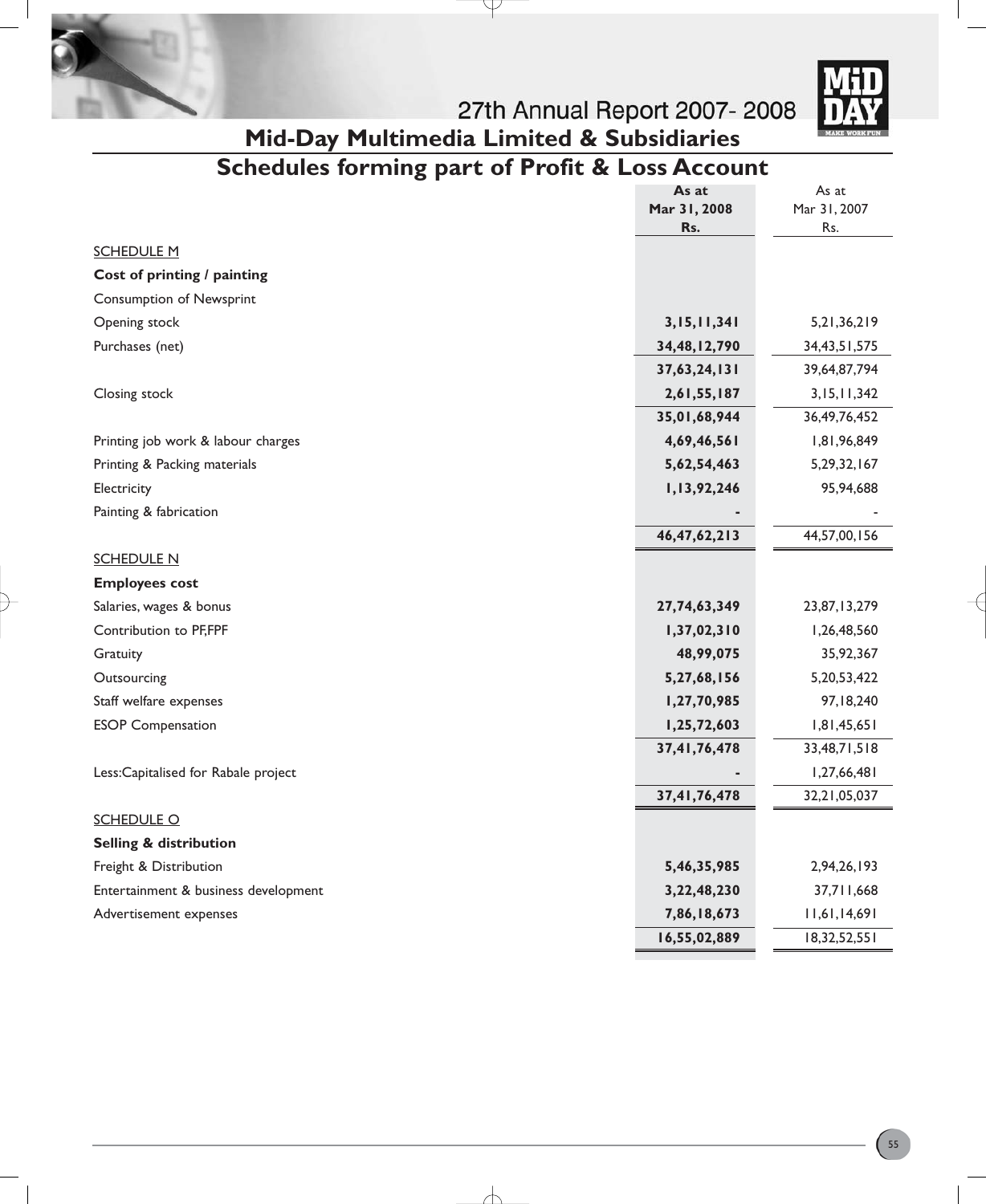



# 27th Annual Report 2007-2008 **Mid-Day Multimedia Limited & Subsidiaries**

# **Schedules forming part of Profit & Loss Account**

P

|                                      | As at           | As at           |
|--------------------------------------|-----------------|-----------------|
|                                      | Mar 31, 2008    | Mar 31, 2007    |
|                                      | Rs.             | Rs.             |
| <b>SCHEDULE M</b>                    |                 |                 |
| Cost of printing / painting          |                 |                 |
| <b>Consumption of Newsprint</b>      |                 |                 |
| Opening stock                        | 3, 15, 11, 341  | 5,21,36,219     |
| Purchases (net)                      | 34,48,12,790    | 34, 43, 51, 575 |
|                                      | 37,63,24,131    | 39,64,87,794    |
| Closing stock                        | 2,61,55,187     | 3,15,11,342     |
|                                      | 35,01,68,944    | 36, 49, 76, 452 |
| Printing job work & labour charges   | 4,69,46,561     | 1,81,96,849     |
| Printing & Packing materials         | 5,62,54,463     | 5, 29, 32, 167  |
| Electricity                          | 1,13,92,246     | 95,94,688       |
| Painting & fabrication               |                 |                 |
|                                      | 46, 47, 62, 213 | 44,57,00,156    |
| <b>SCHEDULE N</b>                    |                 |                 |
| <b>Employees cost</b>                |                 |                 |
| Salaries, wages & bonus              | 27,74,63,349    | 23,87,13,279    |
| Contribution to PF,FPF               | 1,37,02,310     | 1,26,48,560     |
| Gratuity                             | 48,99,075       | 35,92,367       |
| Outsourcing                          | 5,27,68,156     | 5,20,53,422     |
| Staff welfare expenses               | 1,27,70,985     | 97,18,240       |
| <b>ESOP Compensation</b>             | 1,25,72,603     | 1,81,45,651     |
|                                      | 37,41,76,478    | 33,48,71,518    |
| Less:Capitalised for Rabale project  |                 | 1,27,66,481     |
|                                      | 37,41,76,478    | 32,21,05,037    |
| <b>SCHEDULE O</b>                    |                 |                 |
| Selling & distribution               |                 |                 |
| Freight & Distribution               | 5,46,35,985     | 2,94,26,193     |
| Entertainment & business development | 3,22,48,230     | 37,711,668      |
| Advertisement expenses               | 7,86,18,673     | 11,61,14,691    |
|                                      | 16,55,02,889    | 18,32,52,551    |

╅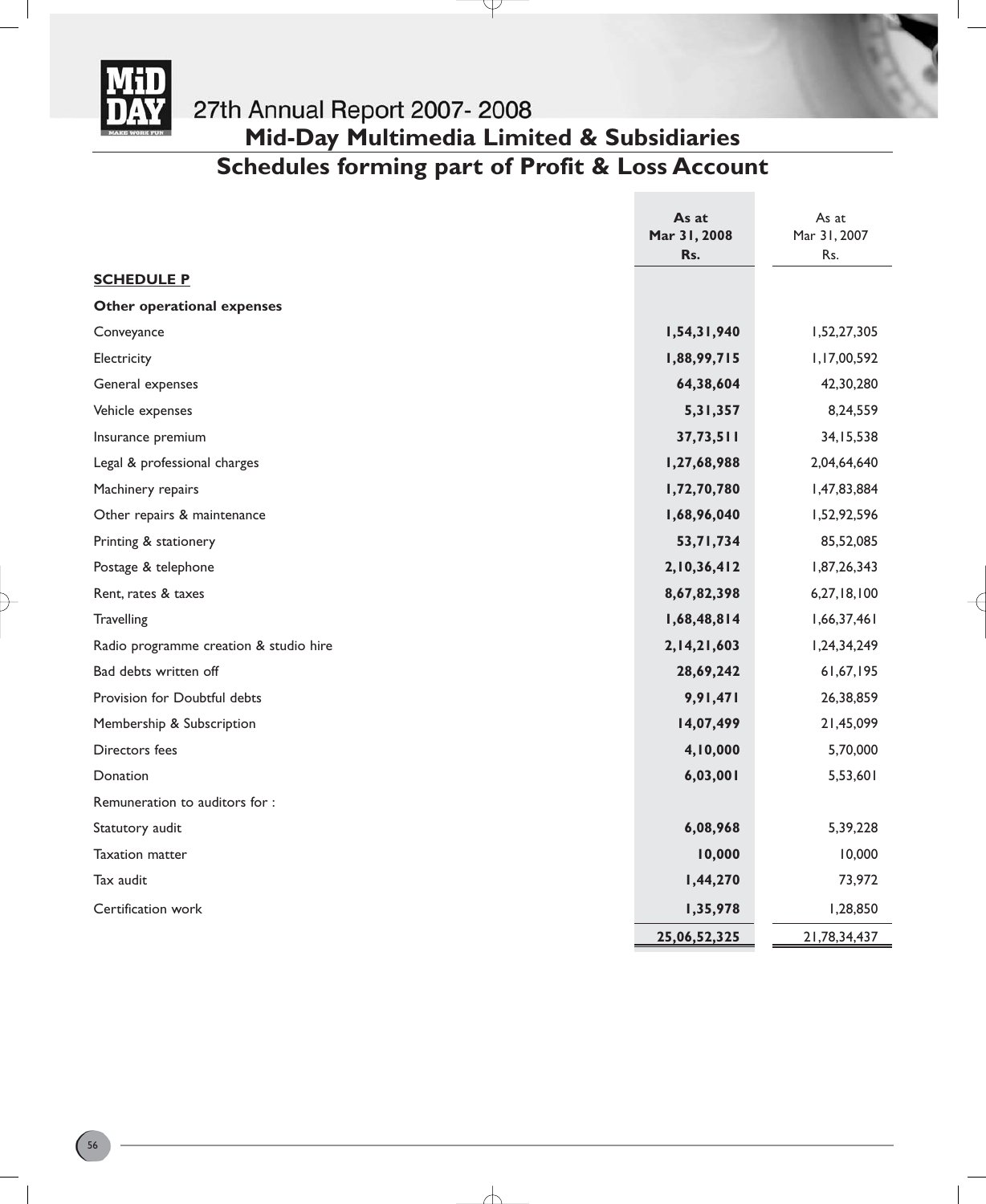

# **Mid-Day Multimedia Limited & Subsidiaries**

### **Schedules forming part of Profit & Loss Account**

 $\downarrow$ 

|                                        | As at               | As at        |
|----------------------------------------|---------------------|--------------|
|                                        | Mar 31, 2008<br>Rs. | Mar 31, 2007 |
| <b>SCHEDULE P</b>                      |                     | Rs.          |
| Other operational expenses             |                     |              |
|                                        |                     |              |
| Conveyance                             | 1,54,31,940         | 1,52,27,305  |
| Electricity                            | 1,88,99,715         | 1,17,00,592  |
| General expenses                       | 64,38,604           | 42,30,280    |
| Vehicle expenses                       | 5,31,357            | 8,24,559     |
| Insurance premium                      | 37,73,511           | 34, 15, 538  |
| Legal & professional charges           | 1,27,68,988         | 2,04,64,640  |
| Machinery repairs                      | 1,72,70,780         | 1,47,83,884  |
| Other repairs & maintenance            | 1,68,96,040         | 1,52,92,596  |
| Printing & stationery                  | 53,71,734           | 85,52,085    |
| Postage & telephone                    | 2,10,36,412         | 1,87,26,343  |
| Rent, rates & taxes                    | 8,67,82,398         | 6,27,18,100  |
| Travelling                             | 1,68,48,814         | 1,66,37,461  |
| Radio programme creation & studio hire | 2, 14, 21, 603      | 1,24,34,249  |
| Bad debts written off                  | 28,69,242           | 61,67,195    |
| Provision for Doubtful debts           | 9,91,471            | 26,38,859    |
| Membership & Subscription              | 14,07,499           | 21,45,099    |
| Directors fees                         | 4,10,000            | 5,70,000     |
| Donation                               | 6,03,001            | 5,53,601     |
| Remuneration to auditors for :         |                     |              |
| Statutory audit                        | 6,08,968            | 5,39,228     |
| <b>Taxation matter</b>                 | 10,000              | 10,000       |
| Tax audit                              | 1,44,270            | 73,972       |
| Certification work                     | 1,35,978            | 1,28,850     |
|                                        | 25,06,52,325        | 21,78,34,437 |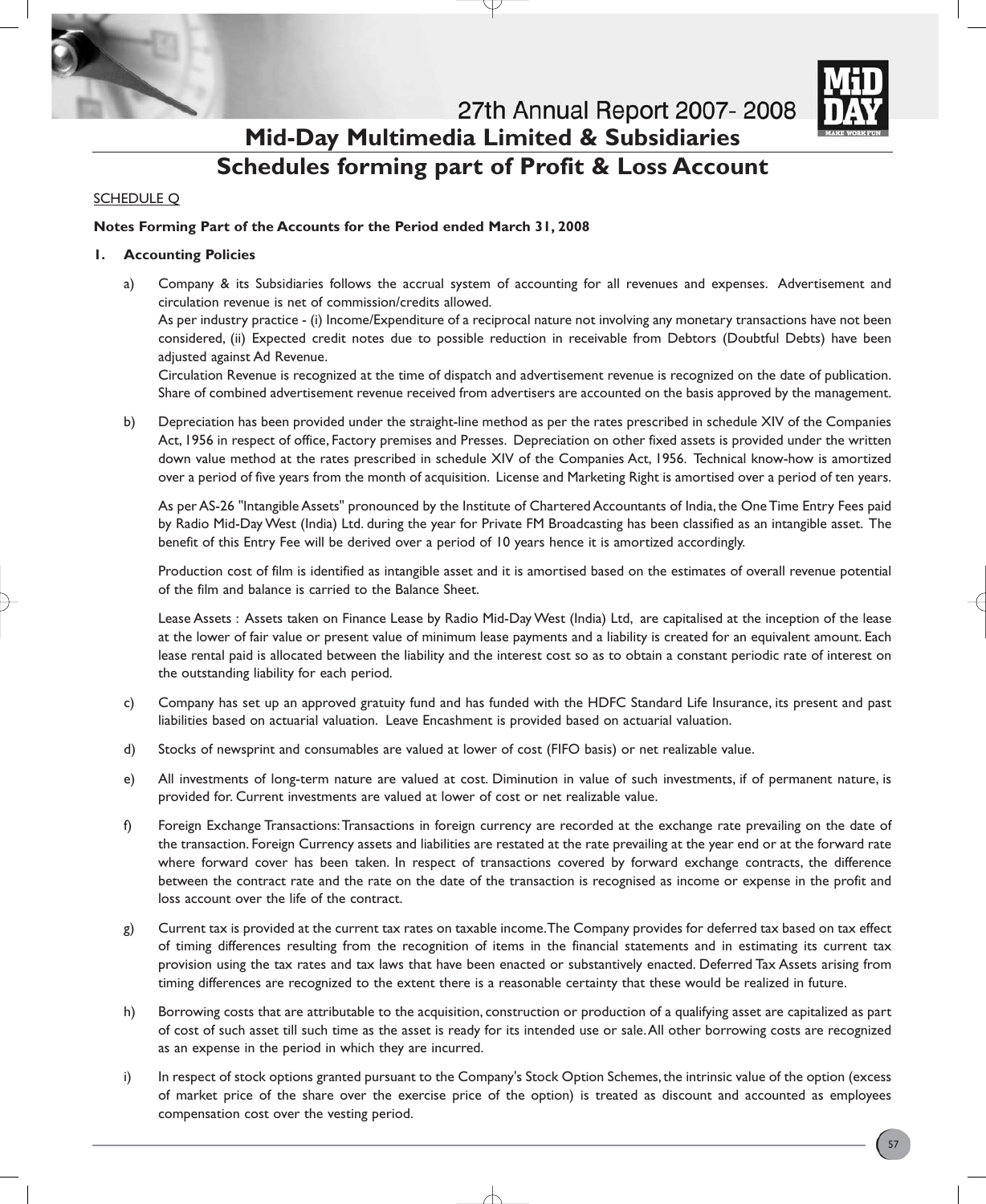

27th Annual Report 2007-2008 **Mid-Day Multimedia Limited & Subsidiaries**

# **Schedules forming part of Profit & Loss Account**

#### **SCHEDULE Q**

#### **Notes Forming Part of the Accounts for the Period ended March 31, 2008**

#### **1. Accounting Policies**

a) Company & its Subsidiaries follows the accrual system of accounting for all revenues and expenses. Advertisement and circulation revenue is net of commission/credits allowed.

As per industry practice - (i) Income/Expenditure of a reciprocal nature not involving any monetary transactions have not been considered, (ii) Expected credit notes due to possible reduction in receivable from Debtors (Doubtful Debts) have been adjusted against Ad Revenue.

Circulation Revenue is recognized at the time of dispatch and advertisement revenue is recognized on the date of publication. Share of combined advertisement revenue received from advertisers are accounted on the basis approved by the management.

b) Depreciation has been provided under the straight-line method as per the rates prescribed in schedule XIV of the Companies Act, 1956 in respect of office, Factory premises and Presses. Depreciation on other fixed assets is provided under the written down value method at the rates prescribed in schedule XIV of the Companies Act, 1956. Technical know-how is amortized over a period of five years from the month of acquisition. License and Marketing Right is amortised over a period of ten years.

As per AS-26 "Intangible Assets" pronounced by the Institute of Chartered Accountants of India, the One Time Entry Fees paid by Radio Mid-Day West (India) Ltd. during the year for Private FM Broadcasting has been classified as an intangible asset. The benefit of this Entry Fee will be derived over a period of 10 years hence it is amortized accordingly.

Production cost of film is identified as intangible asset and it is amortised based on the estimates of overall revenue potential of the film and balance is carried to the Balance Sheet.

Lease Assets : Assets taken on Finance Lease by Radio Mid-Day West (India) Ltd, are capitalised at the inception of the lease at the lower of fair value or present value of minimum lease payments and a liability is created for an equivalent amount. Each lease rental paid is allocated between the liability and the interest cost so as to obtain a constant periodic rate of interest on the outstanding liability for each period.

- c) Company has set up an approved gratuity fund and has funded with the HDFC Standard Life Insurance, its present and past liabilities based on actuarial valuation. Leave Encashment is provided based on actuarial valuation.
- d) Stocks of newsprint and consumables are valued at lower of cost (FIFO basis) or net realizable value.
- e) All investments of long-term nature are valued at cost. Diminution in value of such investments, if of permanent nature, is provided for. Current investments are valued at lower of cost or net realizable value.
- f) Foreign Exchange Transactions:Transactions in foreign currency are recorded at the exchange rate prevailing on the date of the transaction. Foreign Currency assets and liabilities are restated at the rate prevailing at the year end or at the forward rate where forward cover has been taken. In respect of transactions covered by forward exchange contracts, the difference between the contract rate and the rate on the date of the transaction is recognised as income or expense in the profit and loss account over the life of the contract.
- g) Current tax is provided at the current tax rates on taxable income.The Company provides for deferred tax based on tax effect of timing differences resulting from the recognition of items in the financial statements and in estimating its current tax provision using the tax rates and tax laws that have been enacted or substantively enacted. Deferred Tax Assets arising from timing differences are recognized to the extent there is a reasonable certainty that these would be realized in future.
- h) Borrowing costs that are attributable to the acquisition, construction or production of a qualifying asset are capitalized as part of cost of such asset till such time as the asset is ready for its intended use or sale.All other borrowing costs are recognized as an expense in the period in which they are incurred.
- i) In respect of stock options granted pursuant to the Company's Stock Option Schemes, the intrinsic value of the option (excess of market price of the share over the exercise price of the option) is treated as discount and accounted as employees compensation cost over the vesting period.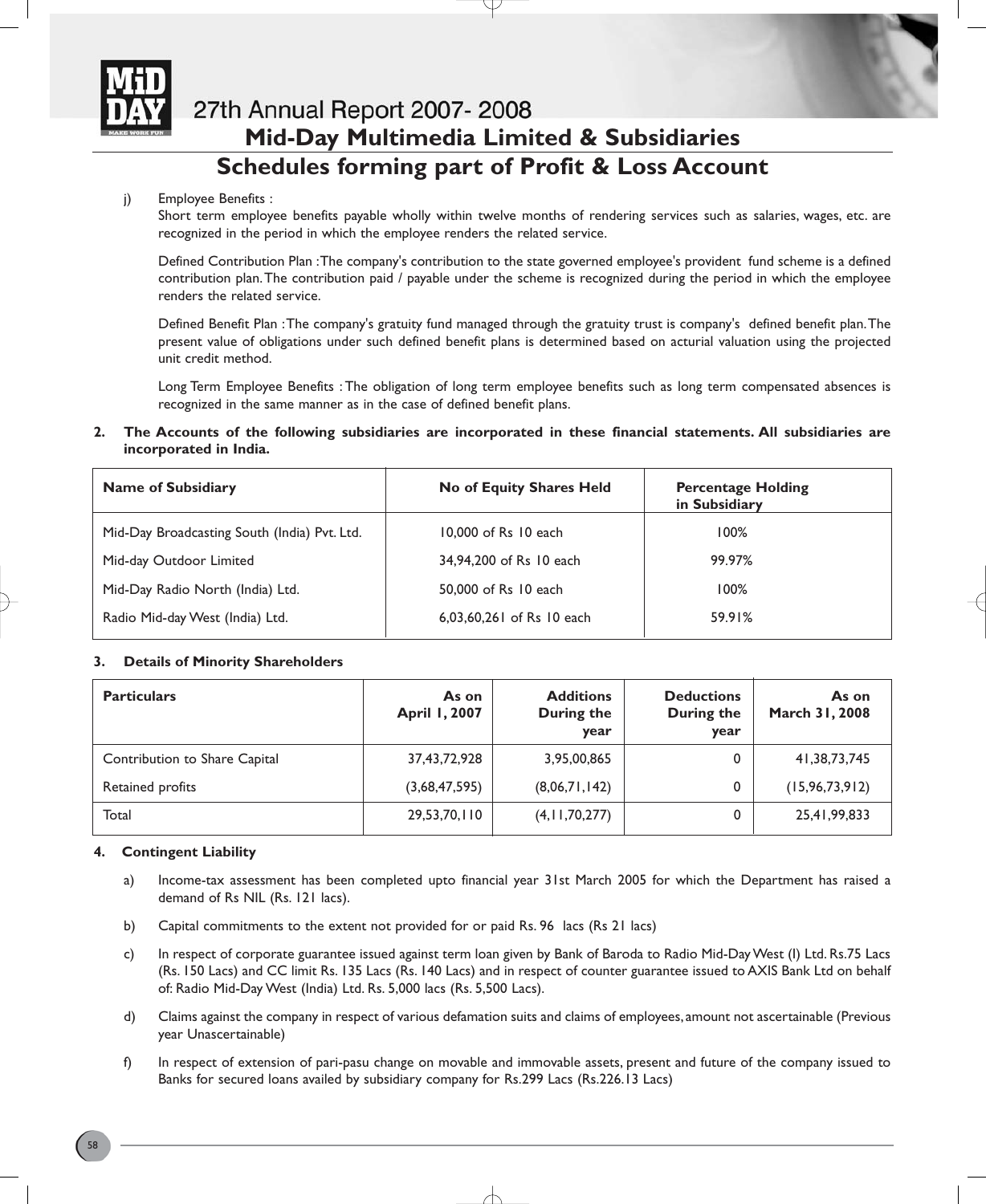

## 27th Annual Report 2007-2008 **Mid-Day Multimedia Limited & Subsidiaries Schedules forming part of Profit & Loss Account**

#### j) Employee Benefits :

Short term employee benefits payable wholly within twelve months of rendering services such as salaries, wages, etc. are recognized in the period in which the employee renders the related service.

Defined Contribution Plan :The company's contribution to the state governed employee's provident fund scheme is a defined contribution plan.The contribution paid / payable under the scheme is recognized during the period in which the employee renders the related service.

Defined Benefit Plan :The company's gratuity fund managed through the gratuity trust is company's defined benefit plan.The present value of obligations under such defined benefit plans is determined based on acturial valuation using the projected unit credit method.

Long Term Employee Benefits : The obligation of long term employee benefits such as long term compensated absences is recognized in the same manner as in the case of defined benefit plans.

**2. The Accounts of the following subsidiaries are incorporated in these financial statements. All subsidiaries are incorporated in India.**

| <b>Name of Subsidiary</b>                    | No of Equity Shares Held  | <b>Percentage Holding</b><br>in Subsidiary |
|----------------------------------------------|---------------------------|--------------------------------------------|
| Mid-Day Broadcasting South (India) Pvt. Ltd. | 10,000 of Rs 10 each      | 100%                                       |
| Mid-day Outdoor Limited                      | 34,94,200 of Rs 10 each   | 99.97%                                     |
| Mid-Day Radio North (India) Ltd.             | 50,000 of Rs 10 each      | 100%                                       |
| Radio Mid-day West (India) Ltd.              | 6.03.60.261 of Rs 10 each | 59.91%                                     |

#### **3. Details of Minority Shareholders**

| <b>Particulars</b>            | As on<br><b>April 1, 2007</b> | <b>Additions</b><br>During the<br>year | <b>Deductions</b><br>During the<br>year | As on<br>March 31, 2008 |
|-------------------------------|-------------------------------|----------------------------------------|-----------------------------------------|-------------------------|
| Contribution to Share Capital | 37,43,72,928                  | 3,95,00,865                            | 0                                       | 41,38,73,745            |
| Retained profits              | (3,68,47,595)                 | (8,06,71,142)                          | 0                                       | (15, 96, 73, 912)       |
| Total                         | 29,53,70,110                  | (4, 11, 70, 277)                       | 0                                       | 25,41,99,833            |

#### **4. Contingent Liability**

- a) Income-tax assessment has been completed upto financial year 31st March 2005 for which the Department has raised a demand of Rs NIL (Rs. 121 lacs).
- b) Capital commitments to the extent not provided for or paid Rs. 96 lacs (Rs 21 lacs)
- c) In respect of corporate guarantee issued against term loan given by Bank of Baroda to Radio Mid-Day West (I) Ltd. Rs.75 Lacs (Rs. 150 Lacs) and CC limit Rs. 135 Lacs (Rs. 140 Lacs) and in respect of counter guarantee issued to AXIS Bank Ltd on behalf of: Radio Mid-Day West (India) Ltd. Rs. 5,000 lacs (Rs. 5,500 Lacs).
- d) Claims against the company in respect of various defamation suits and claims of employees, amount not ascertainable (Previous year Unascertainable)
- f) In respect of extension of pari-pasu change on movable and immovable assets, present and future of the company issued to Banks for secured loans availed by subsidiary company for Rs.299 Lacs (Rs.226.13 Lacs)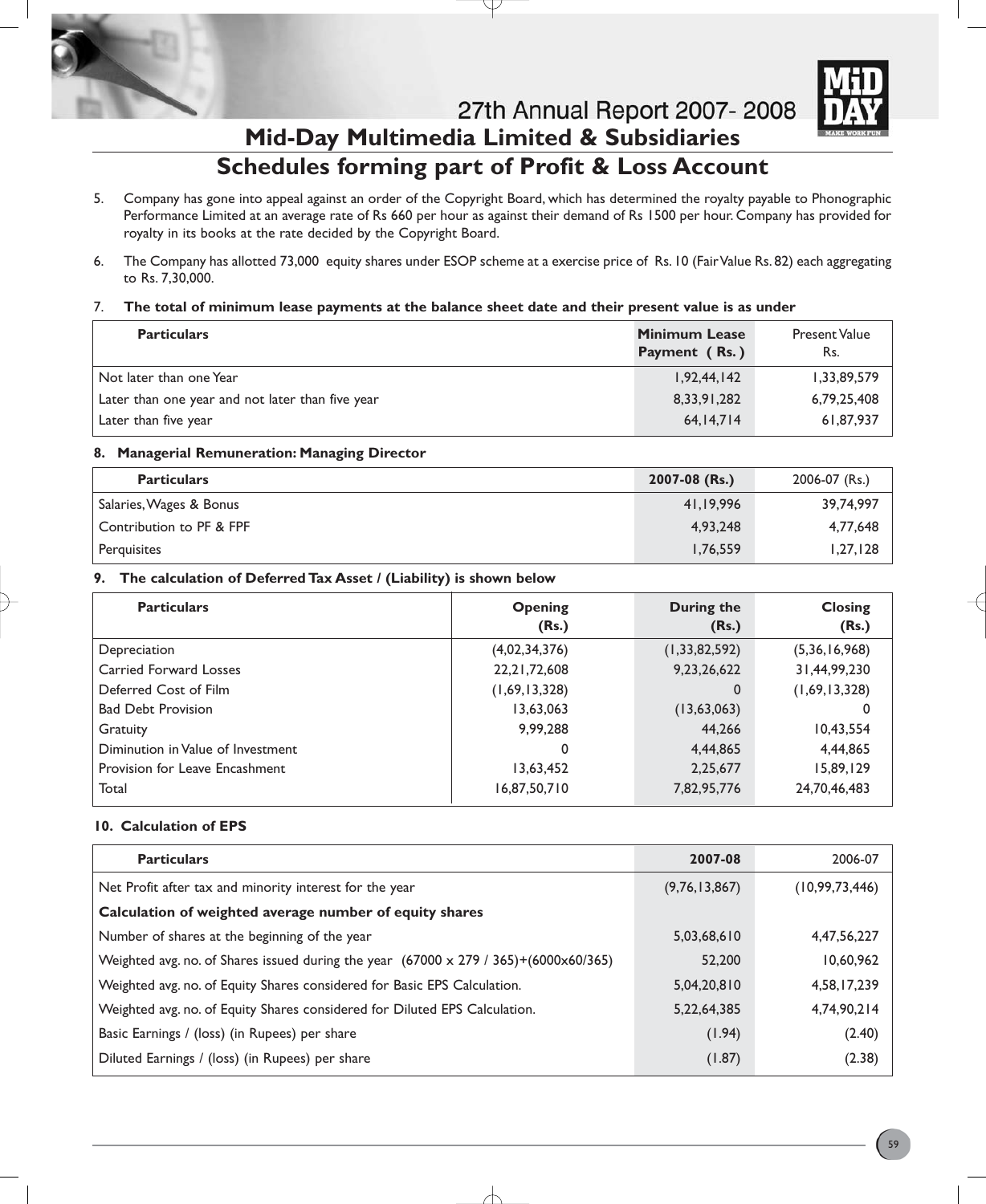

27th Annual Report 2007-2008



### **Mid-Day Multimedia Limited & Subsidiaries Schedules forming part of Profit & Loss Account**

- 5. Company has gone into appeal against an order of the Copyright Board, which has determined the royalty payable to Phonographic Performance Limited at an average rate of Rs 660 per hour as against their demand of Rs 1500 per hour. Company has provided for royalty in its books at the rate decided by the Copyright Board.
- 6. The Company has allotted 73,000 equity shares under ESOP scheme at a exercise price of Rs. 10 (Fair Value Rs. 82) each aggregating to Rs. 7,30,000.

#### 7. **The total of minimum lease payments at the balance sheet date and their present value is as under**

| <b>Particulars</b>                               | <b>Minimum Lease</b><br>Payment (Rs.) | <b>Present Value</b><br>Rs. |
|--------------------------------------------------|---------------------------------------|-----------------------------|
| Not later than one Year                          | 1,92,44,142                           | 1,33,89,579                 |
| Later than one year and not later than five year | 8,33,91,282                           | 6,79,25,408                 |
| Later than five year                             | 64,14,714                             | 61,87,937                   |

#### **8. Managerial Remuneration: Managing Director**

| <b>Particulars</b>       | $2007 - 08$ (Rs.) | 2006-07 (Rs.) |
|--------------------------|-------------------|---------------|
| Salaries, Wages & Bonus  | 41.19.996         | 39,74,997     |
| Contribution to PF & FPF | 4.93.248          | 4,77,648      |
| Perquisites              | 1,76,559          | 1,27,128      |

#### **9. The calculation of Deferred Tax Asset / (Liability) is shown below**

| <b>Particulars</b>                | <b>Opening</b><br>(Rs.) | During the<br>(Rs.) | <b>Closing</b><br>(Rs.) |
|-----------------------------------|-------------------------|---------------------|-------------------------|
| Depreciation                      | (4,02,34,376)           | (1, 33, 82, 592)    | (5,36,16,968)           |
| Carried Forward Losses            | 22, 21, 72, 608         | 9,23,26,622         | 31,44,99,230            |
| Deferred Cost of Film             | (1,69,13,328)           | 0                   | (1,69,13,328)           |
| <b>Bad Debt Provision</b>         | 13,63,063               | (13, 63, 063)       |                         |
| Gratuity                          | 9.99.288                | 44,266              | 10,43,554               |
| Diminution in Value of Investment | 0                       | 4,44,865            | 4,44,865                |
| Provision for Leave Encashment    | 13,63,452               | 2,25,677            | 15,89,129               |
| Total                             | 16,87,50,710            | 7,82,95,776         | 24,70,46,483            |

#### **10. Calculation of EPS**

| <b>Particulars</b>                                                                                     | 2007-08       | 2006-07           |
|--------------------------------------------------------------------------------------------------------|---------------|-------------------|
| Net Profit after tax and minority interest for the year                                                | (9,76,13,867) | (10, 99, 73, 446) |
| Calculation of weighted average number of equity shares                                                |               |                   |
| Number of shares at the beginning of the year                                                          | 5,03,68,610   | 4,47,56,227       |
| Weighted avg. no. of Shares issued during the year $(67000 \times 279 / 365)$ + $(6000 \times 60/365)$ | 52,200        | 10.60.962         |
| Weighted avg. no. of Equity Shares considered for Basic EPS Calculation.                               | 5,04,20,810   | 4,58,17,239       |
| Weighted avg. no. of Equity Shares considered for Diluted EPS Calculation.                             | 5,22,64,385   | 4,74,90,214       |
| Basic Earnings / (loss) (in Rupees) per share                                                          | (1.94)        | (2.40)            |
| Diluted Earnings / (loss) (in Rupees) per share                                                        | (1.87)        | (2.38)            |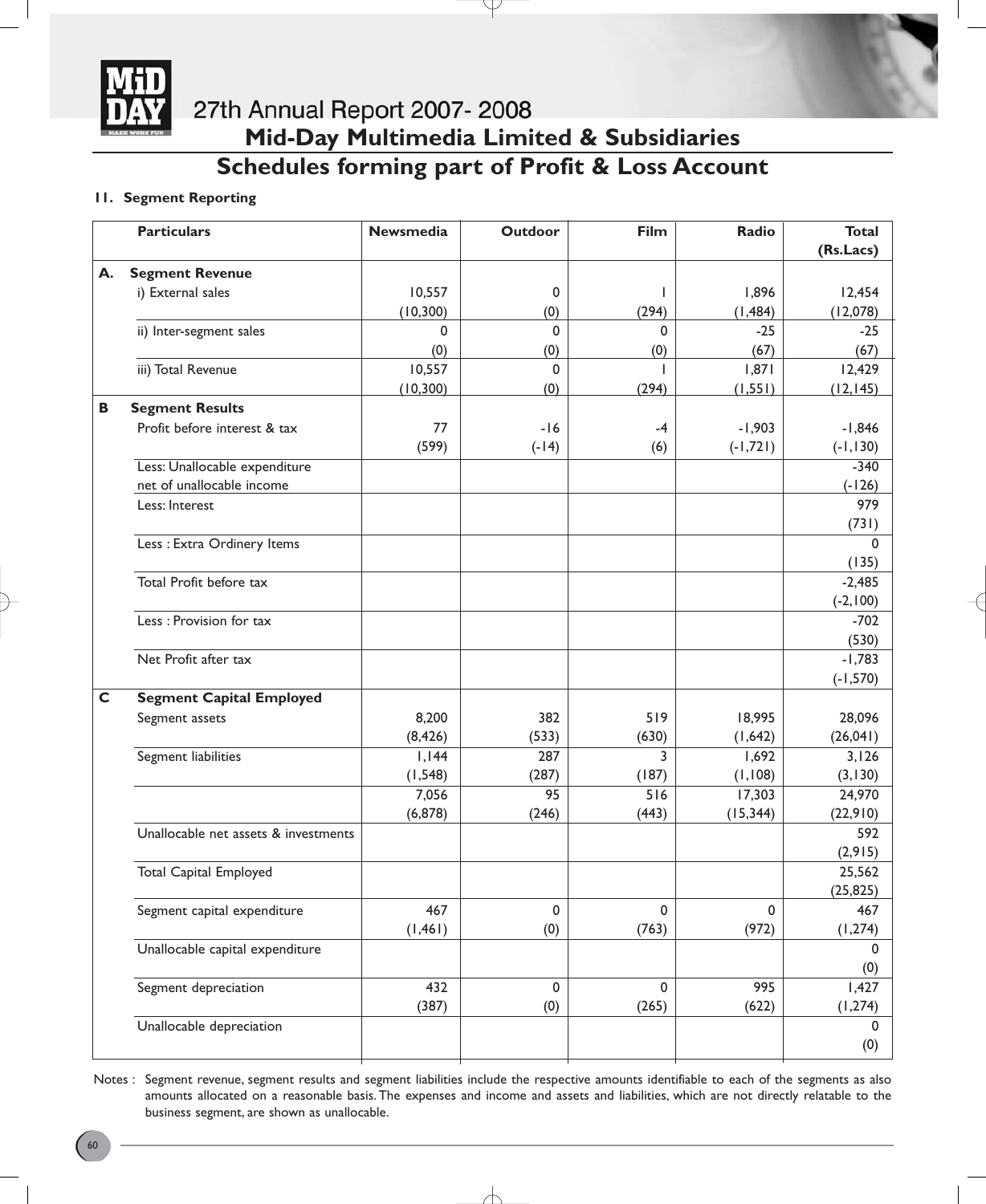

# 27th Annual Report 2007-2008 **Mid-Day Multimedia Limited & Subsidiaries Schedules forming part of Profit & Loss Account**

#### **11. Segment Reporting**

|    | <b>Particulars</b>                   | <b>Newsmedia</b> | <b>Outdoor</b> | Film        | Radio       | <b>Total</b> |
|----|--------------------------------------|------------------|----------------|-------------|-------------|--------------|
|    |                                      |                  |                |             |             | (Rs.Lacs)    |
| А. | <b>Segment Revenue</b>               |                  |                |             |             |              |
|    | i) External sales                    | 10,557           | 0              |             | 1,896       | 12,454       |
|    |                                      | (10, 300)        | (0)            | (294)       | (1, 484)    | (12,078)     |
|    | ii) Inter-segment sales              | 0                | $\mathbf 0$    | $\Omega$    | $-25$       | $-25$        |
|    |                                      | (0)              | (0)            | (0)         | (67)        | (67)         |
|    | iii) Total Revenue                   | 10,557           | $\mathbf 0$    |             | 1,871       | 12,429       |
|    |                                      | (10, 300)        | (0)            | (294)       | (1, 551)    | (12, 145)    |
| B  | <b>Segment Results</b>               |                  |                |             |             |              |
|    | Profit before interest & tax         | 77               | $-16$          | -4          | $-1,903$    | $-1,846$     |
|    |                                      | (599)            | $(-14)$        | (6)         | $(-1, 721)$ | $(-1, 130)$  |
|    | Less: Unallocable expenditure        |                  |                |             |             | $-340$       |
|    | net of unallocable income            |                  |                |             |             | $(-126)$     |
|    | Less: Interest                       |                  |                |             |             | 979          |
|    |                                      |                  |                |             |             | (731)        |
|    | Less : Extra Ordinery Items          |                  |                |             |             | $\Omega$     |
|    |                                      |                  |                |             |             | (135)        |
|    | Total Profit before tax              |                  |                |             |             | $-2,485$     |
|    |                                      |                  |                |             |             | $(-2, 100)$  |
|    | Less : Provision for tax             |                  |                |             |             | $-702$       |
|    |                                      |                  |                |             |             | (530)        |
|    | Net Profit after tax                 |                  |                |             |             | $-1,783$     |
|    |                                      |                  |                |             |             | $(-1, 570)$  |
| C  | <b>Segment Capital Employed</b>      |                  |                |             |             |              |
|    | Segment assets                       | 8,200            | 382            | 519         | 18,995      | 28,096       |
|    |                                      | (8, 426)         | (533)          | (630)       | (1,642)     | (26,041)     |
|    | Segment liabilities                  | I, I44           | 287            | 3           | 1,692       | 3,126        |
|    |                                      | (1, 548)         | (287)          | (187)       | (1, 108)    | (3, 130)     |
|    |                                      | 7,056            | 95             | 516         | 17,303      | 24,970       |
|    |                                      | (6, 878)         | (246)          | (443)       | (15, 344)   | (22, 910)    |
|    | Unallocable net assets & investments |                  |                |             |             | 592          |
|    |                                      |                  |                |             |             | (2, 915)     |
|    | <b>Total Capital Employed</b>        |                  |                |             |             | 25,562       |
|    |                                      |                  |                |             |             | (25, 825)    |
|    | Segment capital expenditure          | 467              | 0              | 0           | 0           | 467          |
|    |                                      | (1, 461)         | (0)            | (763)       | (972)       | (1, 274)     |
|    | Unallocable capital expenditure      |                  |                |             |             | $\Omega$     |
|    |                                      |                  |                |             |             | (0)          |
|    | Segment depreciation                 | 432              | $\mathbf 0$    | $\mathbf 0$ | 995         | 1,427        |
|    |                                      | (387)            | (0)            | (265)       | (622)       | (1, 274)     |
|    | Unallocable depreciation             |                  |                |             |             | 0            |
|    |                                      |                  |                |             |             | (0)          |

Notes : Segment revenue, segment results and segment liabilities include the respective amounts identifiable to each of the segments as also amounts allocated on a reasonable basis. The expenses and income and assets and liabilities, which are not directly relatable to the business segment, are shown as unallocable.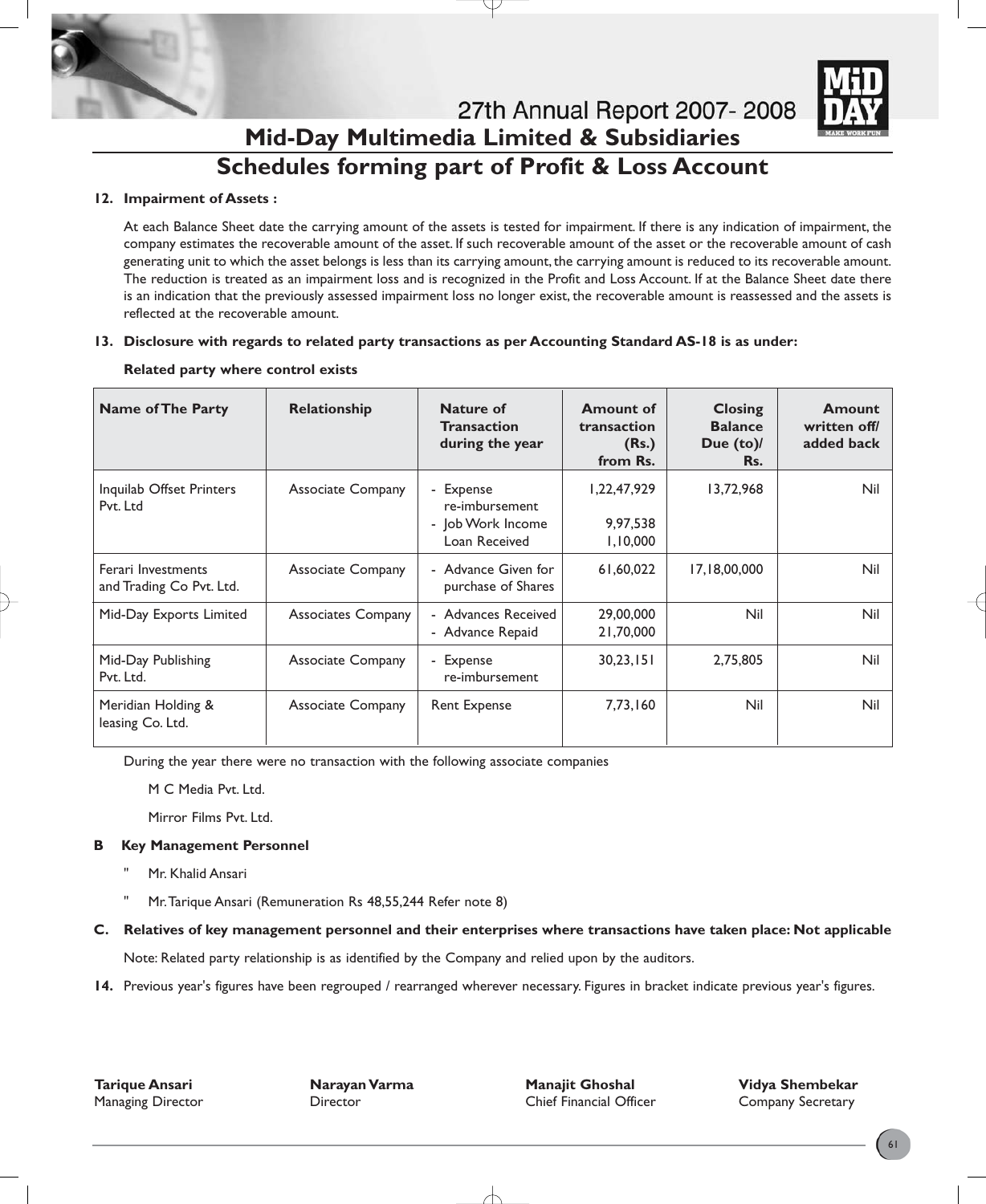

### 27th Annual Report 2007-2008 **Mid-Day Multimedia Limited & Subsidiaries Schedules forming part of Profit & Loss Account**

#### **12. Impairment of Assets :**

At each Balance Sheet date the carrying amount of the assets is tested for impairment. If there is any indication of impairment, the company estimates the recoverable amount of the asset. If such recoverable amount of the asset or the recoverable amount of cash generating unit to which the asset belongs is less than its carrying amount, the carrying amount is reduced to its recoverable amount. The reduction is treated as an impairment loss and is recognized in the Profit and Loss Account. If at the Balance Sheet date there is an indication that the previously assessed impairment loss no longer exist, the recoverable amount is reassessed and the assets is reflected at the recoverable amount.

#### **13. Disclosure with regards to related party transactions as per Accounting Standard AS-18 is as under:**

| <b>Name of The Party</b>                       | Relationship             | Nature of<br><b>Transaction</b><br>during the year                | <b>Amount of</b><br>transaction<br>(Rs.)<br>from Rs. | <b>Closing</b><br><b>Balance</b><br>Due $(to)$<br>Rs. | <b>Amount</b><br>written off/<br>added back |
|------------------------------------------------|--------------------------|-------------------------------------------------------------------|------------------------------------------------------|-------------------------------------------------------|---------------------------------------------|
| Inquilab Offset Printers<br>Pvt. Ltd           | <b>Associate Company</b> | - Expense<br>re-imbursement<br>- Job Work Income<br>Loan Received | 1,22,47,929<br>9,97,538<br>1,10,000                  | 13,72,968                                             | Nil                                         |
| Ferari Investments<br>and Trading Co Pvt. Ltd. | <b>Associate Company</b> | - Advance Given for<br>purchase of Shares                         | 61,60,022                                            | 17,18,00,000                                          | Nil                                         |
| Mid-Day Exports Limited                        | Associates Company       | - Advances Received<br>- Advance Repaid                           | 29,00,000<br>21,70,000                               | Nil                                                   | Nil                                         |
| Mid-Day Publishing<br>Pvt. Ltd.                | <b>Associate Company</b> | - Expense<br>re-imbursement                                       | 30,23,151                                            | 2,75,805                                              | Nil                                         |
| Meridian Holding &<br>leasing Co. Ltd.         | <b>Associate Company</b> | <b>Rent Expense</b>                                               | 7,73,160                                             | Nil                                                   | Nil                                         |

#### **Related party where control exists**

During the year there were no transaction with the following associate companies

M C Media Pvt. Ltd.

Mirror Films Pvt. Ltd.

#### **B Key Management Personnel**

- Mr. Khalid Ansari
- Mr. Tarique Ansari (Remuneration Rs 48,55,244 Refer note 8)

#### **C. Relatives of key management personnel and their enterprises where transactions have taken place: Not applicable**

Note: Related party relationship is as identified by the Company and relied upon by the auditors.

**14.** Previous year's figures have been regrouped / rearranged wherever necessary. Figures in bracket indicate previous year's figures.

**Tarique Ansari Narayan Varma Manajit Ghoshal Vidya Shembekar** Managing Director Director Chief Financial Officer Company Secretary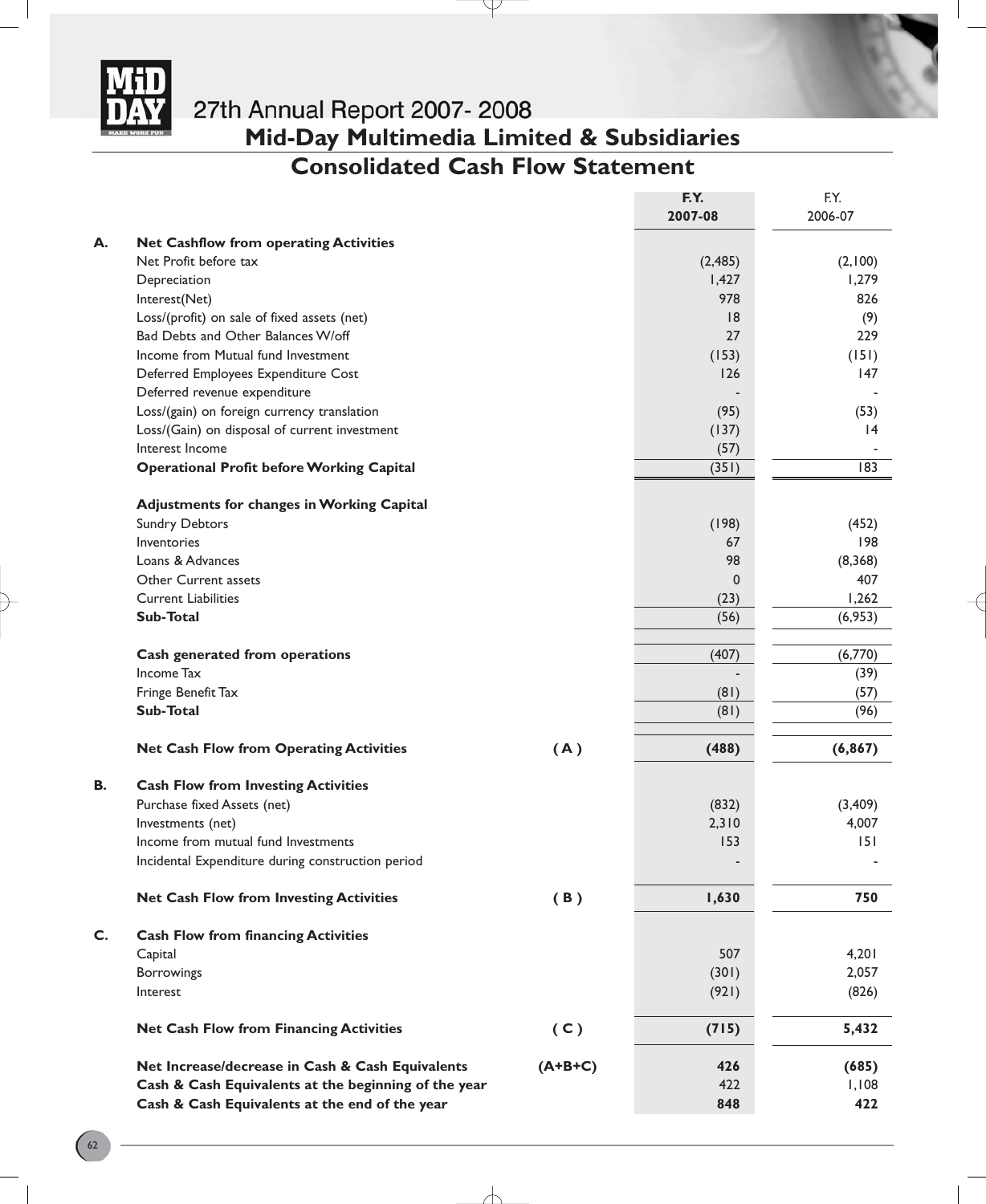

# **Mid-Day Multimedia Limited & Subsidiaries**

### **Consolidated Cash Flow Statement**

Y

|    |                                                      |           | F.Y.<br>2007-08 | F.Y.<br>2006-07 |
|----|------------------------------------------------------|-----------|-----------------|-----------------|
| А. | <b>Net Cashflow from operating Activities</b>        |           |                 |                 |
|    | Net Profit before tax                                |           | (2, 485)        | (2,100)         |
|    | Depreciation                                         |           | 1,427           | 1,279           |
|    | Interest(Net)                                        |           | 978             | 826             |
|    | Loss/(profit) on sale of fixed assets (net)          |           | 18              | (9)             |
|    | Bad Debts and Other Balances W/off                   |           | 27              | 229             |
|    | Income from Mutual fund Investment                   |           | (153)           | (151)           |
|    | Deferred Employees Expenditure Cost                  |           | 126             | 147             |
|    | Deferred revenue expenditure                         |           |                 |                 |
|    | Loss/(gain) on foreign currency translation          |           | (95)            | (53)            |
|    | Loss/(Gain) on disposal of current investment        |           | (137)           | 4               |
|    | Interest Income                                      |           | (57)            |                 |
|    | <b>Operational Profit before Working Capital</b>     |           | (351)           | 183             |
|    | <b>Adjustments for changes in Working Capital</b>    |           |                 |                 |
|    | <b>Sundry Debtors</b>                                |           | (198)           | (452)           |
|    | Inventories                                          |           | 67              | 98              |
|    | Loans & Advances                                     |           | 98              | (8,368)         |
|    | Other Current assets                                 |           | 0               | 407             |
|    | <b>Current Liabilities</b>                           |           | (23)            | 1,262           |
|    | Sub-Total                                            |           | (56)            | (6,953)         |
|    | Cash generated from operations                       |           | (407)           | (6,770)         |
|    | Income Tax                                           |           |                 | (39)            |
|    | Fringe Benefit Tax                                   |           | (81)            | (57)            |
|    | Sub-Total                                            |           | (81)            | (96)            |
|    | <b>Net Cash Flow from Operating Activities</b>       | (A)       | (488)           | (6, 867)        |
| В. | <b>Cash Flow from Investing Activities</b>           |           |                 |                 |
|    | Purchase fixed Assets (net)                          |           | (832)           | (3,409)         |
|    | Investments (net)                                    |           | 2,310           | 4,007           |
|    | Income from mutual fund Investments                  |           | 153             | 151             |
|    | Incidental Expenditure during construction period    |           |                 |                 |
|    | <b>Net Cash Flow from Investing Activities</b>       | (B)       | 1,630           | 750             |
|    |                                                      |           |                 |                 |
| C. | <b>Cash Flow from financing Activities</b>           |           |                 |                 |
|    | Capital                                              |           | 507             | 4,201           |
|    | <b>Borrowings</b>                                    |           | (301)           | 2,057           |
|    | Interest                                             |           | (921)           | (826)           |
|    | <b>Net Cash Flow from Financing Activities</b>       | (C)       | (715)           | 5,432           |
|    | Net Increase/decrease in Cash & Cash Equivalents     | $(A+B+C)$ | 426             | (685)           |
|    | Cash & Cash Equivalents at the beginning of the year |           | 422             | 1,108           |
|    | Cash & Cash Equivalents at the end of the year       |           | 848             | 422             |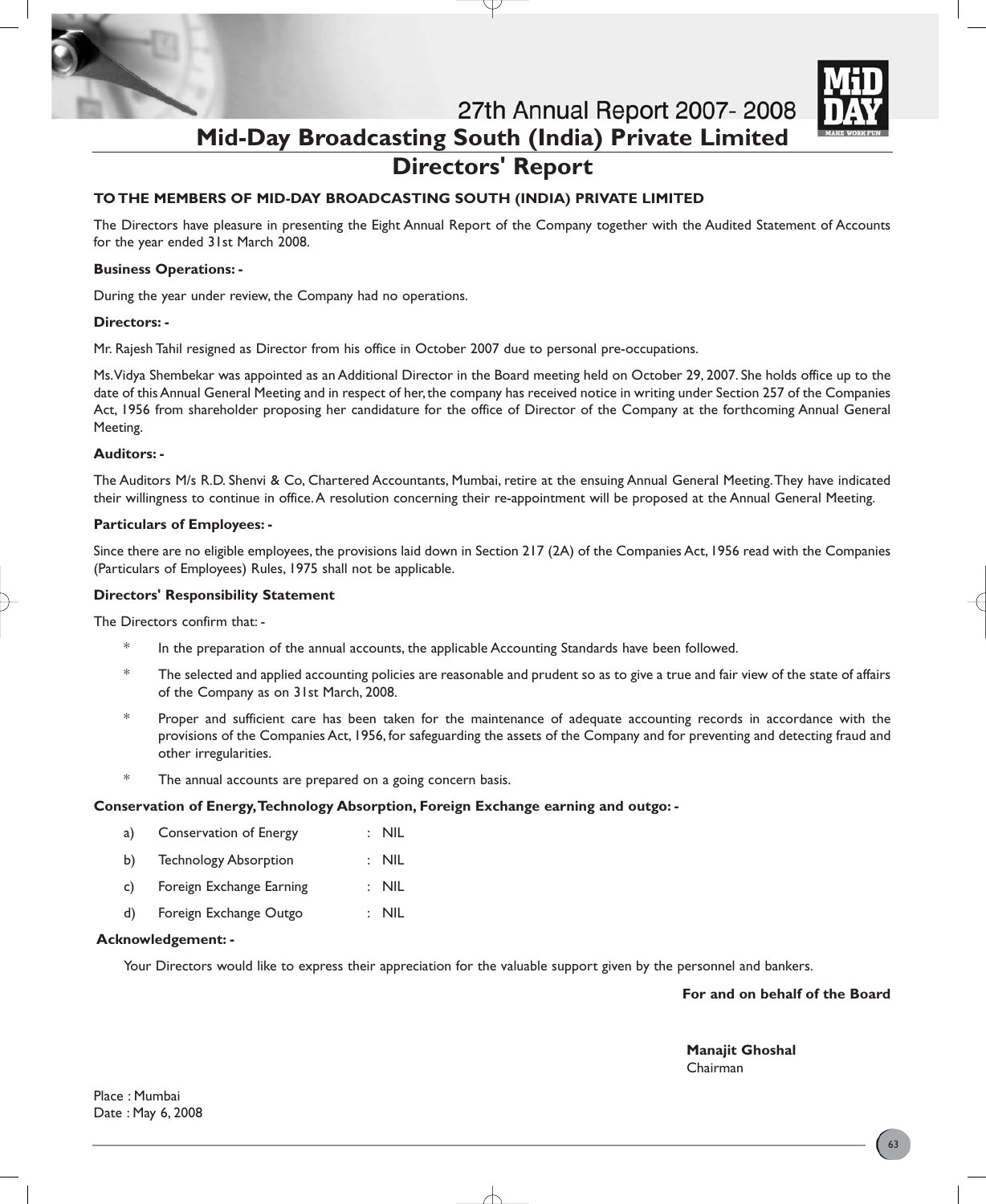

27th Annual Report 2007-2008 **Mid-Day Broadcasting South (India) Private Limited Directors' Report**

#### **TO THE MEMBERS OF MID-DAY BROADCASTING SOUTH (INDIA) PRIVATE LIMITED**

The Directors have pleasure in presenting the Eight Annual Report of the Company together with the Audited Statement of Accounts for the year ended 31st March 2008.

#### **Business Operations: -**

During the year under review, the Company had no operations.

#### **Directors: -**

Mr. Rajesh Tahil resigned as Director from his office in October 2007 due to personal pre-occupations.

Ms.Vidya Shembekar was appointed as an Additional Director in the Board meeting held on October 29, 2007. She holds office up to the date of this Annual General Meeting and in respect of her, the company has received notice in writing under Section 257 of the Companies Act, 1956 from shareholder proposing her candidature for the office of Director of the Company at the forthcoming Annual General Meeting.

#### **Auditors: -**

The Auditors M/s R.D. Shenvi & Co, Chartered Accountants, Mumbai, retire at the ensuing Annual General Meeting.They have indicated their willingness to continue in office.A resolution concerning their re-appointment will be proposed at the Annual General Meeting.

#### **Particulars of Employees: -**

Since there are no eligible employees, the provisions laid down in Section 217 (2A) of the Companies Act, 1956 read with the Companies (Particulars of Employees) Rules, 1975 shall not be applicable.

#### **Directors' Responsibility Statement**

The Directors confirm that: -

- In the preparation of the annual accounts, the applicable Accounting Standards have been followed.
- \* The selected and applied accounting policies are reasonable and prudent so as to give a true and fair view of the state of affairs of the Company as on 31st March, 2008.
- \* Proper and sufficient care has been taken for the maintenance of adequate accounting records in accordance with the provisions of the Companies Act, 1956, for safeguarding the assets of the Company and for preventing and detecting fraud and other irregularities.
- \* The annual accounts are prepared on a going concern basis.

#### **Conservation of Energy,Technology Absorption, Foreign Exchange earning and outgo: -**

- a) Conservation of Energy : NIL
- b) Technology Absorption : NIL
- c) Foreign Exchange Earning : NIL
- d) Foreign Exchange Outgo : NIL

#### **Acknowledgement: -**

Your Directors would like to express their appreciation for the valuable support given by the personnel and bankers.

**For and on behalf of the Board**

**Manajit Ghoshal** Chairman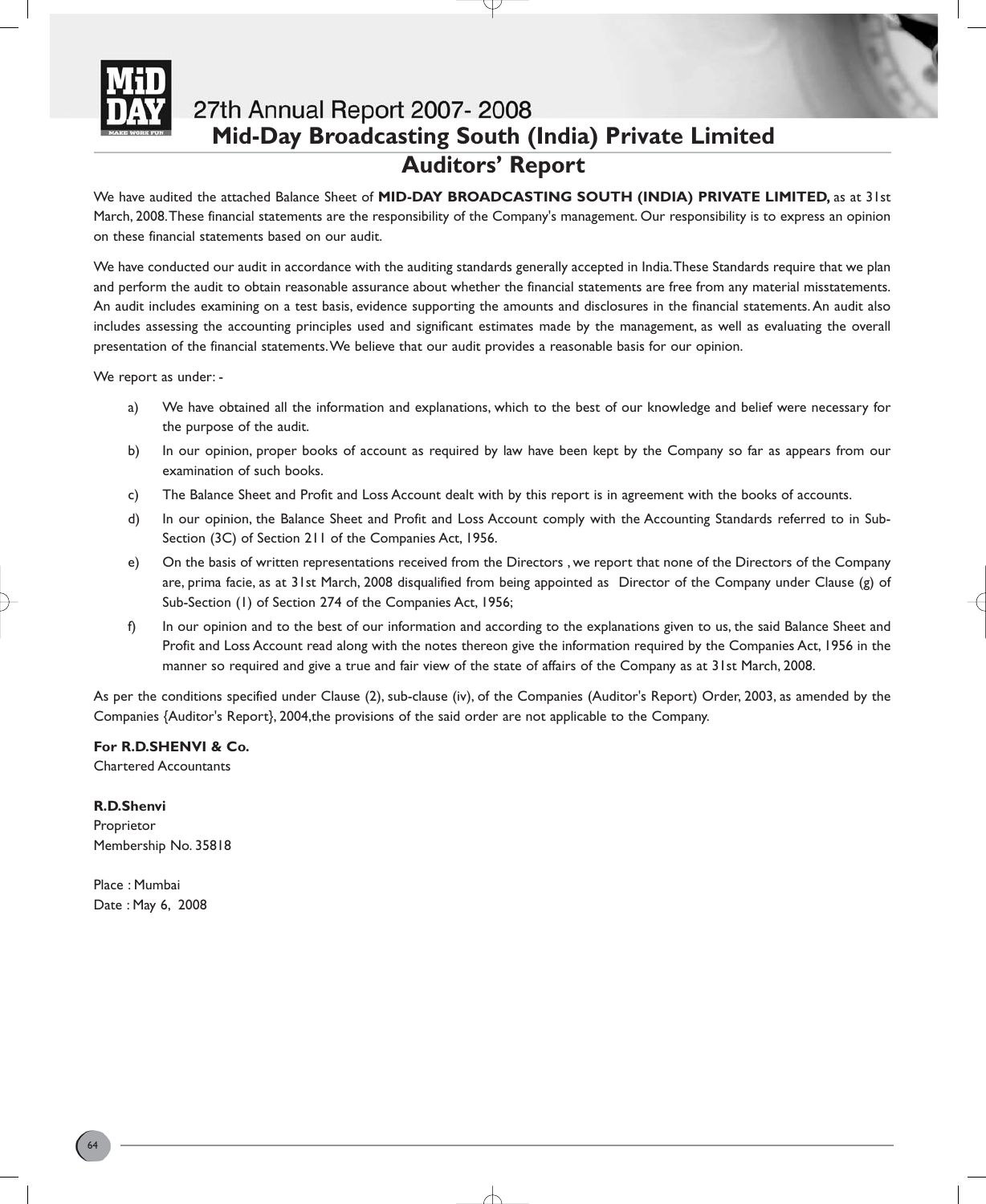

## 27th Annual Report 2007-2008 **Mid-Day Broadcasting South (India) Private Limited Auditors' Report**

We have audited the attached Balance Sheet of **MID-DAY BROADCASTING SOUTH (INDIA) PRIVATE LIMITED,** as at 31st March, 2008.These financial statements are the responsibility of the Company's management. Our responsibility is to express an opinion on these financial statements based on our audit.

We have conducted our audit in accordance with the auditing standards generally accepted in India.These Standards require that we plan and perform the audit to obtain reasonable assurance about whether the financial statements are free from any material misstatements. An audit includes examining on a test basis, evidence supporting the amounts and disclosures in the financial statements.An audit also includes assessing the accounting principles used and significant estimates made by the management, as well as evaluating the overall presentation of the financial statements.We believe that our audit provides a reasonable basis for our opinion.

We report as under: -

- a) We have obtained all the information and explanations, which to the best of our knowledge and belief were necessary for the purpose of the audit.
- b) In our opinion, proper books of account as required by law have been kept by the Company so far as appears from our examination of such books.
- c) The Balance Sheet and Profit and Loss Account dealt with by this report is in agreement with the books of accounts.
- d) In our opinion, the Balance Sheet and Profit and Loss Account comply with the Accounting Standards referred to in Sub-Section (3C) of Section 211 of the Companies Act, 1956.
- e) On the basis of written representations received from the Directors , we report that none of the Directors of the Company are, prima facie, as at 31st March, 2008 disqualified from being appointed as Director of the Company under Clause (g) of Sub-Section (1) of Section 274 of the Companies Act, 1956;
- f) In our opinion and to the best of our information and according to the explanations given to us, the said Balance Sheet and Profit and Loss Account read along with the notes thereon give the information required by the Companies Act, 1956 in the manner so required and give a true and fair view of the state of affairs of the Company as at 31st March, 2008.

As per the conditions specified under Clause (2), sub-clause (iv), of the Companies (Auditor's Report) Order, 2003, as amended by the Companies {Auditor's Report}, 2004,the provisions of the said order are not applicable to the Company.

**For R.D.SHENVI & Co.** Chartered Accountants

**R.D.Shenvi**

Proprietor Membership No. 35818

Place : Mumbai Date : May 6, 2008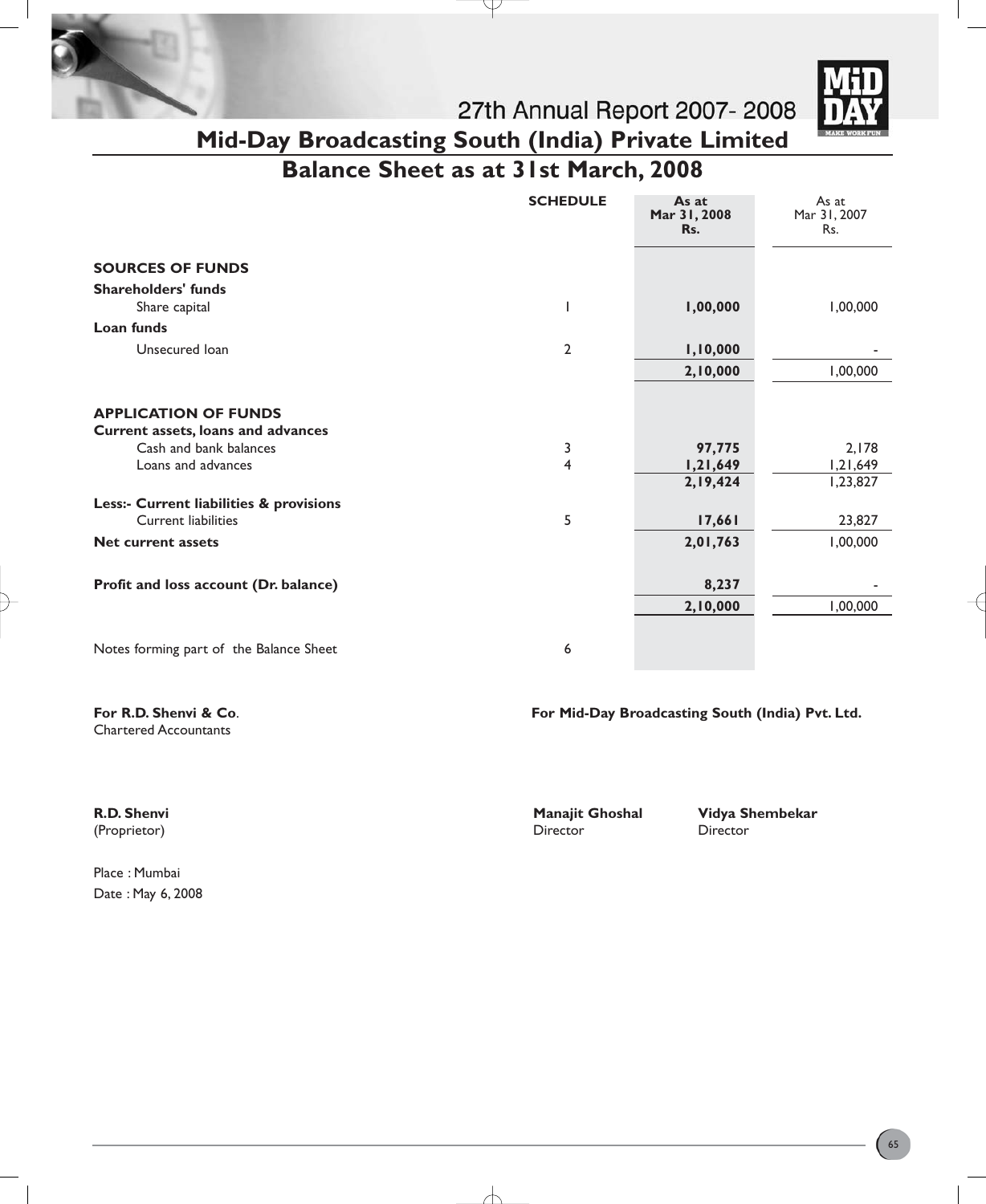



27th Annual Report 2007-2008 **Mid-Day Broadcasting South (India) Private Limited**

**Balance Sheet as at 31st March, 2008**

Ŧ

|                                                                   | <b>SCHEDULE</b> | As at<br>Mar 31, 2008<br>Rs. | As at<br>Mar 31, 2007<br>Rs. |
|-------------------------------------------------------------------|-----------------|------------------------------|------------------------------|
| <b>SOURCES OF FUNDS</b>                                           |                 |                              |                              |
| <b>Shareholders' funds</b>                                        |                 |                              |                              |
| Share capital                                                     |                 | 1,00,000                     | 1,00,000                     |
| Loan funds                                                        |                 |                              |                              |
| Unsecured Ioan                                                    | $\overline{2}$  | 1,10,000                     |                              |
|                                                                   |                 | 2,10,000                     | 1,00,000                     |
| <b>APPLICATION OF FUNDS</b><br>Current assets, loans and advances |                 |                              |                              |
| Cash and bank balances                                            | 3               | 97,775                       | 2,178                        |
| Loans and advances                                                | $\overline{4}$  | 1,21,649                     | 1,21,649                     |
|                                                                   |                 | 2,19,424                     | 1,23,827                     |
| Less:- Current liabilities & provisions                           |                 |                              |                              |
| Current liabilities                                               | 5               | 17,661                       | 23,827                       |
| <b>Net current assets</b>                                         |                 | 2,01,763                     | 1,00,000                     |
| Profit and loss account (Dr. balance)                             |                 | 8,237                        |                              |
|                                                                   |                 | 2,10,000                     | 1,00,000                     |
| Notes forming part of the Balance Sheet                           | 6               |                              |                              |

╅

Chartered Accountants

**For R.D. Shenvi & Co**. **For Mid-Day Broadcasting South (India) Pvt. Ltd.**

Place : Mumbai Date : May 6, 2008

(Proprietor) Director Director

**R.D. Shenvi** Manajit Ghoshal Vidya Shembekar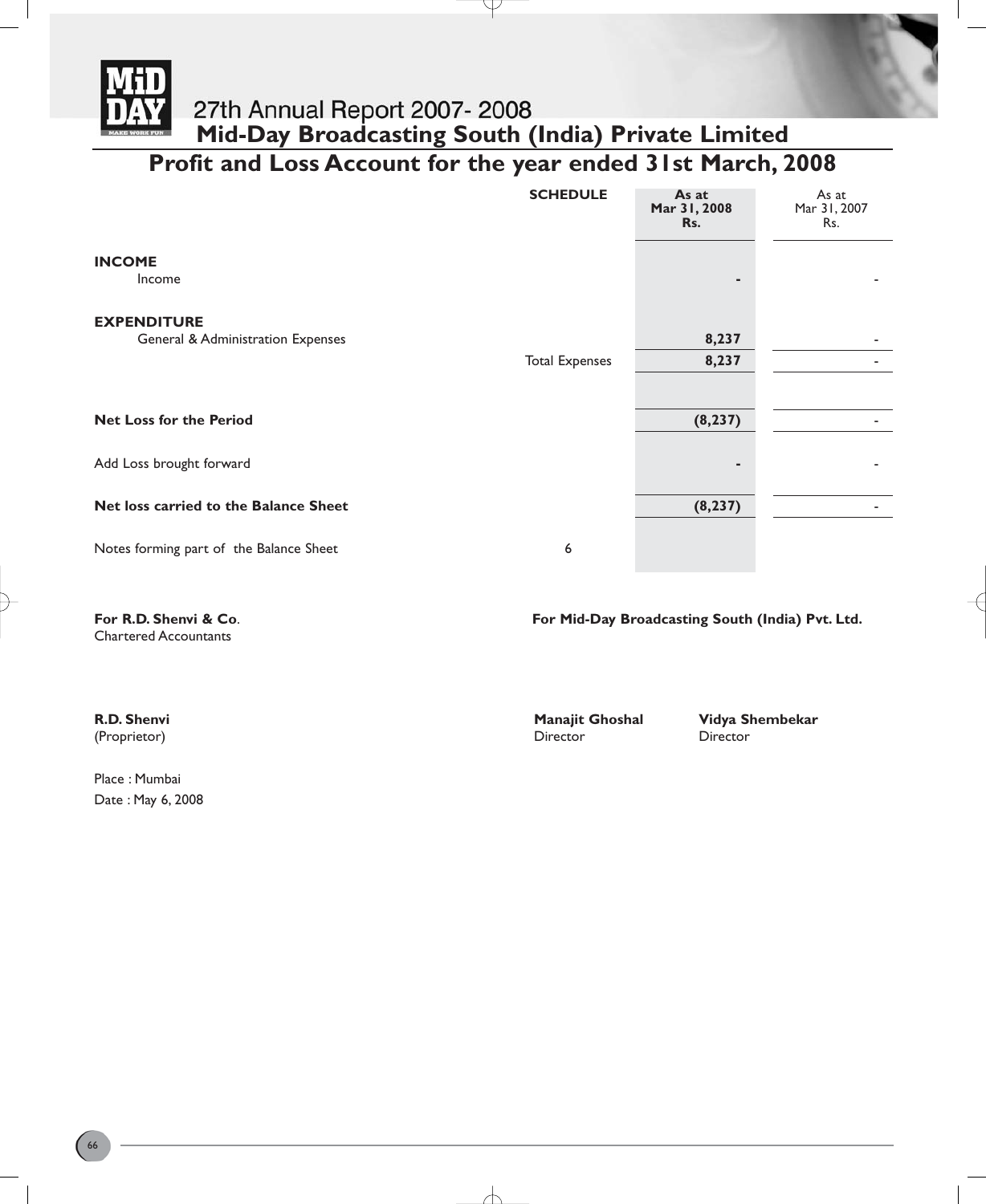

# **Mid-Day Broadcasting South (India) Private Limited Profit and Loss Account for the year ended 31st March, 2008**

P

|                                         | <b>SCHEDULE</b>       | As at<br>Mar 31, 2008<br>Rs. | As at<br>Mar 31, 2007<br>Rs. |
|-----------------------------------------|-----------------------|------------------------------|------------------------------|
| <b>INCOME</b><br>Income                 |                       | ٠                            |                              |
| <b>EXPENDITURE</b>                      |                       |                              |                              |
| General & Administration Expenses       |                       | 8,237                        |                              |
|                                         | <b>Total Expenses</b> | 8,237                        |                              |
|                                         |                       |                              |                              |
| <b>Net Loss for the Period</b>          |                       | (8, 237)                     |                              |
| Add Loss brought forward                |                       | ٠                            |                              |
| Net loss carried to the Balance Sheet   |                       | (8, 237)                     |                              |
| Notes forming part of the Balance Sheet | 6                     |                              |                              |

Chartered Accountants

**For R.D. Shenvi & Co**. **For Mid-Day Broadcasting South (India) Pvt. Ltd.**

Place : Mumbai Date : May 6, 2008

(Proprietor) Director Director

**R.D. Shenvi** Manajit Ghoshal Vidya Shembekar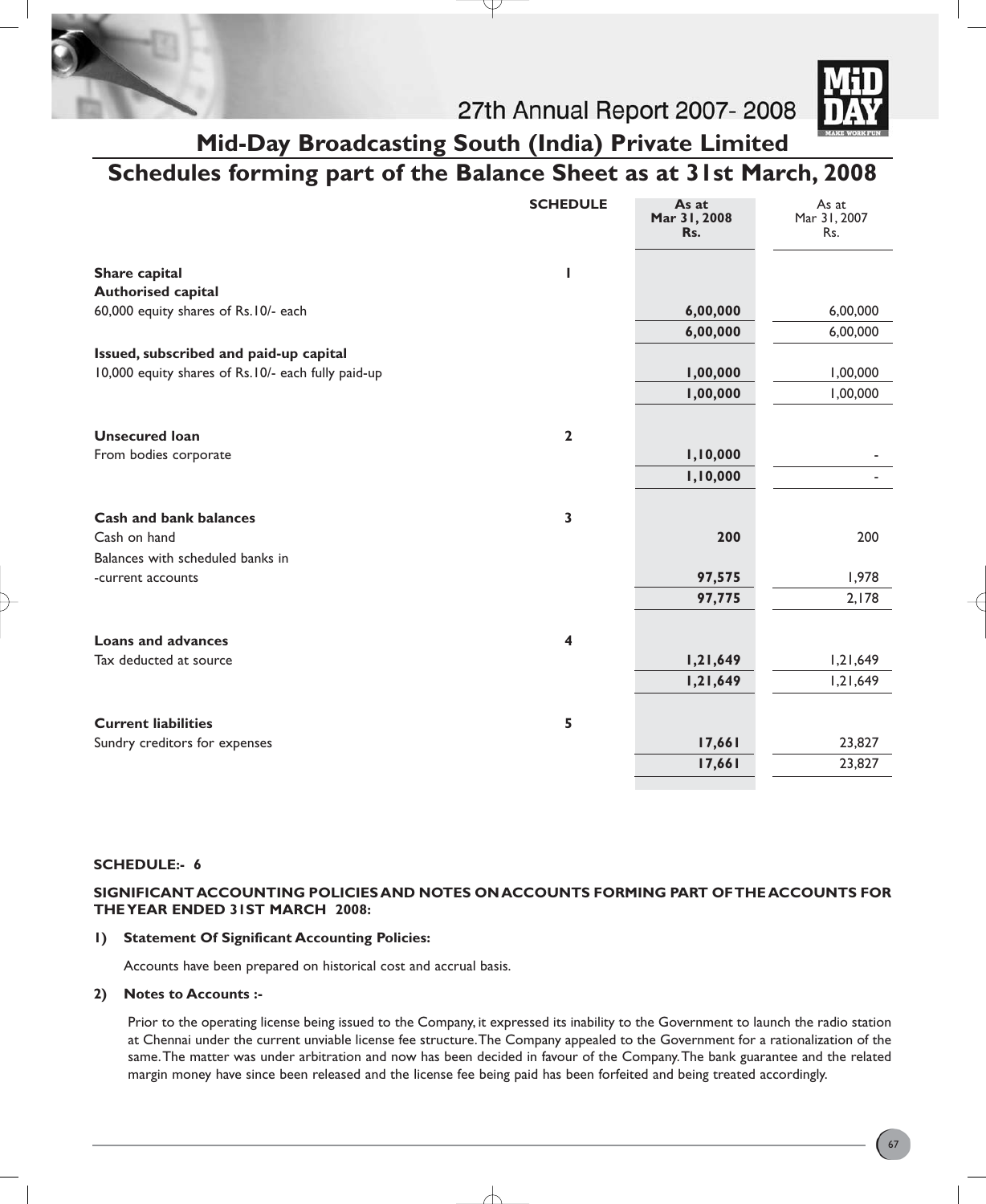



27th Annual Report 2007-2008

### **Mid-Day Broadcasting South (India) Private Limited Schedules forming part of the Balance Sheet as at 31st March, 2008**

|                                                                            | <b>SCHEDULE</b>         | As at<br>Mar 31, 2008<br>Rs. | As at<br>Mar 31, 2007<br>Rs. |
|----------------------------------------------------------------------------|-------------------------|------------------------------|------------------------------|
| Share capital                                                              | ı                       |                              |                              |
| <b>Authorised capital</b>                                                  |                         |                              |                              |
| 60,000 equity shares of Rs.10/- each                                       |                         | 6,00,000                     | 6,00,000                     |
|                                                                            |                         | 6,00,000                     | 6,00,000                     |
| Issued, subscribed and paid-up capital                                     |                         |                              |                              |
| 10,000 equity shares of Rs.10/- each fully paid-up                         |                         | 1,00,000                     | 1,00,000                     |
|                                                                            |                         | 1,00,000                     | 1,00,000                     |
| <b>Unsecured loan</b>                                                      | $\overline{\mathbf{2}}$ |                              |                              |
| From bodies corporate                                                      |                         | 1,10,000                     |                              |
|                                                                            |                         | 1,10,000                     |                              |
| Cash and bank balances<br>Cash on hand<br>Balances with scheduled banks in | $\mathbf{3}$            | 200                          | 200                          |
| -current accounts                                                          |                         | 97,575                       | 1,978                        |
|                                                                            |                         | 97,775                       | 2,178                        |
| <b>Loans and advances</b>                                                  | 4                       |                              |                              |
| Tax deducted at source                                                     |                         | 1,21,649                     | 1,21,649                     |
|                                                                            |                         | 1,21,649                     | 1,21,649                     |
| <b>Current liabilities</b>                                                 | 5                       |                              |                              |
| Sundry creditors for expenses                                              |                         | 17,661                       | 23,827                       |
|                                                                            |                         | 17,661                       | 23,827                       |

#### **SCHEDULE:- 6**

#### **SIGNIFICANT ACCOUNTING POLICIES AND NOTES ON ACCOUNTS FORMING PART OF THE ACCOUNTS FOR THE YEAR ENDED 31ST MARCH 2008:**

#### **1) Statement Of Significant Accounting Policies:**

Accounts have been prepared on historical cost and accrual basis.

#### **2) Notes to Accounts :-**

Prior to the operating license being issued to the Company, it expressed its inability to the Government to launch the radio station at Chennai under the current unviable license fee structure.The Company appealed to the Government for a rationalization of the same.The matter was under arbitration and now has been decided in favour of the Company.The bank guarantee and the related margin money have since been released and the license fee being paid has been forfeited and being treated accordingly.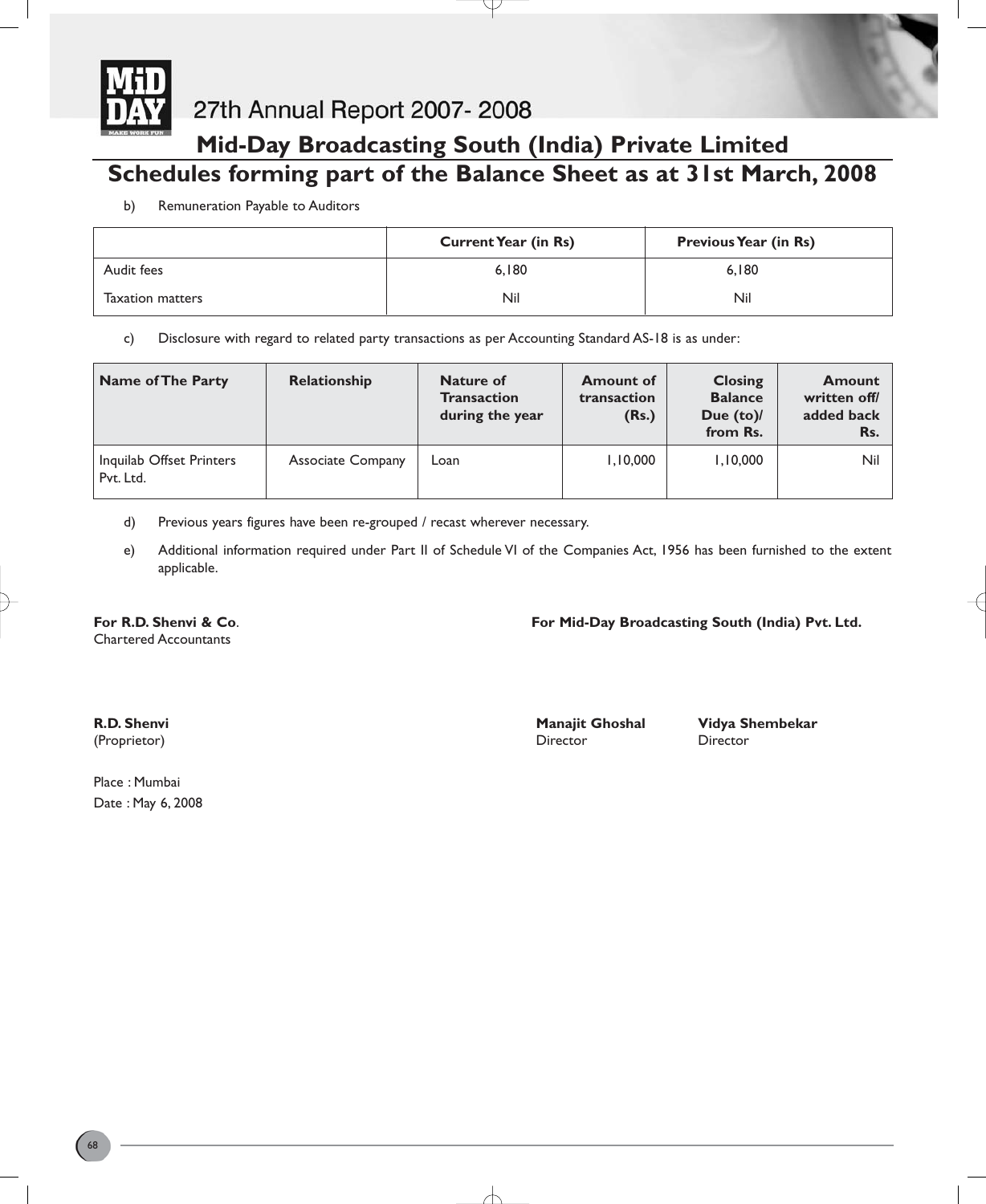

27th Annual Report 2007-2008

## **Mid-Day Broadcasting South (India) Private Limited Schedules forming part of the Balance Sheet as at 31st March, 2008**

b) Remuneration Payable to Auditors

|                         | <b>Current Year (in Rs)</b> | <b>Previous Year (in Rs)</b> |
|-------------------------|-----------------------------|------------------------------|
| Audit fees              | 6.180                       | 6.180                        |
| <b>Taxation matters</b> | Nil                         | Nil                          |

c) Disclosure with regard to related party transactions as per Accounting Standard AS-18 is as under:

| <b>Name of The Party</b>              | Relationship             | Nature of<br><b>Transaction</b><br>during the year | <b>Amount of</b><br>transaction<br>(Rs.) | <b>Closing</b><br><b>Balance</b><br>Due $(to)$<br>from Rs. | <b>Amount</b><br>written off/<br>added back<br>Rs. |
|---------------------------------------|--------------------------|----------------------------------------------------|------------------------------------------|------------------------------------------------------------|----------------------------------------------------|
| Inquilab Offset Printers<br>Pvt. Ltd. | <b>Associate Company</b> | Loan                                               | 1,10,000                                 | 1,10,000                                                   | Nil                                                |

d) Previous years figures have been re-grouped / recast wherever necessary.

e) Additional information required under Part II of Schedule VI of the Companies Act, 1956 has been furnished to the extent applicable.

Chartered Accountants

**For R.D. Shenvi & Co**. **For Mid-Day Broadcasting South (India) Pvt. Ltd.**

(Proprietor) Director Director

**R.D. Shenvi** Manajit Ghoshal Manajit Ghoshal Vidya Shembekar

Place : Mumbai Date : May 6, 2008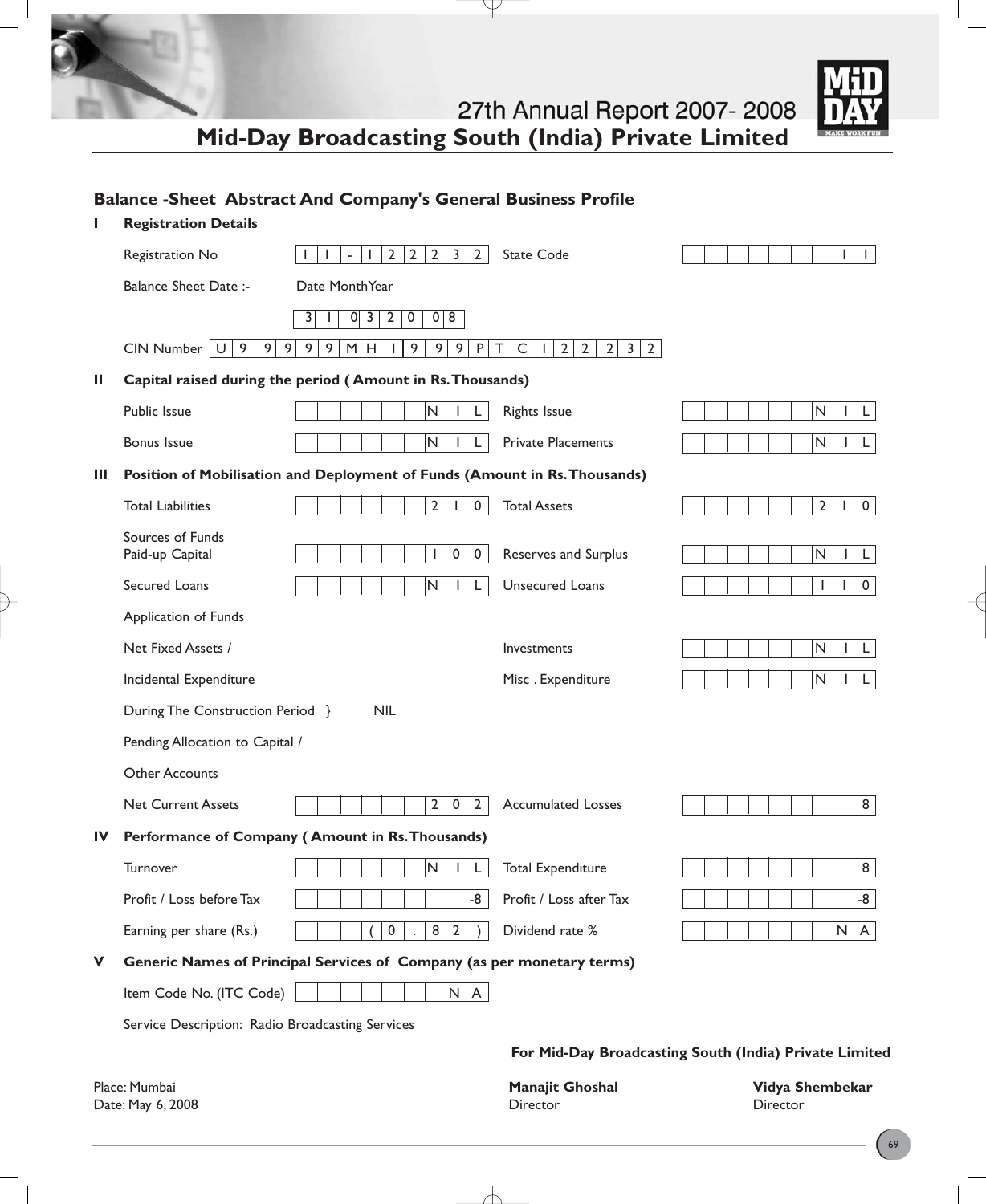**Mid-Day Broadcasting South (India) Private Limited**

Y

 $\mathbf{I}$ 



|    | <b>Registration Details</b>                      |                                                                                        |                                                                                  |                                                        |
|----|--------------------------------------------------|----------------------------------------------------------------------------------------|----------------------------------------------------------------------------------|--------------------------------------------------------|
|    | Registration No                                  | $\overline{2}$<br>$\overline{2}$<br>$\overline{2}$<br>$\overline{3}$<br>$\overline{2}$ | <b>State Code</b>                                                                | $\mathbf{I}$<br>$\mathbf{L}$                           |
|    | <b>Balance Sheet Date:-</b>                      | Date MonthYear                                                                         |                                                                                  |                                                        |
|    |                                                  | $0 \vert 3$<br>$\overline{2}$<br>$\pmb{0}$<br>0 8<br>3                                 |                                                                                  |                                                        |
|    | $CIN$ Number $ U $ 9<br>9 <sub>1</sub>           | 9 <sup>1</sup><br>9<br>9<br>9 <sup>1</sup><br>9<br>9<br>M<br>${\sf P}$<br>H            | $\sf T$<br>$\mathsf C$<br>2<br>$2^{\circ}$<br>$\overline{2}$<br>$3 \mid 2$<br>Τ. |                                                        |
| Ш  |                                                  | Capital raised during the period (Amount in Rs. Thousands)                             |                                                                                  |                                                        |
|    | Public Issue                                     | ${\sf N}$<br>L<br>$\mathbf{L}$                                                         | <b>Rights Issue</b>                                                              | N<br>L<br>L                                            |
|    | <b>Bonus Issue</b>                               | $\mathsf{N}$<br>L<br>$\mathbf{L}$                                                      | <b>Private Placements</b>                                                        | N<br>L                                                 |
| Ш  |                                                  | Position of Mobilisation and Deployment of Funds (Amount in Rs. Thousands)             |                                                                                  |                                                        |
|    | <b>Total Liabilities</b>                         | $\overline{2}$<br>$\mathbf 0$<br>$\mathbf{I}$                                          | <b>Total Assets</b>                                                              | $\overline{2}$<br>$\mathbf 0$<br>Τ.                    |
|    | Sources of Funds<br>Paid-up Capital              | $\mathsf{O}$<br>$\mathbf 0$                                                            | Reserves and Surplus                                                             | N<br>L<br>L                                            |
|    | Secured Loans                                    | N<br>$\mathsf{L}$                                                                      | Unsecured Loans                                                                  | $\mathbf 0$<br>$\mathbf{I}$<br>Ι.                      |
|    | Application of Funds                             |                                                                                        |                                                                                  |                                                        |
|    | Net Fixed Assets /                               |                                                                                        | Investments                                                                      | N<br>L                                                 |
|    | Incidental Expenditure                           |                                                                                        | Misc. Expenditure                                                                | N<br>L                                                 |
|    | During The Construction Period }                 | <b>NIL</b>                                                                             |                                                                                  |                                                        |
|    | Pending Allocation to Capital /                  |                                                                                        |                                                                                  |                                                        |
|    | <b>Other Accounts</b>                            |                                                                                        |                                                                                  |                                                        |
|    | <b>Net Current Assets</b>                        | $\overline{2}$<br>$\overline{2}$<br>$\mathbf 0$                                        | <b>Accumulated Losses</b>                                                        | 8                                                      |
| IV |                                                  | Performance of Company (Amount in Rs. Thousands)                                       |                                                                                  |                                                        |
|    | Turnover                                         | $\mathsf{N}$<br>L                                                                      | <b>Total Expenditure</b>                                                         | 8                                                      |
|    | Profit / Loss before Tax                         | -8                                                                                     | Profit / Loss after Tax                                                          | -8                                                     |
|    | Earning per share (Rs.)                          | 8<br>0<br>$\overline{2}$                                                               | Dividend rate %                                                                  | N<br>$\mathsf{A}$                                      |
| v  |                                                  | Generic Names of Principal Services of Company (as per monetary terms)                 |                                                                                  |                                                        |
|    | Item Code No. (ITC Code)                         | N   A                                                                                  |                                                                                  |                                                        |
|    | Service Description: Radio Broadcasting Services |                                                                                        |                                                                                  |                                                        |
|    |                                                  |                                                                                        |                                                                                  | For Mid-Day Broadcasting South (India) Private Limited |
|    | Place: Mumbai<br>Date: May 6, 2008               |                                                                                        | Manajit Ghoshal<br>Director                                                      | Vidya Shembekar<br>Director                            |

 $\overline{\phantom{a}}$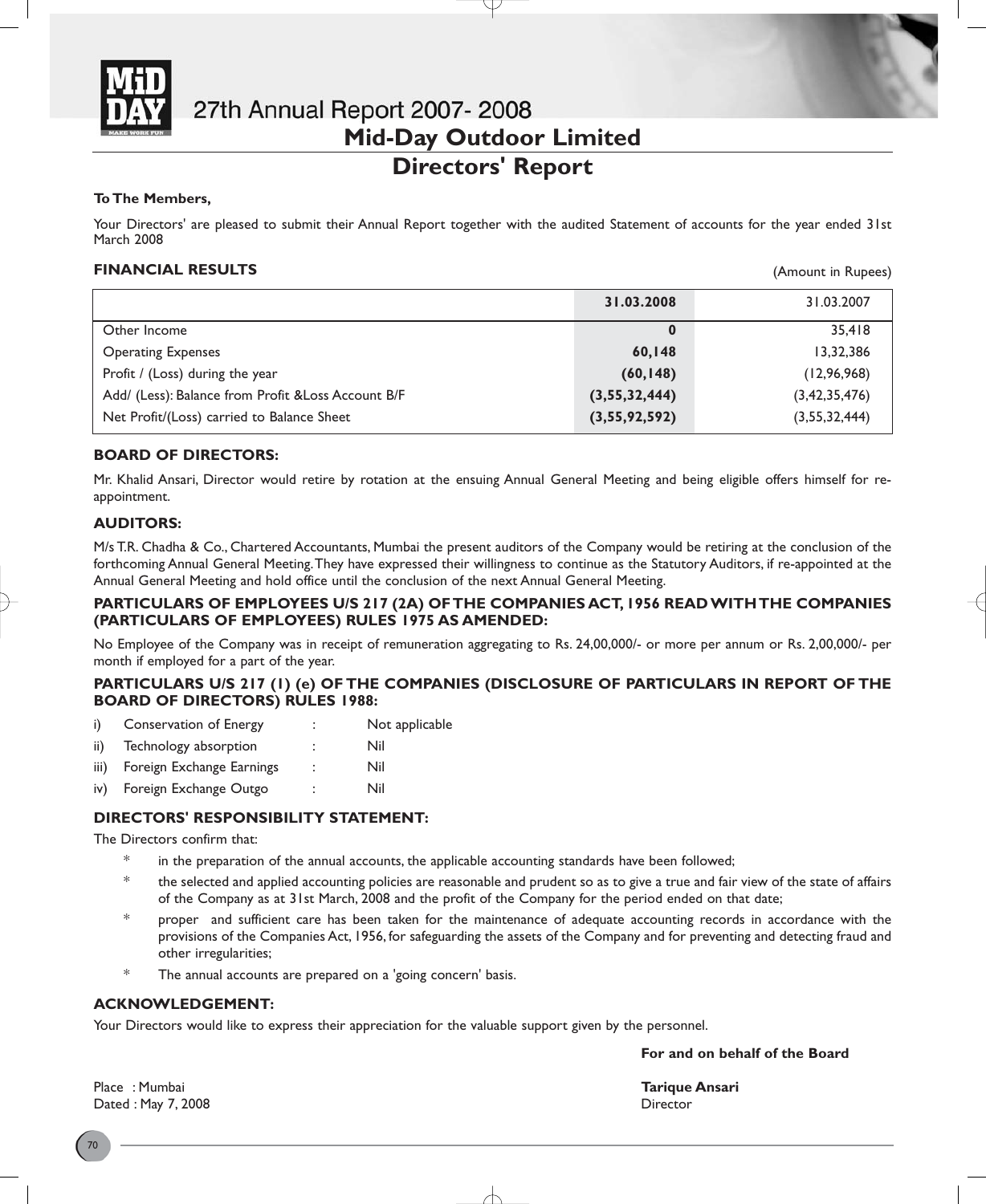

# 27th Annual Report 2007-2008 **Mid-Day Outdoor Limited**

### **Directors' Report**

#### **To The Members,**

Your Directors' are pleased to submit their Annual Report together with the audited Statement of accounts for the year ended 31st March 2008

#### **FINANCIAL RESULTS**

(Amount in Rupees)

|                                                     | 31.03.2008    | 31.03.2007       |
|-----------------------------------------------------|---------------|------------------|
| Other Income                                        | $\bf{0}$      | 35.418           |
| <b>Operating Expenses</b>                           | 60,148        | 13,32,386        |
| Profit / (Loss) during the year                     | (60, 148)     | (12, 96, 968)    |
| Add/ (Less): Balance from Profit & Loss Account B/F | (3,55,32,444) | (3, 42, 35, 476) |
| Net Profit/(Loss) carried to Balance Sheet          | (3,55,92,592) | (3,55,32,444)    |

#### **BOARD OF DIRECTORS:**

Mr. Khalid Ansari, Director would retire by rotation at the ensuing Annual General Meeting and being eligible offers himself for reappointment.

#### **AUDITORS:**

M/s T.R. Chadha & Co., Chartered Accountants, Mumbai the present auditors of the Company would be retiring at the conclusion of the forthcoming Annual General Meeting.They have expressed their willingness to continue as the Statutory Auditors, if re-appointed at the Annual General Meeting and hold office until the conclusion of the next Annual General Meeting.

#### **PARTICULARS OF EMPLOYEES U/S 217 (2A) OF THE COMPANIES ACT, 1956 READ WITH THE COMPANIES (PARTICULARS OF EMPLOYEES) RULES 1975 AS AMENDED:**

No Employee of the Company was in receipt of remuneration aggregating to Rs. 24,00,000/- or more per annum or Rs. 2,00,000/- per month if employed for a part of the year.

#### **PARTICULARS U/S 217 (1) (e) OF THE COMPANIES (DISCLOSURE OF PARTICULARS IN REPORT OF THE BOARD OF DIRECTORS) RULES 1988:**

- i) Conservation of Energy : Not applicable
- ii) Technology absorption : Nil
- iii) Foreign Exchange Earnings : Nil
- iv) Foreign Exchange Outgo : Nil

#### **DIRECTORS' RESPONSIBILITY STATEMENT:**

The Directors confirm that:

- in the preparation of the annual accounts, the applicable accounting standards have been followed;
- \* the selected and applied accounting policies are reasonable and prudent so as to give a true and fair view of the state of affairs of the Company as at 31st March, 2008 and the profit of the Company for the period ended on that date;
- $*$  proper and sufficient care has been taken for the maintenance of adequate accounting records in accordance with the provisions of the Companies Act, 1956, for safeguarding the assets of the Company and for preventing and detecting fraud and other irregularities;
- The annual accounts are prepared on a 'going concern' basis.

#### **ACKNOWLEDGEMENT:**

Your Directors would like to express their appreciation for the valuable support given by the personnel.

**For and on behalf of the Board**

Place : Mumbai **Tarique Ansari** Dated : May 7, 2008 Director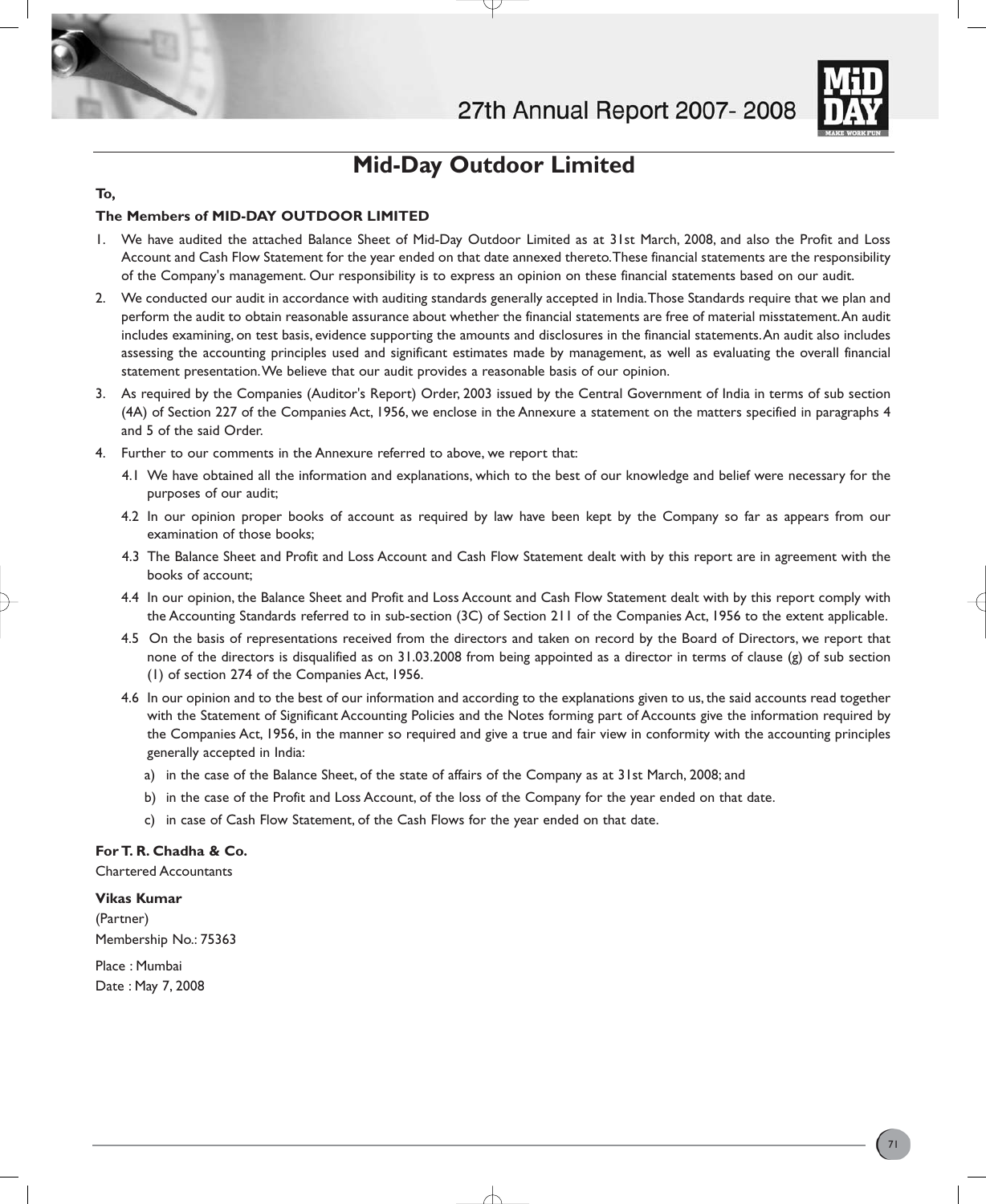



### **Mid-Day Outdoor Limited**

#### **To,**

#### **The Members of MID-DAY OUTDOOR LIMITED**

- 1. We have audited the attached Balance Sheet of Mid-Day Outdoor Limited as at 31st March, 2008, and also the Profit and Loss Account and Cash Flow Statement for the year ended on that date annexed thereto.These financial statements are the responsibility of the Company's management. Our responsibility is to express an opinion on these financial statements based on our audit.
- 2. We conducted our audit in accordance with auditing standards generally accepted in India.Those Standards require that we plan and perform the audit to obtain reasonable assurance about whether the financial statements are free of material misstatement.An audit includes examining, on test basis, evidence supporting the amounts and disclosures in the financial statements.An audit also includes assessing the accounting principles used and significant estimates made by management, as well as evaluating the overall financial statement presentation.We believe that our audit provides a reasonable basis of our opinion.
- 3. As required by the Companies (Auditor's Report) Order, 2003 issued by the Central Government of India in terms of sub section (4A) of Section 227 of the Companies Act, 1956, we enclose in the Annexure a statement on the matters specified in paragraphs 4 and 5 of the said Order.
- 4. Further to our comments in the Annexure referred to above, we report that:
	- 4.1 We have obtained all the information and explanations, which to the best of our knowledge and belief were necessary for the purposes of our audit;
	- 4.2 In our opinion proper books of account as required by law have been kept by the Company so far as appears from our examination of those books;
	- 4.3 The Balance Sheet and Profit and Loss Account and Cash Flow Statement dealt with by this report are in agreement with the books of account;
	- 4.4 In our opinion, the Balance Sheet and Profit and Loss Account and Cash Flow Statement dealt with by this report comply with the Accounting Standards referred to in sub-section (3C) of Section 211 of the Companies Act, 1956 to the extent applicable.
	- 4.5 On the basis of representations received from the directors and taken on record by the Board of Directors, we report that none of the directors is disqualified as on 31.03.2008 from being appointed as a director in terms of clause (g) of sub section (1) of section 274 of the Companies Act, 1956.
	- 4.6 In our opinion and to the best of our information and according to the explanations given to us, the said accounts read together with the Statement of Significant Accounting Policies and the Notes forming part of Accounts give the information required by the Companies Act, 1956, in the manner so required and give a true and fair view in conformity with the accounting principles generally accepted in India:
		- a) in the case of the Balance Sheet, of the state of affairs of the Company as at 31st March, 2008; and
		- b) in the case of the Profit and Loss Account, of the loss of the Company for the year ended on that date.
		- c) in case of Cash Flow Statement, of the Cash Flows for the year ended on that date.

#### **For T. R. Chadha & Co.**

Chartered Accountants

**Vikas Kumar**

(Partner) Membership No.: 75363

Place : Mumbai Date : May 7, 2008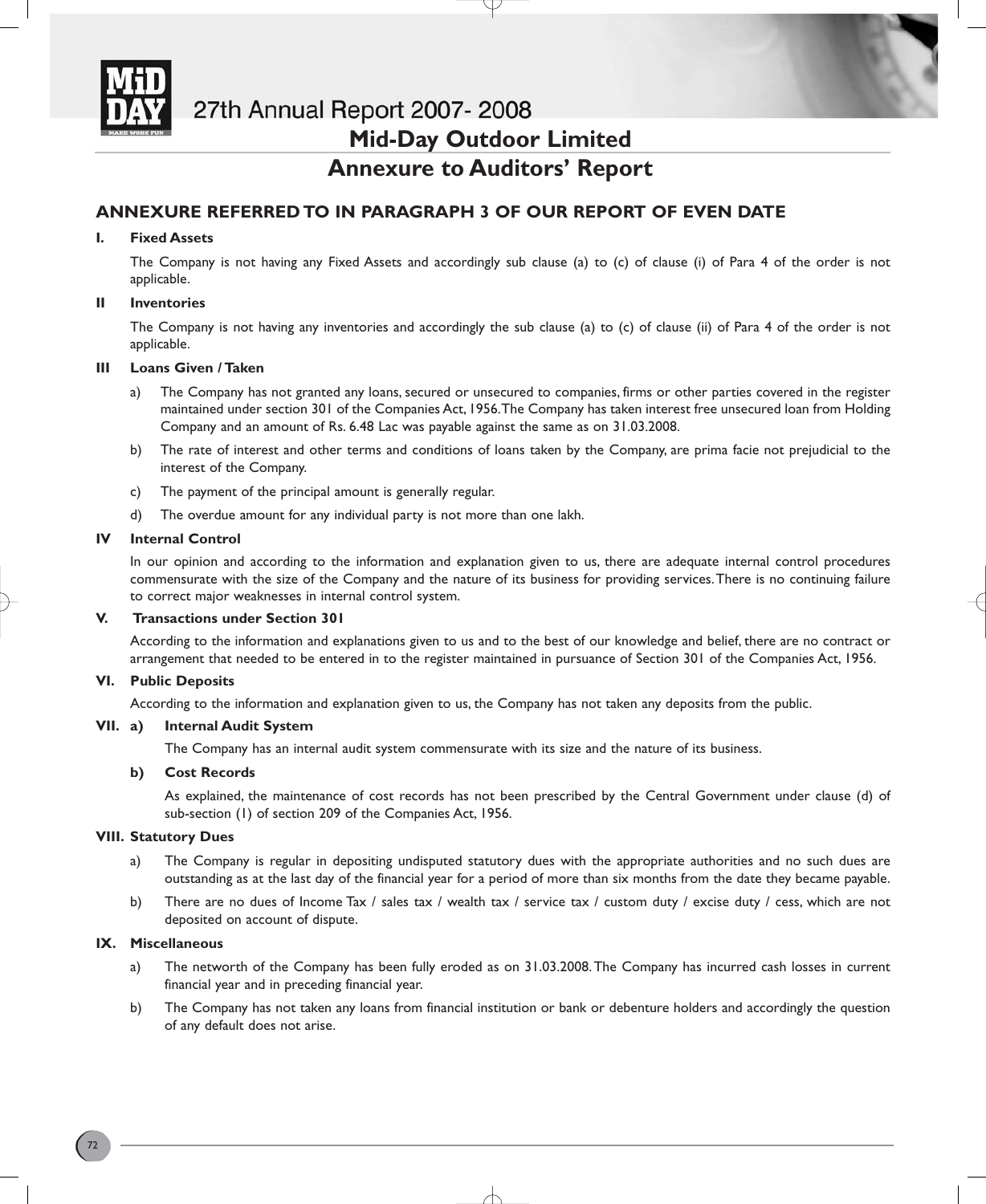

### 27th Annual Report 2007-2008

### **Mid-Day Outdoor Limited**

### **Annexure to Auditors' Report**

#### **ANNEXURE REFERRED TO IN PARAGRAPH 3 OF OUR REPORT OF EVEN DATE**

#### **I. Fixed Assets**

The Company is not having any Fixed Assets and accordingly sub clause (a) to (c) of clause (i) of Para 4 of the order is not applicable.

#### **II Inventories**

The Company is not having any inventories and accordingly the sub clause (a) to (c) of clause (ii) of Para 4 of the order is not applicable.

#### **III Loans Given / Taken**

- a) The Company has not granted any loans, secured or unsecured to companies, firms or other parties covered in the register maintained under section 301 of the Companies Act, 1956.The Company has taken interest free unsecured loan from Holding Company and an amount of Rs. 6.48 Lac was payable against the same as on 31.03.2008.
- b) The rate of interest and other terms and conditions of loans taken by the Company, are prima facie not prejudicial to the interest of the Company.
- c) The payment of the principal amount is generally regular.
- d) The overdue amount for any individual party is not more than one lakh.

#### **IV Internal Control**

In our opinion and according to the information and explanation given to us, there are adequate internal control procedures commensurate with the size of the Company and the nature of its business for providing services.There is no continuing failure to correct major weaknesses in internal control system.

#### **V. Transactions under Section 301**

According to the information and explanations given to us and to the best of our knowledge and belief, there are no contract or arrangement that needed to be entered in to the register maintained in pursuance of Section 301 of the Companies Act, 1956.

#### **VI. Public Deposits**

According to the information and explanation given to us, the Company has not taken any deposits from the public.

#### **VII. a) Internal Audit System**

The Company has an internal audit system commensurate with its size and the nature of its business.

#### **b) Cost Records**

As explained, the maintenance of cost records has not been prescribed by the Central Government under clause (d) of sub-section (1) of section 209 of the Companies Act, 1956.

#### **VIII. Statutory Dues**

- a) The Company is regular in depositing undisputed statutory dues with the appropriate authorities and no such dues are outstanding as at the last day of the financial year for a period of more than six months from the date they became payable.
- b) There are no dues of Income Tax / sales tax / wealth tax / service tax / custom duty / excise duty / cess, which are not deposited on account of dispute.

#### **IX. Miscellaneous**

- a) The networth of the Company has been fully eroded as on 31.03.2008.The Company has incurred cash losses in current financial year and in preceding financial year.
- b) The Company has not taken any loans from financial institution or bank or debenture holders and accordingly the question of any default does not arise.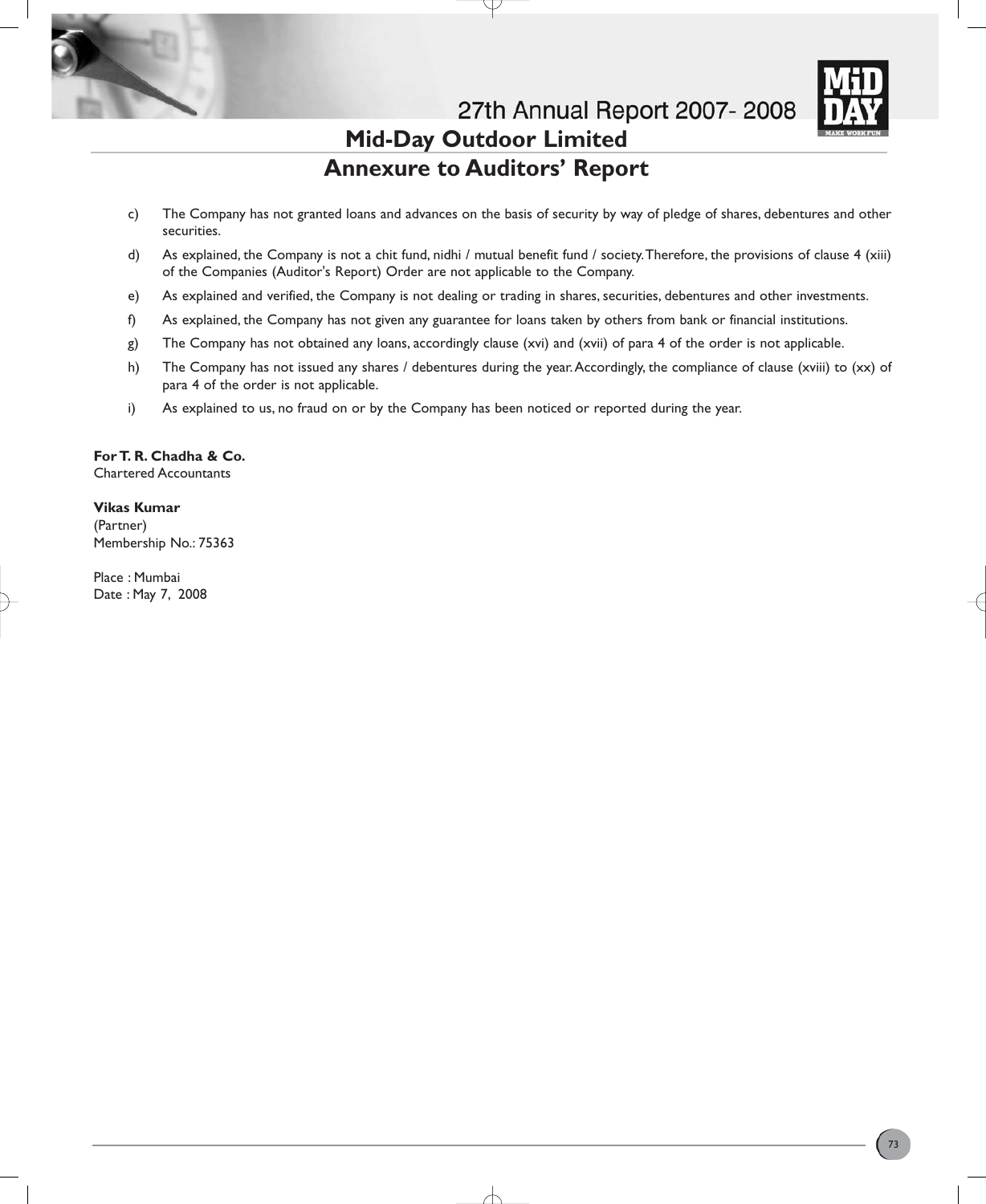

# **Mid-Day Outdoor Limited Annexure to Auditors' Report**

- c) The Company has not granted loans and advances on the basis of security by way of pledge of shares, debentures and other securities.
- d) As explained, the Company is not a chit fund, nidhi / mutual benefit fund / society.Therefore, the provisions of clause 4 (xiii) of the Companies (Auditor's Report) Order are not applicable to the Company.
- e) As explained and verified, the Company is not dealing or trading in shares, securities, debentures and other investments.
- f) As explained, the Company has not given any guarantee for loans taken by others from bank or financial institutions.
- g) The Company has not obtained any loans, accordingly clause (xvi) and (xvii) of para 4 of the order is not applicable.
- h) The Company has not issued any shares / debentures during the year. Accordingly, the compliance of clause (xviii) to (xx) of para 4 of the order is not applicable.
- i) As explained to us, no fraud on or by the Company has been noticed or reported during the year.

**For T. R. Chadha & Co.** Chartered Accountants

### **Vikas Kumar**

(Partner) Membership No.: 75363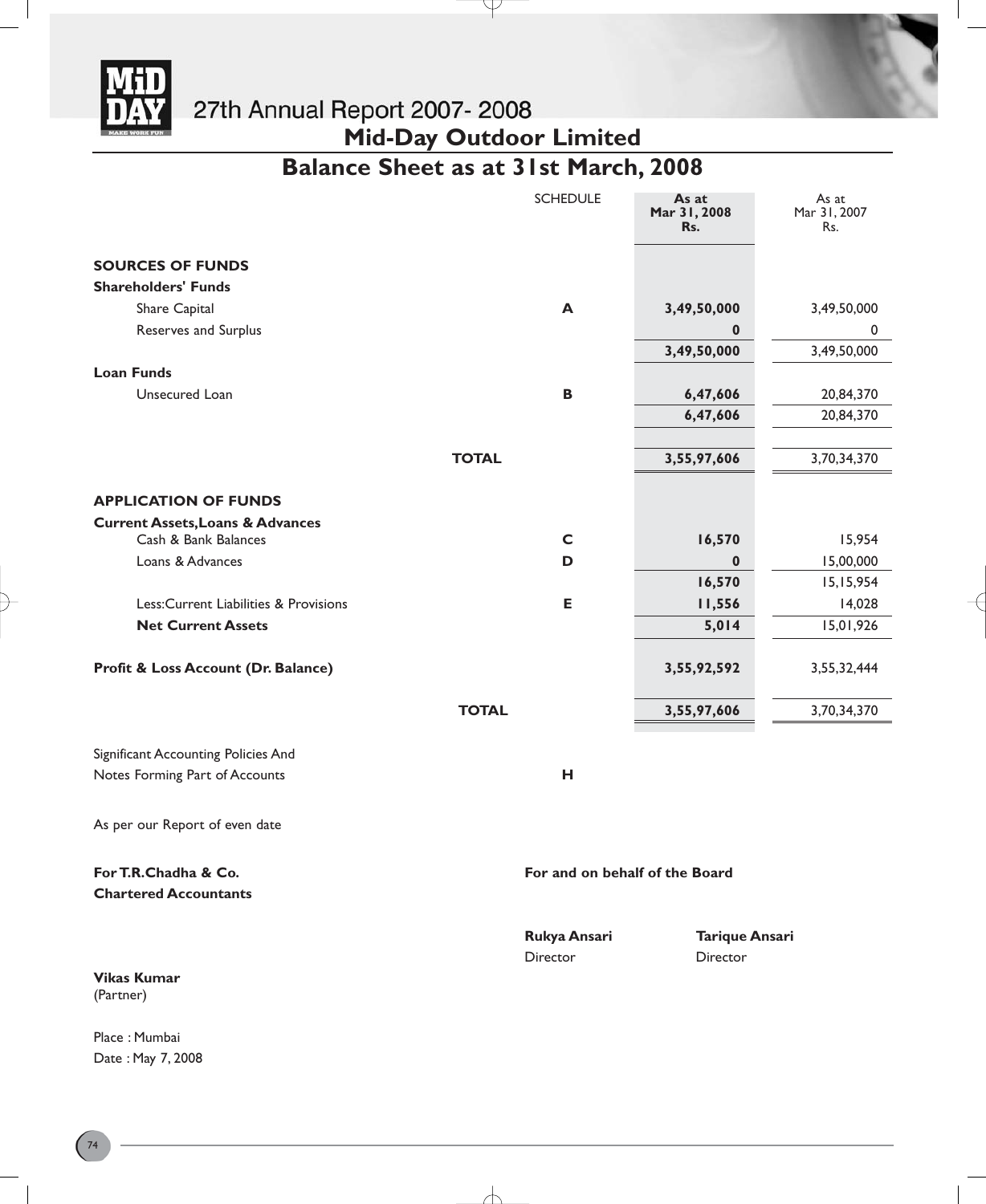

27th Annual Report 2007- 2008<br>Mid-Day Outdoor Limited

**Balance Sheet as at 31st March, 2008**

Y

|                                                      | <b>SCHEDULE</b>                | As at<br>Mar 31, 2008<br>Rs.      | As at<br>Mar 31, 2007<br>Rs. |
|------------------------------------------------------|--------------------------------|-----------------------------------|------------------------------|
| <b>SOURCES OF FUNDS</b>                              |                                |                                   |                              |
| <b>Shareholders' Funds</b>                           |                                |                                   |                              |
| Share Capital                                        | A                              | 3,49,50,000                       | 3,49,50,000                  |
| Reserves and Surplus                                 |                                | 0                                 | 0                            |
|                                                      |                                | 3,49,50,000                       | 3,49,50,000                  |
| <b>Loan Funds</b>                                    |                                |                                   |                              |
| Unsecured Loan                                       | $\, {\bf B} \,$                | 6,47,606                          | 20,84,370                    |
|                                                      |                                | 6,47,606                          | 20,84,370                    |
|                                                      |                                |                                   |                              |
|                                                      | <b>TOTAL</b>                   | 3,55,97,606                       | 3,70,34,370                  |
| <b>APPLICATION OF FUNDS</b>                          |                                |                                   |                              |
| <b>Current Assets, Loans &amp; Advances</b>          |                                |                                   |                              |
| Cash & Bank Balances                                 | $\mathsf{C}$                   | 16,570                            | 15,954                       |
| Loans & Advances                                     | D                              | 0                                 | 15,00,000                    |
|                                                      |                                | 16,570                            | 15, 15, 954                  |
| Less: Current Liabilities & Provisions               | E                              | 11,556                            | 14,028                       |
| <b>Net Current Assets</b>                            |                                | 5,014                             | 15,01,926                    |
| Profit & Loss Account (Dr. Balance)                  |                                | 3,55,92,592                       | 3,55,32,444                  |
|                                                      | <b>TOTAL</b>                   | 3,55,97,606                       | 3,70,34,370                  |
| Significant Accounting Policies And                  |                                |                                   |                              |
| Notes Forming Part of Accounts                       | н                              |                                   |                              |
| As per our Report of even date                       |                                |                                   |                              |
| For T.R.Chadha & Co.<br><b>Chartered Accountants</b> | For and on behalf of the Board |                                   |                              |
| <b>Vikas Kumar</b><br>(Partner)                      | Rukya Ansari<br>Director       | <b>Tarique Ansari</b><br>Director |                              |
|                                                      |                                |                                   |                              |

∕├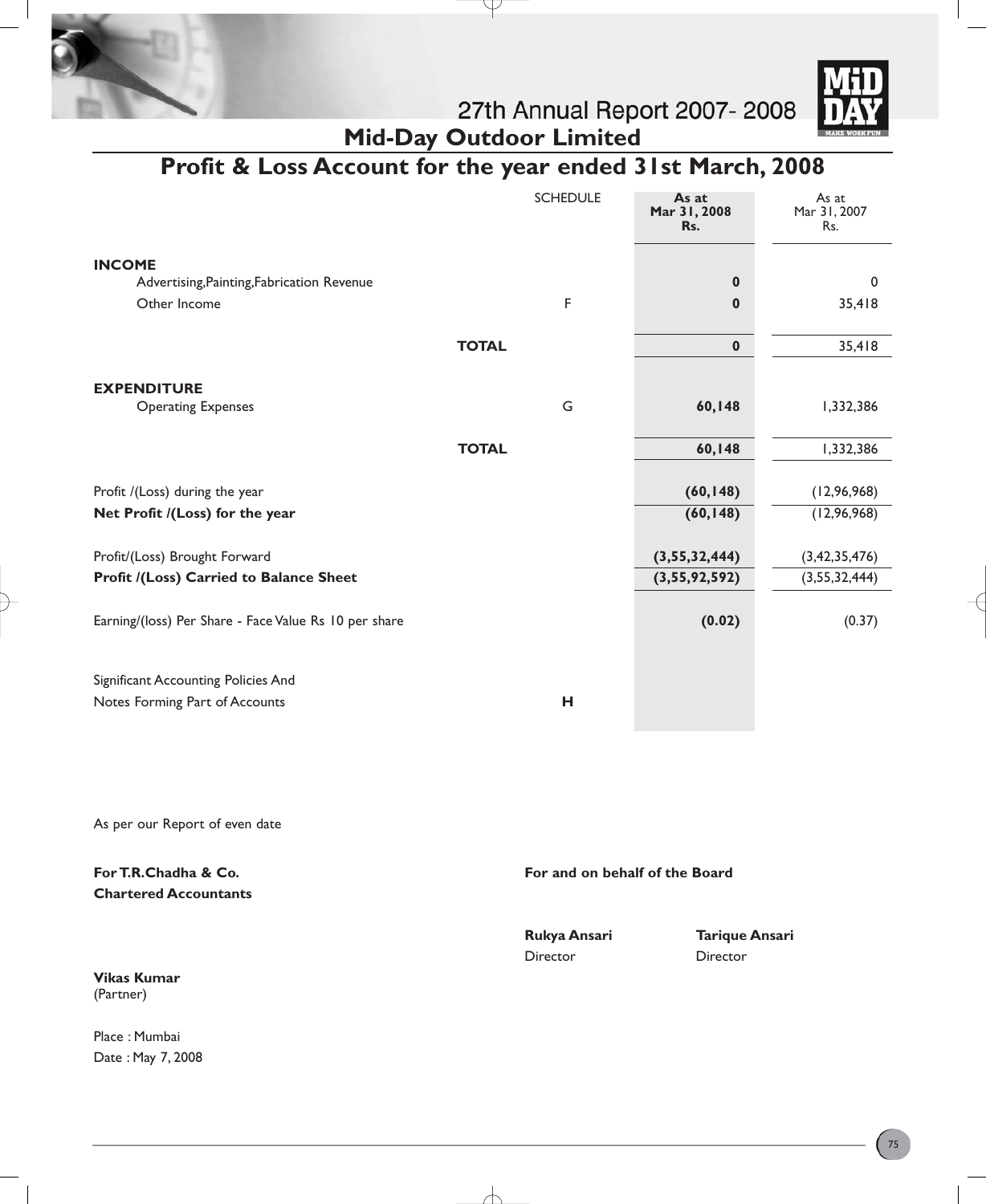



**Mid-Day Outdoor Limited Profit & Loss Account for the year ended 31st March, 2008**

|                                                       |              | <b>SCHEDULE</b> | As at<br>Mar 31, 2008<br>Rs. | As at<br>Mar 31, 2007<br>Rs. |
|-------------------------------------------------------|--------------|-----------------|------------------------------|------------------------------|
| <b>INCOME</b>                                         |              |                 |                              |                              |
| Advertising, Painting, Fabrication Revenue            |              |                 | $\bf{0}$                     | $\mathbf 0$                  |
| Other Income                                          |              | F               | $\bf{0}$                     | 35,418                       |
|                                                       |              |                 |                              |                              |
|                                                       | <b>TOTAL</b> |                 | $\mathbf 0$                  | 35,418                       |
| <b>EXPENDITURE</b>                                    |              |                 |                              |                              |
| <b>Operating Expenses</b>                             |              | G               | 60,148                       | 1,332,386                    |
|                                                       |              |                 |                              |                              |
|                                                       | <b>TOTAL</b> |                 | 60,148                       | 1,332,386                    |
|                                                       |              |                 |                              |                              |
| Profit /(Loss) during the year                        |              |                 | (60, 148)                    | (12, 96, 968)                |
| Net Profit /(Loss) for the year                       |              |                 | (60, 148)                    | (12, 96, 968)                |
| Profit/(Loss) Brought Forward                         |              |                 | (3,55,32,444)                | (3, 42, 35, 476)             |
| Profit /(Loss) Carried to Balance Sheet               |              |                 | (3,55,92,592)                | (3,55,32,444)                |
|                                                       |              |                 |                              |                              |
| Earning/(loss) Per Share - Face Value Rs 10 per share |              |                 | (0.02)                       | (0.37)                       |
|                                                       |              |                 |                              |                              |
| Significant Accounting Policies And                   |              |                 |                              |                              |
| Notes Forming Part of Accounts                        |              | н               |                              |                              |
|                                                       |              |                 |                              |                              |

As per our Report of even date

**For T.R.Chadha & Co. For and on behalf of the Board For and on behalf of the Board Chartered Accountants Rukya Ansari Tarique Ansari**  Director Director

**Vikas Kumar** (Partner)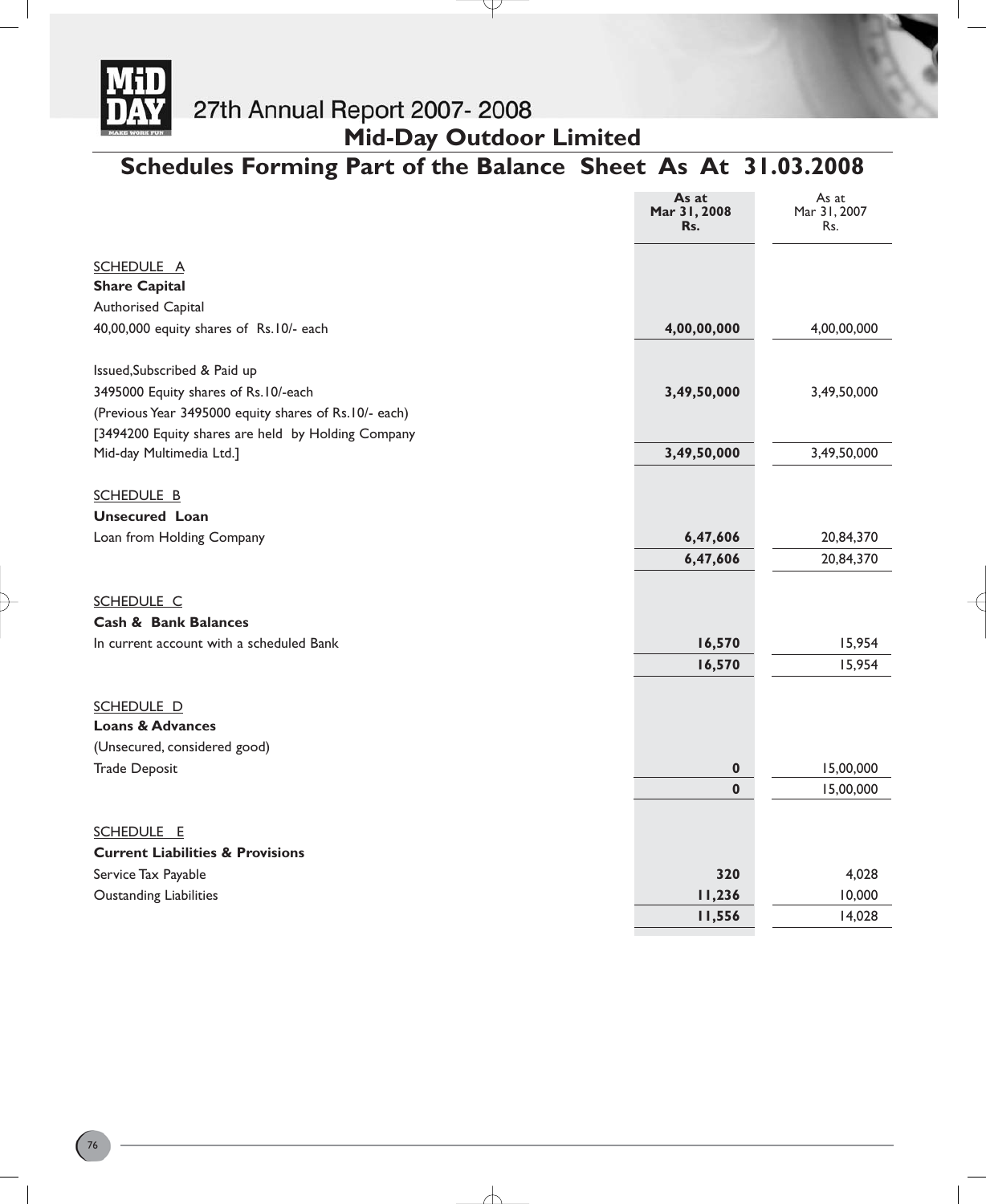

# **Mid-Day Outdoor Limited**

# **Schedules Forming Part of the Balance Sheet As At 31.03.2008**

Ψ

|                                                        | As at<br>Mar 31, 2008<br>Rs. | As at<br>Mar 31, 2007<br>Rs. |
|--------------------------------------------------------|------------------------------|------------------------------|
| <b>SCHEDULE A</b>                                      |                              |                              |
| <b>Share Capital</b>                                   |                              |                              |
| Authorised Capital                                     |                              |                              |
| 40,00,000 equity shares of Rs.10/- each                | 4,00,00,000                  | 4,00,00,000                  |
| Issued, Subscribed & Paid up                           |                              |                              |
| 3495000 Equity shares of Rs.10/-each                   | 3,49,50,000                  | 3,49,50,000                  |
| (Previous Year 3495000 equity shares of Rs. 10/- each) |                              |                              |
| [3494200 Equity shares are held by Holding Company     |                              |                              |
| Mid-day Multimedia Ltd.]                               | 3,49,50,000                  | 3,49,50,000                  |
| <b>SCHEDULE B</b>                                      |                              |                              |
| <b>Unsecured Loan</b>                                  |                              |                              |
| Loan from Holding Company                              | 6,47,606                     | 20,84,370                    |
|                                                        | 6,47,606                     | 20,84,370                    |
|                                                        |                              |                              |
| <b>SCHEDULE C</b>                                      |                              |                              |
| <b>Cash &amp; Bank Balances</b>                        |                              |                              |
| In current account with a scheduled Bank               | 16,570                       | 15,954                       |
|                                                        | 16,570                       | 15,954                       |
| SCHEDULE D                                             |                              |                              |
| <b>Loans &amp; Advances</b>                            |                              |                              |
| (Unsecured, considered good)                           |                              |                              |
| <b>Trade Deposit</b>                                   | 0                            | 15,00,000                    |
|                                                        | $\bf{0}$                     | 15,00,000                    |
| <b>SCHEDULE E</b>                                      |                              |                              |
| <b>Current Liabilities &amp; Provisions</b>            |                              |                              |
| Service Tax Payable                                    | 320                          | 4,028                        |
| <b>Oustanding Liabilities</b>                          | 11,236                       | 10,000                       |
|                                                        | 11,556                       | 14,028                       |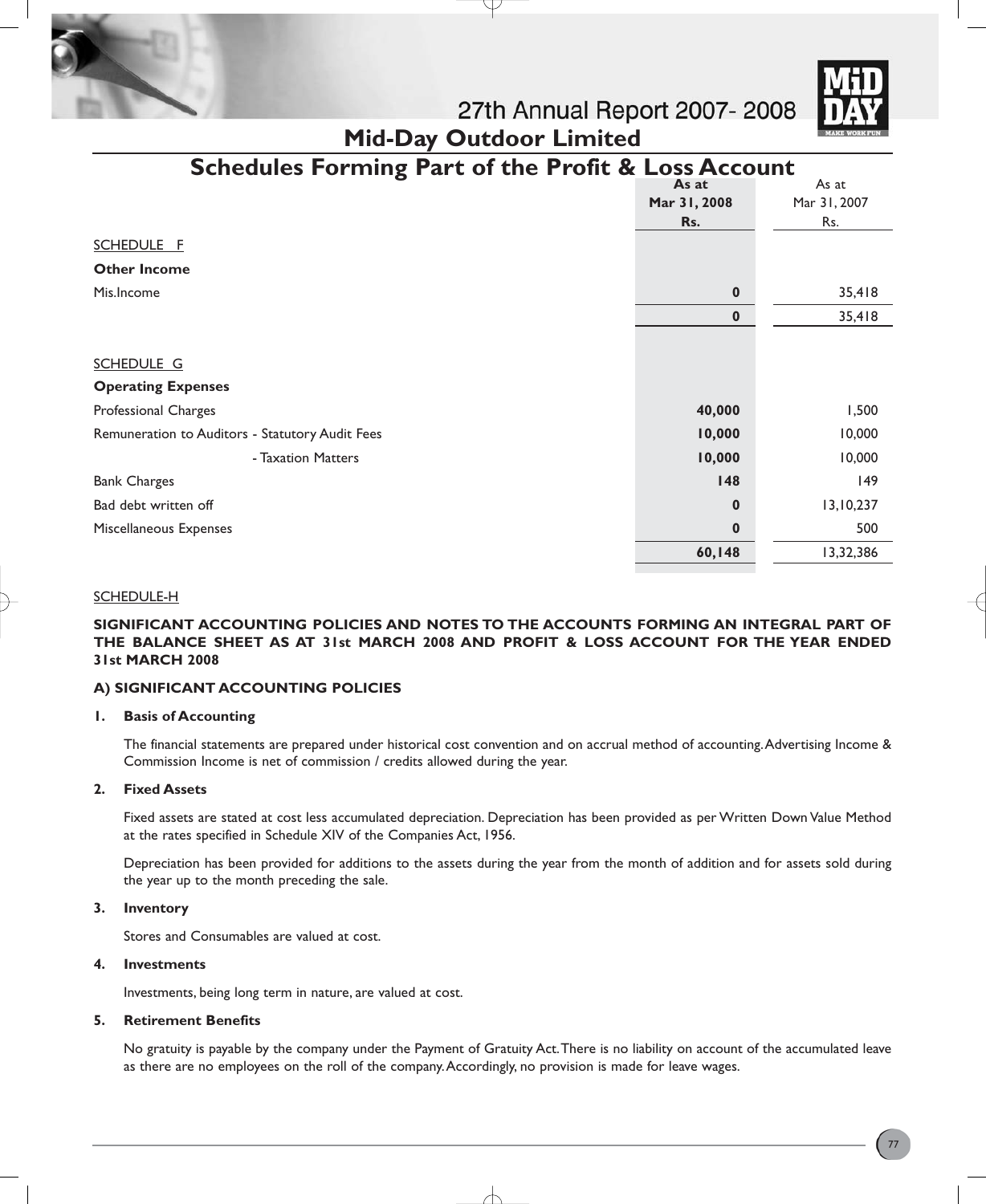

| <b>Schedules Forming Part of the Profit &amp; Loss Account</b> |              |              |
|----------------------------------------------------------------|--------------|--------------|
|                                                                | As at        | As at        |
|                                                                | Mar 31, 2008 | Mar 31, 2007 |
|                                                                | Rs.          | Rs.          |
| SCHEDULE F                                                     |              |              |
| <b>Other Income</b>                                            |              |              |
| Mis.Income                                                     | $\bf{0}$     | 35,418       |
|                                                                | $\bf{0}$     | 35,418       |
|                                                                |              |              |
| SCHEDULE G                                                     |              |              |
| <b>Operating Expenses</b>                                      |              |              |
| Professional Charges                                           | 40,000       | 1,500        |
| Remuneration to Auditors - Statutory Audit Fees                | 10,000       | 10,000       |
| - Taxation Matters                                             | 10,000       | 10,000       |
| <b>Bank Charges</b>                                            | 148          | 149          |
| Bad debt written off                                           | $\bf{0}$     | 13,10,237    |
| Miscellaneous Expenses                                         | $\bf{0}$     | 500          |
|                                                                | 60,148       | 13,32,386    |

**Mid-Day Outdoor Limited**

### SCHEDULE-H

**SIGNIFICANT ACCOUNTING POLICIES AND NOTES TO THE ACCOUNTS FORMING AN INTEGRAL PART OF THE BALANCE SHEET AS AT 31st MARCH 2008 AND PROFIT & LOSS ACCOUNT FOR THE YEAR ENDED 31st MARCH 2008**

# **A) SIGNIFICANT ACCOUNTING POLICIES**

### **1. Basis of Accounting**

The financial statements are prepared under historical cost convention and on accrual method of accounting.Advertising Income & Commission Income is net of commission / credits allowed during the year.

### **2. Fixed Assets**

Fixed assets are stated at cost less accumulated depreciation. Depreciation has been provided as per Written Down Value Method at the rates specified in Schedule XIV of the Companies Act, 1956.

Depreciation has been provided for additions to the assets during the year from the month of addition and for assets sold during the year up to the month preceding the sale.

### **3. Inventory**

Stores and Consumables are valued at cost.

# **4. Investments**

Investments, being long term in nature, are valued at cost.

### **5. Retirement Benefits**

No gratuity is payable by the company under the Payment of Gratuity Act.There is no liability on account of the accumulated leave as there are no employees on the roll of the company.Accordingly, no provision is made for leave wages.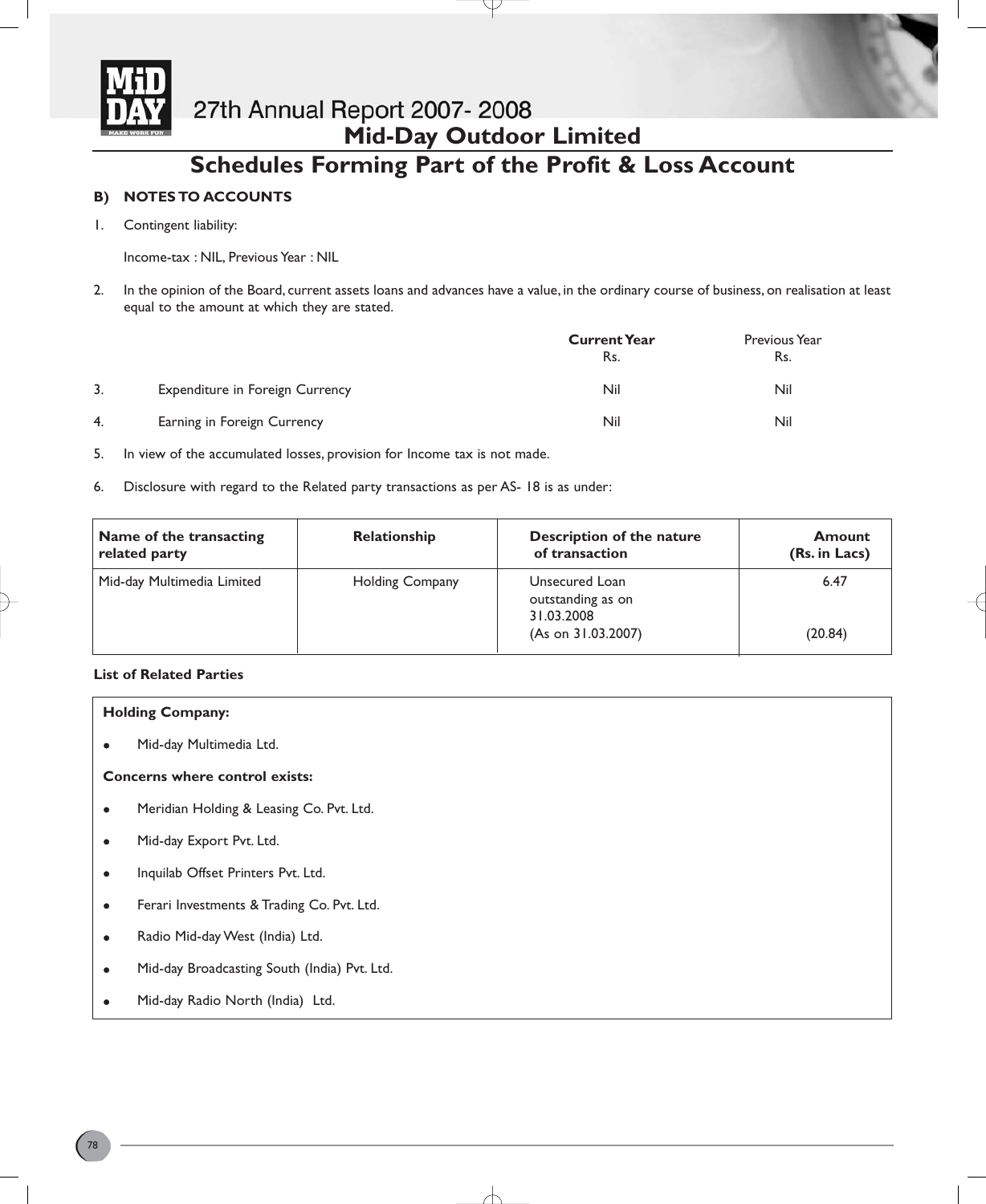

# 27th Annual Report 2007-2008 **Mid-Day Outdoor Limited**

# **Schedules Forming Part of the Profit & Loss Account**

# **B) NOTES TO ACCOUNTS**

1. Contingent liability:

Income-tax : NIL, Previous Year : NIL

2. In the opinion of the Board, current assets loans and advances have a value, in the ordinary course of business, on realisation at least equal to the amount at which they are stated.

|    |                                 | <b>Current Year</b><br>Rs. | Previous Year<br>Rs. |
|----|---------------------------------|----------------------------|----------------------|
| 3. | Expenditure in Foreign Currency | Nil                        | Nil                  |
| 4. | Earning in Foreign Currency     | Nil                        | Nil                  |

5. In view of the accumulated losses, provision for Income tax is not made.

6. Disclosure with regard to the Related party transactions as per AS- 18 is as under:

| Name of the transacting<br>related party | <b>Relationship</b>    | Description of the nature<br>of transaction       | Amount<br>(Rs. in Lacs) |
|------------------------------------------|------------------------|---------------------------------------------------|-------------------------|
| Mid-day Multimedia Limited               | <b>Holding Company</b> | Unsecured Loan<br>outstanding as on<br>31.03.2008 | 6.47                    |
|                                          |                        | (As on 31.03.2007)                                | (20.84)                 |

# **List of Related Parties**

# **Holding Company:**

Mid-day Multimedia Ltd.

# **Concerns where control exists:**

- Meridian Holding & Leasing Co. Pvt. Ltd.
- Mid-day Export Pvt. Ltd.
- Inquilab Offset Printers Pvt. Ltd.
- **•** Ferari Investments & Trading Co. Pvt. Ltd.
- Radio Mid-day West (India) Ltd.
- Mid-day Broadcasting South (India) Pvt. Ltd.
- Mid-day Radio North (India) Ltd.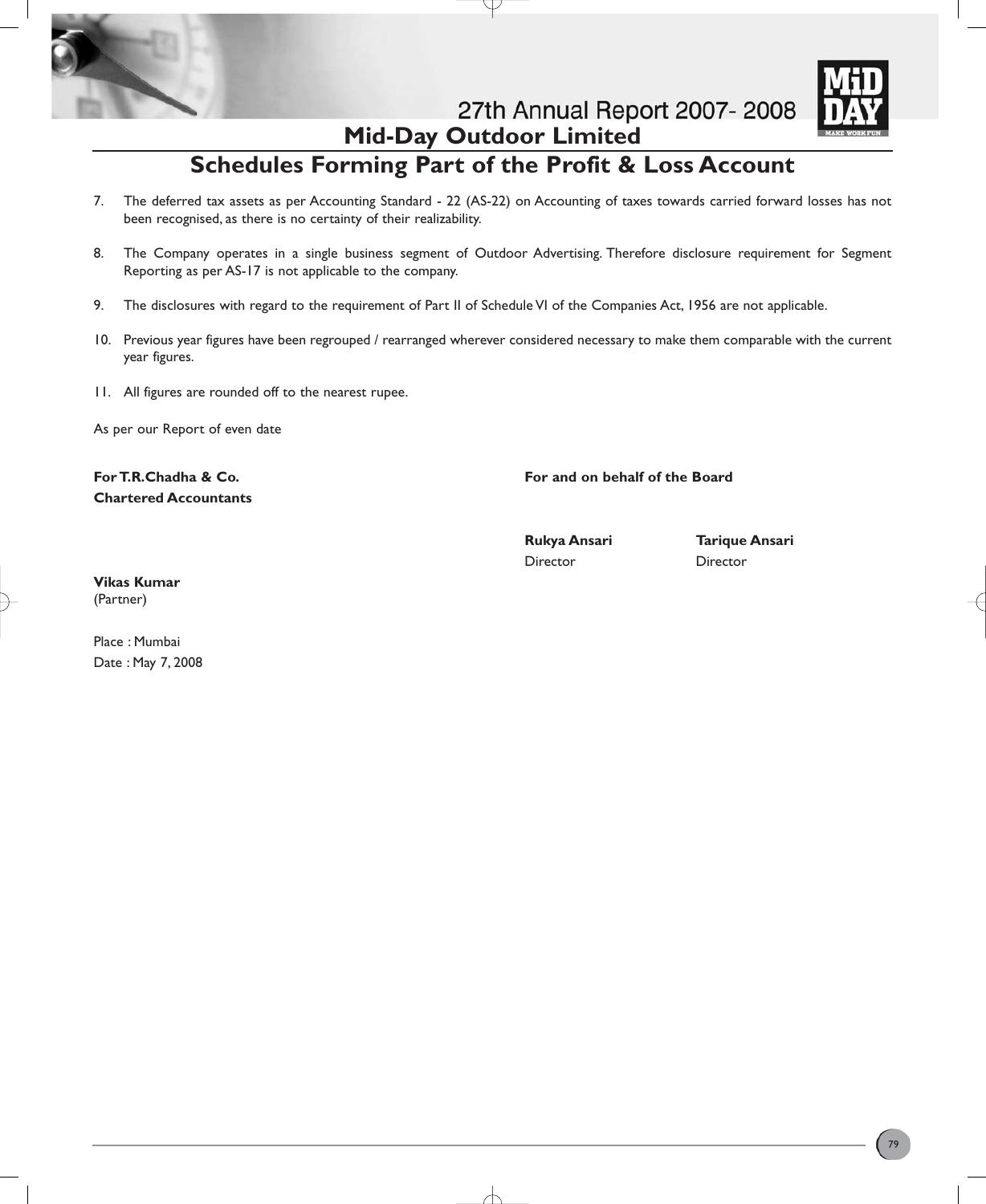

27th Annual Report 2007-2008 **Mid-Day Outdoor Limited**



# **Schedules Forming Part of the Profit & Loss Account**

- 7. The deferred tax assets as per Accounting Standard 22 (AS-22) on Accounting of taxes towards carried forward losses has not been recognised, as there is no certainty of their realizability.
- 8. The Company operates in a single business segment of Outdoor Advertising. Therefore disclosure requirement for Segment Reporting as per AS-17 is not applicable to the company.
- 9. The disclosures with regard to the requirement of Part II of Schedule VI of the Companies Act, 1956 are not applicable.
- 10. Previous year figures have been regrouped / rearranged wherever considered necessary to make them comparable with the current year figures.
- 11. All figures are rounded off to the nearest rupee.

As per our Report of even date

**Chartered Accountants**

**For T.R.Chadha & Co. For and on behalf of the Board**

Director Director

**Rukya Ansari Tarique Ansari** 

**Vikas Kumar** (Partner)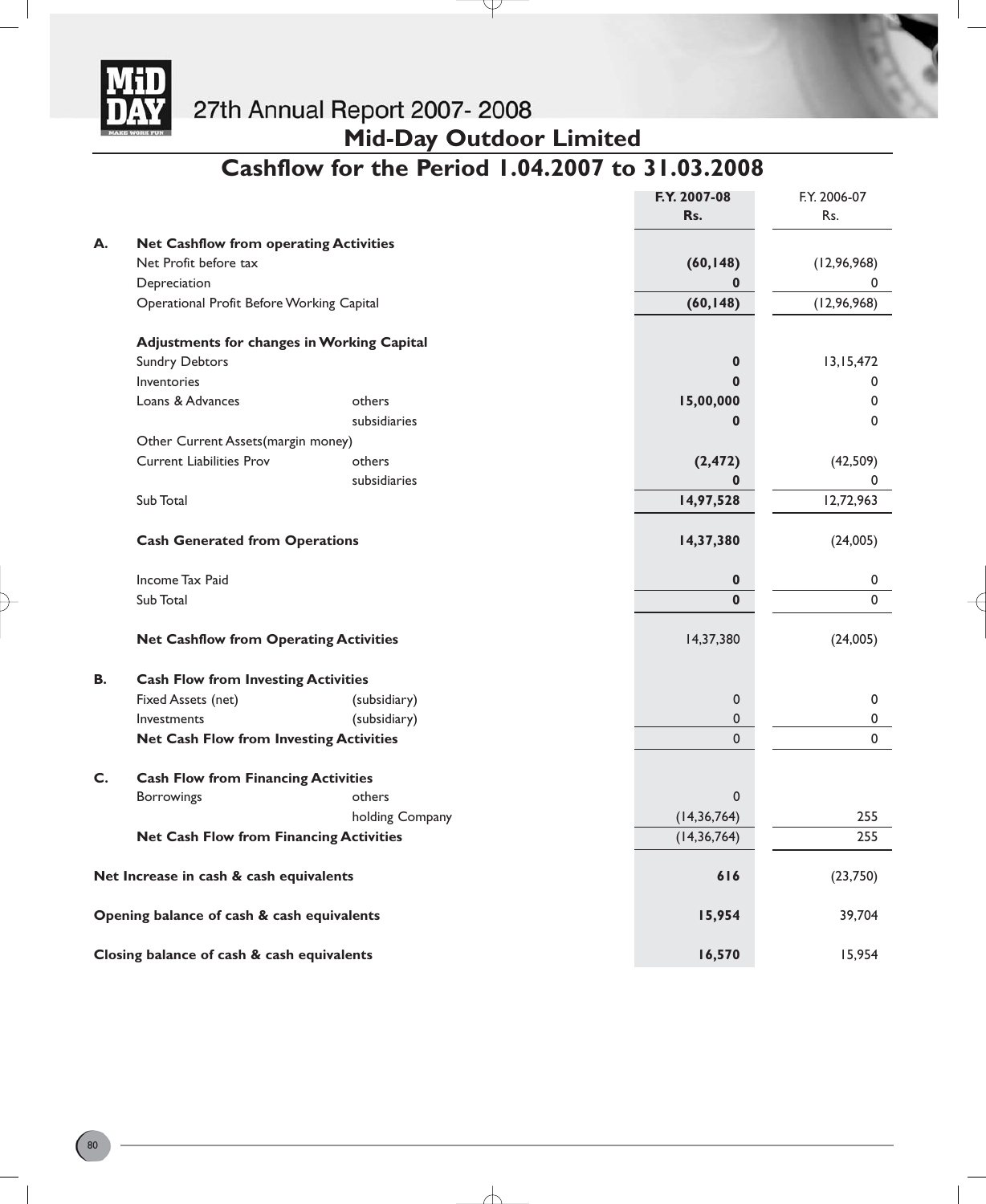

**Mid-Day Outdoor Limited**

# **Cashflow for the Period 1.04.2007 to 31.03.2008**

Y

|           |                                                   |                 | F.Y. 2007-08  | F.Y. 2006-07  |
|-----------|---------------------------------------------------|-----------------|---------------|---------------|
|           |                                                   |                 | Rs.           | Rs.           |
| А.        | <b>Net Cashflow from operating Activities</b>     |                 |               |               |
|           | Net Profit before tax                             |                 | (60, 148)     | (12, 96, 968) |
|           | Depreciation                                      |                 | 0             | 0             |
|           | Operational Profit Before Working Capital         |                 | (60, 148)     | (12, 96, 968) |
|           | <b>Adjustments for changes in Working Capital</b> |                 |               |               |
|           | <b>Sundry Debtors</b>                             |                 | $\mathbf 0$   | 13,15,472     |
|           | Inventories                                       |                 | $\bf{0}$      | 0             |
|           | Loans & Advances                                  | others          | 15,00,000     | 0             |
|           |                                                   | subsidiaries    | 0             | 0             |
|           | Other Current Assets(margin money)                |                 |               |               |
|           | <b>Current Liabilities Prov</b>                   | others          | (2, 472)      | (42, 509)     |
|           |                                                   | subsidiaries    | 0             | 0             |
|           | Sub Total                                         |                 | 14,97,528     | 12,72,963     |
|           | <b>Cash Generated from Operations</b>             |                 | 14,37,380     | (24,005)      |
|           | Income Tax Paid                                   |                 | 0             | 0             |
|           | Sub Total                                         |                 | $\mathbf{0}$  | $\Omega$      |
|           | <b>Net Cashflow from Operating Activities</b>     |                 | 14,37,380     | (24,005)      |
| <b>B.</b> | <b>Cash Flow from Investing Activities</b>        |                 |               |               |
|           | Fixed Assets (net)                                | (subsidiary)    | 0             | 0             |
|           | Investments                                       | (subsidiary)    | 0             | 0             |
|           | <b>Net Cash Flow from Investing Activities</b>    |                 | 0             | $\Omega$      |
| C.        | <b>Cash Flow from Financing Activities</b>        |                 |               |               |
|           | <b>Borrowings</b>                                 | others          | 0             |               |
|           |                                                   | holding Company | (14, 36, 764) | 255           |
|           | <b>Net Cash Flow from Financing Activities</b>    |                 | (14, 36, 764) | 255           |
|           | Net Increase in cash & cash equivalents           |                 | 616           | (23,750)      |
|           | Opening balance of cash & cash equivalents        |                 | 15,954        | 39,704        |
|           | Closing balance of cash & cash equivalents        |                 | 16,570        | 15,954        |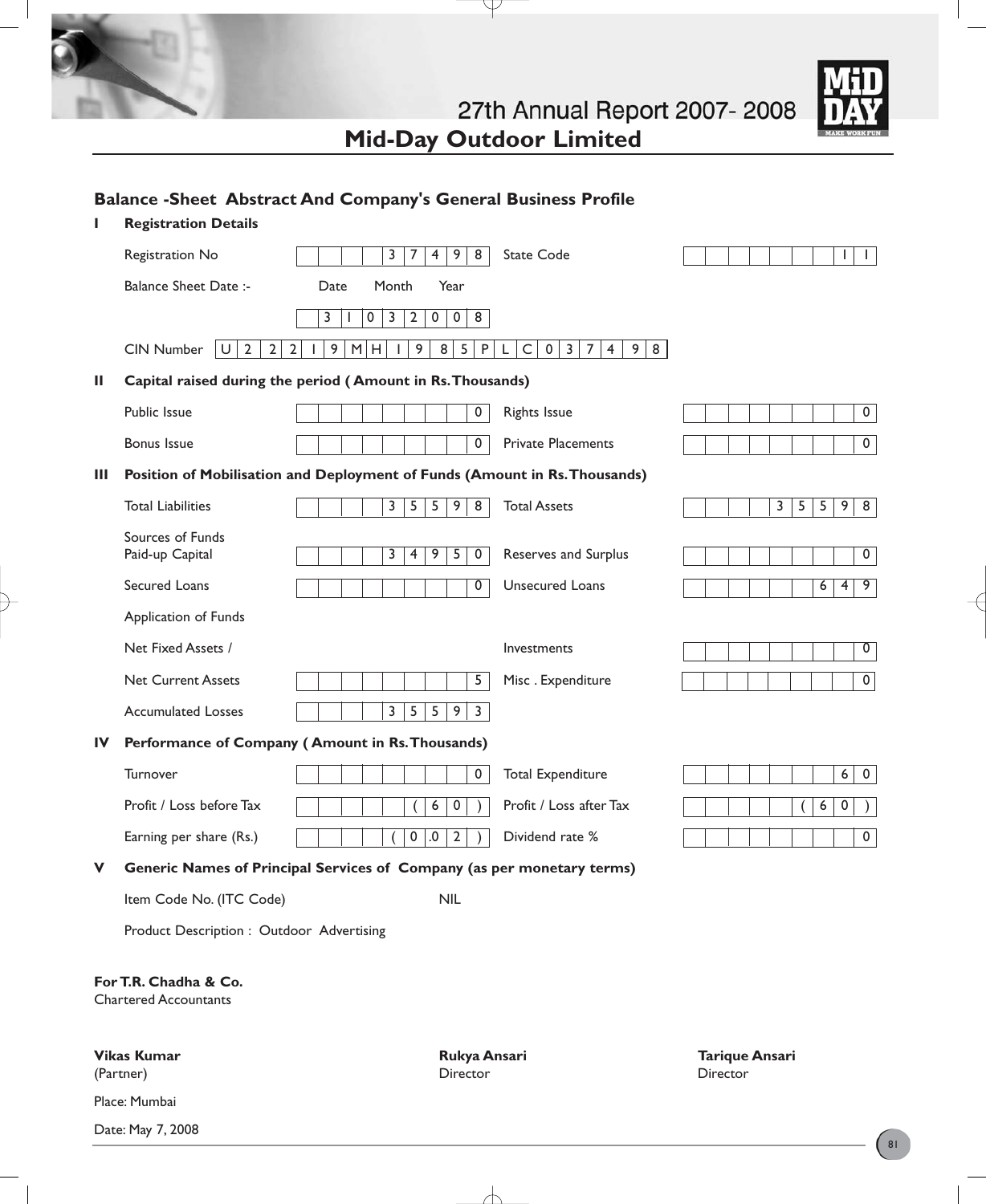

27th Annual Report 2007-2008 **Mid-Day Outdoor Limited**

Y

# **Balance -Sheet Abstract And Company's General Business Profile**

| ı                                                     | <b>Registration Details</b>                                |                                                                                          |                                                                                                              |                                          |
|-------------------------------------------------------|------------------------------------------------------------|------------------------------------------------------------------------------------------|--------------------------------------------------------------------------------------------------------------|------------------------------------------|
|                                                       | Registration No                                            | $\overline{4}$<br>9<br>8<br>3<br>7                                                       | <b>State Code</b>                                                                                            | $\mathbf{I}$<br>L                        |
|                                                       | <b>Balance Sheet Date:-</b>                                | Month<br>Year<br>Date                                                                    |                                                                                                              |                                          |
|                                                       |                                                            | $\mathsf{O}$<br>$\overline{3}$<br>$\overline{2}$<br>$\mathbf 0$<br>$\mathbf 0$<br>8<br>3 |                                                                                                              |                                          |
|                                                       | $\overline{2}$<br>$\overline{2}$<br><b>CIN Number</b><br>U | 9<br>M<br>9<br>$\bf 8$<br>5<br>$\sf P$<br>$\overline{2}$<br>H                            | $\mathsf C$<br>$9 \mid 8$<br>$\mathbf 0$<br>$\overline{\mathbf{3}}$<br>$\overline{7}$<br>$\overline{4}$<br>L |                                          |
| Ш                                                     |                                                            | Capital raised during the period (Amount in Rs. Thousands)                               |                                                                                                              |                                          |
|                                                       | Public Issue                                               | $\overline{\mathbf{0}}$                                                                  | <b>Rights Issue</b>                                                                                          | $\mathsf{O}$                             |
|                                                       | <b>Bonus Issue</b>                                         | $\overline{0}$                                                                           | <b>Private Placements</b>                                                                                    | 0                                        |
| Ш                                                     |                                                            | Position of Mobilisation and Deployment of Funds (Amount in Rs. Thousands)               |                                                                                                              |                                          |
|                                                       | <b>Total Liabilities</b>                                   | $\overline{5}$<br>5 <sup>2</sup><br>9<br>3<br>8                                          | <b>Total Assets</b>                                                                                          | 3<br>5<br>5<br>9 <sup>1</sup><br>8       |
|                                                       | Sources of Funds                                           |                                                                                          |                                                                                                              |                                          |
|                                                       | Paid-up Capital                                            | 3<br>9<br>5<br>$\overline{4}$<br>0                                                       | Reserves and Surplus                                                                                         | 0                                        |
|                                                       | Secured Loans                                              | 0                                                                                        | Unsecured Loans                                                                                              | 4<br>9<br>6                              |
|                                                       | Application of Funds                                       |                                                                                          |                                                                                                              |                                          |
|                                                       | Net Fixed Assets /                                         |                                                                                          | Investments                                                                                                  | $\overline{0}$                           |
|                                                       | <b>Net Current Assets</b>                                  | 5                                                                                        | Misc. Expenditure                                                                                            | 0                                        |
|                                                       | <b>Accumulated Losses</b>                                  | 3<br>5<br>5<br>9<br>$\overline{\mathbf{3}}$                                              |                                                                                                              |                                          |
| $\mathbf{I}$                                          |                                                            | Performance of Company (Amount in Rs. Thousands)                                         |                                                                                                              |                                          |
|                                                       | Turnover                                                   | $\mathsf{O}$                                                                             | <b>Total Expenditure</b>                                                                                     | $6 \mid$<br>$\mathbf 0$                  |
|                                                       | Profit / Loss before Tax                                   | 6<br>0                                                                                   | Profit / Loss after Tax                                                                                      | 6<br>0                                   |
|                                                       | Earning per share (Rs.)                                    | $\mathsf{O}\xspace$<br>$.0\,$<br>$\overline{2}$                                          | Dividend rate %                                                                                              | 0                                        |
| v                                                     |                                                            | Generic Names of Principal Services of Company (as per monetary terms)                   |                                                                                                              |                                          |
|                                                       | Item Code No. (ITC Code)                                   | <b>NIL</b>                                                                               |                                                                                                              |                                          |
|                                                       | Product Description : Outdoor Advertising                  |                                                                                          |                                                                                                              |                                          |
| For T.R. Chadha & Co.<br><b>Chartered Accountants</b> |                                                            |                                                                                          |                                                                                                              |                                          |
|                                                       | <b>Vikas Kumar</b><br>(Partner)                            | Rukya Ansari<br>Director                                                                 |                                                                                                              | <b>Tarique Ansari</b><br><b>Director</b> |
|                                                       | Place: Mumbai                                              |                                                                                          |                                                                                                              |                                          |
|                                                       | Date: May 7, 2008                                          |                                                                                          |                                                                                                              |                                          |

╅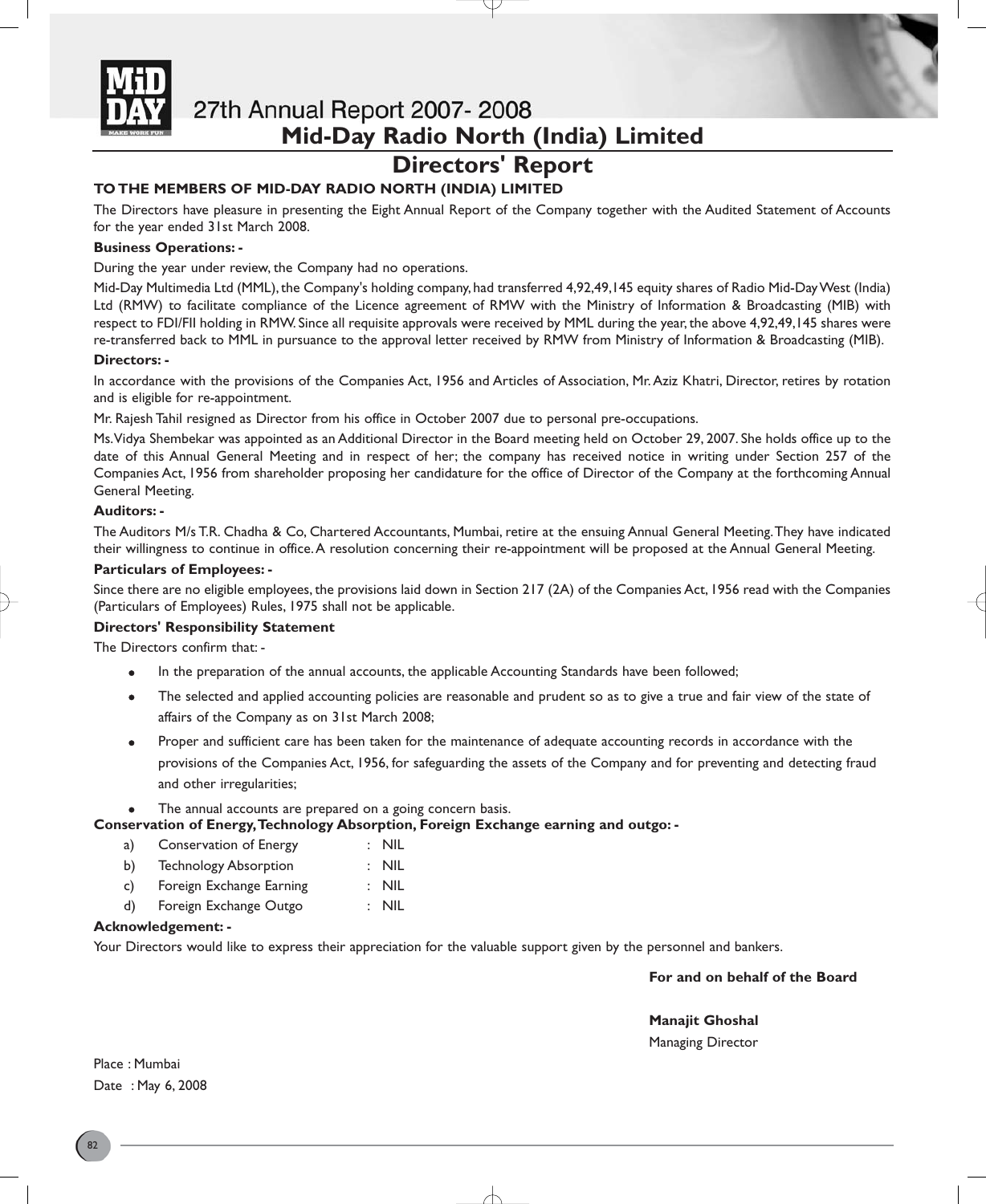

# **Directors' Report**

# **TO THE MEMBERS OF MID-DAY RADIO NORTH (INDIA) LIMITED**

The Directors have pleasure in presenting the Eight Annual Report of the Company together with the Audited Statement of Accounts for the year ended 31st March 2008.

# **Business Operations: -**

During the year under review, the Company had no operations.

Mid-Day Multimedia Ltd (MML), the Company's holding company, had transferred 4,92,49,145 equity shares of Radio Mid-Day West (India) Ltd (RMW) to facilitate compliance of the Licence agreement of RMW with the Ministry of Information & Broadcasting (MIB) with respect to FDI/FII holding in RMW. Since all requisite approvals were received by MML during the year, the above 4,92,49,145 shares were re-transferred back to MML in pursuance to the approval letter received by RMW from Ministry of Information & Broadcasting (MIB).

# **Directors: -**

In accordance with the provisions of the Companies Act, 1956 and Articles of Association, Mr.Aziz Khatri, Director, retires by rotation and is eligible for re-appointment.

Mr. Rajesh Tahil resigned as Director from his office in October 2007 due to personal pre-occupations.

Ms.Vidya Shembekar was appointed as an Additional Director in the Board meeting held on October 29, 2007. She holds office up to the date of this Annual General Meeting and in respect of her; the company has received notice in writing under Section 257 of the Companies Act, 1956 from shareholder proposing her candidature for the office of Director of the Company at the forthcoming Annual General Meeting.

# **Auditors: -**

The Auditors M/s T.R. Chadha & Co, Chartered Accountants, Mumbai, retire at the ensuing Annual General Meeting.They have indicated their willingness to continue in office.A resolution concerning their re-appointment will be proposed at the Annual General Meeting.

# **Particulars of Employees: -**

Since there are no eligible employees, the provisions laid down in Section 217 (2A) of the Companies Act, 1956 read with the Companies (Particulars of Employees) Rules, 1975 shall not be applicable.

# **Directors' Responsibility Statement**

The Directors confirm that: -

- In the preparation of the annual accounts, the applicable Accounting Standards have been followed;
- The selected and applied accounting policies are reasonable and prudent so as to give a true and fair view of the state of affairs of the Company as on 31st March 2008;
- Proper and sufficient care has been taken for the maintenance of adequate accounting records in accordance with the provisions of the Companies Act, 1956, for safeguarding the assets of the Company and for preventing and detecting fraud and other irregularities;
- The annual accounts are prepared on a going concern basis.
- **Conservation of Energy,Technology Absorption, Foreign Exchange earning and outgo:** 
	- a) Conservation of Energy : NIL
	- b) Technology Absorption : NIL
	- c) Foreign Exchange Earning : NIL
	- d) Foreign Exchange Outgo : NIL

# **Acknowledgement: -**

Your Directors would like to express their appreciation for the valuable support given by the personnel and bankers.

# **For and on behalf of the Board**

# **Manajit Ghoshal**

Managing Director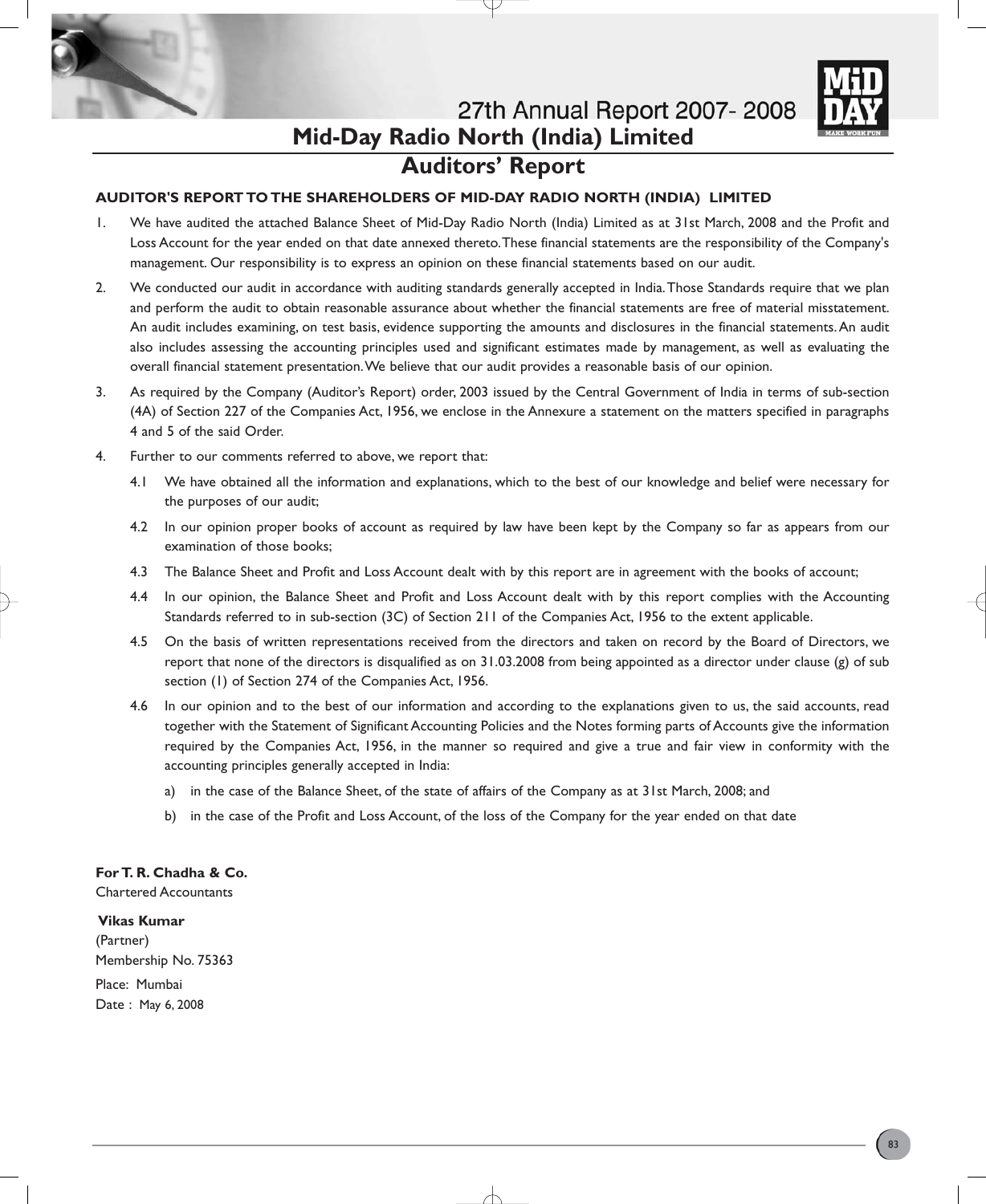

# **Auditors' Report**

# **AUDITOR'S REPORT TO THE SHAREHOLDERS OF MID-DAY RADIO NORTH (INDIA) LIMITED**

- 1. We have audited the attached Balance Sheet of Mid-Day Radio North (India) Limited as at 31st March, 2008 and the Profit and Loss Account for the year ended on that date annexed thereto.These financial statements are the responsibility of the Company's management. Our responsibility is to express an opinion on these financial statements based on our audit.
- 2. We conducted our audit in accordance with auditing standards generally accepted in India.Those Standards require that we plan and perform the audit to obtain reasonable assurance about whether the financial statements are free of material misstatement. An audit includes examining, on test basis, evidence supporting the amounts and disclosures in the financial statements.An audit also includes assessing the accounting principles used and significant estimates made by management, as well as evaluating the overall financial statement presentation.We believe that our audit provides a reasonable basis of our opinion.
- 3. As required by the Company (Auditor's Report) order, 2003 issued by the Central Government of India in terms of sub-section (4A) of Section 227 of the Companies Act, 1956, we enclose in the Annexure a statement on the matters specified in paragraphs 4 and 5 of the said Order.
- 4. Further to our comments referred to above, we report that:
	- 4.1 We have obtained all the information and explanations, which to the best of our knowledge and belief were necessary for the purposes of our audit;
	- 4.2 In our opinion proper books of account as required by law have been kept by the Company so far as appears from our examination of those books;
	- 4.3 The Balance Sheet and Profit and Loss Account dealt with by this report are in agreement with the books of account;
	- 4.4 In our opinion, the Balance Sheet and Profit and Loss Account dealt with by this report complies with the Accounting Standards referred to in sub-section (3C) of Section 211 of the Companies Act, 1956 to the extent applicable.
	- 4.5 On the basis of written representations received from the directors and taken on record by the Board of Directors, we report that none of the directors is disqualified as on 31.03.2008 from being appointed as a director under clause (g) of sub section (1) of Section 274 of the Companies Act, 1956.
	- 4.6 In our opinion and to the best of our information and according to the explanations given to us, the said accounts, read together with the Statement of Significant Accounting Policies and the Notes forming parts of Accounts give the information required by the Companies Act, 1956, in the manner so required and give a true and fair view in conformity with the accounting principles generally accepted in India:
		- a) in the case of the Balance Sheet, of the state of affairs of the Company as at 31st March, 2008; and
		- b) in the case of the Profit and Loss Account, of the loss of the Company for the year ended on that date

# **For T. R. Chadha & Co.**

Chartered Accountants

### **Vikas Kumar**

(Partner) Membership No. 75363 Place: Mumbai Date : May 6, 2008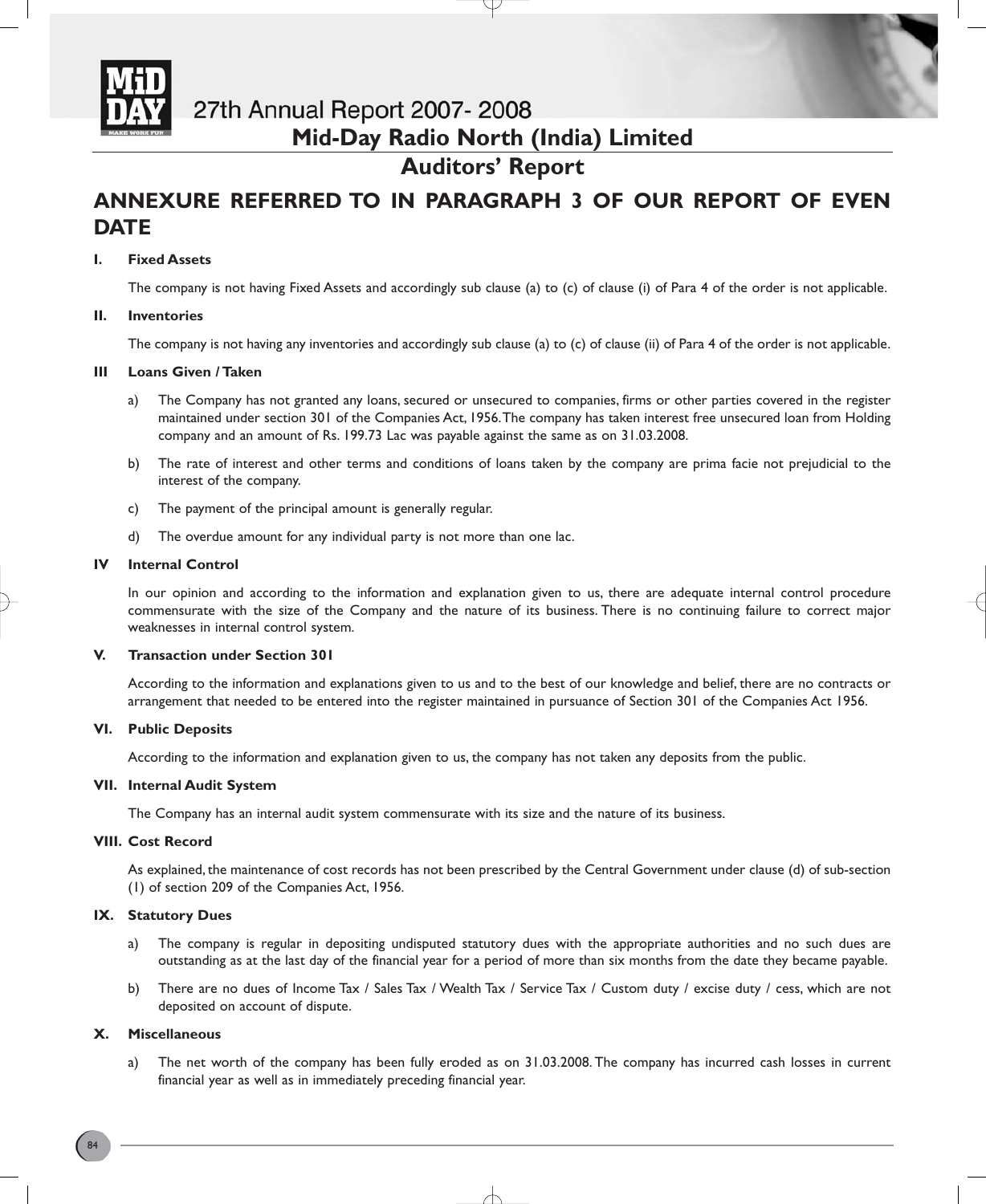

# **Auditors' Report**

# **ANNEXURE REFERRED TO IN PARAGRAPH 3 OF OUR REPORT OF EVEN DATE**

# **I. Fixed Assets**

The company is not having Fixed Assets and accordingly sub clause (a) to (c) of clause (i) of Para 4 of the order is not applicable.

# **II. Inventories**

The company is not having any inventories and accordingly sub clause (a) to (c) of clause (ii) of Para 4 of the order is not applicable.

# **III Loans Given / Taken**

- a) The Company has not granted any loans, secured or unsecured to companies, firms or other parties covered in the register maintained under section 301 of the Companies Act, 1956.The company has taken interest free unsecured loan from Holding company and an amount of Rs. 199.73 Lac was payable against the same as on 31.03.2008.
- b) The rate of interest and other terms and conditions of loans taken by the company are prima facie not prejudicial to the interest of the company.
- c) The payment of the principal amount is generally regular.
- d) The overdue amount for any individual party is not more than one lac.

# **IV Internal Control**

In our opinion and according to the information and explanation given to us, there are adequate internal control procedure commensurate with the size of the Company and the nature of its business. There is no continuing failure to correct major weaknesses in internal control system.

# **V. Transaction under Section 301**

According to the information and explanations given to us and to the best of our knowledge and belief, there are no contracts or arrangement that needed to be entered into the register maintained in pursuance of Section 301 of the Companies Act 1956.

# **VI. Public Deposits**

According to the information and explanation given to us, the company has not taken any deposits from the public.

# **VII. Internal Audit System**

The Company has an internal audit system commensurate with its size and the nature of its business.

# **VIII. Cost Record**

As explained, the maintenance of cost records has not been prescribed by the Central Government under clause (d) of sub-section (1) of section 209 of the Companies Act, 1956.

# **IX. Statutory Dues**

- a) The company is regular in depositing undisputed statutory dues with the appropriate authorities and no such dues are outstanding as at the last day of the financial year for a period of more than six months from the date they became payable.
- b) There are no dues of Income Tax / Sales Tax / Wealth Tax / Service Tax / Custom duty / excise duty / cess, which are not deposited on account of dispute.

# **X. Miscellaneous**

a) The net worth of the company has been fully eroded as on 31.03.2008. The company has incurred cash losses in current financial year as well as in immediately preceding financial year.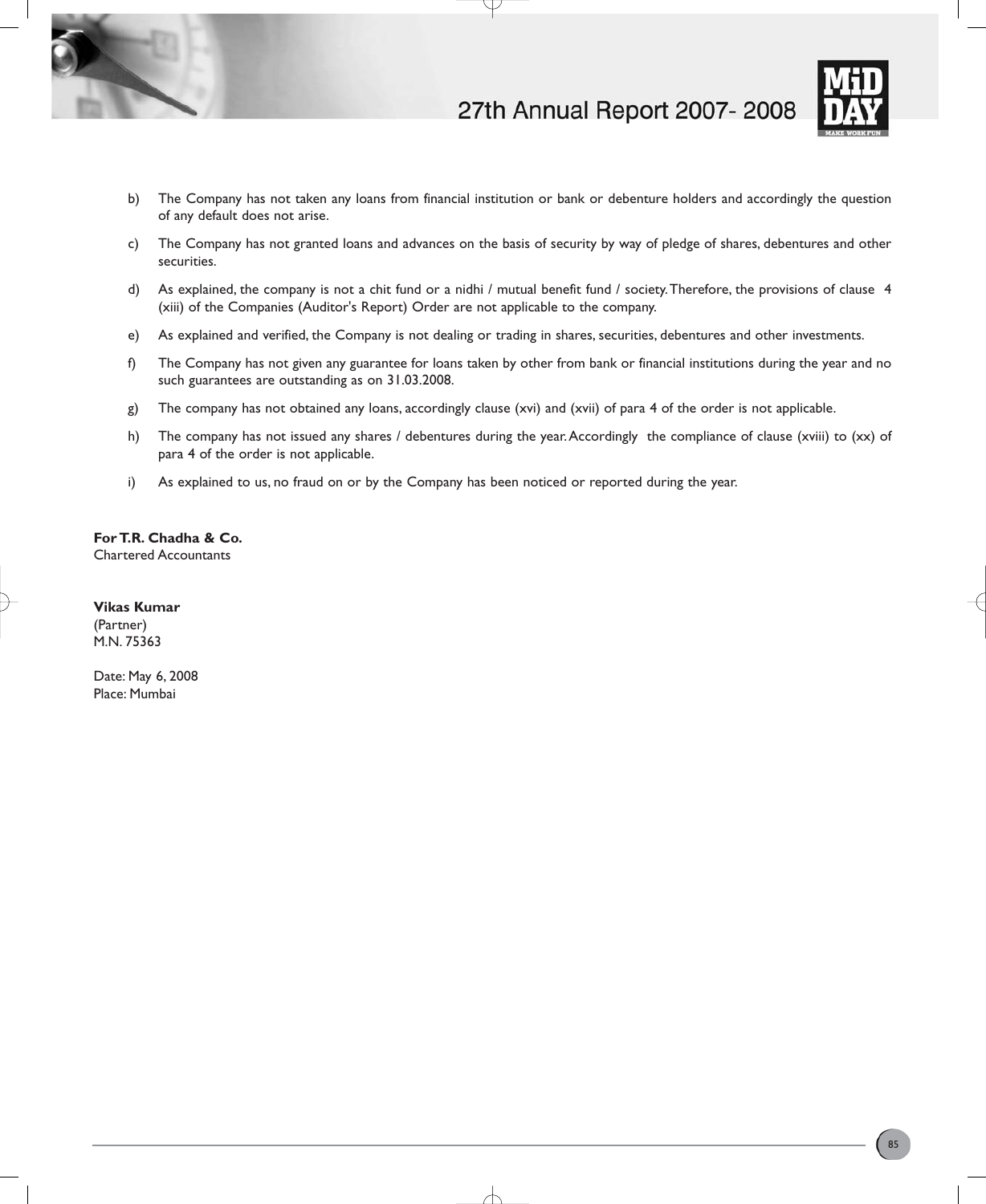



- b) The Company has not taken any loans from financial institution or bank or debenture holders and accordingly the question of any default does not arise.
- c) The Company has not granted loans and advances on the basis of security by way of pledge of shares, debentures and other securities.
- d) As explained, the company is not a chit fund or a nidhi / mutual benefit fund / society.Therefore, the provisions of clause 4 (xiii) of the Companies (Auditor's Report) Order are not applicable to the company.
- e) As explained and verified, the Company is not dealing or trading in shares, securities, debentures and other investments.
- f) The Company has not given any guarantee for loans taken by other from bank or financial institutions during the year and no such guarantees are outstanding as on 31.03.2008.
- g) The company has not obtained any loans, accordingly clause (xvi) and (xvii) of para 4 of the order is not applicable.
- h) The company has not issued any shares / debentures during the year. Accordingly the compliance of clause (xviii) to (xx) of para 4 of the order is not applicable.
- i) As explained to us, no fraud on or by the Company has been noticed or reported during the year.

**For T.R. Chadha & Co.** Chartered Accountants

**Vikas Kumar**

(Partner) M.N. 75363

Date: May 6, 2008 Place: Mumbai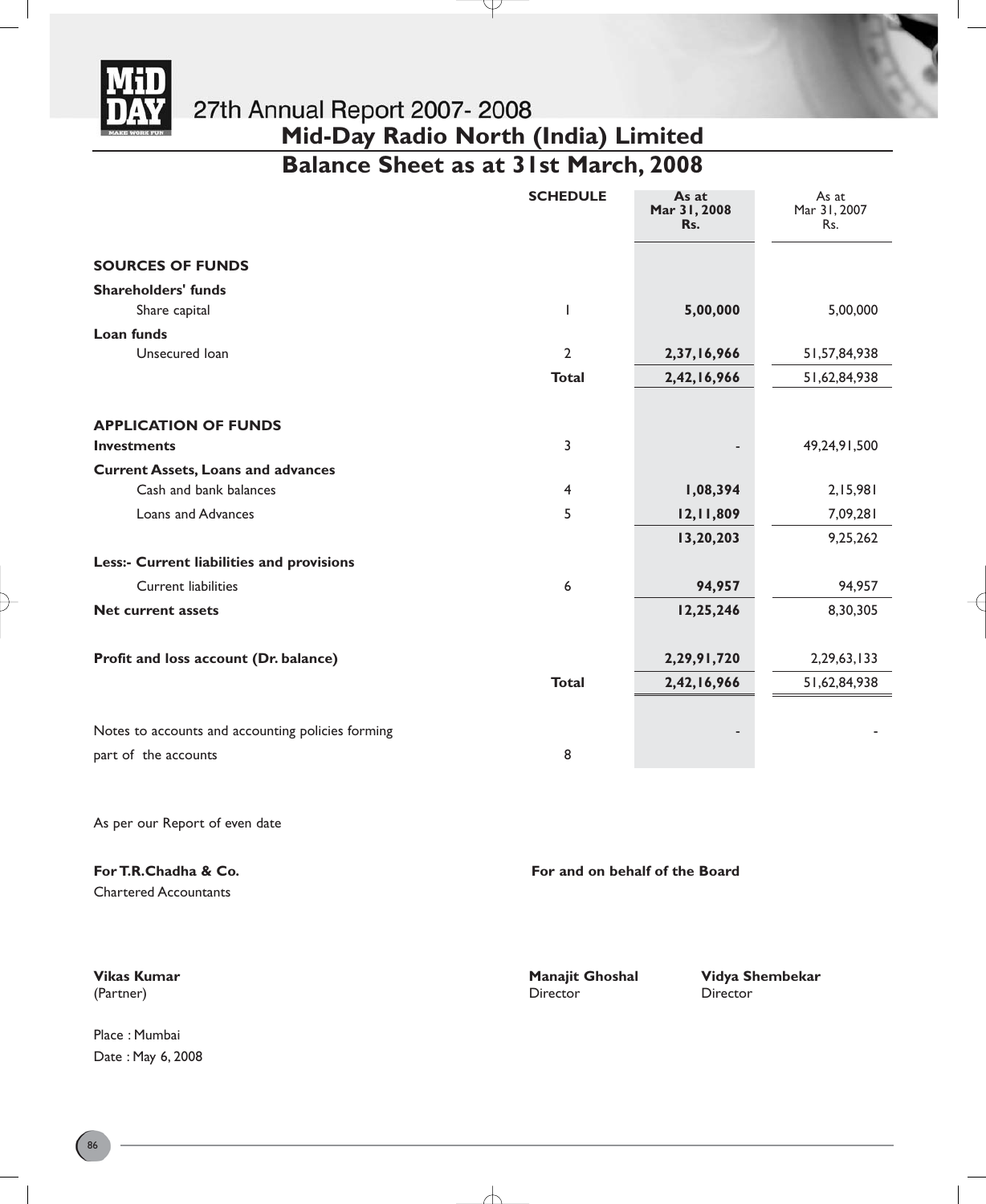

**Balance Sheet as at 31st March, 2008**

Y

| <b>SCHEDULE</b> | As at<br>Mar 31, 2008<br>Rs. | As at<br>Mar 31, 2007<br>Rs. |
|-----------------|------------------------------|------------------------------|
|                 |                              |                              |
|                 |                              |                              |
| ı               | 5,00,000                     | 5,00,000                     |
|                 |                              |                              |
| $\overline{2}$  | 2,37,16,966                  | 51,57,84,938                 |
| <b>Total</b>    | 2,42,16,966                  | 51,62,84,938                 |
|                 |                              |                              |
|                 |                              |                              |
| 3               |                              | 49,24,91,500                 |
|                 |                              |                              |
| 4               | 1,08,394                     | 2,15,981                     |
| 5               | 12,11,809                    | 7,09,281                     |
|                 | 13,20,203                    | 9,25,262                     |
|                 |                              |                              |
| 6               | 94,957                       | 94,957                       |
|                 | 12,25,246                    | 8,30,305                     |
|                 |                              |                              |
|                 | 2,29,91,720                  | 2,29,63,133                  |
| <b>Total</b>    | 2,42,16,966                  | 51,62,84,938                 |
|                 |                              |                              |
|                 |                              |                              |
| 8               |                              |                              |
|                 |                              |                              |

As per our Report of even date

**For T.R.Chadha & Co. For and on behalf of the Board For and on behalf of the Board** 

Chartered Accountants

Place : Mumbai Date : May 6, 2008

(Partner) Director Director

 $\overline{\phantom{a}}$ 

**Vikas Kumar Manajit Ghoshal Vidya Shembekar**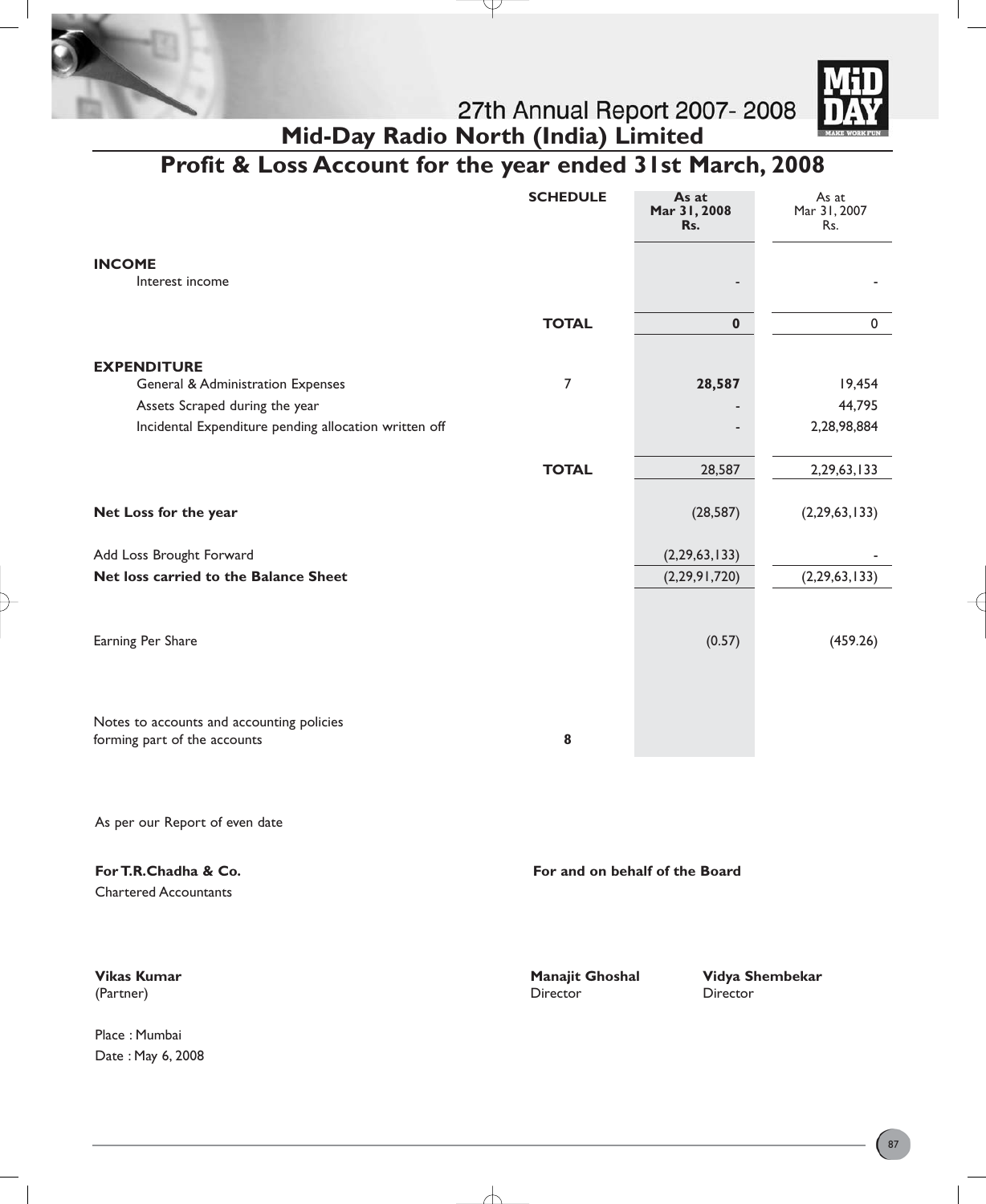



# **Profit & Loss Account for the year ended 31st March, 2008**

J

|                                                       | <b>SCHEDULE</b> | As at<br>Mar 31, 2008<br>Rs.   | As at<br>Mar 31, 2007<br>Rs. |
|-------------------------------------------------------|-----------------|--------------------------------|------------------------------|
| <b>INCOME</b><br>Interest income                      |                 |                                |                              |
|                                                       | <b>TOTAL</b>    | $\bf{0}$                       | $\pmb{0}$                    |
| <b>EXPENDITURE</b>                                    |                 |                                |                              |
| <b>General &amp; Administration Expenses</b>          | $\overline{7}$  | 28,587                         | 19,454                       |
| Assets Scraped during the year                        |                 |                                | 44,795                       |
| Incidental Expenditure pending allocation written off |                 |                                | 2,28,98,884                  |
|                                                       | <b>TOTAL</b>    | 28,587                         | 2,29,63,133                  |
|                                                       |                 |                                |                              |
| Net Loss for the year                                 |                 | (28, 587)                      | (2, 29, 63, 133)             |
| Add Loss Brought Forward                              |                 | (2, 29, 63, 133)               |                              |
| Net loss carried to the Balance Sheet                 |                 | (2,29,91,720)                  | (2, 29, 63, 133)             |
|                                                       |                 |                                |                              |
| Earning Per Share                                     |                 | (0.57)                         | (459.26)                     |
|                                                       |                 |                                |                              |
|                                                       |                 |                                |                              |
| Notes to accounts and accounting policies             |                 |                                |                              |
| forming part of the accounts                          | 8               |                                |                              |
|                                                       |                 |                                |                              |
| As per our Report of even date                        |                 |                                |                              |
| For T.R.Chadha & Co.                                  |                 | For and on behalf of the Board |                              |

Chartered Accountants

Place : Mumbai Date : May 6, 2008

(Partner) Director Director

╅

**Vikas Kumar Manajit Ghoshal Vidya Shembekar**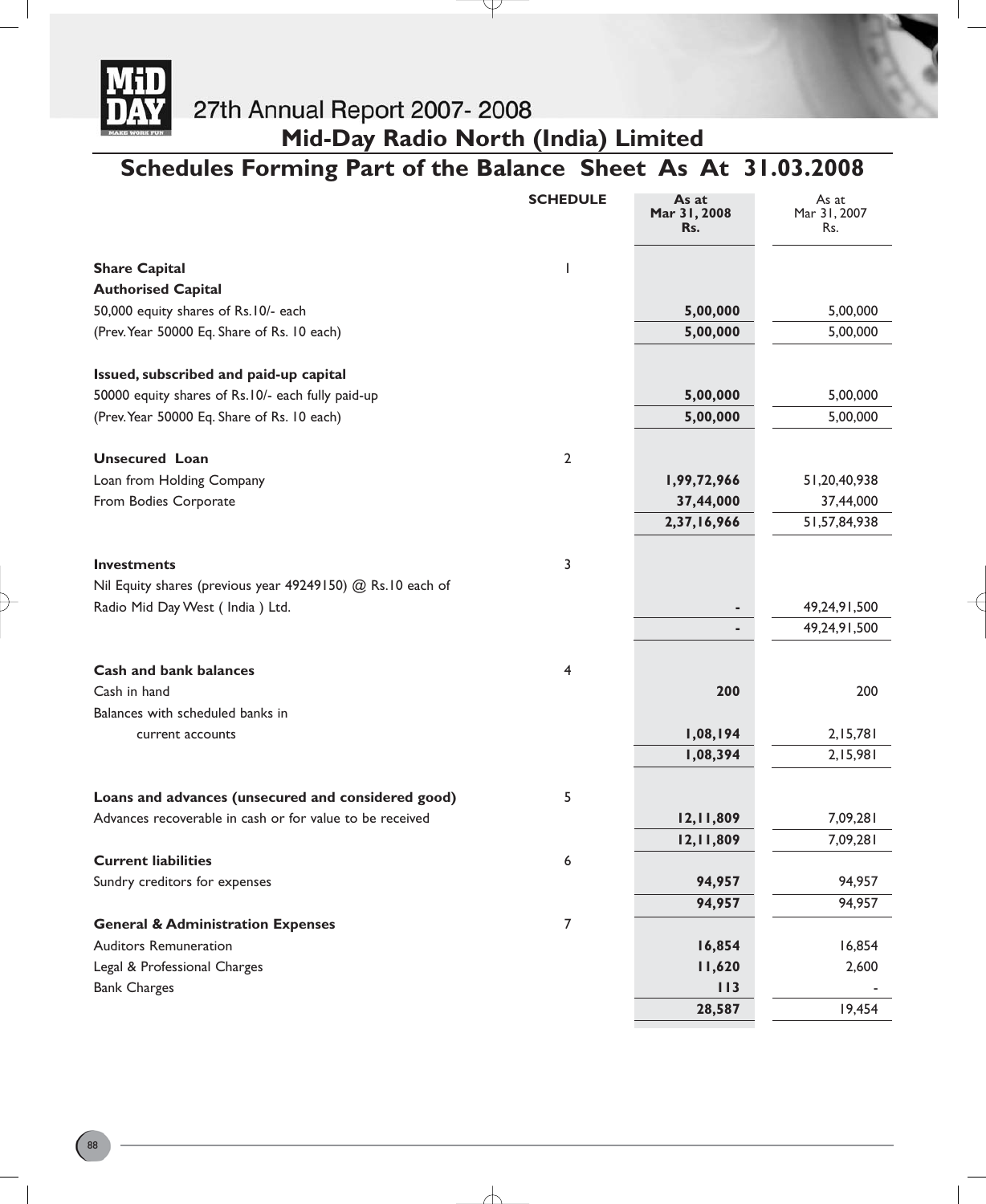

**Mid-Day Radio North (India) Limited**

# **Schedules Forming Part of the Balance Sheet As At 31.03.2008**

Y

|                                                            | <b>SCHEDULE</b> | As at<br>Mar 31, 2008<br>Rs. | As at<br>Mar 31, 2007<br>Rs. |
|------------------------------------------------------------|-----------------|------------------------------|------------------------------|
| <b>Share Capital</b>                                       | ı               |                              |                              |
| <b>Authorised Capital</b>                                  |                 |                              |                              |
| 50,000 equity shares of Rs.10/- each                       |                 | 5,00,000                     | 5,00,000                     |
| (Prev. Year 50000 Eq. Share of Rs. 10 each)                |                 | 5,00,000                     | 5,00,000                     |
| Issued, subscribed and paid-up capital                     |                 |                              |                              |
| 50000 equity shares of Rs.10/- each fully paid-up          |                 | 5,00,000                     | 5,00,000                     |
| (Prev. Year 50000 Eq. Share of Rs. 10 each)                |                 | 5,00,000                     | 5,00,000                     |
| <b>Unsecured Loan</b>                                      | $\overline{2}$  |                              |                              |
| Loan from Holding Company                                  |                 | 1,99,72,966                  | 51,20,40,938                 |
| From Bodies Corporate                                      |                 | 37,44,000                    | 37,44,000                    |
|                                                            |                 | 2,37,16,966                  | 51, 57, 84, 938              |
| <b>Investments</b>                                         | 3               |                              |                              |
| Nil Equity shares (previous year 49249150) @ Rs.10 each of |                 |                              |                              |
| Radio Mid Day West (India) Ltd.                            |                 | ٠                            | 49,24,91,500                 |
|                                                            |                 | ٠                            | 49,24,91,500                 |
| <b>Cash and bank balances</b>                              | 4               |                              |                              |
| Cash in hand                                               |                 | 200                          | 200                          |
| Balances with scheduled banks in                           |                 |                              |                              |
| current accounts                                           |                 | 1,08,194                     | 2,15,781                     |
|                                                            |                 | 1,08,394                     | 2,15,981                     |
| Loans and advances (unsecured and considered good)         | 5               |                              |                              |
| Advances recoverable in cash or for value to be received   |                 | 12,11,809                    | 7,09,281                     |
|                                                            |                 | 12,11,809                    | 7,09,281                     |
| <b>Current liabilities</b>                                 | 6               |                              |                              |
| Sundry creditors for expenses                              |                 | 94,957                       | 94,957                       |
|                                                            |                 | 94,957                       | 94,957                       |
| <b>General &amp; Administration Expenses</b>               | $\overline{7}$  |                              |                              |
| <b>Auditors Remuneration</b>                               |                 | 16,854                       | 16,854                       |
| Legal & Professional Charges                               |                 | 11,620                       | 2,600                        |
| <b>Bank Charges</b>                                        |                 | 113                          |                              |
|                                                            |                 | 28,587                       | 19,454                       |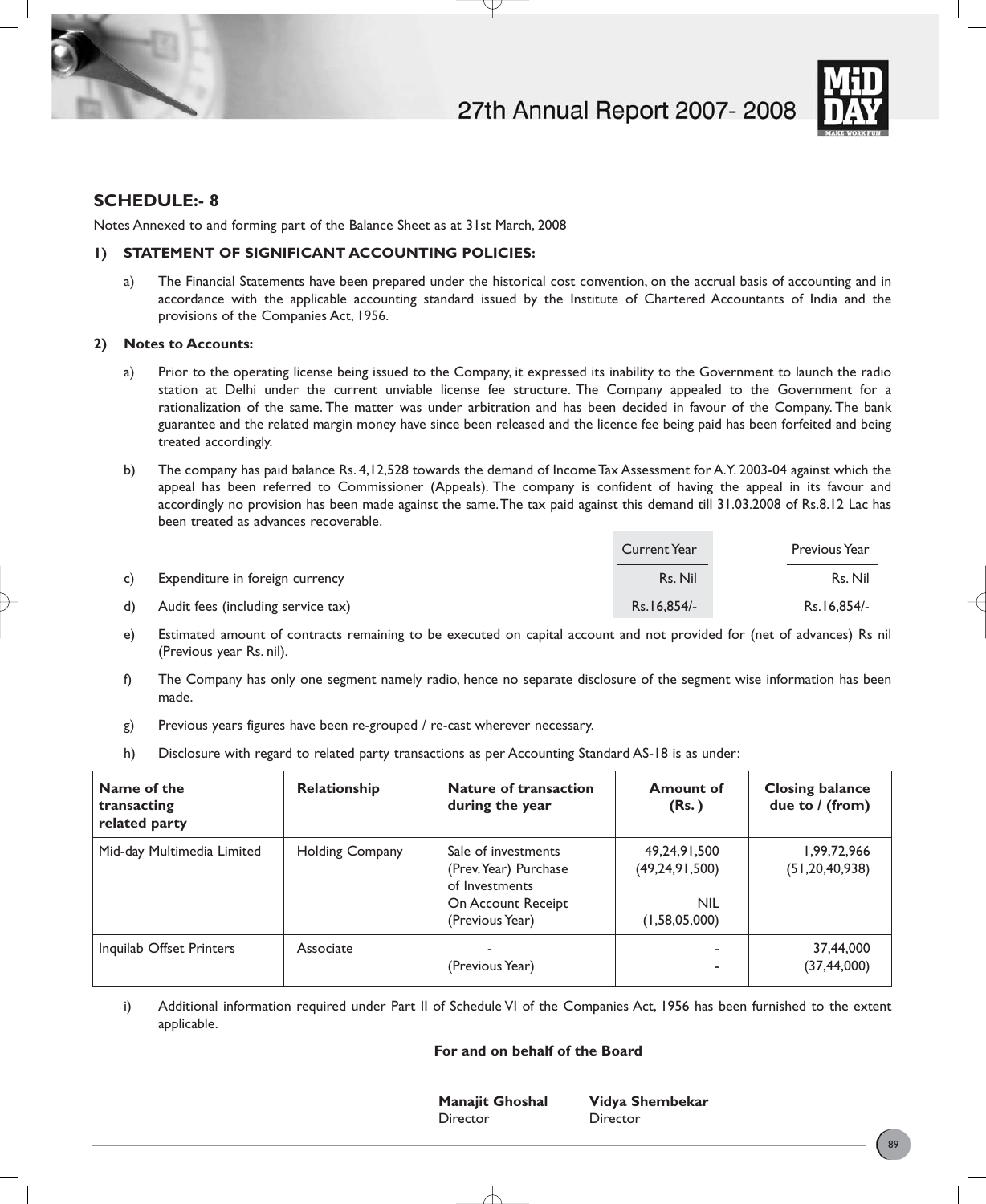



# **SCHEDULE:- 8**

Notes Annexed to and forming part of the Balance Sheet as at 31st March, 2008

# **1) STATEMENT OF SIGNIFICANT ACCOUNTING POLICIES:**

a) The Financial Statements have been prepared under the historical cost convention, on the accrual basis of accounting and in accordance with the applicable accounting standard issued by the Institute of Chartered Accountants of India and the provisions of the Companies Act, 1956.

# **2) Notes to Accounts:**

- a) Prior to the operating license being issued to the Company, it expressed its inability to the Government to launch the radio station at Delhi under the current unviable license fee structure. The Company appealed to the Government for a rationalization of the same. The matter was under arbitration and has been decided in favour of the Company. The bank guarantee and the related margin money have since been released and the licence fee being paid has been forfeited and being treated accordingly.
- b) The company has paid balance Rs. 4,12,528 towards the demand of Income Tax Assessment for A.Y. 2003-04 against which the appeal has been referred to Commissioner (Appeals). The company is confident of having the appeal in its favour and accordingly no provision has been made against the same.The tax paid against this demand till 31.03.2008 of Rs.8.12 Lac has been treated as advances recoverable.

|    |                                    | Current Year | Previous Year |
|----|------------------------------------|--------------|---------------|
| c) | Expenditure in foreign currency    | Rs. Nil      | Rs. Nil       |
| d) | Audit fees (including service tax) | Rs.16.854/-  | Rs.16.854/-   |

- e) Estimated amount of contracts remaining to be executed on capital account and not provided for (net of advances) Rs nil (Previous year Rs. nil).
- f) The Company has only one segment namely radio, hence no separate disclosure of the segment wise information has been made.
- g) Previous years figures have been re-grouped / re-cast wherever necessary.
- h) Disclosure with regard to related party transactions as per Accounting Standard AS-18 is as under:

| Name of the<br>transacting<br>related party | <b>Relationship</b>    | <b>Nature of transaction</b><br>during the year                                                         | <b>Amount of</b><br>(Rs.)                                        | <b>Closing balance</b><br>due to / (from) |
|---------------------------------------------|------------------------|---------------------------------------------------------------------------------------------------------|------------------------------------------------------------------|-------------------------------------------|
| Mid-day Multimedia Limited                  | <b>Holding Company</b> | Sale of investments<br>(Prev. Year) Purchase<br>of Investments<br>On Account Receipt<br>(Previous Year) | 49,24,91,500<br>(49, 24, 91, 500)<br><b>NIL</b><br>(1,58,05,000) | 1,99,72,966<br>(51, 20, 40, 938)          |
| Inquilab Offset Printers                    | Associate              | (Previous Year)                                                                                         | ۰<br>٠                                                           | 37,44,000<br>(37,44,000)                  |

i) Additional information required under Part II of Schedule VI of the Companies Act, 1956 has been furnished to the extent applicable.

# **For and on behalf of the Board**

Director Director

**Manajit Ghoshal Vidya Shembekar**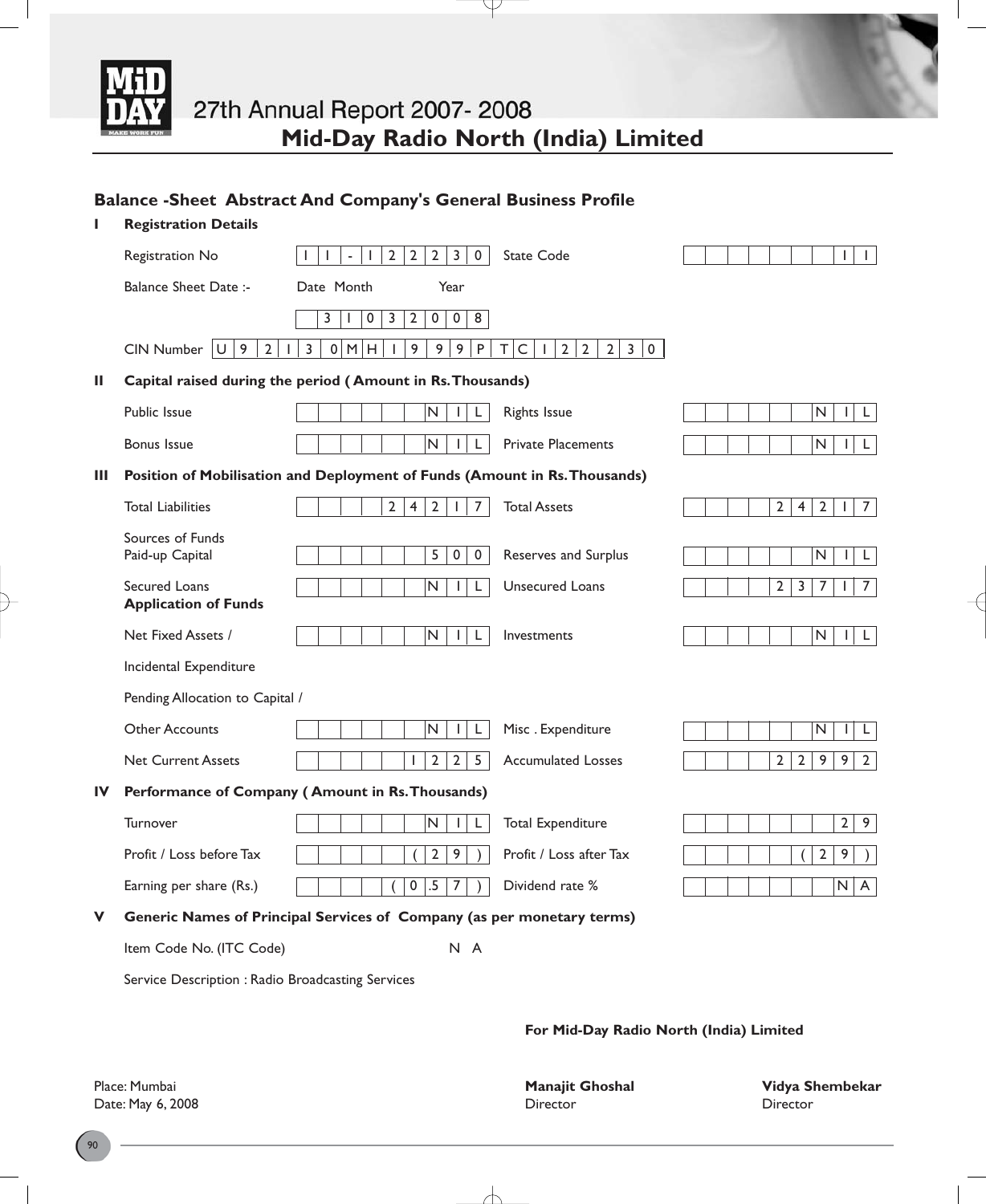

P

# **Balance -Sheet Abstract And Company's General Business Profile**

| L  | <b>Registration Details</b>                               |                                                                                                                                 |                                                                                      |
|----|-----------------------------------------------------------|---------------------------------------------------------------------------------------------------------------------------------|--------------------------------------------------------------------------------------|
|    | Registration No                                           | $\overline{2}$<br>2<br>$\overline{3}$<br>$\mathbf 0$<br>$\overline{2}$<br>State Code<br>$\mathbf{I}$<br>$\omega$                | $\mathbf{I}$<br>I                                                                    |
|    | <b>Balance Sheet Date:-</b>                               | Date Month<br>Year                                                                                                              |                                                                                      |
|    |                                                           | 3<br>$\pmb{0}$<br>$\overline{3}$<br>$\overline{2}$<br>$\pmb{0}$<br>$\overline{0}$<br>8<br>J.                                    |                                                                                      |
|    | 9<br>$\overline{2}$<br>$CIN$ Number $ U $<br>$\mathbf{L}$ | $\overline{3}$<br>0 M H<br>9<br>9 <sup>1</sup><br>9 <sup>1</sup><br>$\sf P$<br>T C <br>2 2<br>$2 \mid 3 \mid 0$<br>$\mathbf{I}$ |                                                                                      |
| Ш  |                                                           | Capital raised during the period (Amount in Rs. Thousands)                                                                      |                                                                                      |
|    | Public Issue                                              | N.<br><b>Rights Issue</b><br>L<br>I.                                                                                            | $\hbox{N}$<br>$\mathbf{I}$<br>L.                                                     |
|    | <b>Bonus Issue</b>                                        | N<br><b>Private Placements</b><br>L                                                                                             | N<br>$\mathsf{L}$<br>$\mathbf{I}$                                                    |
| Ш  |                                                           | Position of Mobilisation and Deployment of Funds (Amount in Rs. Thousands)                                                      |                                                                                      |
|    | <b>Total Liabilities</b>                                  | $2^{\circ}$<br>$\overline{2}$<br>$\overline{7}$<br><b>Total Assets</b><br>$\overline{4}$                                        | $\overline{2}$<br>$\mathbf 2$<br>$\overline{4}$<br>$\overline{7}$<br>$\mathbf{I}$    |
|    | Sources of Funds<br>Paid-up Capital                       | 5<br>$\overline{0}$<br>$\overline{0}$<br>Reserves and Surplus                                                                   | N<br>L<br>I                                                                          |
|    | Secured Loans<br><b>Application of Funds</b>              | $\overline{\mathsf{N}}$<br>Unsecured Loans<br>L                                                                                 | $\overline{2}$<br>$\overline{3}$<br>$\overline{7}$<br>$\overline{7}$<br>$\mathbf{I}$ |
|    | Net Fixed Assets /                                        | N.<br>L<br>Investments<br>$\mathbf{I}$                                                                                          | $\mathsf{N}$<br>$\mathbf{I}$<br>L.                                                   |
|    | Incidental Expenditure                                    |                                                                                                                                 |                                                                                      |
|    | Pending Allocation to Capital /                           |                                                                                                                                 |                                                                                      |
|    | <b>Other Accounts</b>                                     | Misc. Expenditure<br>N<br>L<br>$\mathbf{I}$                                                                                     | N<br>L<br>$\mathbf{I}$                                                               |
|    | <b>Net Current Assets</b>                                 | $2^{\circ}$<br>2 <sup>1</sup><br>$5\overline{)}$<br>L<br><b>Accumulated Losses</b>                                              | $2^{\circ}$<br>$\overline{2}$<br>9<br>9<br>$\overline{2}$                            |
| IV |                                                           | Performance of Company (Amount in Rs. Thousands)                                                                                |                                                                                      |
|    | Turnover                                                  | $\mathsf{N}\xspace$<br><b>Total Expenditure</b><br>L<br>$\mathsf{I}$                                                            | $\overline{2}$<br>9                                                                  |
|    | Profit / Loss before Tax                                  | $\overline{2}$<br>9<br>Profit / Loss after Tax                                                                                  | $\overline{2}$<br>9                                                                  |
|    | Earning per share (Rs.)                                   | $\pmb{0}$<br>$.5\,$<br>$\overline{7}$<br>Dividend rate %                                                                        | $\mathsf{N}\xspace$<br>A                                                             |
| v  |                                                           | Generic Names of Principal Services of Company (as per monetary terms)                                                          |                                                                                      |
|    | Item Code No. (ITC Code)                                  | N A                                                                                                                             |                                                                                      |

Service Description : Radio Broadcasting Services

**For Mid-Day Radio North (India) Limited**

Place: Mumbai **Manajit Ghoshal Vidya Shembekar** Date: May 6, 2008 **Director** Director **Director** Director **Director Director** 

 $\overline{\wedge}$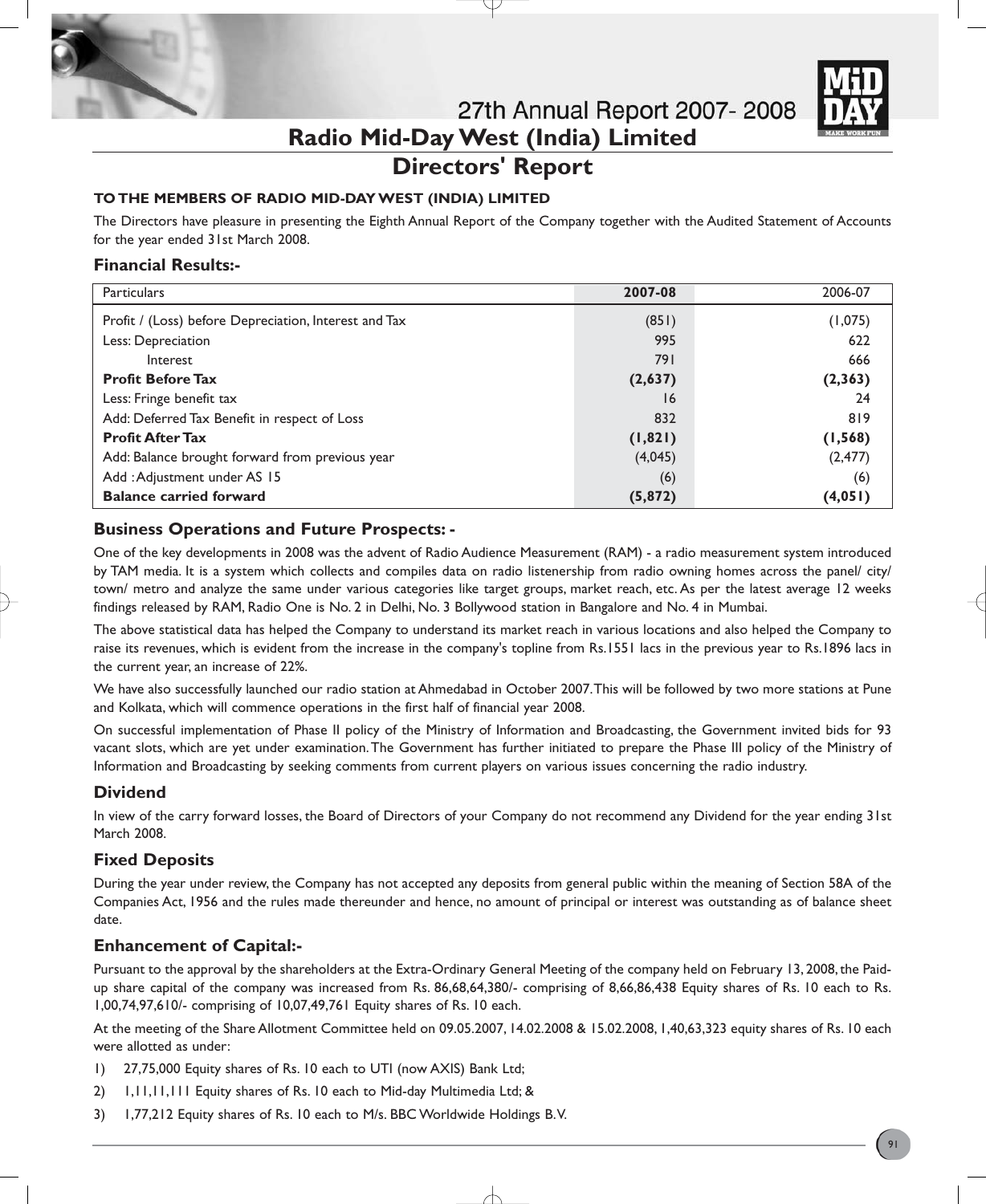

# **Directors' Report**

# **TO THE MEMBERS OF RADIO MID-DAY WEST (INDIA) LIMITED**

The Directors have pleasure in presenting the Eighth Annual Report of the Company together with the Audited Statement of Accounts for the year ended 31st March 2008.

# **Financial Results:-**

| <b>Particulars</b>                                    | 2007-08  | 2006-07  |
|-------------------------------------------------------|----------|----------|
| Profit / (Loss) before Depreciation, Interest and Tax | (851)    | (1,075)  |
| Less: Depreciation                                    | 995      | 622      |
| Interest                                              | 791      | 666      |
| <b>Profit Before Tax</b>                              | (2,637)  | (2, 363) |
| Less: Fringe benefit tax                              | 16       | 24       |
| Add: Deferred Tax Benefit in respect of Loss          | 832      | 819      |
| <b>Profit After Tax</b>                               | (1, 821) | (1, 568) |
| Add: Balance brought forward from previous year       | (4,045)  | (2, 477) |
| Add: Adjustment under AS 15                           | (6)      | (6)      |
| <b>Balance carried forward</b>                        | (5, 872) | (4,051)  |

# **Business Operations and Future Prospects: -**

One of the key developments in 2008 was the advent of Radio Audience Measurement (RAM) - a radio measurement system introduced by TAM media. It is a system which collects and compiles data on radio listenership from radio owning homes across the panel/ city/ town/ metro and analyze the same under various categories like target groups, market reach, etc. As per the latest average 12 weeks findings released by RAM, Radio One is No. 2 in Delhi, No. 3 Bollywood station in Bangalore and No. 4 in Mumbai.

The above statistical data has helped the Company to understand its market reach in various locations and also helped the Company to raise its revenues, which is evident from the increase in the company's topline from Rs.1551 lacs in the previous year to Rs.1896 lacs in the current year, an increase of 22%.

We have also successfully launched our radio station at Ahmedabad in October 2007.This will be followed by two more stations at Pune and Kolkata, which will commence operations in the first half of financial year 2008.

On successful implementation of Phase II policy of the Ministry of Information and Broadcasting, the Government invited bids for 93 vacant slots, which are yet under examination.The Government has further initiated to prepare the Phase III policy of the Ministry of Information and Broadcasting by seeking comments from current players on various issues concerning the radio industry.

# **Dividend**

In view of the carry forward losses, the Board of Directors of your Company do not recommend any Dividend for the year ending 31st March 2008.

# **Fixed Deposits**

During the year under review, the Company has not accepted any deposits from general public within the meaning of Section 58A of the Companies Act, 1956 and the rules made thereunder and hence, no amount of principal or interest was outstanding as of balance sheet date.

# **Enhancement of Capital:-**

Pursuant to the approval by the shareholders at the Extra-Ordinary General Meeting of the company held on February 13, 2008, the Paidup share capital of the company was increased from Rs. 86,68,64,380/- comprising of 8,66,86,438 Equity shares of Rs. 10 each to Rs. 1,00,74,97,610/- comprising of 10,07,49,761 Equity shares of Rs. 10 each.

At the meeting of the Share Allotment Committee held on 09.05.2007, 14.02.2008 & 15.02.2008, 1,40,63,323 equity shares of Rs. 10 each were allotted as under:

- 1) 27,75,000 Equity shares of Rs. 10 each to UTI (now AXIS) Bank Ltd;
- 2) 1,11,11,111 Equity shares of Rs. 10 each to Mid-day Multimedia Ltd; &
- 3) 1,77,212 Equity shares of Rs. 10 each to M/s. BBC Worldwide Holdings B.V.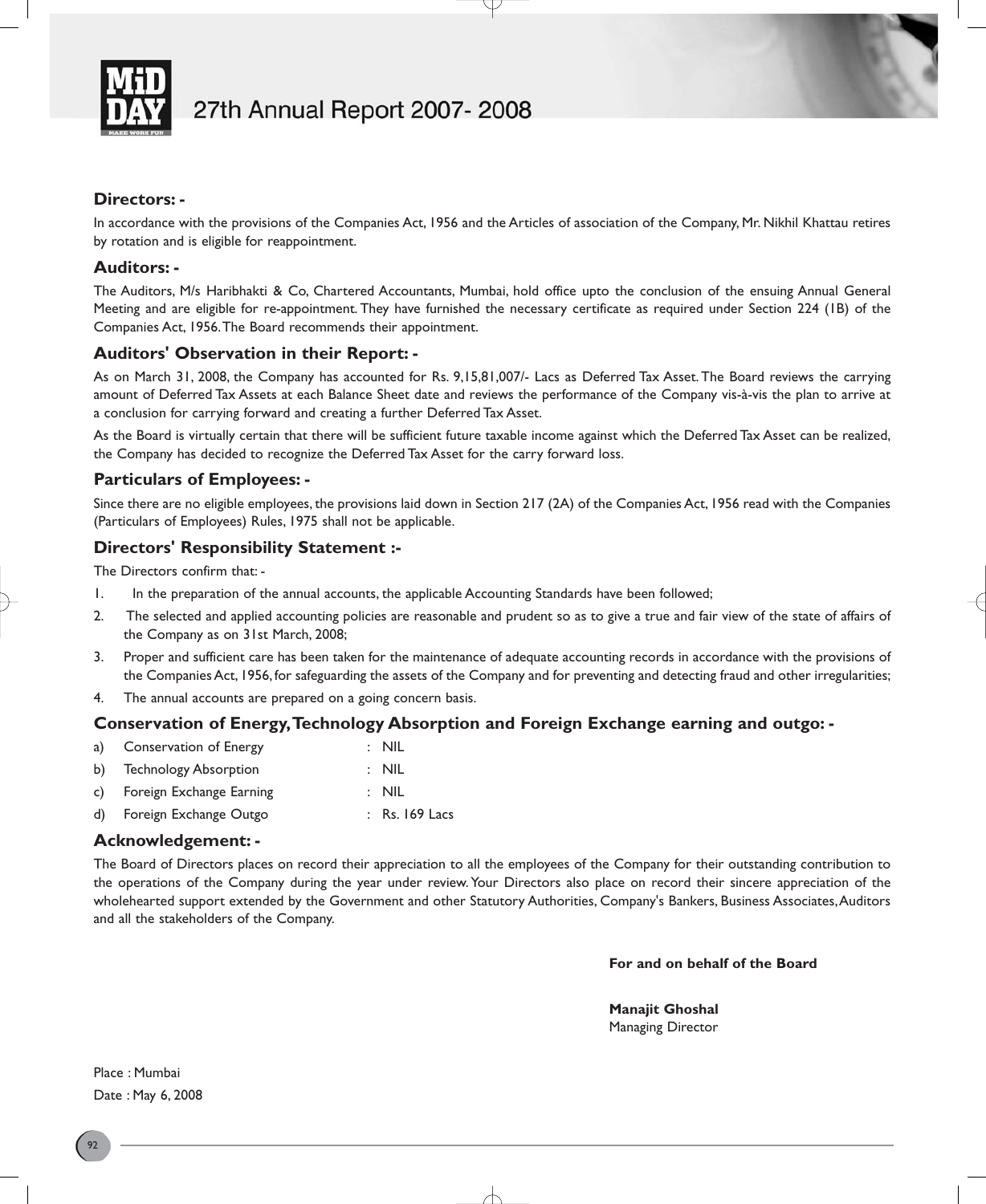

# **Directors: -**

In accordance with the provisions of the Companies Act, 1956 and the Articles of association of the Company, Mr. Nikhil Khattau retires by rotation and is eligible for reappointment.

# **Auditors: -**

The Auditors, M/s Haribhakti & Co, Chartered Accountants, Mumbai, hold office upto the conclusion of the ensuing Annual General Meeting and are eligible for re-appointment. They have furnished the necessary certificate as required under Section 224 (1B) of the Companies Act, 1956.The Board recommends their appointment.

# **Auditors' Observation in their Report: -**

As on March 31, 2008, the Company has accounted for Rs. 9,15,81,007/- Lacs as Deferred Tax Asset. The Board reviews the carrying amount of Deferred Tax Assets at each Balance Sheet date and reviews the performance of the Company vis-à-vis the plan to arrive at a conclusion for carrying forward and creating a further Deferred Tax Asset.

As the Board is virtually certain that there will be sufficient future taxable income against which the Deferred Tax Asset can be realized, the Company has decided to recognize the Deferred Tax Asset for the carry forward loss.

# **Particulars of Employees: -**

Since there are no eligible employees, the provisions laid down in Section 217 (2A) of the Companies Act, 1956 read with the Companies (Particulars of Employees) Rules, 1975 shall not be applicable.

# **Directors' Responsibility Statement :-**

The Directors confirm that: -

- 1. In the preparation of the annual accounts, the applicable Accounting Standards have been followed;
- 2. The selected and applied accounting policies are reasonable and prudent so as to give a true and fair view of the state of affairs of the Company as on 31st March, 2008;
- 3. Proper and sufficient care has been taken for the maintenance of adequate accounting records in accordance with the provisions of the Companies Act, 1956, for safeguarding the assets of the Company and for preventing and detecting fraud and other irregularities;
- 4. The annual accounts are prepared on a going concern basis.

# **Conservation of Energy,Technology Absorption and Foreign Exchange earning and outgo: -**

| a) Conservation of Energy | $\therefore$ NIL |
|---------------------------|------------------|
| b) Technology Absorption  | : NIL            |
|                           |                  |

- c) Foreign Exchange Earning : NIL
- d) Foreign Exchange Outgo : Rs. 169 Lacs

# **Acknowledgement: -**

The Board of Directors places on record their appreciation to all the employees of the Company for their outstanding contribution to the operations of the Company during the year under review. Your Directors also place on record their sincere appreciation of the wholehearted support extended by the Government and other Statutory Authorities, Company's Bankers, Business Associates,Auditors and all the stakeholders of the Company.

**For and on behalf of the Board**

**Manajit Ghoshal** Managing Director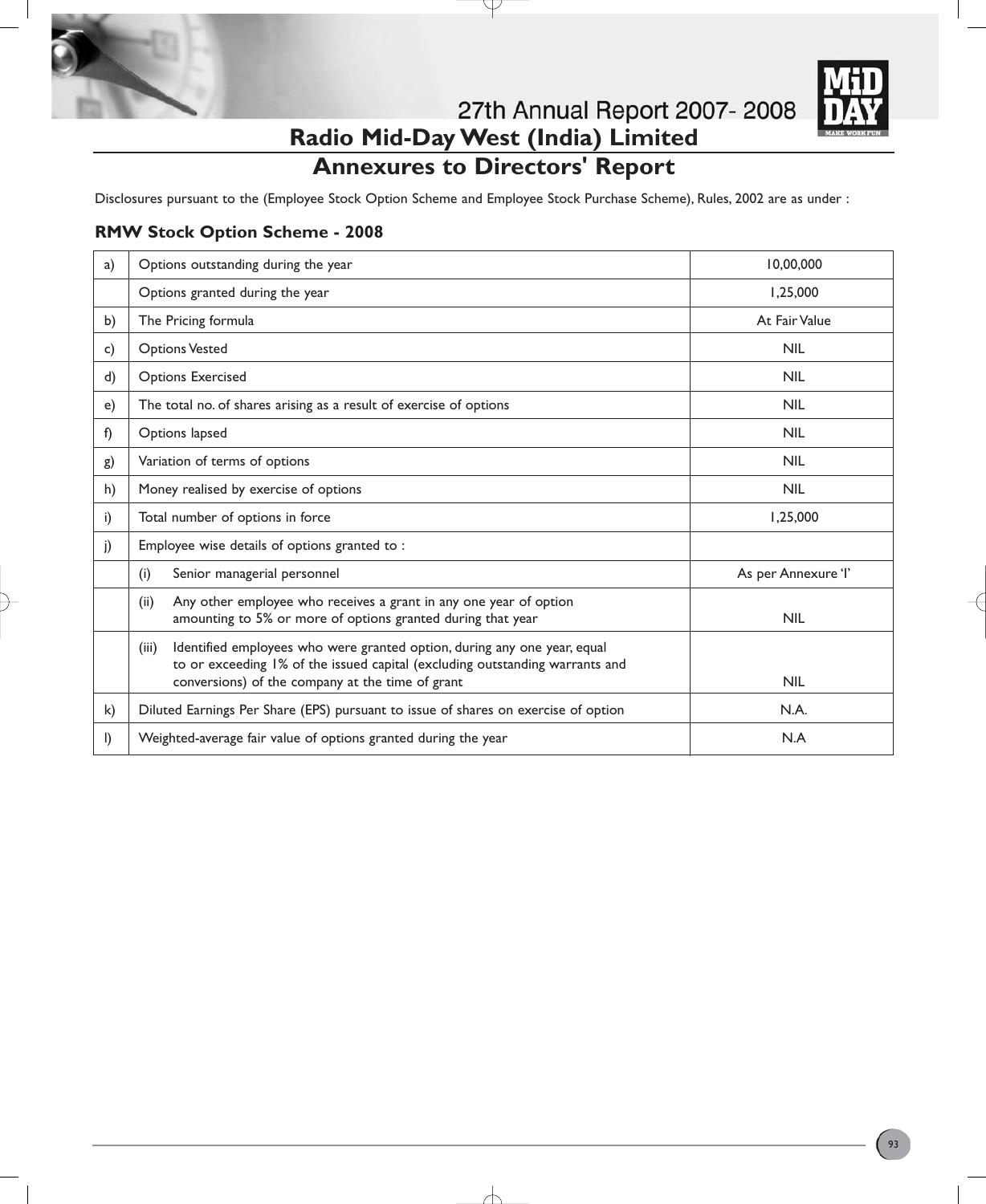

**Radio Mid-Day West (India) Limited**

# **Annexures to Directors' Report**

Disclosures pursuant to the (Employee Stock Option Scheme and Employee Stock Purchase Scheme), Rules, 2002 are as under :

# **RMW Stock Option Scheme - 2008**

| a)           | Options outstanding during the year                                                                                                                                                                                   | 10.00.000           |
|--------------|-----------------------------------------------------------------------------------------------------------------------------------------------------------------------------------------------------------------------|---------------------|
|              | Options granted during the year                                                                                                                                                                                       | 1,25,000            |
| b)           | The Pricing formula                                                                                                                                                                                                   | At Fair Value       |
| c)           | <b>Options Vested</b>                                                                                                                                                                                                 | <b>NIL</b>          |
| d)           | <b>Options Exercised</b>                                                                                                                                                                                              | <b>NIL</b>          |
| e)           | The total no. of shares arising as a result of exercise of options                                                                                                                                                    | <b>NIL</b>          |
| f)           | Options lapsed                                                                                                                                                                                                        | <b>NIL</b>          |
| g)           | Variation of terms of options                                                                                                                                                                                         | <b>NIL</b>          |
| h)           | Money realised by exercise of options                                                                                                                                                                                 | <b>NIL</b>          |
| i)           | Total number of options in force                                                                                                                                                                                      | 1,25,000            |
| j)           | Employee wise details of options granted to :                                                                                                                                                                         |                     |
|              | Senior managerial personnel<br>(i)                                                                                                                                                                                    | As per Annexure 'l' |
|              | Any other employee who receives a grant in any one year of option<br>(ii)<br>amounting to 5% or more of options granted during that year                                                                              | <b>NIL</b>          |
|              | Identified employees who were granted option, during any one year, equal<br>(iii)<br>to or exceeding 1% of the issued capital (excluding outstanding warrants and<br>conversions) of the company at the time of grant | <b>NIL</b>          |
| $\mathsf{k}$ | Diluted Earnings Per Share (EPS) pursuant to issue of shares on exercise of option                                                                                                                                    | N.A.                |
| $\mathsf{I}$ | Weighted-average fair value of options granted during the year                                                                                                                                                        | N.A                 |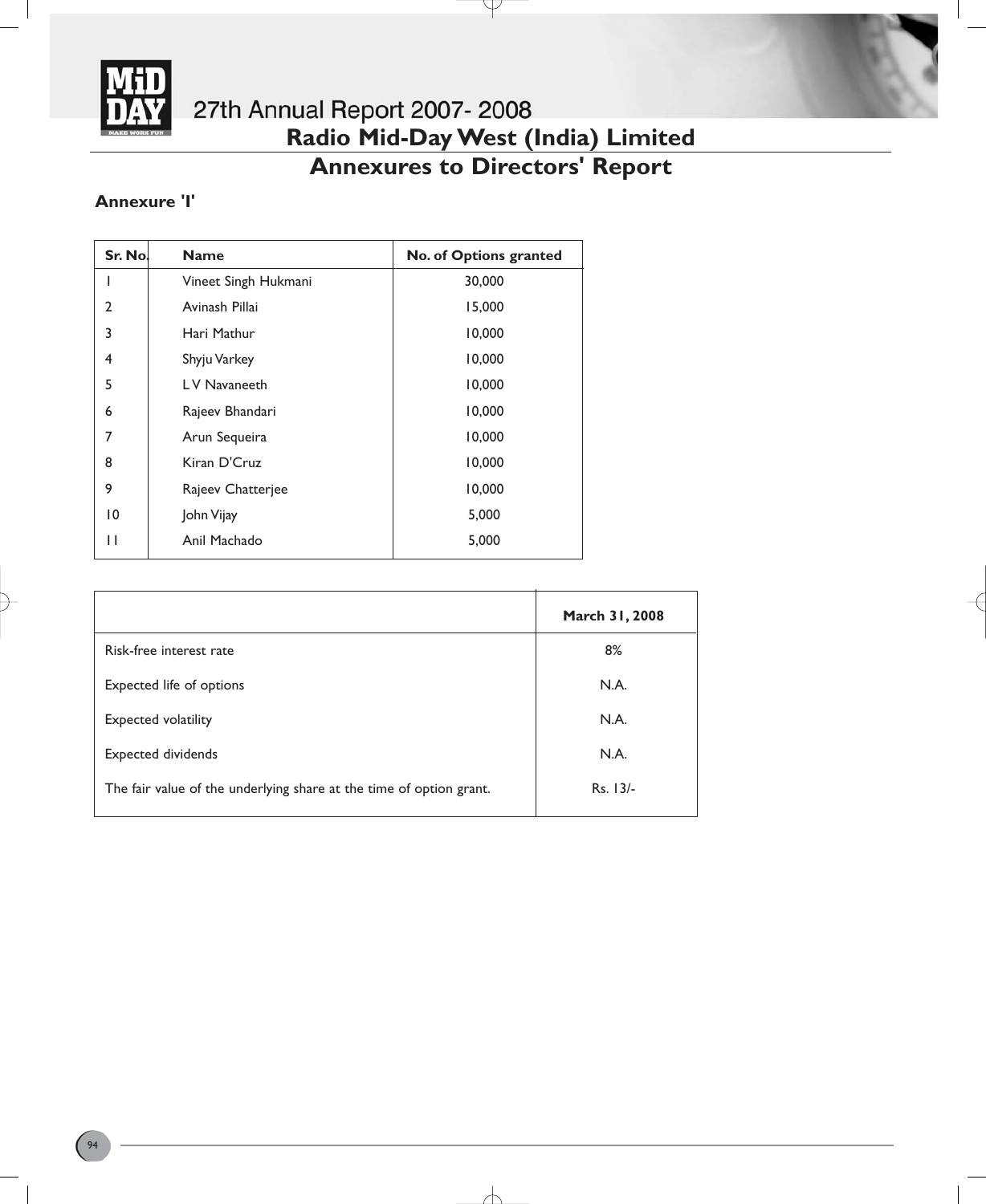

# **Radio Mid-Day West (India) Limited**

# **Annexures to Directors' Report**

Y

# **Annexure 'I'**

| Sr. No.        | <b>Name</b>          | No. of Options granted |
|----------------|----------------------|------------------------|
|                | Vineet Singh Hukmani | 30,000                 |
| $\mathfrak{p}$ | Avinash Pillai       | 15,000                 |
| 3              | Hari Mathur          | 10,000                 |
| 4              | Shyju Varkey         | 10,000                 |
| 5              | LV Navaneeth         | 10,000                 |
| 6              | Rajeev Bhandari      | 10,000                 |
| 7              | Arun Sequeira        | 10,000                 |
| 8              | Kiran D'Cruz         | 10,000                 |
| 9              | Rajeev Chatterjee    | 10,000                 |
| 10             | John Vijay           | 5,000                  |
| П              | Anil Machado         | 5,000                  |

|                                                                     | March 31, 2008 |
|---------------------------------------------------------------------|----------------|
| Risk-free interest rate                                             | 8%             |
| Expected life of options                                            | N.A.           |
| <b>Expected volatility</b>                                          | N.A.           |
| <b>Expected dividends</b>                                           | N.A.           |
| The fair value of the underlying share at the time of option grant. | $Rs. 13/-$     |
|                                                                     |                |

∕├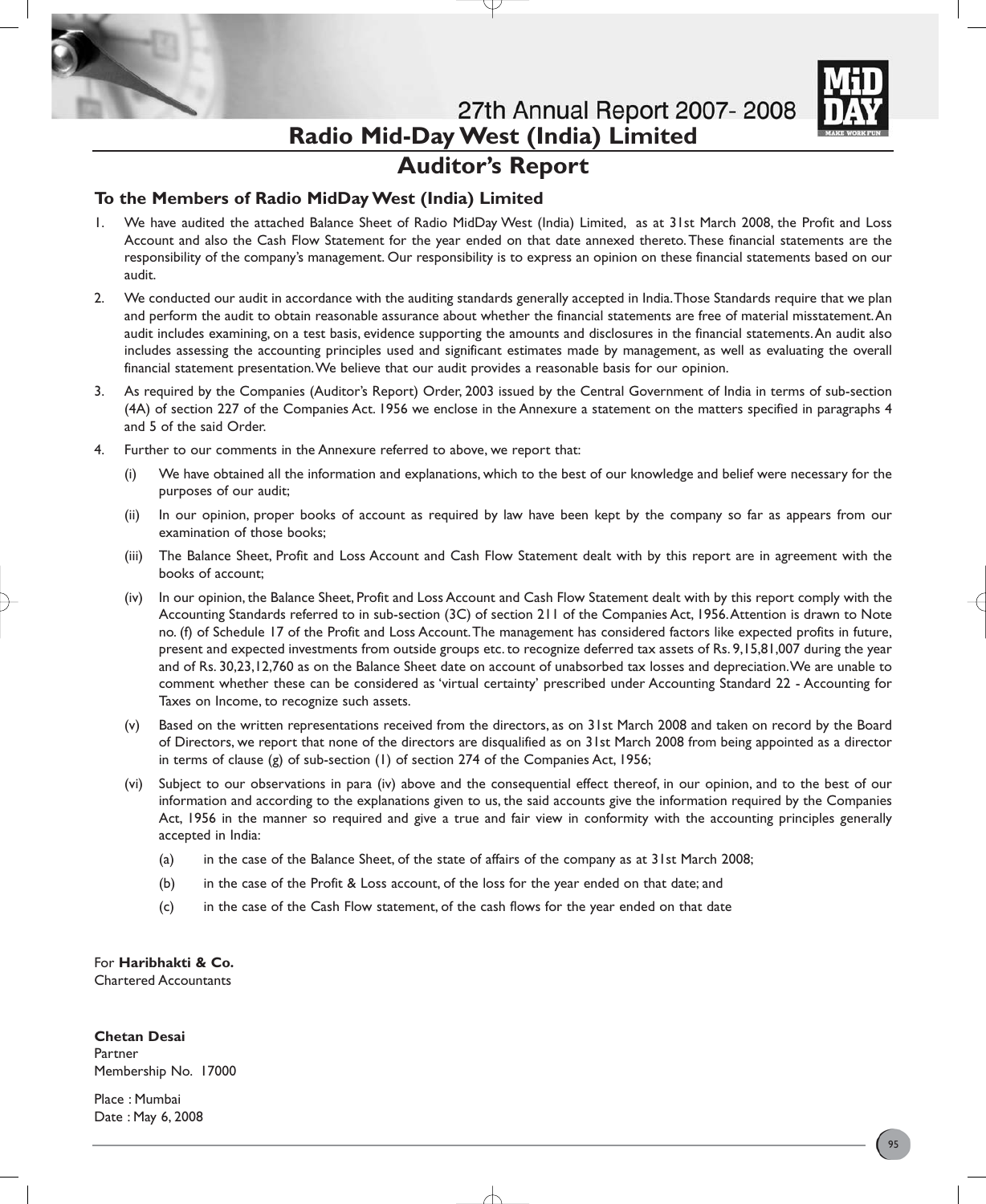

# **Auditor's Report**

# **To the Members of Radio MidDay West (India) Limited**

- 1. We have audited the attached Balance Sheet of Radio MidDay West (India) Limited, as at 31st March 2008, the Profit and Loss Account and also the Cash Flow Statement for the year ended on that date annexed thereto.These financial statements are the responsibility of the company's management. Our responsibility is to express an opinion on these financial statements based on our audit.
- 2. We conducted our audit in accordance with the auditing standards generally accepted in India.Those Standards require that we plan and perform the audit to obtain reasonable assurance about whether the financial statements are free of material misstatement.An audit includes examining, on a test basis, evidence supporting the amounts and disclosures in the financial statements.An audit also includes assessing the accounting principles used and significant estimates made by management, as well as evaluating the overall financial statement presentation.We believe that our audit provides a reasonable basis for our opinion.
- 3. As required by the Companies (Auditor's Report) Order, 2003 issued by the Central Government of India in terms of sub-section (4A) of section 227 of the Companies Act. 1956 we enclose in the Annexure a statement on the matters specified in paragraphs 4 and 5 of the said Order.
- 4. Further to our comments in the Annexure referred to above, we report that:
	- (i) We have obtained all the information and explanations, which to the best of our knowledge and belief were necessary for the purposes of our audit;
	- (ii) In our opinion, proper books of account as required by law have been kept by the company so far as appears from our examination of those books;
	- (iii) The Balance Sheet, Profit and Loss Account and Cash Flow Statement dealt with by this report are in agreement with the books of account;
	- (iv) In our opinion, the Balance Sheet, Profit and Loss Account and Cash Flow Statement dealt with by this report comply with the Accounting Standards referred to in sub-section (3C) of section 211 of the Companies Act, 1956.Attention is drawn to Note no. (f) of Schedule 17 of the Profit and Loss Account.The management has considered factors like expected profits in future, present and expected investments from outside groups etc. to recognize deferred tax assets of Rs. 9,15,81,007 during the year and of Rs. 30,23,12,760 as on the Balance Sheet date on account of unabsorbed tax losses and depreciation.We are unable to comment whether these can be considered as 'virtual certainty' prescribed under Accounting Standard 22 - Accounting for Taxes on Income, to recognize such assets.
	- (v) Based on the written representations received from the directors, as on 31st March 2008 and taken on record by the Board of Directors, we report that none of the directors are disqualified as on 31st March 2008 from being appointed as a director in terms of clause (g) of sub-section (1) of section 274 of the Companies Act, 1956;
	- (vi) Subject to our observations in para (iv) above and the consequential effect thereof, in our opinion, and to the best of our information and according to the explanations given to us, the said accounts give the information required by the Companies Act, 1956 in the manner so required and give a true and fair view in conformity with the accounting principles generally accepted in India:
		- (a) in the case of the Balance Sheet, of the state of affairs of the company as at 31st March 2008;
		- (b) in the case of the Profit & Loss account, of the loss for the year ended on that date; and
		- (c) in the case of the Cash Flow statement, of the cash flows for the year ended on that date

For **Haribhakti & Co.** Chartered Accountants

# **Chetan Desai**

Partner Membership No. 17000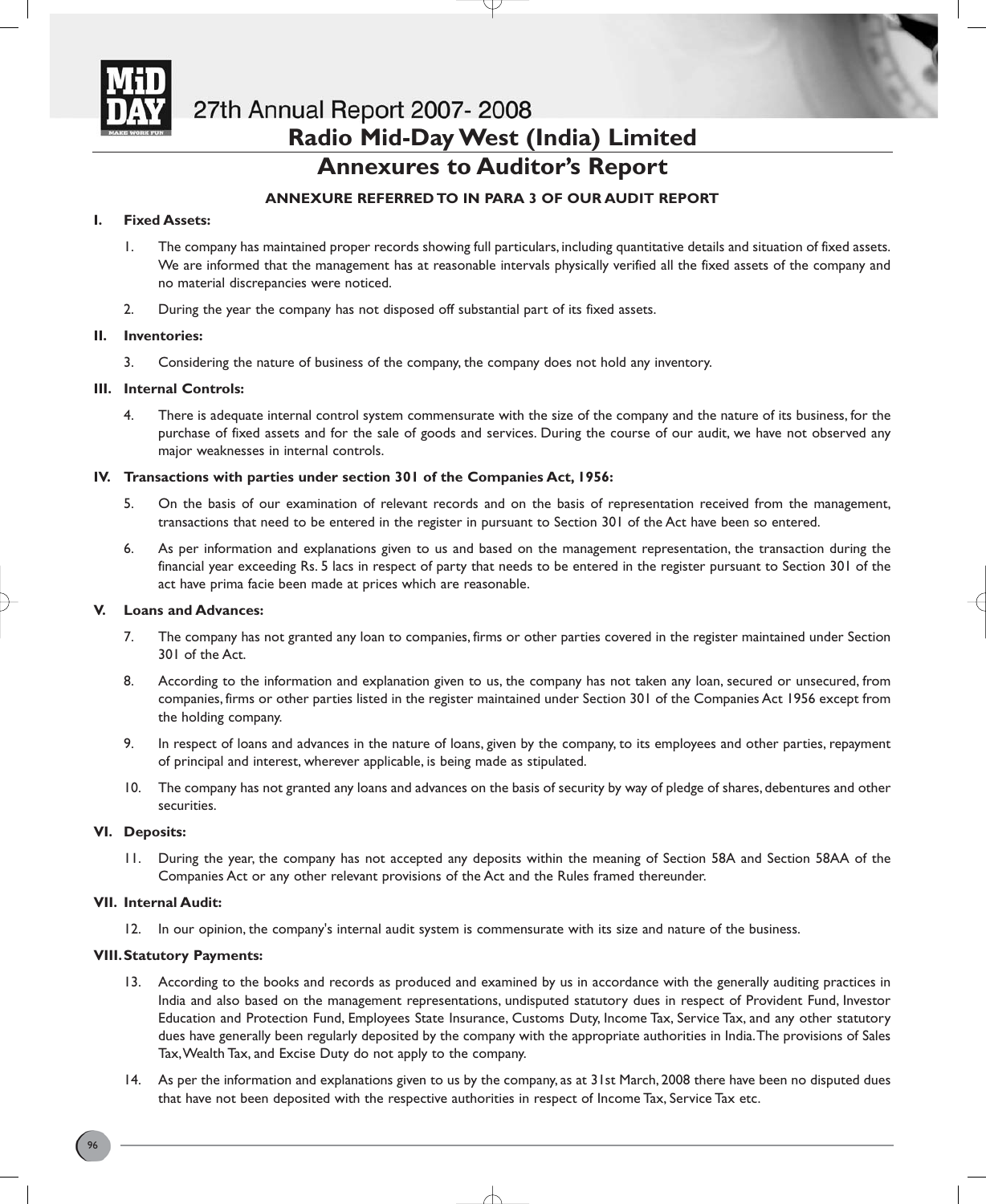

# **Annexures to Auditor's Report**

# **ANNEXURE REFERRED TO IN PARA 3 OF OUR AUDIT REPORT**

# **I. Fixed Assets:**

- 1. The company has maintained proper records showing full particulars, including quantitative details and situation of fixed assets. We are informed that the management has at reasonable intervals physically verified all the fixed assets of the company and no material discrepancies were noticed.
- 2. During the year the company has not disposed off substantial part of its fixed assets.

# **II. Inventories:**

3. Considering the nature of business of the company, the company does not hold any inventory.

# **III. Internal Controls:**

4. There is adequate internal control system commensurate with the size of the company and the nature of its business, for the purchase of fixed assets and for the sale of goods and services. During the course of our audit, we have not observed any major weaknesses in internal controls.

# **IV. Transactions with parties under section 301 of the Companies Act, 1956:**

- 5. On the basis of our examination of relevant records and on the basis of representation received from the management, transactions that need to be entered in the register in pursuant to Section 301 of the Act have been so entered.
- 6. As per information and explanations given to us and based on the management representation, the transaction during the financial year exceeding Rs. 5 lacs in respect of party that needs to be entered in the register pursuant to Section 301 of the act have prima facie been made at prices which are reasonable.

# **V. Loans and Advances:**

- 7. The company has not granted any loan to companies, firms or other parties covered in the register maintained under Section 301 of the Act.
- 8. According to the information and explanation given to us, the company has not taken any loan, secured or unsecured, from companies, firms or other parties listed in the register maintained under Section 301 of the Companies Act 1956 except from the holding company.
- 9. In respect of loans and advances in the nature of loans, given by the company, to its employees and other parties, repayment of principal and interest, wherever applicable, is being made as stipulated.
- 10. The company has not granted any loans and advances on the basis of security by way of pledge of shares, debentures and other securities.

# **VI. Deposits:**

11. During the year, the company has not accepted any deposits within the meaning of Section 58A and Section 58AA of the Companies Act or any other relevant provisions of the Act and the Rules framed thereunder.

# **VII. Internal Audit:**

12. In our opinion, the company's internal audit system is commensurate with its size and nature of the business.

# **VIII.Statutory Payments:**

- 13. According to the books and records as produced and examined by us in accordance with the generally auditing practices in India and also based on the management representations, undisputed statutory dues in respect of Provident Fund, Investor Education and Protection Fund, Employees State Insurance, Customs Duty, Income Tax, Service Tax, and any other statutory dues have generally been regularly deposited by the company with the appropriate authorities in India.The provisions of Sales Tax,Wealth Tax, and Excise Duty do not apply to the company.
- 14. As per the information and explanations given to us by the company, as at 31st March, 2008 there have been no disputed dues that have not been deposited with the respective authorities in respect of Income Tax, Service Tax etc.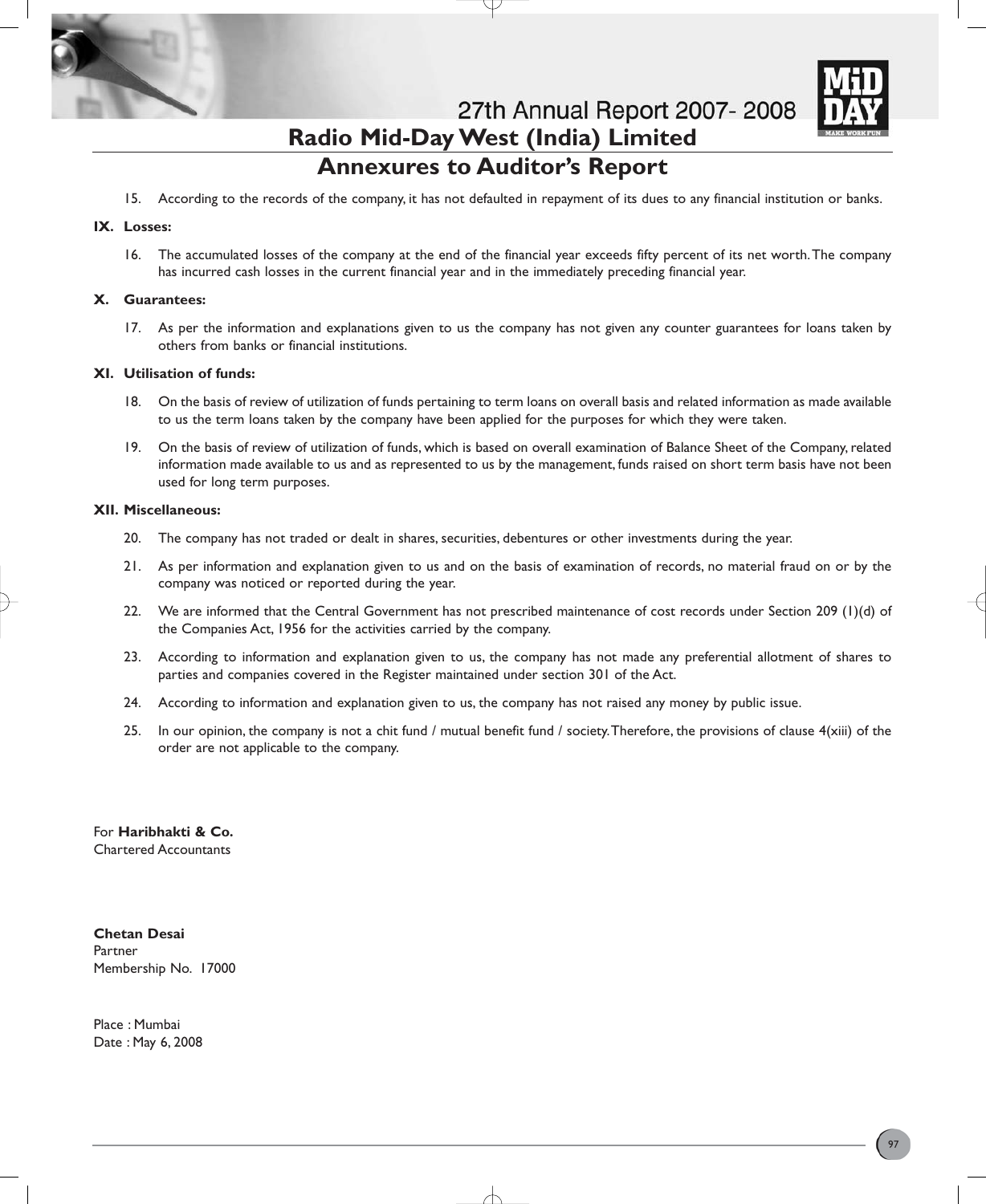

# **Annexures to Auditor's Report**

15. According to the records of the company, it has not defaulted in repayment of its dues to any financial institution or banks.

# **IX. Losses:**

16. The accumulated losses of the company at the end of the financial year exceeds fifty percent of its net worth.The company has incurred cash losses in the current financial year and in the immediately preceding financial year.

### **X. Guarantees:**

17. As per the information and explanations given to us the company has not given any counter guarantees for loans taken by others from banks or financial institutions.

### **XI. Utilisation of funds:**

- 18. On the basis of review of utilization of funds pertaining to term loans on overall basis and related information as made available to us the term loans taken by the company have been applied for the purposes for which they were taken.
- 19. On the basis of review of utilization of funds, which is based on overall examination of Balance Sheet of the Company, related information made available to us and as represented to us by the management, funds raised on short term basis have not been used for long term purposes.

### **XII. Miscellaneous:**

- 20. The company has not traded or dealt in shares, securities, debentures or other investments during the year.
- 21. As per information and explanation given to us and on the basis of examination of records, no material fraud on or by the company was noticed or reported during the year.
- 22. We are informed that the Central Government has not prescribed maintenance of cost records under Section 209 (1)(d) of the Companies Act, 1956 for the activities carried by the company.
- 23. According to information and explanation given to us, the company has not made any preferential allotment of shares to parties and companies covered in the Register maintained under section 301 of the Act.
- 24. According to information and explanation given to us, the company has not raised any money by public issue.
- 25. In our opinion, the company is not a chit fund / mutual benefit fund / society.Therefore, the provisions of clause 4(xiii) of the order are not applicable to the company.

For **Haribhakti & Co.** Chartered Accountants

**Chetan Desai** Partner Membership No. 17000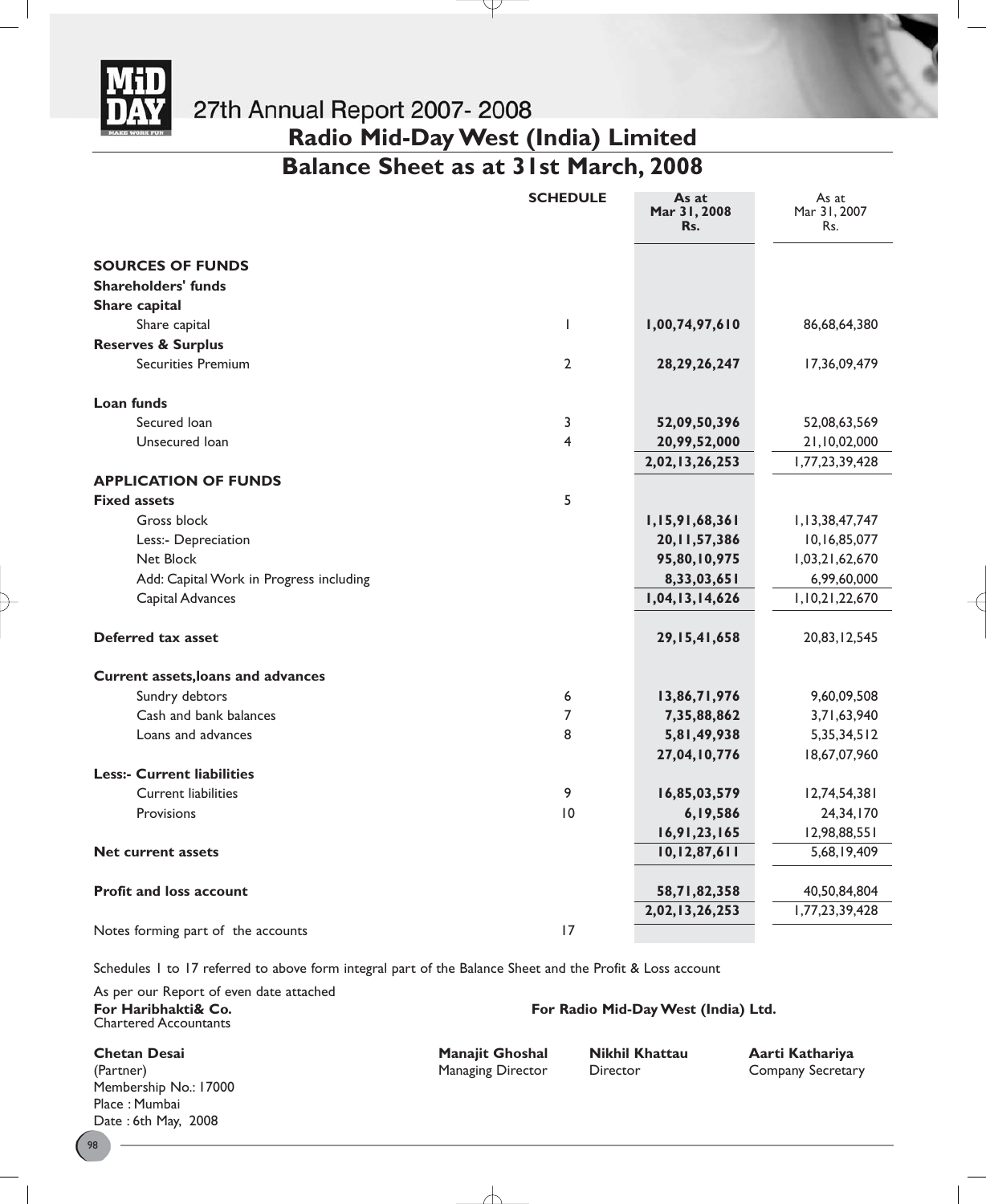

**Balance Sheet as at 31st March, 2008**

|                                         | <b>SCHEDULE</b> | As at<br>Mar 31, 2008<br>Rs. | As at<br>Mar 31, 2007<br>Rs. |
|-----------------------------------------|-----------------|------------------------------|------------------------------|
| <b>SOURCES OF FUNDS</b>                 |                 |                              |                              |
| <b>Shareholders' funds</b>              |                 |                              |                              |
| Share capital                           |                 |                              |                              |
| Share capital                           | L               | 1,00,74,97,610               | 86,68,64,380                 |
| <b>Reserves &amp; Surplus</b>           |                 |                              |                              |
| <b>Securities Premium</b>               | $\overline{2}$  | 28, 29, 26, 247              | 17,36,09,479                 |
| Loan funds                              |                 |                              |                              |
| Secured Ioan                            | 3               | 52,09,50,396                 | 52,08,63,569                 |
| Unsecured Ioan                          | 4               | 20,99,52,000                 | 21,10,02,000                 |
|                                         |                 | 2,02,13,26,253               | 1,77,23,39,428               |
| <b>APPLICATION OF FUNDS</b>             |                 |                              |                              |
| <b>Fixed assets</b>                     | 5               |                              |                              |
| Gross block                             |                 | 1,15,91,68,361               | 1,13,38,47,747               |
| Less:- Depreciation                     |                 | 20, 11, 57, 386              | 10,16,85,077                 |
| Net Block                               |                 | 95,80,10,975                 | 1,03,21,62,670               |
| Add: Capital Work in Progress including |                 | 8,33,03,651                  | 6,99,60,000                  |
| Capital Advances                        |                 | 1,04,13,14,626               | 1,10,21,22,670               |
| Deferred tax asset                      |                 | 29, 15, 41, 658              | 20,83,12,545                 |
| Current assets, loans and advances      |                 |                              |                              |
| Sundry debtors                          | 6               | 13,86,71,976                 | 9,60,09,508                  |
| Cash and bank balances                  | 7               | 7,35,88,862                  | 3,71,63,940                  |
| Loans and advances                      | 8               | 5,81,49,938                  | 5, 35, 34, 512               |
|                                         |                 | 27,04,10,776                 | 18,67,07,960                 |
| <b>Less:- Current liabilities</b>       |                 |                              |                              |
| <b>Current liabilities</b>              | 9               | 16,85,03,579                 | 12,74,54,381                 |
| Provisions                              | 10              | 6,19,586                     | 24,34,170                    |
|                                         |                 | 16,91,23,165                 | 12,98,88,551                 |
| <b>Net current assets</b>               |                 | 10, 12, 87, 611              | 5,68,19,409                  |
| <b>Profit and loss account</b>          |                 | 58,71,82,358                 | 40,50,84,804                 |
|                                         |                 | 2,02,13,26,253               | 1,77,23,39,428               |
| Notes forming part of the accounts      | 17              |                              |                              |

Schedules 1 to 17 referred to above form integral part of the Balance Sheet and the Profit & Loss account

As per our Report of even date attached Chartered Accountants

**Chetan Desai Manajit Ghoshal Nikhil Khattau Aarti Kathariya** (Partner) Managing Director Director Company Secretary Membership No.: 17000 Place : Mumbai Date : 6th May, 2008

98

**For Haribhakti& Co. For Radio Mid-Day West (India) Ltd.**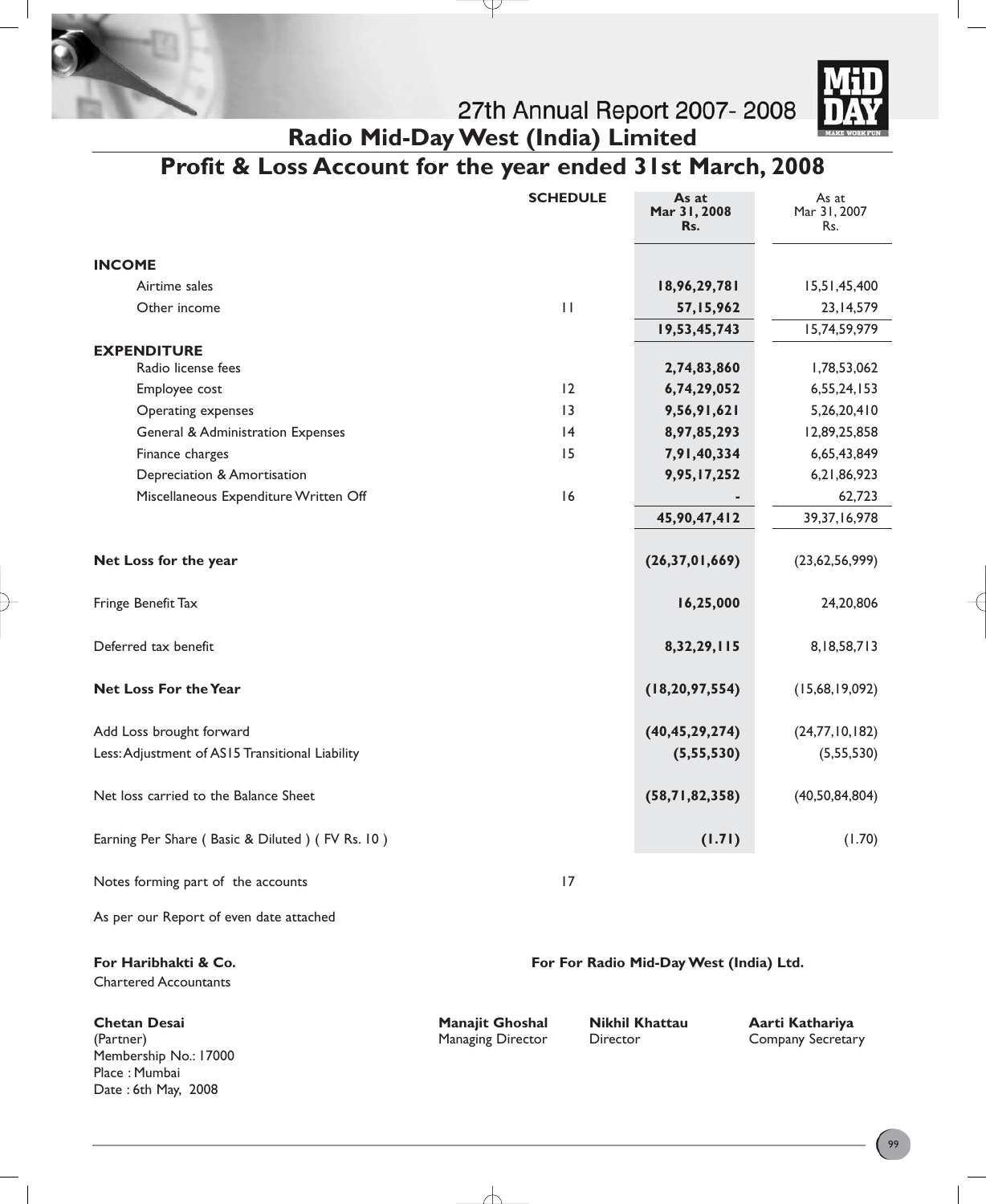



# **Profit & Loss Account for the year ended 31st March, 2008**

J

|                                                      | <b>SCHEDULE</b> | As at<br>Mar 31, 2008<br>Rs.            | As at<br>Mar 31, 2007<br>Rs. |
|------------------------------------------------------|-----------------|-----------------------------------------|------------------------------|
| <b>INCOME</b>                                        |                 |                                         |                              |
| Airtime sales                                        |                 | 18,96,29,781                            | 15,51,45,400                 |
| Other income                                         | $\mathbf{H}$    | 57,15,962                               | 23, 14, 579                  |
|                                                      |                 | 19,53,45,743                            | 15,74,59,979                 |
| <b>EXPENDITURE</b>                                   |                 |                                         |                              |
| Radio license fees                                   |                 | 2,74,83,860                             | 1,78,53,062                  |
| Employee cost                                        | 12              | 6,74,29,052                             | 6,55,24,153                  |
| Operating expenses                                   | 13              | 9,56,91,621                             | 5,26,20,410                  |
| <b>General &amp; Administration Expenses</b>         | 4               | 8,97,85,293                             | 12,89,25,858                 |
| Finance charges                                      | 15              | 7,91,40,334                             | 6,65,43,849                  |
| Depreciation & Amortisation                          |                 | 9,95,17,252                             | 6,21,86,923                  |
| Miscellaneous Expenditure Written Off                | 16              |                                         | 62,723                       |
|                                                      |                 | 45,90,47,412                            | 39, 37, 16, 978              |
| Net Loss for the year                                |                 | (26, 37, 01, 669)                       | (23,62,56,999)               |
| Fringe Benefit Tax                                   |                 | 16,25,000                               | 24,20,806                    |
| Deferred tax benefit                                 |                 | 8, 32, 29, 115                          | 8, 18, 58, 713               |
| <b>Net Loss For the Year</b>                         |                 | (18, 20, 97, 554)                       | (15,68,19,092)               |
| Add Loss brought forward                             |                 | (40, 45, 29, 274)                       | (24,77,10,182)               |
| Less: Adjustment of AS15 Transitional Liability      |                 | (5, 55, 530)                            | (5,55,530)                   |
| Net loss carried to the Balance Sheet                |                 | (58,71,82,358)                          | (40, 50, 84, 804)            |
| Earning Per Share (Basic & Diluted) (FV Rs. 10)      |                 | (1.71)                                  | (1.70)                       |
| Notes forming part of the accounts                   | 17              |                                         |                              |
| As per our Report of even date attached              |                 |                                         |                              |
| For Haribhakti & Co.<br><b>Chartered Accountants</b> |                 | For For Radio Mid-Day West (India) Ltd. |                              |

**Chetan Desai Manajit Ghoshal Nikhil Khattau Aarti Kathariya** (Partner) Managing Director Director Company Secretary Membership No.: 17000 Place : Mumbai Date : 6th May, 2008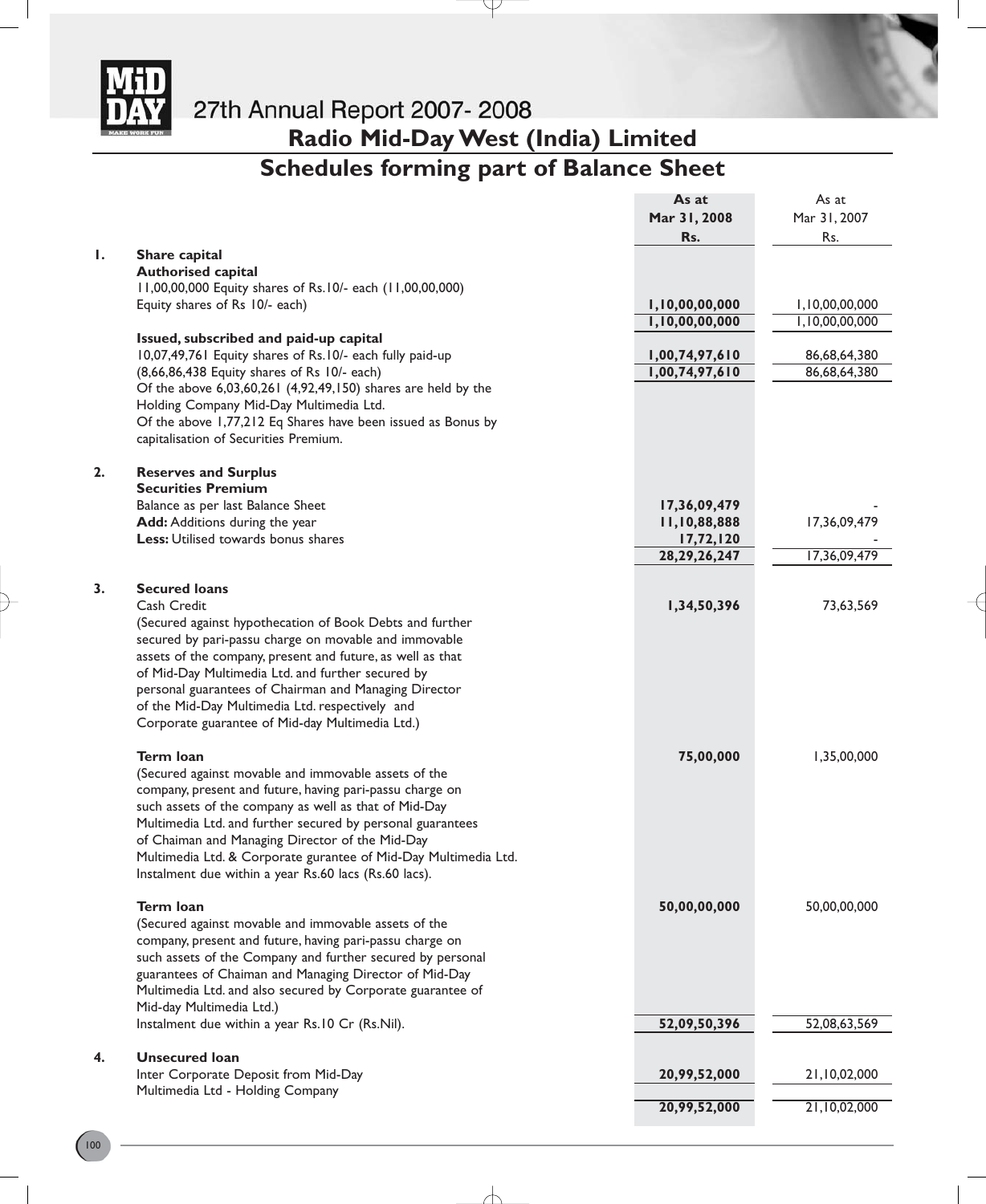

**Radio Mid-Day West (India) Limited Schedules forming part of Balance Sheet**

P

| Mar 31, 2008<br>Mar 31, 2007<br>Rs.<br>Rs.<br>Ι.<br>Share capital<br><b>Authorised capital</b><br>11,00,00,000 Equity shares of Rs.10/- each (11,00,00,000)<br>Equity shares of Rs 10/- each)<br>1,10,00,00,000<br>1,10,00,00,000<br>1,10,00,00,000<br>1,10,00,00,000<br>Issued, subscribed and paid-up capital<br>10,07,49,761 Equity shares of Rs.10/- each fully paid-up<br>1,00,74,97,610<br>1,00,74,97,610<br>(8,66,86,438 Equity shares of Rs 10/- each)<br>Of the above 6,03,60,261 (4,92,49,150) shares are held by the<br>Holding Company Mid-Day Multimedia Ltd.<br>Of the above 1,77,212 Eq Shares have been issued as Bonus by<br>capitalisation of Securities Premium.<br>2.<br><b>Reserves and Surplus</b><br><b>Securities Premium</b><br>Balance as per last Balance Sheet<br>17,36,09,479<br>Add: Additions during the year<br>11,10,88,888<br>Less: Utilised towards bonus shares<br>17,72,120<br>28, 29, 26, 247<br>3.<br><b>Secured loans</b> |              |
|-------------------------------------------------------------------------------------------------------------------------------------------------------------------------------------------------------------------------------------------------------------------------------------------------------------------------------------------------------------------------------------------------------------------------------------------------------------------------------------------------------------------------------------------------------------------------------------------------------------------------------------------------------------------------------------------------------------------------------------------------------------------------------------------------------------------------------------------------------------------------------------------------------------------------------------------------------------------|--------------|
|                                                                                                                                                                                                                                                                                                                                                                                                                                                                                                                                                                                                                                                                                                                                                                                                                                                                                                                                                                   |              |
|                                                                                                                                                                                                                                                                                                                                                                                                                                                                                                                                                                                                                                                                                                                                                                                                                                                                                                                                                                   |              |
|                                                                                                                                                                                                                                                                                                                                                                                                                                                                                                                                                                                                                                                                                                                                                                                                                                                                                                                                                                   |              |
|                                                                                                                                                                                                                                                                                                                                                                                                                                                                                                                                                                                                                                                                                                                                                                                                                                                                                                                                                                   |              |
|                                                                                                                                                                                                                                                                                                                                                                                                                                                                                                                                                                                                                                                                                                                                                                                                                                                                                                                                                                   |              |
|                                                                                                                                                                                                                                                                                                                                                                                                                                                                                                                                                                                                                                                                                                                                                                                                                                                                                                                                                                   |              |
|                                                                                                                                                                                                                                                                                                                                                                                                                                                                                                                                                                                                                                                                                                                                                                                                                                                                                                                                                                   |              |
|                                                                                                                                                                                                                                                                                                                                                                                                                                                                                                                                                                                                                                                                                                                                                                                                                                                                                                                                                                   | 86,68,64,380 |
|                                                                                                                                                                                                                                                                                                                                                                                                                                                                                                                                                                                                                                                                                                                                                                                                                                                                                                                                                                   | 86,68,64,380 |
|                                                                                                                                                                                                                                                                                                                                                                                                                                                                                                                                                                                                                                                                                                                                                                                                                                                                                                                                                                   |              |
|                                                                                                                                                                                                                                                                                                                                                                                                                                                                                                                                                                                                                                                                                                                                                                                                                                                                                                                                                                   |              |
|                                                                                                                                                                                                                                                                                                                                                                                                                                                                                                                                                                                                                                                                                                                                                                                                                                                                                                                                                                   |              |
|                                                                                                                                                                                                                                                                                                                                                                                                                                                                                                                                                                                                                                                                                                                                                                                                                                                                                                                                                                   |              |
|                                                                                                                                                                                                                                                                                                                                                                                                                                                                                                                                                                                                                                                                                                                                                                                                                                                                                                                                                                   |              |
|                                                                                                                                                                                                                                                                                                                                                                                                                                                                                                                                                                                                                                                                                                                                                                                                                                                                                                                                                                   |              |
|                                                                                                                                                                                                                                                                                                                                                                                                                                                                                                                                                                                                                                                                                                                                                                                                                                                                                                                                                                   |              |
|                                                                                                                                                                                                                                                                                                                                                                                                                                                                                                                                                                                                                                                                                                                                                                                                                                                                                                                                                                   | 17,36,09,479 |
|                                                                                                                                                                                                                                                                                                                                                                                                                                                                                                                                                                                                                                                                                                                                                                                                                                                                                                                                                                   |              |
|                                                                                                                                                                                                                                                                                                                                                                                                                                                                                                                                                                                                                                                                                                                                                                                                                                                                                                                                                                   | 17,36,09,479 |
|                                                                                                                                                                                                                                                                                                                                                                                                                                                                                                                                                                                                                                                                                                                                                                                                                                                                                                                                                                   |              |
|                                                                                                                                                                                                                                                                                                                                                                                                                                                                                                                                                                                                                                                                                                                                                                                                                                                                                                                                                                   |              |
| Cash Credit<br>1,34,50,396                                                                                                                                                                                                                                                                                                                                                                                                                                                                                                                                                                                                                                                                                                                                                                                                                                                                                                                                        | 73,63,569    |
| (Secured against hypothecation of Book Debts and further                                                                                                                                                                                                                                                                                                                                                                                                                                                                                                                                                                                                                                                                                                                                                                                                                                                                                                          |              |
| secured by pari-passu charge on movable and immovable                                                                                                                                                                                                                                                                                                                                                                                                                                                                                                                                                                                                                                                                                                                                                                                                                                                                                                             |              |
| assets of the company, present and future, as well as that                                                                                                                                                                                                                                                                                                                                                                                                                                                                                                                                                                                                                                                                                                                                                                                                                                                                                                        |              |
| of Mid-Day Multimedia Ltd. and further secured by                                                                                                                                                                                                                                                                                                                                                                                                                                                                                                                                                                                                                                                                                                                                                                                                                                                                                                                 |              |
| personal guarantees of Chairman and Managing Director                                                                                                                                                                                                                                                                                                                                                                                                                                                                                                                                                                                                                                                                                                                                                                                                                                                                                                             |              |
| of the Mid-Day Multimedia Ltd. respectively and                                                                                                                                                                                                                                                                                                                                                                                                                                                                                                                                                                                                                                                                                                                                                                                                                                                                                                                   |              |
| Corporate guarantee of Mid-day Multimedia Ltd.)                                                                                                                                                                                                                                                                                                                                                                                                                                                                                                                                                                                                                                                                                                                                                                                                                                                                                                                   |              |
|                                                                                                                                                                                                                                                                                                                                                                                                                                                                                                                                                                                                                                                                                                                                                                                                                                                                                                                                                                   |              |
| <b>Term loan</b><br>75,00,000                                                                                                                                                                                                                                                                                                                                                                                                                                                                                                                                                                                                                                                                                                                                                                                                                                                                                                                                     | 1,35,00,000  |
| (Secured against movable and immovable assets of the                                                                                                                                                                                                                                                                                                                                                                                                                                                                                                                                                                                                                                                                                                                                                                                                                                                                                                              |              |
| company, present and future, having pari-passu charge on                                                                                                                                                                                                                                                                                                                                                                                                                                                                                                                                                                                                                                                                                                                                                                                                                                                                                                          |              |
| such assets of the company as well as that of Mid-Day                                                                                                                                                                                                                                                                                                                                                                                                                                                                                                                                                                                                                                                                                                                                                                                                                                                                                                             |              |
| Multimedia Ltd. and further secured by personal guarantees                                                                                                                                                                                                                                                                                                                                                                                                                                                                                                                                                                                                                                                                                                                                                                                                                                                                                                        |              |
| of Chaiman and Managing Director of the Mid-Day                                                                                                                                                                                                                                                                                                                                                                                                                                                                                                                                                                                                                                                                                                                                                                                                                                                                                                                   |              |
| Multimedia Ltd. & Corporate gurantee of Mid-Day Multimedia Ltd.                                                                                                                                                                                                                                                                                                                                                                                                                                                                                                                                                                                                                                                                                                                                                                                                                                                                                                   |              |
| Instalment due within a year Rs.60 lacs (Rs.60 lacs).                                                                                                                                                                                                                                                                                                                                                                                                                                                                                                                                                                                                                                                                                                                                                                                                                                                                                                             |              |
| Term Ioan<br>50,00,00,000                                                                                                                                                                                                                                                                                                                                                                                                                                                                                                                                                                                                                                                                                                                                                                                                                                                                                                                                         | 50,00,00,000 |
| (Secured against movable and immovable assets of the                                                                                                                                                                                                                                                                                                                                                                                                                                                                                                                                                                                                                                                                                                                                                                                                                                                                                                              |              |
| company, present and future, having pari-passu charge on                                                                                                                                                                                                                                                                                                                                                                                                                                                                                                                                                                                                                                                                                                                                                                                                                                                                                                          |              |
| such assets of the Company and further secured by personal                                                                                                                                                                                                                                                                                                                                                                                                                                                                                                                                                                                                                                                                                                                                                                                                                                                                                                        |              |
| guarantees of Chaiman and Managing Director of Mid-Day                                                                                                                                                                                                                                                                                                                                                                                                                                                                                                                                                                                                                                                                                                                                                                                                                                                                                                            |              |
| Multimedia Ltd. and also secured by Corporate guarantee of                                                                                                                                                                                                                                                                                                                                                                                                                                                                                                                                                                                                                                                                                                                                                                                                                                                                                                        |              |
| Mid-day Multimedia Ltd.)                                                                                                                                                                                                                                                                                                                                                                                                                                                                                                                                                                                                                                                                                                                                                                                                                                                                                                                                          |              |
| Instalment due within a year Rs.10 Cr (Rs.Nil).<br>52,09,50,396                                                                                                                                                                                                                                                                                                                                                                                                                                                                                                                                                                                                                                                                                                                                                                                                                                                                                                   | 52,08,63,569 |
| <b>Unsecured loan</b><br>4.                                                                                                                                                                                                                                                                                                                                                                                                                                                                                                                                                                                                                                                                                                                                                                                                                                                                                                                                       |              |
| Inter Corporate Deposit from Mid-Day<br>20,99,52,000                                                                                                                                                                                                                                                                                                                                                                                                                                                                                                                                                                                                                                                                                                                                                                                                                                                                                                              | 21,10,02,000 |
| Multimedia Ltd - Holding Company                                                                                                                                                                                                                                                                                                                                                                                                                                                                                                                                                                                                                                                                                                                                                                                                                                                                                                                                  |              |
| 20,99,52,000                                                                                                                                                                                                                                                                                                                                                                                                                                                                                                                                                                                                                                                                                                                                                                                                                                                                                                                                                      | 21,10,02,000 |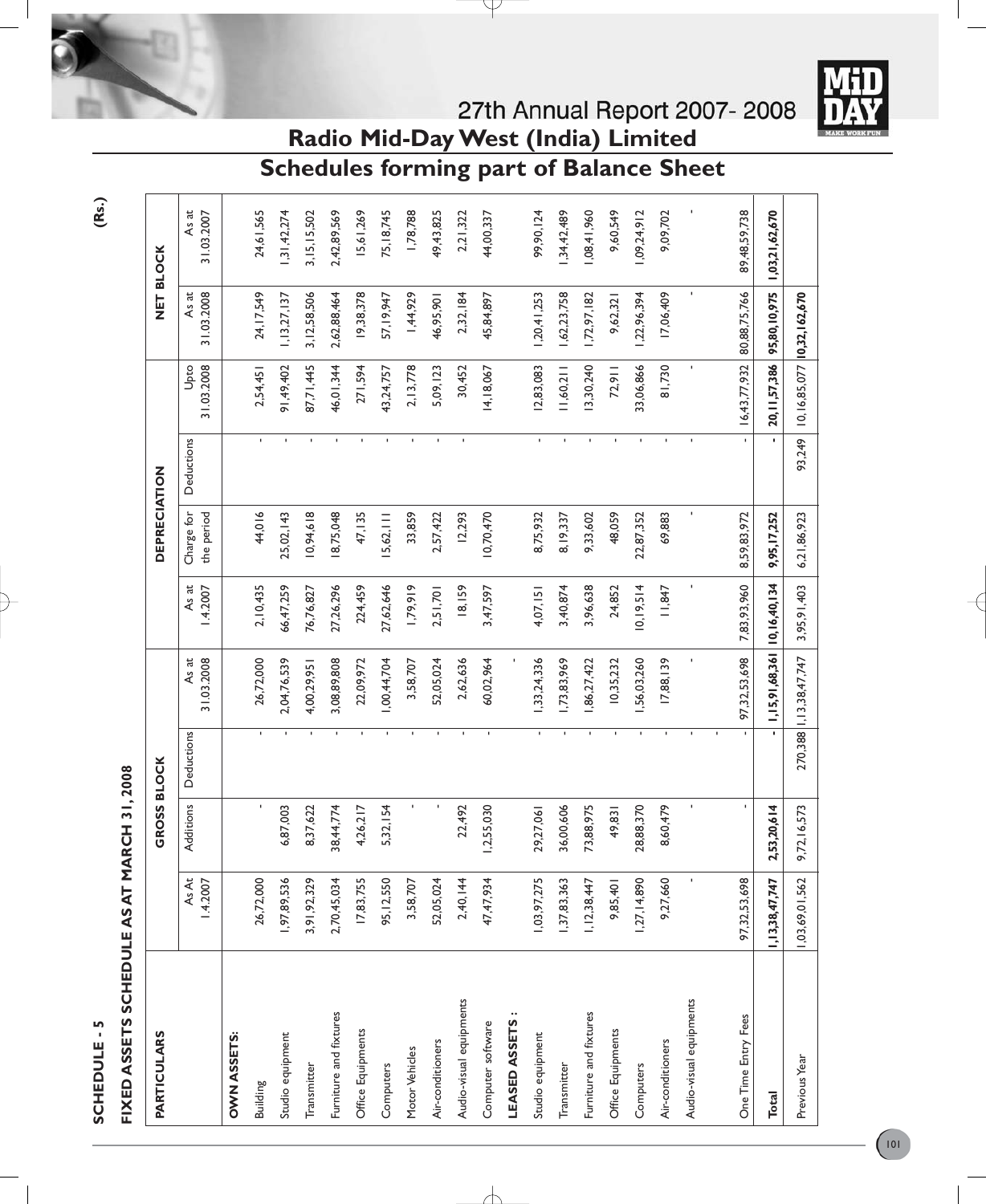

# FIXED ASSETS SCHEDULE AS AT MARCH 31, 2008 **FIXED ASSETS SCHEDULE AS AT MARCH 31, 2008**

| <b>PARTICULARS</b>      |                          | <b>GROSS BLOCK</b> |              |                                    |                   | <b>DEPRECIATION</b>      |                    |                                  | NET BLOCK           |                     |
|-------------------------|--------------------------|--------------------|--------------|------------------------------------|-------------------|--------------------------|--------------------|----------------------------------|---------------------|---------------------|
|                         | <b>As At</b><br>1.4.2007 | Additions          | Deductions   | As at<br>31.03.2008                | As at<br>1.4.2007 | the period<br>Charge for | Deductions         | 31.03.2008<br>Upto               | 31.03.2008<br>As at | As at<br>31.03.2007 |
| <b>OWN ASSETS:</b>      |                          |                    |              |                                    |                   |                          |                    |                                  |                     |                     |
| Building                | 26,72,000                | $\mathbf{r}$       | $\mathbf{L}$ | 26,72,000                          | 2, 10, 435        | 44,016                   | $\mathbf{L}$       | 2,54,451                         | 24, 17, 549         | 24,61,565           |
| Studio equipment        | 1,97,89,536              | 6,87,003           |              | 2,04,76,539                        | 66,47,259         | 25,02,143                |                    | 91,49,402                        | 1, 13, 27, 137      | 31,42,274           |
| Transmitter             | 3,91,92,329              | 8,37,622           |              | 4,00,29,95                         | 76,76,827         | 10,94,618                |                    | 87,71,445                        | 3, 12, 58, 506      | 3, 15, 15, 502      |
| Furniture and fixtures  | 2,70,45,034              | 38,44,774          |              | 3,08,89,808                        | 27,26,296         | 18,75,048                |                    | 46,01,344                        | 2,62,88,464         | 2,42,89,569         |
| Office Equipments       | 17,83,755                | 4,26,217           |              | 22,09,972                          | 224,459           | 47, 135                  |                    | 271,594                          | 19,38,378           | 5,61,269            |
| Computers               | 95, 12, 550              | 5,32,154           |              | ,00,44,704                         | 27,62,646         | 5,62,                    |                    | 43,24,757                        | 57, 19, 947         | 75, 18, 745         |
| Motor Vehicles          | 3,58,707                 |                    |              | 3,58,707                           | 1,79,919          | 33,859                   | f.                 | 2, 13, 778                       | 1,44,929            | 1,78,788            |
| Air-conditioners        | 52,05,024                |                    |              | 52,05,024                          | 2,51,701          | 2,57,422                 |                    | 5,09,123                         | 46,95,90            | 49,43,825           |
| Audio-visual equipments | 2,40,144                 | 22,492             |              | 2,62,636                           | 18,159            | 12,293                   | $\blacksquare$     | 30,452                           | 2,32,184            | 2,21,322            |
| Computer software       | 47,47,934                | 1,2,55,030         |              | 60,02,964                          | 3,47,597          | 10,70,470                |                    | 14,18,067                        | 45,84,897           | 44,00,337           |
| LEASED ASSETS           |                          |                    |              |                                    |                   |                          |                    |                                  |                     |                     |
| Studio equipment        | 1,03,97,275              | 29,27,061          | $\mathbf{I}$ | ,33,24,336                         | 4,07,151          | 8,75,932                 | $\bar{\mathbf{r}}$ | 12,83,083                        | 1,20,41,253         | 99,90,124           |
| Transmitter             | ,37,83,363               | 36,00,606          |              | ,73,83,969                         | 3,40,874          | 8,19,337                 | f.                 | 11,60,211                        | 1,62,23,758         | ,34,42,489          |
| Furniture and fixtures  | 1, 12, 38, 447           | 73,88,975          |              | ,86,27,422                         | 3,96,638          | 9,33,602                 |                    | 3,30,240                         | 1,72,97,182         | 1,08,41,960         |
| Office Equipments       | 9,85,401                 | 49,831             |              | 10,35,232                          | 24,852            | 48,059                   |                    | 72,911                           | 9,62,321            | 9,60,549            |
| Computers               | 1,27,14,890              | 28,88,370          |              | ,56,03,260                         | 10, 19, 514       | 22,87,352                |                    | 33,06,866                        | 1,22,96,394         | 1,09,24,912         |
| Air-conditioners        | 9,27,660                 | 8,60,479           |              | 17,88,139                          | 11,847            | 69,883                   | ı.                 | 81,730                           | 17,06,409           | 9,09,702            |
| Audio-visual equipments |                          |                    |              |                                    |                   |                          |                    | ı                                |                     |                     |
|                         |                          |                    |              |                                    |                   |                          |                    |                                  |                     |                     |
| One Time Entry Fees     | 97,32,53,698             | $\blacksquare$     |              | 97,32,53,698                       | 7,83,93,960       | 8,59,83,972              |                    | 16,43,77,932                     | 80,88,75,766        | 89,48,59,738        |
| <b>Total</b>            | 1, 13, 38, 47, 747       | 2,53,20,614        |              | 1, 15, 91, 68, 361 10, 16, 40, 134 |                   | 9,95,17,252              |                    | 20, 11, 57, 386                  | 95,80,10,975        | 1,03,21,62,670      |
| Previous Year           | 1,03,69,01,562           | 9,72,16,573        |              | 270,388   1, 13,38,47,747          | 3,95,91,403       | 6,21,86,923              | 93,249             | 10, 16, 85, 077 10, 32, 162, 670 |                     |                     |

╅

**Radio Mid-Day West (India) Limited Schedules forming part of Balance Sheet**

**(Rs.)**



27th Annual Report 2007-2008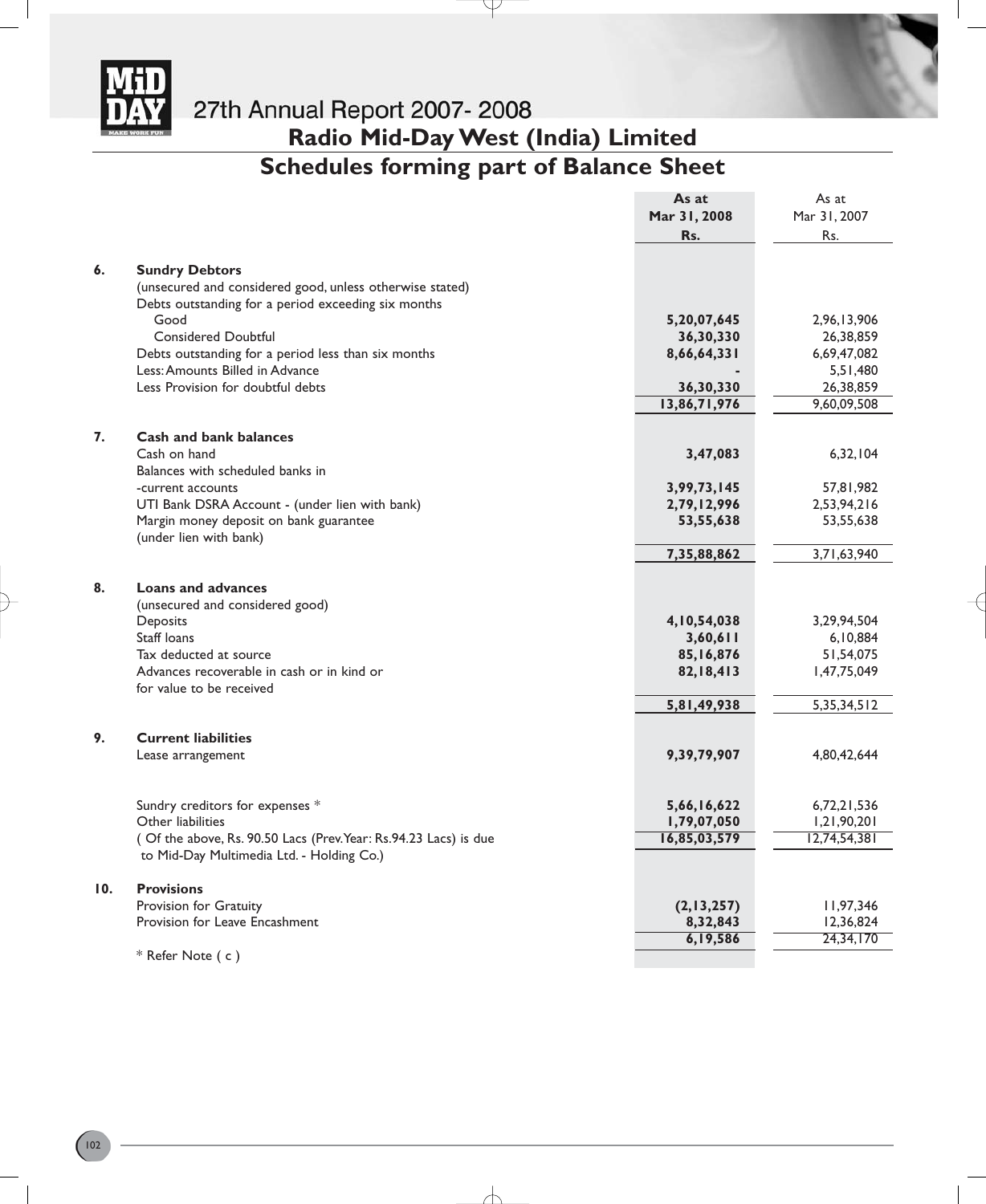

**Radio Mid-Day West (India) Limited**

# **Schedules forming part of Balance Sheet**

Y

|     |                                                                        | As at        | As at          |
|-----|------------------------------------------------------------------------|--------------|----------------|
|     |                                                                        | Mar 31, 2008 | Mar 31, 2007   |
|     |                                                                        | Rs.          | Rs.            |
|     |                                                                        |              |                |
| 6.  | <b>Sundry Debtors</b>                                                  |              |                |
|     | (unsecured and considered good, unless otherwise stated)               |              |                |
|     | Debts outstanding for a period exceeding six months                    |              |                |
|     | Good                                                                   | 5,20,07,645  | 2,96,13,906    |
|     | <b>Considered Doubtful</b>                                             | 36,30,330    | 26,38,859      |
|     | Debts outstanding for a period less than six months                    | 8,66,64,331  | 6,69,47,082    |
|     | Less: Amounts Billed in Advance                                        |              | 5,51,480       |
|     | Less Provision for doubtful debts                                      | 36,30,330    | 26,38,859      |
|     |                                                                        | 13,86,71,976 | 9,60,09,508    |
|     |                                                                        |              |                |
| 7.  | <b>Cash and bank balances</b>                                          |              |                |
|     | Cash on hand                                                           | 3,47,083     | 6,32,104       |
|     | Balances with scheduled banks in                                       |              |                |
|     | -current accounts                                                      | 3,99,73,145  | 57,81,982      |
|     | UTI Bank DSRA Account - (under lien with bank)                         | 2,79,12,996  | 2,53,94,216    |
|     | Margin money deposit on bank guarantee                                 | 53,55,638    | 53,55,638      |
|     | (under lien with bank)                                                 |              |                |
|     |                                                                        | 7,35,88,862  | 3,71,63,940    |
| 8.  | <b>Loans and advances</b>                                              |              |                |
|     |                                                                        |              |                |
|     | (unsecured and considered good)                                        |              |                |
|     | Deposits                                                               | 4,10,54,038  | 3,29,94,504    |
|     | Staff loans<br>Tax deducted at source                                  | 3,60,611     | 6, 10, 884     |
|     |                                                                        | 85,16,876    | 51,54,075      |
|     | Advances recoverable in cash or in kind or<br>for value to be received | 82,18,413    | 1,47,75,049    |
|     |                                                                        | 5,81,49,938  | 5, 35, 34, 512 |
|     |                                                                        |              |                |
| 9.  | <b>Current liabilities</b>                                             |              |                |
|     | Lease arrangement                                                      | 9,39,79,907  | 4,80,42,644    |
|     |                                                                        |              |                |
|     | Sundry creditors for expenses *                                        | 5,66,16,622  | 6,72,21,536    |
|     | Other liabilities                                                      | 1,79,07,050  | 1,21,90,201    |
|     | (Of the above, Rs. 90.50 Lacs (Prev. Year: Rs. 94.23 Lacs) is due      | 16,85,03,579 | 12,74,54,381   |
|     | to Mid-Day Multimedia Ltd. - Holding Co.)                              |              |                |
|     |                                                                        |              |                |
| 10. | <b>Provisions</b>                                                      |              |                |
|     | Provision for Gratuity                                                 | (2,13,257)   | 11,97,346      |
|     | Provision for Leave Encashment                                         | 8,32,843     | 12,36,824      |
|     |                                                                        | 6,19,586     | 24,34,170      |
|     | * Refer Note (c)                                                       |              |                |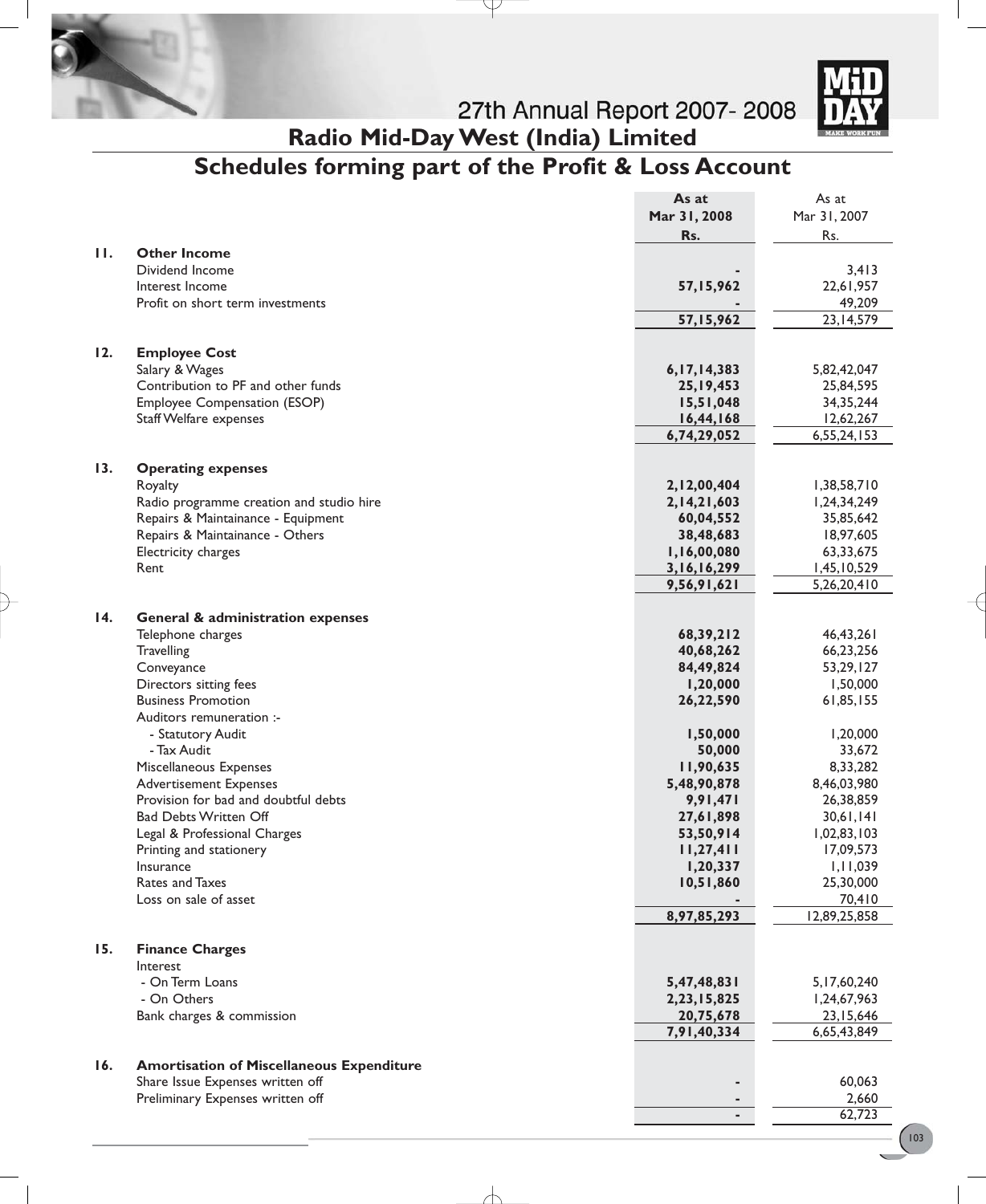



**Radio Mid-Day West (India) Limited**

# **Schedules forming part of the Profit & Loss Account**

P

|                   |                                                  | As at                 | As at                 |
|-------------------|--------------------------------------------------|-----------------------|-----------------------|
|                   |                                                  | Mar 31, 2008          | Mar 31, 2007          |
|                   |                                                  | Rs.                   | Rs.                   |
| $\mathbf{H}$      | <b>Other Income</b>                              |                       |                       |
|                   | Dividend Income                                  |                       | 3,413                 |
|                   | Interest Income                                  | 57,15,962             | 22,61,957             |
|                   | Profit on short term investments                 |                       | 49,209                |
|                   |                                                  | 57,15,962             | 23, 14, 579           |
|                   |                                                  |                       |                       |
| 12.               | <b>Employee Cost</b>                             |                       |                       |
|                   | Salary & Wages                                   | 6, 17, 14, 383        | 5,82,42,047           |
|                   | Contribution to PF and other funds               | 25, 19, 453           | 25,84,595             |
|                   | Employee Compensation (ESOP)                     | 15,51,048             | 34, 35, 244           |
|                   | <b>Staff Welfare expenses</b>                    | 16,44,168             | 12,62,267             |
|                   |                                                  | 6,74,29,052           | 6,55,24,153           |
|                   |                                                  |                       |                       |
| 13.               | <b>Operating expenses</b>                        |                       |                       |
|                   | Royalty                                          | 2,12,00,404           | 1,38,58,710           |
|                   | Radio programme creation and studio hire         | 2, 14, 21, 603        | 1,24,34,249           |
|                   | Repairs & Maintainance - Equipment               | 60,04,552             | 35,85,642             |
|                   | Repairs & Maintainance - Others                  | 38,48,683             | 18,97,605             |
|                   | Electricity charges                              | 1,16,00,080           | 63,33,675             |
|                   | Rent                                             | 3, 16, 16, 299        | 1,45,10,529           |
|                   |                                                  | 9,56,91,621           | 5,26,20,410           |
|                   |                                                  |                       |                       |
| $\overline{14}$ . | <b>General &amp; administration expenses</b>     |                       |                       |
|                   | Telephone charges                                | 68,39,212             | 46,43,261             |
|                   | <b>Travelling</b>                                | 40,68,262             | 66,23,256             |
|                   | Conveyance                                       | 84,49,824             | 53,29,127             |
|                   | Directors sitting fees                           | 1,20,000              | 1,50,000              |
|                   | <b>Business Promotion</b>                        | 26,22,590             | 61,85,155             |
|                   | Auditors remuneration :-                         |                       |                       |
|                   | - Statutory Audit                                | 1,50,000              | 1,20,000              |
|                   | - Tax Audit                                      | 50,000                | 33,672                |
|                   | Miscellaneous Expenses                           | 11,90,635             | 8,33,282              |
|                   | <b>Advertisement Expenses</b>                    | 5,48,90,878           | 8,46,03,980           |
|                   | Provision for bad and doubtful debts             | 9,91,471              | 26,38,859             |
|                   | <b>Bad Debts Written Off</b>                     | 27,61,898             | 30,61,141             |
|                   | Legal & Professional Charges                     | 53,50,914             | 1,02,83,103           |
|                   | Printing and stationery<br>Insurance             | 11,27,411<br>1,20,337 | 17,09,573<br>1,11,039 |
|                   | Rates and Taxes                                  | 10,51,860             | 25,30,000             |
|                   | Loss on sale of asset                            |                       | 70,410                |
|                   |                                                  | 8,97,85,293           | 12,89,25,858          |
|                   |                                                  |                       |                       |
| 15.               | <b>Finance Charges</b>                           |                       |                       |
|                   | Interest                                         |                       |                       |
|                   | - On Term Loans                                  | 5,47,48,831           | 5, 17, 60, 240        |
|                   | - On Others                                      | 2,23,15,825           | 1,24,67,963           |
|                   | Bank charges & commission                        | 20,75,678             | 23, 15, 646           |
|                   |                                                  | 7,91,40,334           | 6,65,43,849           |
|                   |                                                  |                       |                       |
| 16.               | <b>Amortisation of Miscellaneous Expenditure</b> |                       |                       |
|                   | Share Issue Expenses written off                 |                       | 60,063                |
|                   | Preliminary Expenses written off                 |                       | 2,660                 |
|                   |                                                  |                       | 62,723                |
|                   |                                                  |                       |                       |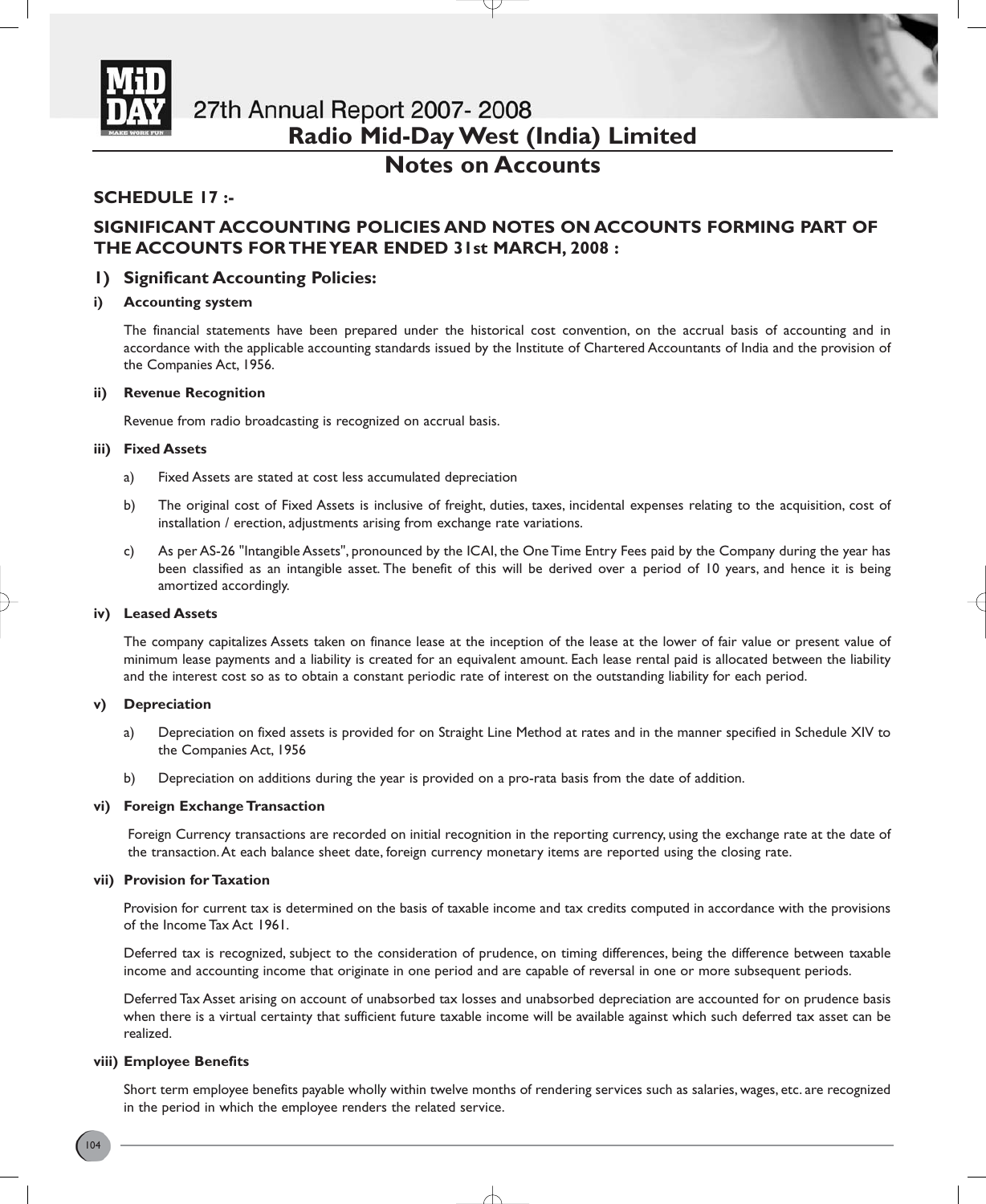

# **Notes on Accounts**

# **SCHEDULE 17 :-**

# **SIGNIFICANT ACCOUNTING POLICIES AND NOTES ON ACCOUNTS FORMING PART OF THE ACCOUNTS FOR THE YEAR ENDED 31st MARCH, 2008 :**

# **1) Significant Accounting Policies:**

### **i) Accounting system**

The financial statements have been prepared under the historical cost convention, on the accrual basis of accounting and in accordance with the applicable accounting standards issued by the Institute of Chartered Accountants of India and the provision of the Companies Act, 1956.

### **ii) Revenue Recognition**

Revenue from radio broadcasting is recognized on accrual basis.

### **iii) Fixed Assets**

- a) Fixed Assets are stated at cost less accumulated depreciation
- b) The original cost of Fixed Assets is inclusive of freight, duties, taxes, incidental expenses relating to the acquisition, cost of installation / erection, adjustments arising from exchange rate variations.
- c) As per AS-26 "Intangible Assets", pronounced by the ICAI, the One Time Entry Fees paid by the Company during the year has been classified as an intangible asset. The benefit of this will be derived over a period of 10 years, and hence it is being amortized accordingly.

### **iv) Leased Assets**

The company capitalizes Assets taken on finance lease at the inception of the lease at the lower of fair value or present value of minimum lease payments and a liability is created for an equivalent amount. Each lease rental paid is allocated between the liability and the interest cost so as to obtain a constant periodic rate of interest on the outstanding liability for each period.

### **v) Depreciation**

- a) Depreciation on fixed assets is provided for on Straight Line Method at rates and in the manner specified in Schedule XIV to the Companies Act, 1956
- b) Depreciation on additions during the year is provided on a pro-rata basis from the date of addition.

### **vi) Foreign Exchange Transaction**

Foreign Currency transactions are recorded on initial recognition in the reporting currency, using the exchange rate at the date of the transaction.At each balance sheet date, foreign currency monetary items are reported using the closing rate.

### **vii) Provision for Taxation**

Provision for current tax is determined on the basis of taxable income and tax credits computed in accordance with the provisions of the Income Tax Act 1961.

Deferred tax is recognized, subject to the consideration of prudence, on timing differences, being the difference between taxable income and accounting income that originate in one period and are capable of reversal in one or more subsequent periods.

Deferred Tax Asset arising on account of unabsorbed tax losses and unabsorbed depreciation are accounted for on prudence basis when there is a virtual certainty that sufficient future taxable income will be available against which such deferred tax asset can be realized.

### **viii) Employee Benefits**

Short term employee benefits payable wholly within twelve months of rendering services such as salaries, wages, etc. are recognized in the period in which the employee renders the related service.

</u>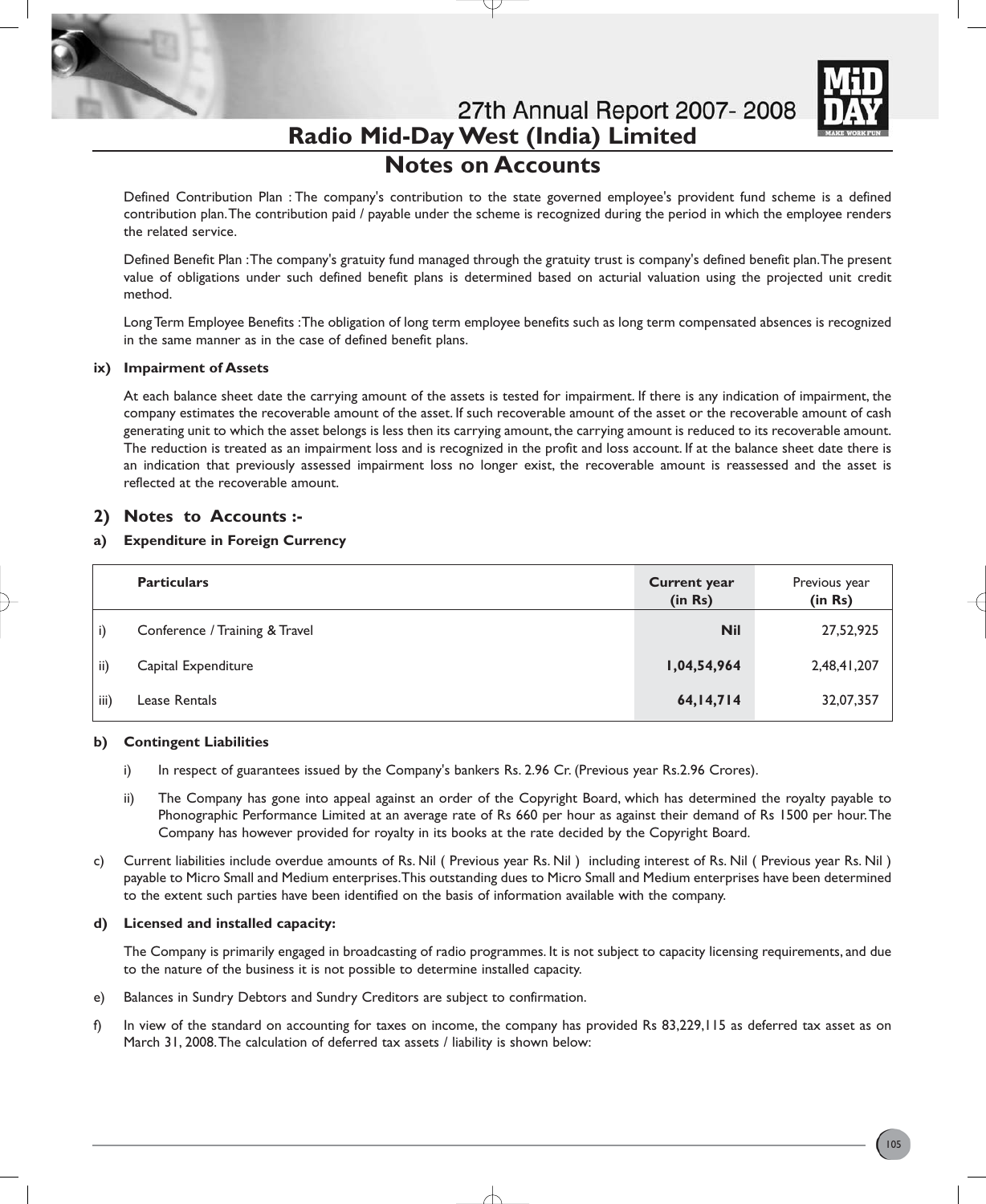

**Notes on Accounts**

Defined Contribution Plan : The company's contribution to the state governed employee's provident fund scheme is a defined contribution plan.The contribution paid / payable under the scheme is recognized during the period in which the employee renders the related service.

Defined Benefit Plan :The company's gratuity fund managed through the gratuity trust is company's defined benefit plan.The present value of obligations under such defined benefit plans is determined based on acturial valuation using the projected unit credit method.

Long Term Employee Benefits :The obligation of long term employee benefits such as long term compensated absences is recognized in the same manner as in the case of defined benefit plans.

### **ix) Impairment of Assets**

At each balance sheet date the carrying amount of the assets is tested for impairment. If there is any indication of impairment, the company estimates the recoverable amount of the asset. If such recoverable amount of the asset or the recoverable amount of cash generating unit to which the asset belongs is less then its carrying amount, the carrying amount is reduced to its recoverable amount. The reduction is treated as an impairment loss and is recognized in the profit and loss account. If at the balance sheet date there is an indication that previously assessed impairment loss no longer exist, the recoverable amount is reassessed and the asset is reflected at the recoverable amount.

# **2) Notes to Accounts :-**

# **a) Expenditure in Foreign Currency**

|      | <b>Particulars</b>             | <b>Current year</b><br>(in Rs) | Previous year<br>(in Rs) |
|------|--------------------------------|--------------------------------|--------------------------|
| i)   | Conference / Training & Travel | <b>Nil</b>                     | 27,52,925                |
| ii)  | Capital Expenditure            | 1,04,54,964                    | 2,48,41,207              |
| iii) | Lease Rentals                  | 64, 14, 714                    | 32,07,357                |

# **b) Contingent Liabilities**

- i) In respect of guarantees issued by the Company's bankers Rs. 2.96 Cr. (Previous year Rs. 2.96 Crores).
- ii) The Company has gone into appeal against an order of the Copyright Board, which has determined the royalty payable to Phonographic Performance Limited at an average rate of Rs 660 per hour as against their demand of Rs 1500 per hour.The Company has however provided for royalty in its books at the rate decided by the Copyright Board.
- c) Current liabilities include overdue amounts of Rs. Nil ( Previous year Rs. Nil ) including interest of Rs. Nil ( Previous year Rs. Nil ) payable to Micro Small and Medium enterprises.This outstanding dues to Micro Small and Medium enterprises have been determined to the extent such parties have been identified on the basis of information available with the company.

### **d) Licensed and installed capacity:**

The Company is primarily engaged in broadcasting of radio programmes. It is not subject to capacity licensing requirements, and due to the nature of the business it is not possible to determine installed capacity.

- e) Balances in Sundry Debtors and Sundry Creditors are subject to confirmation.
- f) In view of the standard on accounting for taxes on income, the company has provided Rs 83,229,115 as deferred tax asset as on March 31, 2008.The calculation of deferred tax assets / liability is shown below: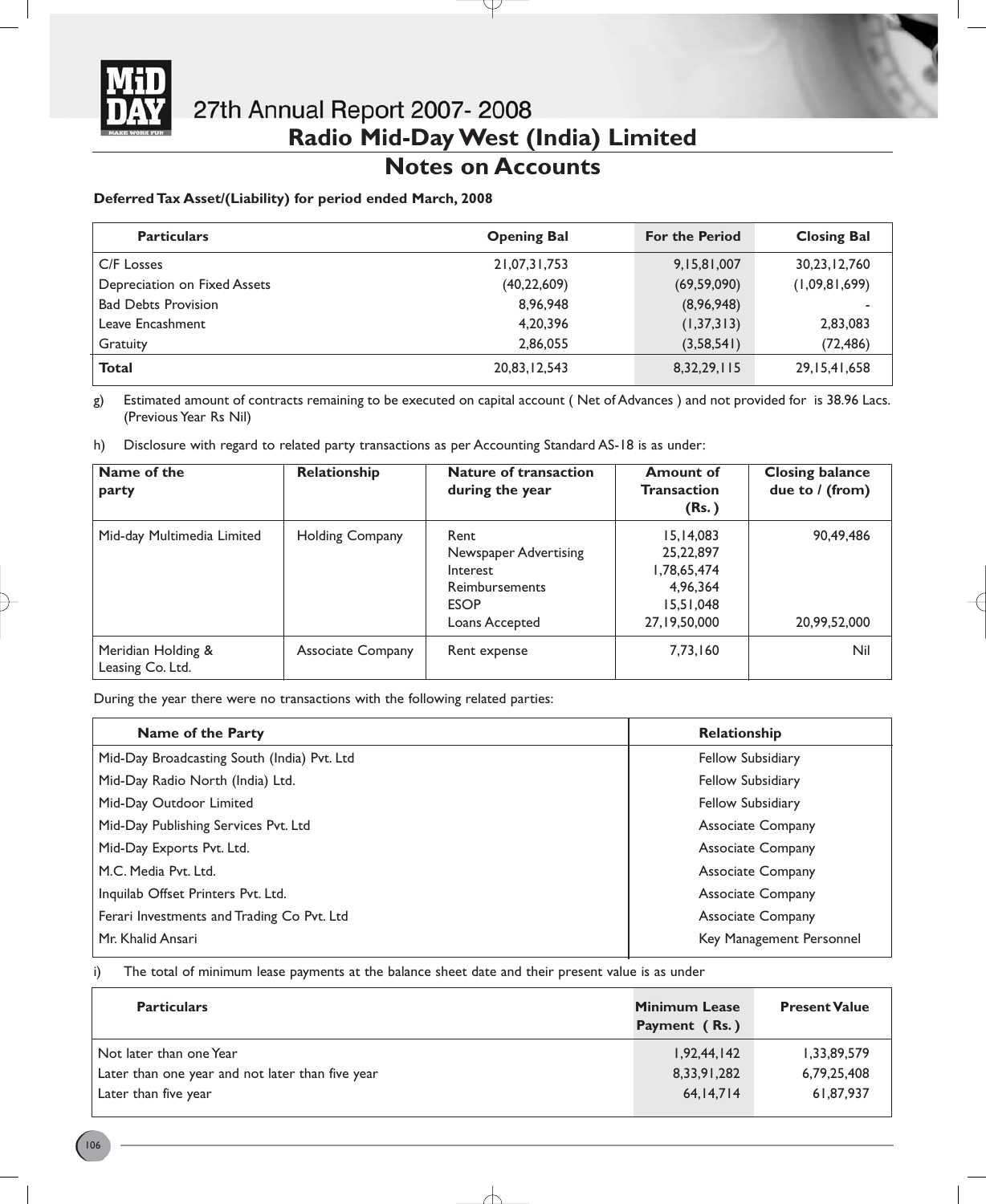

# **Notes on Accounts**

# **Deferred Tax Asset/(Liability) for period ended March, 2008**

| <b>Particulars</b>           | <b>Opening Bal</b> | <b>For the Period</b> | <b>Closing Bal</b> |
|------------------------------|--------------------|-----------------------|--------------------|
| C/F Losses                   | 21,07,31,753       | 9,15,81,007           | 30,23,12,760       |
| Depreciation on Fixed Assets | (40, 22, 609)      | (69, 59, 090)         | (1,09,81,699)      |
| <b>Bad Debts Provision</b>   | 8,96,948           | (8,96,948)            |                    |
| Leave Encashment             | 4,20,396           | (1, 37, 313)          | 2,83,083           |
| Gratuity                     | 2,86,055           | (3,58,541)            | (72, 486)          |
| <b>Total</b>                 | 20,83,12,543       | 8, 32, 29, 115        | 29, 15, 41, 658    |

g) Estimated amount of contracts remaining to be executed on capital account ( Net of Advances ) and not provided for is 38.96 Lacs. (Previous Year Rs Nil)

h) Disclosure with regard to related party transactions as per Accounting Standard AS-18 is as under:

| Name of the<br>party                   | Relationship             | <b>Nature of transaction</b><br>during the year                                              | <b>Amount of</b><br>Transaction<br>(Rs.)                                              | <b>Closing balance</b><br>due to $/$ (from) |
|----------------------------------------|--------------------------|----------------------------------------------------------------------------------------------|---------------------------------------------------------------------------------------|---------------------------------------------|
| Mid-day Multimedia Limited             | <b>Holding Company</b>   | Rent<br>Newspaper Advertising<br>Interest<br>Reimbursements<br><b>ESOP</b><br>Loans Accepted | 15, 14, 083<br>25, 22, 897<br>1,78,65,474<br>4,96,364<br>15,51,048<br>27, 19, 50, 000 | 90,49,486<br>20,99,52,000                   |
| Meridian Holding &<br>Leasing Co. Ltd. | <b>Associate Company</b> | Rent expense                                                                                 | 7,73,160                                                                              | Nil                                         |

During the year there were no transactions with the following related parties:

| Name of the Party                           | Relationship             |
|---------------------------------------------|--------------------------|
| Mid-Day Broadcasting South (India) Pvt. Ltd | <b>Fellow Subsidiary</b> |
| Mid-Day Radio North (India) Ltd.            | Fellow Subsidiary        |
| Mid-Day Outdoor Limited                     | Fellow Subsidiary        |
| Mid-Day Publishing Services Pvt. Ltd        | <b>Associate Company</b> |
| Mid-Day Exports Pvt. Ltd.                   | <b>Associate Company</b> |
| M.C. Media Pvt. Ltd.                        | <b>Associate Company</b> |
| Inquilab Offset Printers Pvt. Ltd.          | <b>Associate Company</b> |
| Ferari Investments and Trading Co Pvt. Ltd  | <b>Associate Company</b> |
| Mr. Khalid Ansari                           | Key Management Personnel |

i) The total of minimum lease payments at the balance sheet date and their present value is as under

| <b>Particulars</b>                               | <b>Minimum Lease</b><br>Payment (Rs.) | <b>Present Value</b> |
|--------------------------------------------------|---------------------------------------|----------------------|
| Not later than one Year                          | 1,92,44,142                           | 1,33,89,579          |
| Later than one year and not later than five year | 8,33,91,282                           | 6,79,25,408          |
| Later than five year                             | 64,14,714                             | 61,87,937            |
|                                                  |                                       |                      |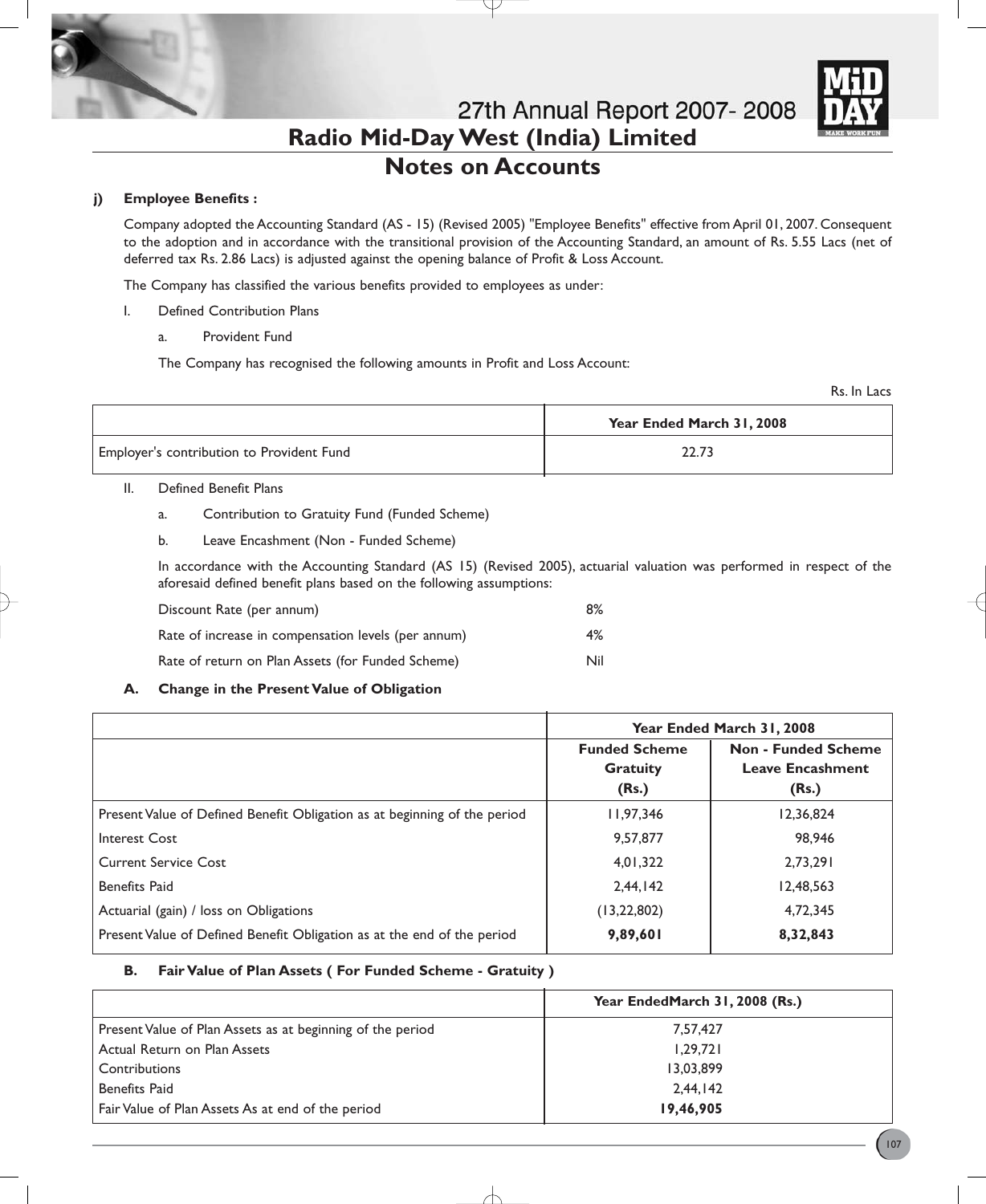

# **Notes on Accounts**

# **j) Employee Benefits :**

Company adopted the Accounting Standard (AS - 15) (Revised 2005) "Employee Benefits" effective from April 01, 2007. Consequent to the adoption and in accordance with the transitional provision of the Accounting Standard, an amount of Rs. 5.55 Lacs (net of deferred tax Rs. 2.86 Lacs) is adjusted against the opening balance of Profit & Loss Account.

The Company has classified the various benefits provided to employees as under:

- I. Defined Contribution Plans
	- a. Provident Fund

The Company has recognised the following amounts in Profit and Loss Account:

Rs. In Lacs

|                                           | Year Ended March 31, 2008 |  |
|-------------------------------------------|---------------------------|--|
| Employer's contribution to Provident Fund | 22.73                     |  |

### II. Defined Benefit Plans

- a. Contribution to Gratuity Fund (Funded Scheme)
- b. Leave Encashment (Non Funded Scheme)

In accordance with the Accounting Standard (AS 15) (Revised 2005), actuarial valuation was performed in respect of the aforesaid defined benefit plans based on the following assumptions:

| Discount Rate (per annum)                           | 8%  |
|-----------------------------------------------------|-----|
| Rate of increase in compensation levels (per annum) | 4%  |
| Rate of return on Plan Assets (for Funded Scheme)   | Nil |

# **A. Change in the Present Value of Obligation**

|                                                                           | Year Ended March 31, 2008                        |                                                                |
|---------------------------------------------------------------------------|--------------------------------------------------|----------------------------------------------------------------|
|                                                                           | <b>Funded Scheme</b><br><b>Gratuity</b><br>(Rs.) | <b>Non - Funded Scheme</b><br><b>Leave Encashment</b><br>(Rs.) |
| Present Value of Defined Benefit Obligation as at beginning of the period | 11,97,346                                        | 12,36,824                                                      |
| <b>Interest Cost</b>                                                      | 9.57,877                                         | 98,946                                                         |
| Current Service Cost                                                      | 4.01.322                                         | 2.73.291                                                       |
| <b>Benefits Paid</b>                                                      | 2.44.142                                         | 12,48,563                                                      |
| Actuarial (gain) / loss on Obligations                                    | (13, 22, 802)                                    | 4,72,345                                                       |
| Present Value of Defined Benefit Obligation as at the end of the period   | 9,89,601                                         | 8,32,843                                                       |

# **B. Fair Value of Plan Assets ( For Funded Scheme - Gratuity )**

|                                                            | Year EndedMarch 31, 2008 (Rs.) |
|------------------------------------------------------------|--------------------------------|
| Present Value of Plan Assets as at beginning of the period | 7,57,427                       |
| Actual Return on Plan Assets                               | 1,29,721                       |
| <b>Contributions</b>                                       | 13,03,899                      |
| <b>Benefits Paid</b>                                       | 2,44,142                       |
| Fair Value of Plan Assets As at end of the period          | 19,46,905                      |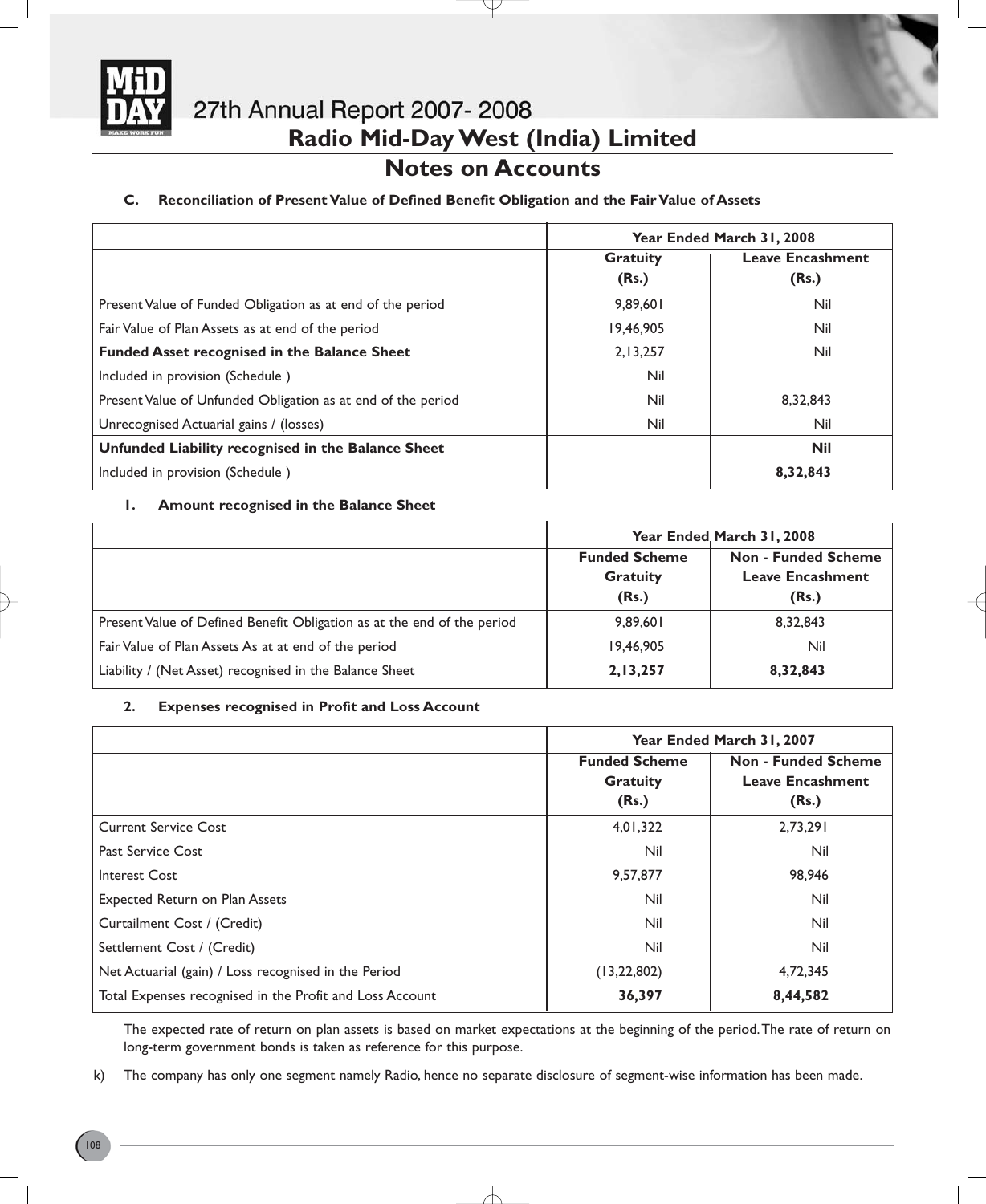

# **Notes on Accounts**

# **C. Reconciliation of Present Value of Defined Benefit Obligation and the Fair Value of Assets**

|                                                              | Year Ended March 31, 2008                  |            |
|--------------------------------------------------------------|--------------------------------------------|------------|
|                                                              | <b>Leave Encashment</b><br><b>Gratuity</b> |            |
|                                                              | (Rs.)                                      | (Rs.)      |
| Present Value of Funded Obligation as at end of the period   | 9.89.601                                   | Nil        |
| Fair Value of Plan Assets as at end of the period            | 19,46,905                                  | Nil        |
| <b>Funded Asset recognised in the Balance Sheet</b>          | 2,13,257                                   | Nil        |
| Included in provision (Schedule)                             | Nil                                        |            |
| Present Value of Unfunded Obligation as at end of the period | Nil                                        | 8,32,843   |
| Unrecognised Actuarial gains / (losses)                      | Nil                                        | Nil        |
| Unfunded Liability recognised in the Balance Sheet           |                                            | <b>Nil</b> |
| Included in provision (Schedule)                             |                                            | 8,32,843   |

# **1. Amount recognised in the Balance Sheet**

|                                                                         | Year Ended March 31, 2008                        |                                                                |
|-------------------------------------------------------------------------|--------------------------------------------------|----------------------------------------------------------------|
|                                                                         | <b>Funded Scheme</b><br><b>Gratuity</b><br>(Rs.) | <b>Non - Funded Scheme</b><br><b>Leave Encashment</b><br>(Rs.) |
| Present Value of Defined Benefit Obligation as at the end of the period | 9,89,601                                         | 8,32,843                                                       |
| Fair Value of Plan Assets As at at end of the period                    | 19,46,905                                        | Nil                                                            |
| Liability / (Net Asset) recognised in the Balance Sheet                 | 2,13,257                                         | 8,32,843                                                       |

# **2. Expenses recognised in Profit and Loss Account**

|                                                          | Year Ended March 31, 2007 |                            |
|----------------------------------------------------------|---------------------------|----------------------------|
|                                                          | <b>Funded Scheme</b>      | <b>Non - Funded Scheme</b> |
|                                                          | <b>Gratuity</b>           | <b>Leave Encashment</b>    |
|                                                          | (Rs.)                     | (Rs.)                      |
| <b>Current Service Cost</b>                              | 4,01,322                  | 2,73,291                   |
| <b>Past Service Cost</b>                                 | Nil                       | Nil                        |
| Interest Cost                                            | 9,57,877                  | 98,946                     |
| <b>Expected Return on Plan Assets</b>                    | Nil                       | Nil                        |
| Curtailment Cost / (Credit)                              | Nil                       | Nil                        |
| Settlement Cost / (Credit)                               | Nil                       | Nil                        |
| Net Actuarial (gain) / Loss recognised in the Period     | (13, 22, 802)             | 4,72,345                   |
| Total Expenses recognised in the Profit and Loss Account | 36,397                    | 8,44,582                   |

The expected rate of return on plan assets is based on market expectations at the beginning of the period.The rate of return on long-term government bonds is taken as reference for this purpose.

k) The company has only one segment namely Radio, hence no separate disclosure of segment-wise information has been made.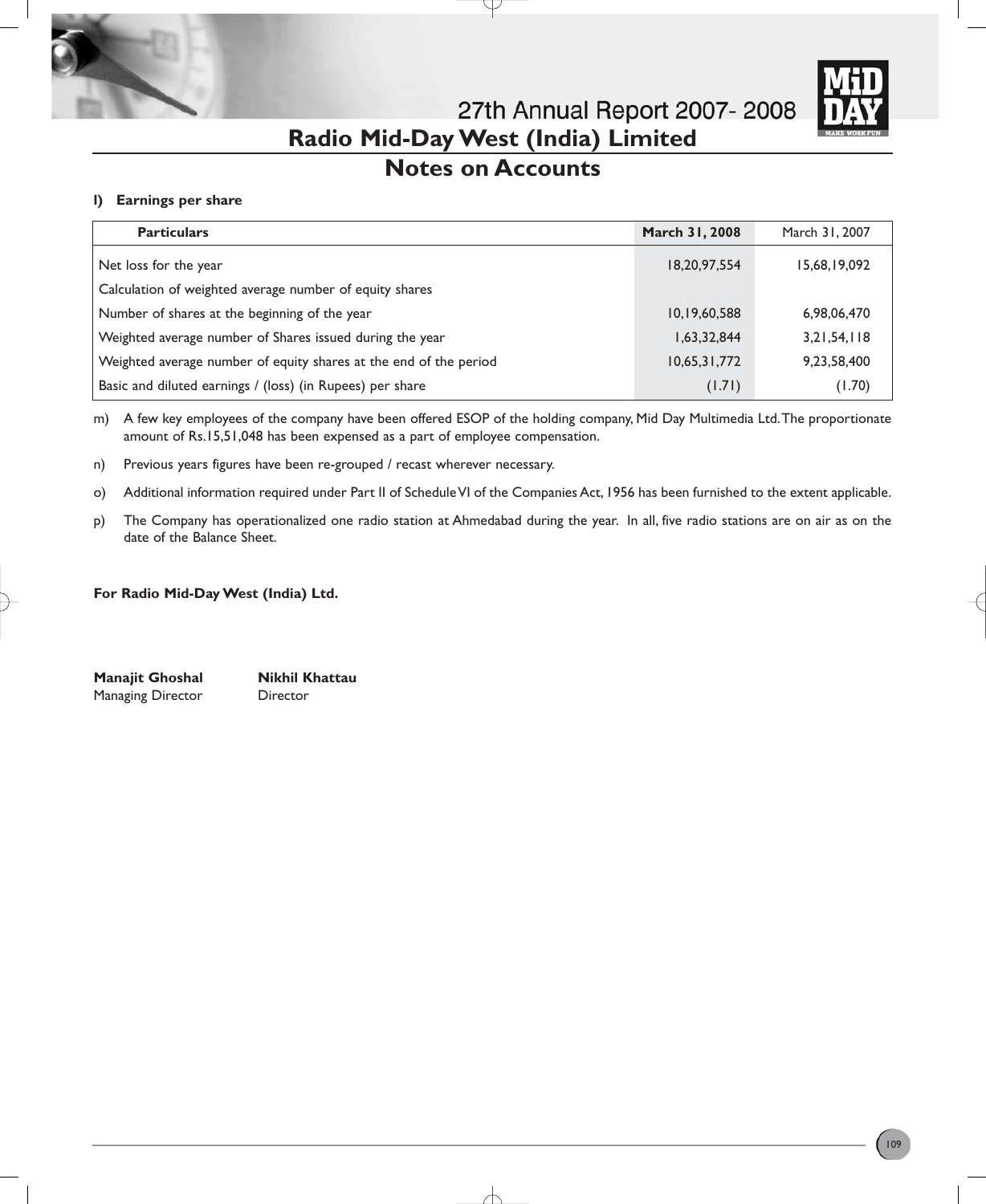

27th Annual Report 2007-2008 **Radio Mid-Day West (India) Limited**

# **Notes on Accounts**

### **l) Earnings per share**

| <b>Particulars</b>                                                | <b>March 31, 2008</b> | March 31, 2007 |
|-------------------------------------------------------------------|-----------------------|----------------|
| Net loss for the year                                             | 18,20,97,554          | 15,68,19,092   |
| Calculation of weighted average number of equity shares           |                       |                |
| Number of shares at the beginning of the year                     | 10,19,60,588          | 6,98,06,470    |
| Weighted average number of Shares issued during the year          | 1,63,32,844           | 3,21,54,118    |
| Weighted average number of equity shares at the end of the period | 10,65,31,772          | 9,23,58,400    |
| Basic and diluted earnings / (loss) (in Rupees) per share         | (1.71)                | (1.70)         |

m) A few key employees of the company have been offered ESOP of the holding company, Mid Day Multimedia Ltd.The proportionate amount of Rs.15,51,048 has been expensed as a part of employee compensation.

n) Previous years figures have been re-grouped / recast wherever necessary.

o) Additional information required under Part II of Schedule VI of the Companies Act, 1956 has been furnished to the extent applicable.

p) The Company has operationalized one radio station at Ahmedabad during the year. In all, five radio stations are on air as on the date of the Balance Sheet.

#### **For Radio Mid-Day West (India) Ltd.**

**Manajit Ghoshal Nikhil Khattau** Managing Director Director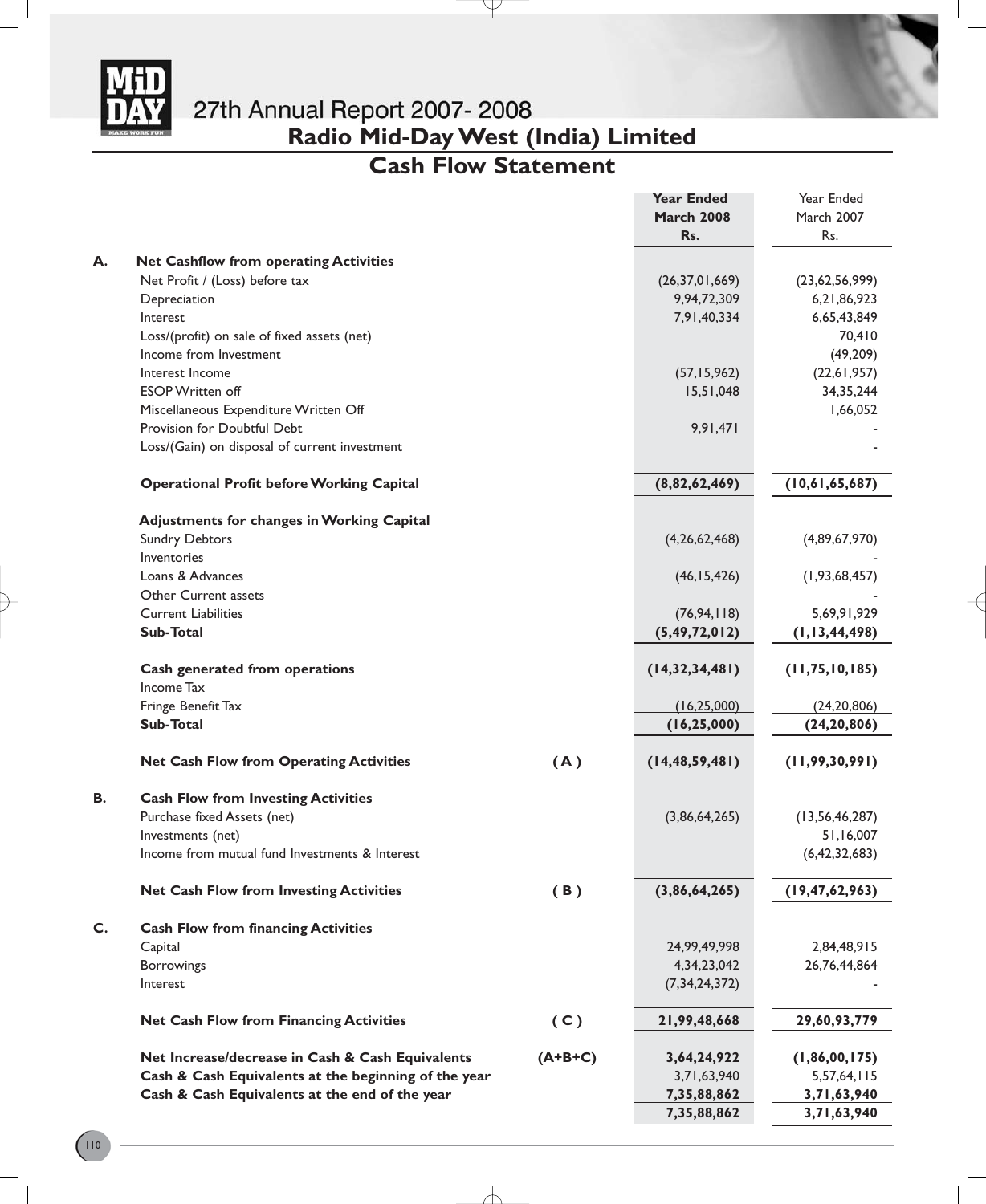

**Radio Mid-Day West (India) Limited**

# **Cash Flow Statement**

Y

|    |                                                      |           | <b>Year Ended</b> | Year Ended        |
|----|------------------------------------------------------|-----------|-------------------|-------------------|
|    |                                                      |           | <b>March 2008</b> | March 2007        |
|    |                                                      |           | Rs.               | Rs.               |
| А. | <b>Net Cashflow from operating Activities</b>        |           |                   |                   |
|    | Net Profit / (Loss) before tax                       |           | (26, 37, 01, 669) | (23,62,56,999)    |
|    | Depreciation                                         |           | 9,94,72,309       | 6,21,86,923       |
|    | Interest                                             |           | 7,91,40,334       | 6,65,43,849       |
|    | Loss/(profit) on sale of fixed assets (net)          |           |                   | 70,410            |
|    | Income from Investment                               |           |                   | (49, 209)         |
|    | Interest Income                                      |           | (57, 15, 962)     | (22, 61, 957)     |
|    | <b>ESOP Written off</b>                              |           | 15,51,048         | 34, 35, 244       |
|    | Miscellaneous Expenditure Written Off                |           |                   | 1,66,052          |
|    | Provision for Doubtful Debt                          |           | 9,91,471          |                   |
|    | Loss/(Gain) on disposal of current investment        |           |                   |                   |
|    |                                                      |           |                   |                   |
|    | <b>Operational Profit before Working Capital</b>     |           | (8,82,62,469)     | (10,61,65,687)    |
|    | <b>Adjustments for changes in Working Capital</b>    |           |                   |                   |
|    | <b>Sundry Debtors</b>                                |           | (4,26,62,468)     | (4,89,67,970)     |
|    | Inventories                                          |           |                   |                   |
|    | Loans & Advances                                     |           | (46, 15, 426)     | (1, 93, 68, 457)  |
|    | Other Current assets                                 |           |                   |                   |
|    | <b>Current Liabilities</b>                           |           | (76, 94, 118)     | 5,69,91,929       |
|    | <b>Sub-Total</b>                                     |           | (5, 49, 72, 012)  | (1, 13, 44, 498)  |
|    |                                                      |           |                   |                   |
|    | Cash generated from operations                       |           | (14, 32, 34, 481) | (11, 75, 10, 185) |
|    | Income Tax                                           |           |                   |                   |
|    | Fringe Benefit Tax                                   |           | (16, 25, 000)     | (24, 20, 806)     |
|    | <b>Sub-Total</b>                                     |           | (16, 25, 000)     | (24, 20, 806)     |
|    | <b>Net Cash Flow from Operating Activities</b>       | (A)       | (14, 48, 59, 481) | (11, 99, 30, 991) |
| В. | <b>Cash Flow from Investing Activities</b>           |           |                   |                   |
|    | Purchase fixed Assets (net)                          |           | (3,86,64,265)     | (13, 56, 46, 287) |
|    | Investments (net)                                    |           |                   | 51,16,007         |
|    | Income from mutual fund Investments & Interest       |           |                   | (6, 42, 32, 683)  |
|    |                                                      |           |                   |                   |
|    | <b>Net Cash Flow from Investing Activities</b>       | (B)       | (3,86,64,265)     | (19, 47, 62, 963) |
| C. | <b>Cash Flow from financing Activities</b>           |           |                   |                   |
|    | Capital                                              |           | 24,99,49,998      | 2,84,48,915       |
|    | Borrowings                                           |           | 4,34,23,042       | 26,76,44,864      |
|    | Interest                                             |           | (7, 34, 24, 372)  |                   |
|    | <b>Net Cash Flow from Financing Activities</b>       | (C)       | 21,99,48,668      | 29,60,93,779      |
|    |                                                      |           |                   |                   |
|    | Net Increase/decrease in Cash & Cash Equivalents     | $(A+B+C)$ | 3,64,24,922       | (1,86,00,175)     |
|    | Cash & Cash Equivalents at the beginning of the year |           | 3,71,63,940       | 5,57,64,115       |
|    | Cash & Cash Equivalents at the end of the year       |           | 7,35,88,862       | 3,71,63,940       |
|    |                                                      |           | 7,35,88,862       | 3,71,63,940       |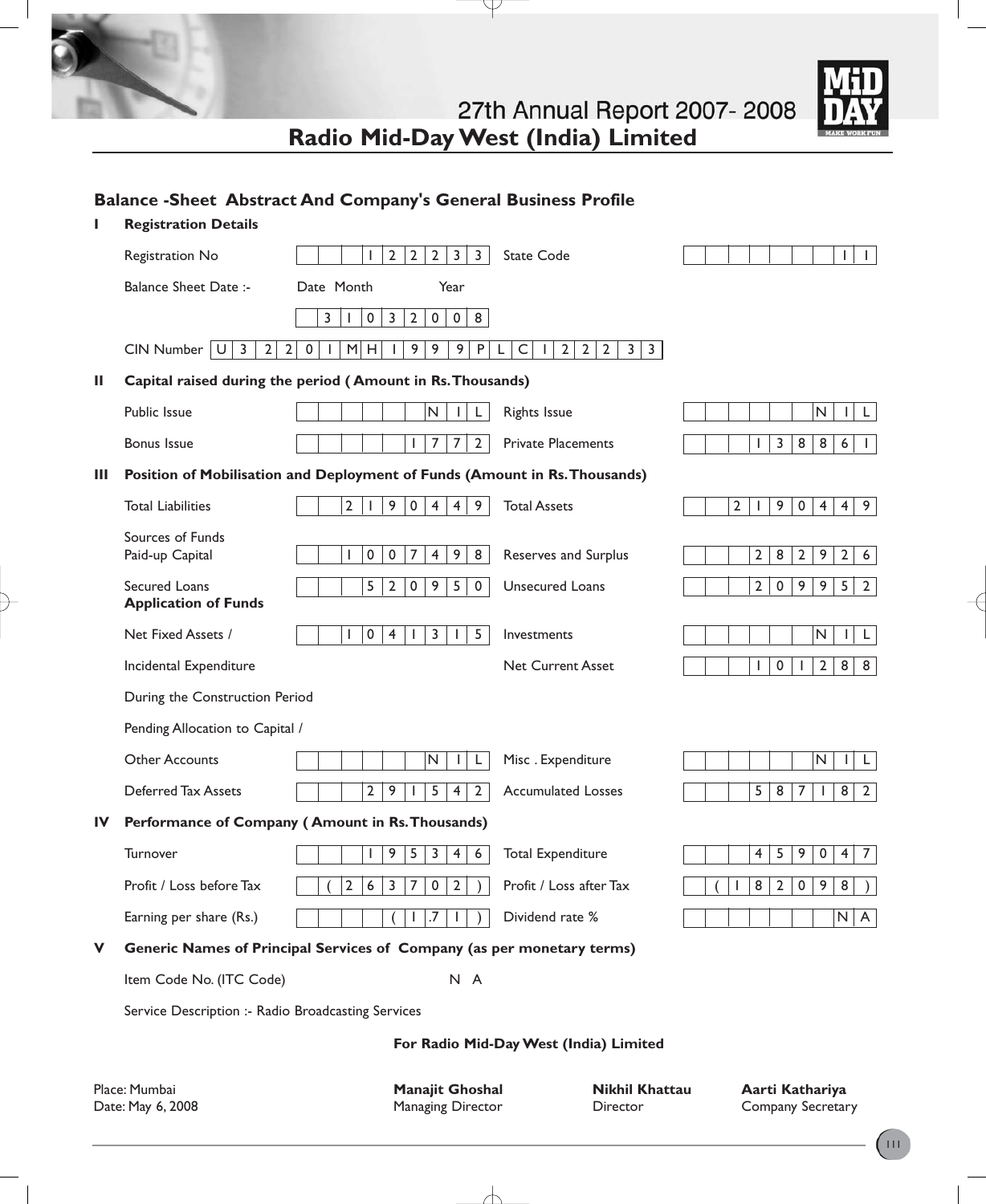| 27th Annual Report 2007-2008       |
|------------------------------------|
| Radio Mid-Day West (India) Limited |

Y



## **Balance -Sheet Abstract And Company's General Business Profile**

|                                        | <b>Registration Details</b>                        |                                                                                      |                                                                                               |                                                                                     |  |  |
|----------------------------------------|----------------------------------------------------|--------------------------------------------------------------------------------------|-----------------------------------------------------------------------------------------------|-------------------------------------------------------------------------------------|--|--|
|                                        | Registration No                                    | $\overline{2}$<br>$\overline{2}$<br>$\overline{2}$<br>$\mathbf{3}$<br>$\overline{3}$ | <b>State Code</b>                                                                             | $\mathbf{L}$                                                                        |  |  |
|                                        | <b>Balance Sheet Date:-</b>                        | Date Month<br>Year                                                                   |                                                                                               |                                                                                     |  |  |
|                                        |                                                    | $\mathbf 2$<br>$\pmb{0}$<br>8<br>3<br>0<br>3<br>$\pmb{0}$                            |                                                                                               |                                                                                     |  |  |
|                                        | 3<br>$2 \mid$<br>CIN Number<br>U                   | 9<br>9<br>9 <sup>1</sup><br>2 <br>M H <br>P<br>0<br>L.                               | $\mathsf C$<br>$2 \mid 2 \mid$<br>$\overline{2}$<br>3 <br>3 <sup>1</sup><br>L<br>$\mathbf{L}$ |                                                                                     |  |  |
| Ш                                      |                                                    | Capital raised during the period (Amount in Rs. Thousands)                           |                                                                                               |                                                                                     |  |  |
|                                        | Public Issue                                       | N<br>L                                                                               | <b>Rights Issue</b>                                                                           | $\mathsf{N}$<br>L<br>$\mathbf{L}$                                                   |  |  |
|                                        | <b>Bonus Issue</b>                                 | $\overline{7}$<br>$\overline{7}$<br>$\overline{2}$<br>ı                              | <b>Private Placements</b>                                                                     | 3<br>8<br>8<br>$\boldsymbol{6}$<br>I.                                               |  |  |
| Ш                                      |                                                    | Position of Mobilisation and Deployment of Funds (Amount in Rs. Thousands)           |                                                                                               |                                                                                     |  |  |
|                                        | <b>Total Liabilities</b>                           | $\overline{2}$<br>9<br>$\pmb{0}$<br>$\overline{4}$<br>$\overline{4}$<br>9            | <b>Total Assets</b>                                                                           | $\overline{2}$<br>9<br>$\overline{0}$<br>$\overline{4}$<br>9<br>4 <sup>1</sup><br>L |  |  |
|                                        | Sources of Funds<br>Paid-up Capital                | 9<br>0<br>$\mathbf 0$<br>7<br>4<br>8                                                 | Reserves and Surplus                                                                          | $\overline{2}$<br>8<br>$\mathbf{2}$<br>9<br>$2^{\circ}$<br>6                        |  |  |
|                                        | Secured Loans                                      | 5<br>$\overline{2}$<br>9<br>5<br>0<br>$\mathbf 0$                                    | <b>Unsecured Loans</b>                                                                        | $\overline{2}$<br>$\pmb{0}$<br>9<br>9<br>5<br>$\overline{2}$                        |  |  |
|                                        | <b>Application of Funds</b>                        |                                                                                      |                                                                                               |                                                                                     |  |  |
|                                        | Net Fixed Assets /                                 | 5 <sup>5</sup><br>$\mathbf 0$<br>3<br>$\overline{4}$<br>ı                            | Investments                                                                                   | $\mathsf{N}$<br>L                                                                   |  |  |
|                                        | Incidental Expenditure                             |                                                                                      | <b>Net Current Asset</b>                                                                      | $\pmb{0}$<br>$\overline{2}$<br>8 <sup>1</sup><br>8<br>J.<br>J.                      |  |  |
|                                        | During the Construction Period                     |                                                                                      |                                                                                               |                                                                                     |  |  |
|                                        | Pending Allocation to Capital /                    |                                                                                      |                                                                                               |                                                                                     |  |  |
|                                        | <b>Other Accounts</b>                              | N<br>L                                                                               | Misc. Expenditure                                                                             | N<br>L<br>L                                                                         |  |  |
|                                        | Deferred Tax Assets                                | $\overline{2}$<br>9<br>5<br>$\overline{4}$<br>$\overline{2}$                         | <b>Accumulated Losses</b>                                                                     | 5<br>8<br>$\overline{7}$<br>8 <sup>1</sup><br>$\overline{2}$<br>$\mathbf{L}$        |  |  |
| IV                                     |                                                    | Performance of Company (Amount in Rs. Thousands)                                     |                                                                                               |                                                                                     |  |  |
|                                        | Turnover                                           | 9<br>5<br>3<br>4<br>6                                                                | <b>Total Expenditure</b>                                                                      | $\overline{4}$<br>5<br>9<br>$\pmb{0}$<br>$\overline{7}$<br>4                        |  |  |
|                                        | Profit / Loss before Tax                           | $\overline{2}$<br>7<br>$\overline{2}$<br>6<br>3<br>$\mathbf 0$                       | Profit / Loss after Tax                                                                       | 8<br>$\overline{2}$<br>$\pmb{0}$<br>9<br>8                                          |  |  |
|                                        | Earning per share (Rs.)                            |                                                                                      | Dividend rate %                                                                               | N<br>A                                                                              |  |  |
| v                                      |                                                    | Generic Names of Principal Services of Company (as per monetary terms)               |                                                                                               |                                                                                     |  |  |
|                                        | Item Code No. (ITC Code)                           | N A                                                                                  |                                                                                               |                                                                                     |  |  |
|                                        | Service Description :- Radio Broadcasting Services |                                                                                      |                                                                                               |                                                                                     |  |  |
| For Radio Mid-Day West (India) Limited |                                                    |                                                                                      |                                                                                               |                                                                                     |  |  |
|                                        | Place: Mumbai<br>Date: May 6, 2008                 | <b>Manajit Ghoshal</b><br>Managing Director                                          | <b>Nikhil Khattau</b><br>Director                                                             | Aarti Kathariya<br>Company Secretary                                                |  |  |

 $\overline{\wedge}$